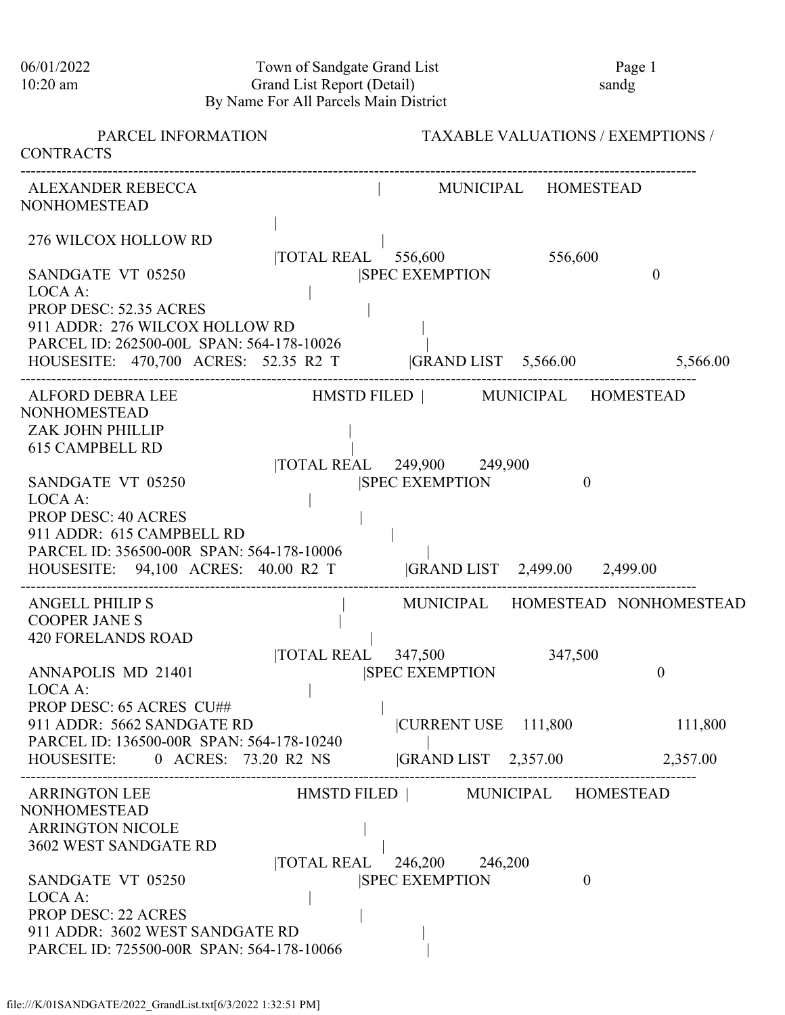| 06/01/2022<br>$10:20$ am                                                                                                                                                                                                                                             | Town of Sandgate Grand List<br>Grand List Report (Detail)<br>By Name For All Parcels Main District | Page 1<br>sandg                           |
|----------------------------------------------------------------------------------------------------------------------------------------------------------------------------------------------------------------------------------------------------------------------|----------------------------------------------------------------------------------------------------|-------------------------------------------|
| PARCEL INFORMATION<br><b>CONTRACTS</b>                                                                                                                                                                                                                               |                                                                                                    | <b>TAXABLE VALUATIONS / EXEMPTIONS /</b>  |
| ALEXANDER REBECCA<br><b>NONHOMESTEAD</b>                                                                                                                                                                                                                             |                                                                                                    | MUNICIPAL HOMESTEAD                       |
| 276 WILCOX HOLLOW RD                                                                                                                                                                                                                                                 | $\overline{10}$ TAL REAL $\overline{556,600}$                                                      | 556,600                                   |
| SANDGATE VT 05250<br>LOCA A:<br>PROP DESC: 52.35 ACRES<br>911 ADDR: 276 WILCOX HOLLOW RD<br>PARCEL ID: 262500-00L SPAN: 564-178-10026                                                                                                                                | <b>SPEC EXEMPTION</b>                                                                              | $\theta$                                  |
|                                                                                                                                                                                                                                                                      | HOUSESITE: 470,700 ACRES: 52.35 R2 T  GRAND LIST 5,566.00 5,566.00                                 |                                           |
| ALFORD DEBRA LEE<br><b>NONHOMESTEAD</b><br>ZAK JOHN PHILLIP<br><b>615 CAMPBELL RD</b><br>SANDGATE VT 05250<br>LOCA A:<br><b>PROP DESC: 40 ACRES</b><br>911 ADDR: 615 CAMPBELL RD<br>PARCEL ID: 356500-00R SPAN: 564-178-10006<br>HOUSESITE: 94,100 ACRES: 40.00 R2 T | HMSTD FILED   MUNICIPAL HOMESTEAD<br> TOTAL REAL 249,900 249,900<br><b>SPEC EXEMPTION</b>          | $\theta$<br> GRAND LIST 2,499.00 2,499.00 |
| <b>ANGELL PHILIP S</b><br><b>COOPER JANE S</b><br><b>420 FORELANDS ROAD</b>                                                                                                                                                                                          |                                                                                                    | MUNICIPAL HOMESTEAD NONHOMESTEAD          |
| ANNAPOLIS MD 21401<br>LOCA A:<br>PROP DESC: 65 ACRES CU##                                                                                                                                                                                                            | $\overline{10TAL}$ REAL 347,500<br><b>SPEC EXEMPTION</b>                                           | 347,500<br>$\boldsymbol{0}$               |
| 911 ADDR: 5662 SANDGATE RD                                                                                                                                                                                                                                           | CURRENT USE 111,800                                                                                | 111,800                                   |
| PARCEL ID: 136500-00R SPAN: 564-178-10240<br>HOUSESITE:                                                                                                                                                                                                              | $ GRAND LIST$ 2,357.00<br>0 ACRES: 73.20 R2 NS                                                     | 2,357.00                                  |
| <b>ARRINGTON LEE</b><br><b>NONHOMESTEAD</b><br><b>ARRINGTON NICOLE</b><br>3602 WEST SANDGATE RD<br>SANDGATE VT 05250<br>LOCA A:<br><b>PROP DESC: 22 ACRES</b><br>911 ADDR: 3602 WEST SANDGATE RD<br>PARCEL ID: 725500-00R SPAN: 564-178-10066                        | HMSTD FILED   MUNICIPAL HOMESTEAD<br> TOTAL REAL 246,200 246,200<br><b>ISPEC EXEMPTION</b>         | $\theta$                                  |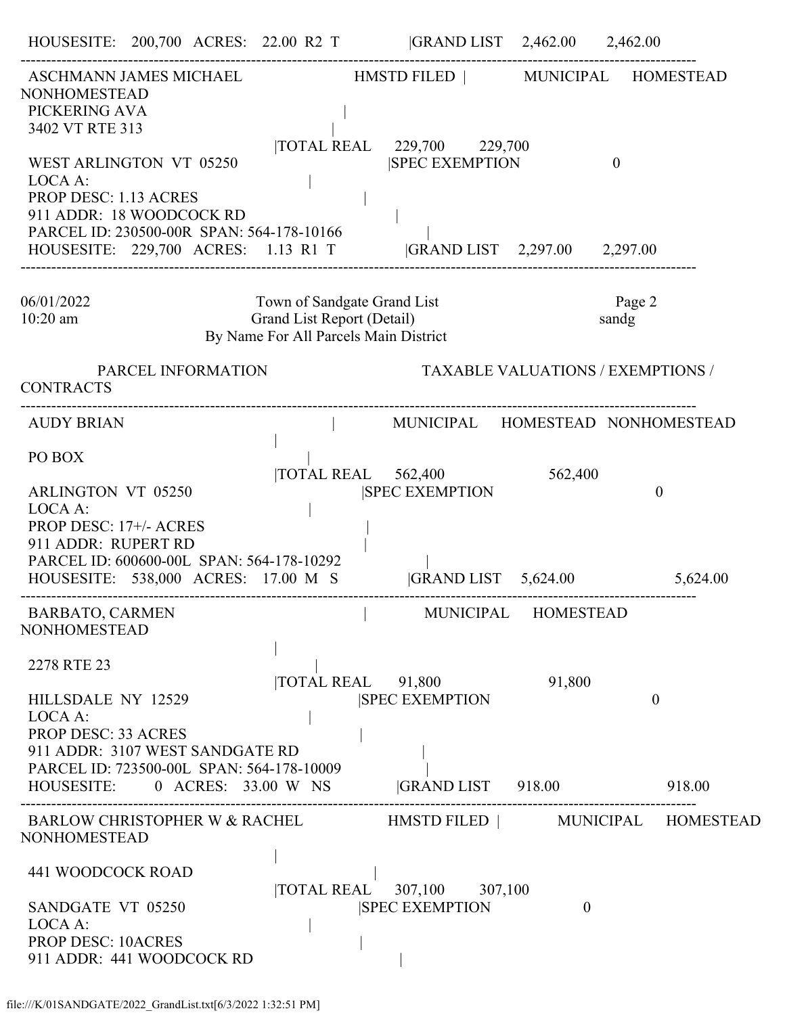|                                                                                                                                             |                    |                                                                                                    | HOUSESITE: 200,700 ACRES: 22.00 R2 T  GRAND LIST 2,462.00 2,462.00               |         |              |                |  |
|---------------------------------------------------------------------------------------------------------------------------------------------|--------------------|----------------------------------------------------------------------------------------------------|----------------------------------------------------------------------------------|---------|--------------|----------------|--|
| ASCHMANN JAMES MICHAEL<br><b>NONHOMESTEAD</b><br>PICKERING AVA                                                                              |                    |                                                                                                    | HMSTD FILED   MUNICIPAL HOMESTEAD                                                |         |              |                |  |
| 3402 VT RTE 313<br>WEST ARLINGTON VT 05250<br>LOCA A:                                                                                       |                    |                                                                                                    | TOTAL REAL 229,700 229,700<br><b>SPEC EXEMPTION</b>                              |         | $\mathbf{0}$ |                |  |
| <b>PROP DESC: 1.13 ACRES</b><br>911 ADDR: 18 WOODCOCK RD<br>PARCEL ID: 230500-00R SPAN: 564-178-10166                                       |                    |                                                                                                    | HOUSESITE: 229,700 ACRES: 1.13 R1 T  GRAND LIST 2,297.00 2,297.00                |         |              |                |  |
| 06/01/2022<br>$10:20$ am                                                                                                                    |                    | Town of Sandgate Grand List<br>Grand List Report (Detail)<br>By Name For All Parcels Main District |                                                                                  |         | sandg        | Page 2         |  |
| <b>CONTRACTS</b>                                                                                                                            | PARCEL INFORMATION |                                                                                                    | <b>TAXABLE VALUATIONS / EXEMPTIONS /</b>                                         |         |              |                |  |
| <b>AUDY BRIAN</b>                                                                                                                           |                    |                                                                                                    | MUNICIPAL HOMESTEAD NONHOMESTEAD                                                 |         |              |                |  |
| PO BOX<br><b>ARLINGTON VT 05250</b><br>LOCA A:                                                                                              |                    |                                                                                                    | TOTAL REAL 562,400<br><b>SPEC EXEMPTION</b>                                      | 562,400 |              | $\overline{0}$ |  |
| PROP DESC: 17+/- ACRES<br>911 ADDR: RUPERT RD<br>PARCEL ID: 600600-00L SPAN: 564-178-10292<br>HOUSESITE: 538,000 ACRES: 17.00 M S           |                    |                                                                                                    | GRAND LIST 5,624.00 5,624.00                                                     |         |              |                |  |
| <b>BARBATO, CARMEN</b><br><b>NONHOMESTEAD</b>                                                                                               |                    |                                                                                                    | MUNICIPAL HOMESTEAD                                                              |         |              |                |  |
| 2278 RTE 23                                                                                                                                 |                    |                                                                                                    | $\overline{10}$ TAL REAL $\overline{91,800}$                                     | 91,800  |              |                |  |
| HILLSDALE NY 12529<br>LOCA A:<br><b>PROP DESC: 33 ACRES</b><br>911 ADDR: 3107 WEST SANDGATE RD<br>PARCEL ID: 723500-00L SPAN: 564-178-10009 |                    |                                                                                                    | <b>SPEC EXEMPTION</b><br>HOUSESITE: 0 ACRES: 33.00 W NS GRAND LIST 918.00 918.00 |         |              | $\mathbf{0}$   |  |
|                                                                                                                                             |                    |                                                                                                    | BARLOW CHRISTOPHER W & RACHEL HMSTD FILED   MUNICIPAL HOMESTEAD                  |         |              |                |  |
| <b>NONHOMESTEAD</b>                                                                                                                         |                    |                                                                                                    |                                                                                  |         |              |                |  |
| 441 WOODCOCK ROAD<br>SANDGATE VT 05250<br>LOCA A:<br><b>PROP DESC: 10ACRES</b><br>911 ADDR: 441 WOODCOCK RD                                 |                    |                                                                                                    | TOTAL REAL 307,100 307,100<br><b>SPEC EXEMPTION</b>                              |         | $\theta$     |                |  |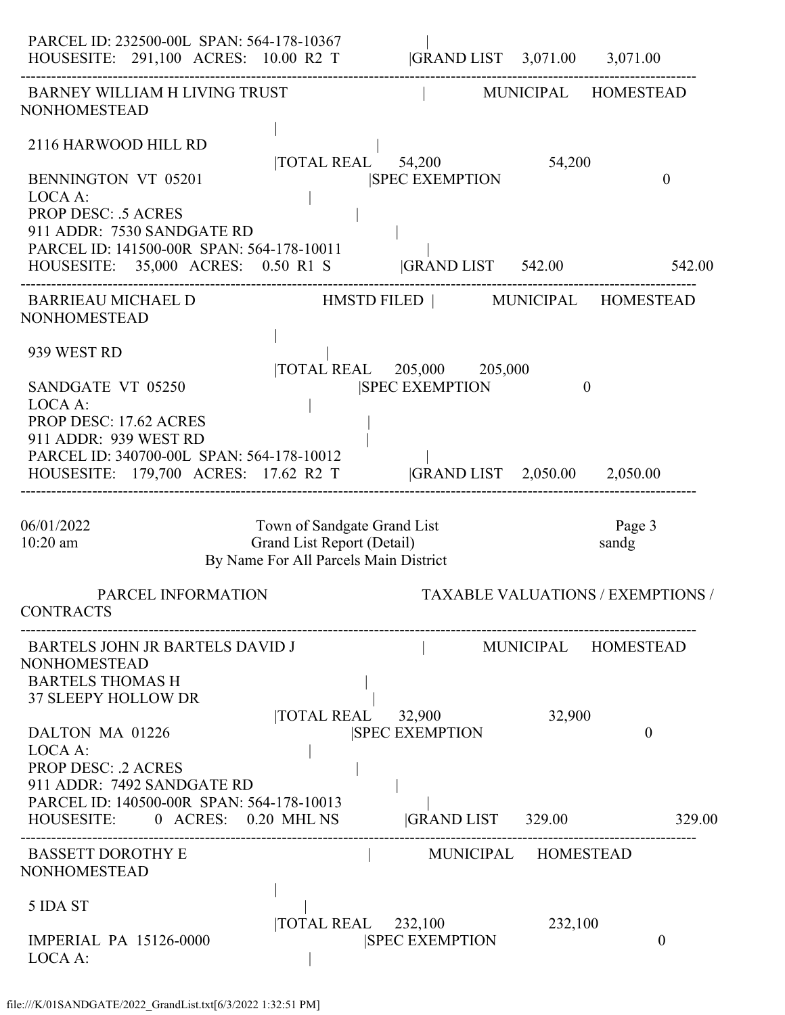| PARCEL ID: 232500-00L SPAN: 564-178-10367<br>HOUSESITE: 291,100 ACRES: 10.00 R2 T                                                                                                                  |                                                                                                    | GRAND LIST 3,071.00 3,071.00                                         |         |                                   |
|----------------------------------------------------------------------------------------------------------------------------------------------------------------------------------------------------|----------------------------------------------------------------------------------------------------|----------------------------------------------------------------------|---------|-----------------------------------|
| <b>BARNEY WILLIAM H LIVING TRUST</b><br><b>NONHOMESTEAD</b>                                                                                                                                        |                                                                                                    |                                                                      |         | MUNICIPAL HOMESTEAD               |
| 2116 HARWOOD HILL RD<br><b>BENNINGTON VT 05201</b><br>LOCA A:<br><b>PROP DESC: .5 ACRES</b>                                                                                                        |                                                                                                    | $\overline{10TAL}$ REAL $\overline{54,200}$<br><b>SPEC EXEMPTION</b> | 54,200  | $\theta$                          |
| 911 ADDR: 7530 SANDGATE RD<br>PARCEL ID: 141500-00R SPAN: 564-178-10011<br>HOUSESITE: 35,000 ACRES: 0.50 R1 S  GRAND LIST 542.00                                                                   |                                                                                                    |                                                                      |         | 542.00                            |
| BARRIEAU MICHAEL D HMSTD FILED   MUNICIPAL HOMESTEAD<br><b>NONHOMESTEAD</b>                                                                                                                        |                                                                                                    |                                                                      |         |                                   |
| 939 WEST RD                                                                                                                                                                                        |                                                                                                    | TOTAL REAL 205,000 205,000                                           |         |                                   |
| SANDGATE VT 05250<br>LOCA A:<br>PROP DESC: 17.62 ACRES<br>911 ADDR: 939 WEST RD<br>PARCEL ID: 340700-00L SPAN: 564-178-10012<br>HOUSESITE: 179,700 ACRES: 17.62 R2 T  GRAND LIST 2,050.00 2,050.00 |                                                                                                    | <b>SPEC EXEMPTION</b>                                                |         | $\theta$                          |
| 06/01/2022<br>10:20 am                                                                                                                                                                             | Town of Sandgate Grand List<br>Grand List Report (Detail)<br>By Name For All Parcels Main District |                                                                      |         | Page 3<br>sandg                   |
| PARCEL INFORMATION<br><b>CONTRACTS</b>                                                                                                                                                             |                                                                                                    |                                                                      |         | TAXABLE VALUATIONS / EXEMPTIONS / |
| BARTELS JOHN JR BARTELS DAVID J<br><b>NONHOMESTEAD</b><br><b>BARTELS THOMAS H</b><br><b>37 SLEEPY HOLLOW DR</b>                                                                                    |                                                                                                    |                                                                      |         | MUNICIPAL HOMESTEAD               |
| DALTON MA 01226<br>LOCA A:<br><b>PROP DESC: .2 ACRES</b><br>911 ADDR: 7492 SANDGATE RD<br>PARCEL ID: 140500-00R SPAN: 564-178-10013                                                                | TOTAL REAL 32,900                                                                                  | <b>ISPEC EXEMPTION</b>                                               | 32,900  | $\boldsymbol{0}$                  |
| HOUSESITE: 0 ACRES: 0.20 MHL NS<br><b>BASSETT DOROTHY E</b>                                                                                                                                        |                                                                                                    | GRAND LIST 329.00<br>MUNICIPAL HOMESTEAD                             |         | 329.00                            |
| <b>NONHOMESTEAD</b>                                                                                                                                                                                |                                                                                                    |                                                                      |         |                                   |
| 5 IDA ST<br><b>IMPERIAL PA 15126-0000</b><br>LOCA A:                                                                                                                                               | $\overline{10TAL}$ REAL 232,100                                                                    | <b>SPEC EXEMPTION</b>                                                | 232,100 | $\theta$                          |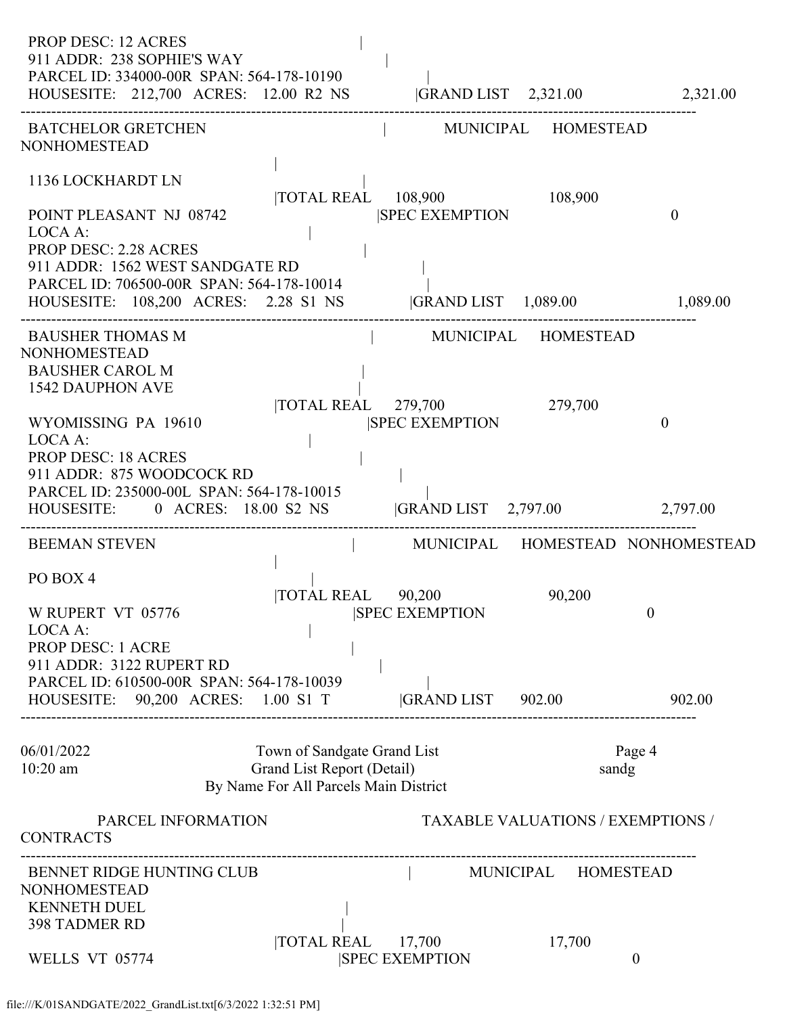| <b>PROP DESC: 12 ACRES</b><br>911 ADDR: 238 SOPHIE'S WAY<br>PARCEL ID: 334000-00R SPAN: 564-178-10190<br>HOUSESITE: 212,700 ACRES: 12.00 R2 NS  GRAND LIST 2,321.00 2,321.00                                                                                                                                   |                                                                                                                                                    |                                                                             |                                          |                            |
|----------------------------------------------------------------------------------------------------------------------------------------------------------------------------------------------------------------------------------------------------------------------------------------------------------------|----------------------------------------------------------------------------------------------------------------------------------------------------|-----------------------------------------------------------------------------|------------------------------------------|----------------------------|
| <b>BATCHELOR GRETCHEN</b><br><b>NONHOMESTEAD</b>                                                                                                                                                                                                                                                               |                                                                                                                                                    | MUNICIPAL HOMESTEAD                                                         |                                          |                            |
| 1136 LOCKHARDT LN<br>POINT PLEASANT NJ 08742<br>LOCA A:<br><b>PROP DESC: 2.28 ACRES</b>                                                                                                                                                                                                                        |                                                                                                                                                    | TOTAL REAL 108,900 108,900<br><b>SPEC EXEMPTION</b>                         |                                          | $\theta$                   |
| 911 ADDR: 1562 WEST SANDGATE RD<br>PARCEL ID: 706500-00R SPAN: 564-178-10014<br>HOUSESITE: 108,200 ACRES: 2.28 S1 NS  GRAND LIST 1,089.00 1,089.00                                                                                                                                                             |                                                                                                                                                    |                                                                             |                                          |                            |
| <b>BAUSHER THOMAS M</b><br><b>NONHOMESTEAD</b><br><b>BAUSHER CAROL M</b><br><b>1542 DAUPHON AVE</b><br>WYOMISSING PA 19610<br>LOCA A:<br><b>PROP DESC: 18 ACRES</b><br>911 ADDR: 875 WOODCOCK RD<br>PARCEL ID: 235000-00L SPAN: 564-178-10015<br>HOUSESITE: 0 ACRES: 18.00 S2 NS  GRAND LIST 2,797.00 2,797.00 | $\label{eq:2.1} \begin{split} \mathcal{L}_{\text{max}}(\mathcal{L}_{\text{max}}) = \mathcal{L}_{\text{max}}(\mathcal{L}_{\text{max}}) \end{split}$ | MUNICIPAL HOMESTEAD<br> TOTAL REAL 279,700 279,700<br><b>SPEC EXEMPTION</b> |                                          | $\theta$                   |
| <b>BEEMAN STEVEN</b>                                                                                                                                                                                                                                                                                           |                                                                                                                                                    | MUNICIPAL HOMESTEAD NONHOMESTEAD                                            |                                          |                            |
| PO BOX 4<br>W RUPERT VT 05776<br>LOCA A:<br><b>PROP DESC: 1 ACRE</b><br>911 ADDR: 3122 RUPERT RD<br>PARCEL ID: 610500-00R SPAN: 564-178-10039<br>HOUSESITE: 90,200 ACRES: 1.00 S1 T                                                                                                                            |                                                                                                                                                    | TOTAL REAL 90,200 90,200<br><b>SPEC EXEMPTION</b><br> GRAND LIST 902.00     |                                          | $\boldsymbol{0}$<br>902.00 |
| 06/01/2022<br>$10:20$ am                                                                                                                                                                                                                                                                                       | Town of Sandgate Grand List<br>Grand List Report (Detail)<br>By Name For All Parcels Main District                                                 |                                                                             | sandg                                    | Page 4                     |
| PARCEL INFORMATION<br><b>CONTRACTS</b>                                                                                                                                                                                                                                                                         |                                                                                                                                                    |                                                                             | <b>TAXABLE VALUATIONS / EXEMPTIONS /</b> |                            |
| BENNET RIDGE HUNTING CLUB<br><b>NONHOMESTEAD</b><br><b>KENNETH DUEL</b><br><b>398 TADMER RD</b>                                                                                                                                                                                                                | TOTAL REAL 17,700                                                                                                                                  | MUNICIPAL HOMESTEAD                                                         | 17,700                                   |                            |
| WELLS VT 05774                                                                                                                                                                                                                                                                                                 |                                                                                                                                                    | <b>SPEC EXEMPTION</b>                                                       |                                          | $\boldsymbol{0}$           |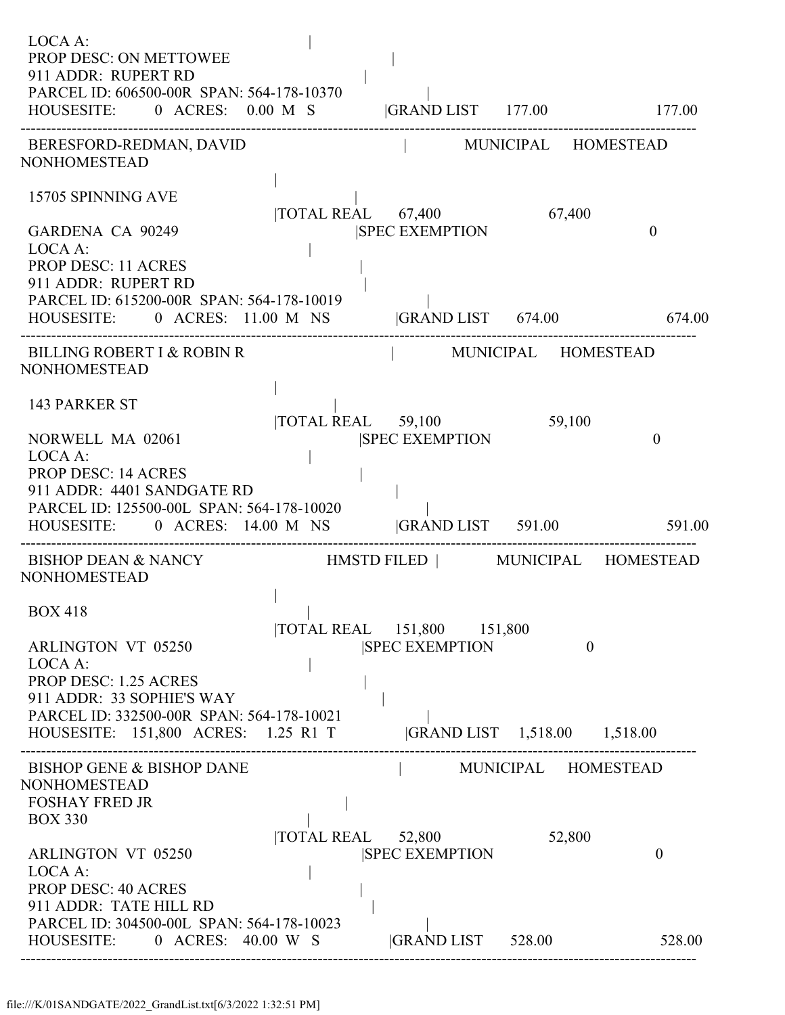| LOCA A:<br>PROP DESC: ON METTOWEE<br>911 ADDR: RUPERT RD<br>PARCEL ID: 606500-00R SPAN: 564-178-10370<br>HOUSESITE: 0 ACRES: 0.00 M S                                                                                                 | GRAND LIST 177.00 177.00                                              |                               |                |
|---------------------------------------------------------------------------------------------------------------------------------------------------------------------------------------------------------------------------------------|-----------------------------------------------------------------------|-------------------------------|----------------|
| BERESFORD-REDMAN, DAVID<br><b>NONHOMESTEAD</b>                                                                                                                                                                                        | MUNICIPAL HOMESTEAD                                                   |                               |                |
| 15705 SPINNING AVE<br>GARDENA CA 90249<br>LOCA A:<br><b>PROP DESC: 11 ACRES</b><br>911 ADDR: RUPERT RD                                                                                                                                | TOTAL REAL 67,400<br><b>SPEC EXEMPTION</b>                            | 67,400                        | $\overline{0}$ |
| PARCEL ID: 615200-00R SPAN: 564-178-10019<br>HOUSESITE: 0 ACRES: 11.00 M NS  GRAND LIST 674.00 674.00                                                                                                                                 |                                                                       |                               |                |
| BILLING ROBERT I & ROBIN R<br><b>NONHOMESTEAD</b>                                                                                                                                                                                     | MUNICIPAL HOMESTEAD                                                   |                               |                |
| <b>143 PARKER ST</b><br>NORWELL MA 02061<br>LOCA A:<br><b>PROP DESC: 14 ACRES</b><br>911 ADDR: 4401 SANDGATE RD<br>PARCEL ID: 125500-00L SPAN: 564-178-10020<br>HOUSESITE: 0 ACRES: 14.00 M NS GRAND LIST 591.00 591.00               | TOTAL REAL 59,100<br><b>SPEC EXEMPTION</b>                            | 59,100                        | $\theta$       |
| BISHOP DEAN & NANCY HMSTD FILED   MUNICIPAL HOMESTEAD<br><b>NONHOMESTEAD</b>                                                                                                                                                          |                                                                       |                               |                |
| <b>BOX 418</b><br><b>ARLINGTON VT 05250</b><br>LOCA A:<br><b>PROP DESC: 1.25 ACRES</b><br>911 ADDR: 33 SOPHIE'S WAY<br>PARCEL ID: 332500-00R SPAN: 564-178-10021<br>HOUSESITE: 151,800 ACRES: 1.25 R1 T  GRAND LIST 1,518.00 1,518.00 | TOTAL REAL 151,800 151,800<br><b>SPEC EXEMPTION</b>                   | $\overline{0}$                |                |
| <b>BISHOP GENE &amp; BISHOP DANE</b><br><b>NONHOMESTEAD</b><br><b>FOSHAY FRED JR</b><br><b>BOX 330</b><br><b>ARLINGTON VT 05250</b><br>LOCA A:<br><b>PROP DESC: 40 ACRES</b><br>911 ADDR: TATE HILL RD                                | $\overline{10}$ TAL REAL $\overline{52,800}$<br><b>SPEC EXEMPTION</b> | MUNICIPAL HOMESTEAD<br>52,800 | $\theta$       |
| PARCEL ID: 304500-00L SPAN: 564-178-10023<br>HOUSESITE: 0 ACRES: 40.00 W S                                                                                                                                                            | <b>GRAND LIST</b> 528.00                                              |                               | 528.00         |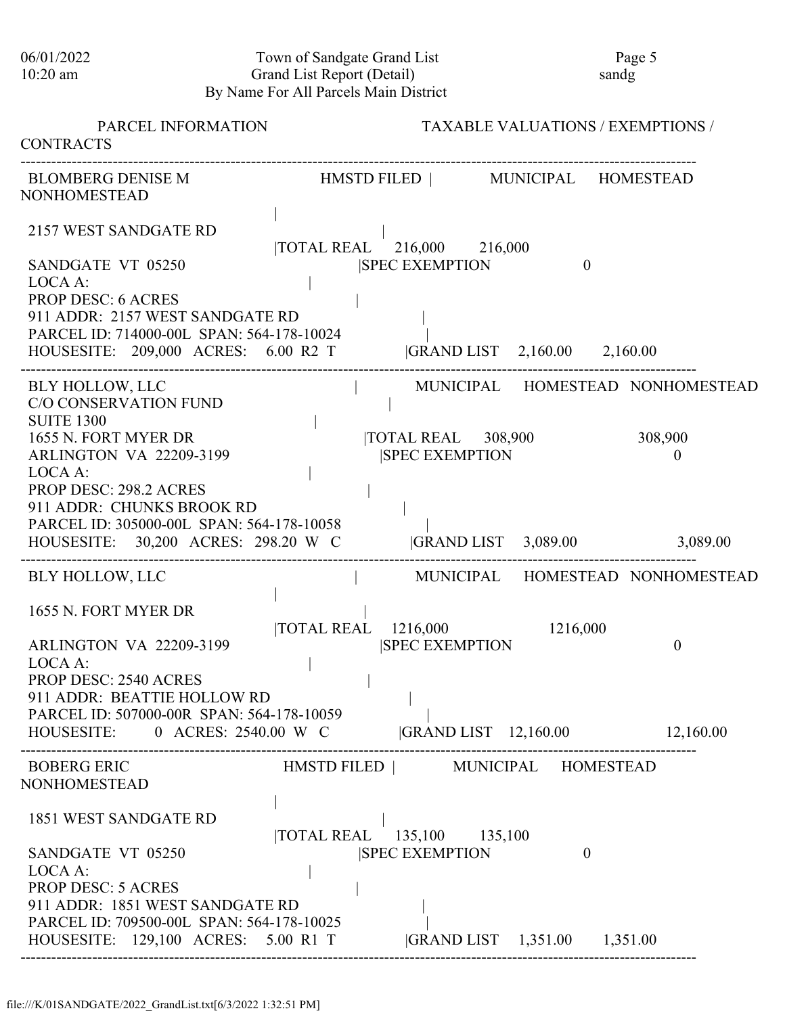06/01/2022 Town of Sandgate Grand List Page 5 10:20 am Grand List Report (Detail) sandg By Name For All Parcels Main District

| PARCEL INFORMATION<br><b>CONTRACTS</b>                                           |                            | <b>TAXABLE VALUATIONS / EXEMPTIONS /</b>                    |                                  |
|----------------------------------------------------------------------------------|----------------------------|-------------------------------------------------------------|----------------------------------|
| <b>BLOMBERG DENISE M</b><br><b>NONHOMESTEAD</b>                                  |                            | HMSTD FILED   MUNICIPAL HOMESTEAD                           |                                  |
| 2157 WEST SANDGATE RD                                                            | TOTAL REAL 216,000 216,000 |                                                             |                                  |
| SANDGATE VT 05250                                                                |                            | <b>SPEC EXEMPTION</b>                                       | $\theta$                         |
| LOCA A:<br><b>PROP DESC: 6 ACRES</b>                                             |                            |                                                             |                                  |
| 911 ADDR: 2157 WEST SANDGATE RD                                                  |                            |                                                             |                                  |
| PARCEL ID: 714000-00L SPAN: 564-178-10024                                        |                            |                                                             |                                  |
| HOUSESITE: 209,000 ACRES: 6.00 R2 T                                              |                            | GRAND LIST 2,160.00 2,160.00                                |                                  |
| <b>BLY HOLLOW, LLC</b><br><b>C/O CONSERVATION FUND</b><br><b>SUITE 1300</b>      |                            |                                                             | MUNICIPAL HOMESTEAD NONHOMESTEAD |
| 1655 N. FORT MYER DR<br><b>ARLINGTON VA 22209-3199</b>                           |                            | $\overline{10}$ TOTAL REAL 308,900<br><b>SPEC EXEMPTION</b> | 308,900<br>$\boldsymbol{0}$      |
| LOCA A:                                                                          |                            |                                                             |                                  |
| <b>PROP DESC: 298.2 ACRES</b>                                                    |                            |                                                             |                                  |
| 911 ADDR: CHUNKS BROOK RD                                                        |                            |                                                             |                                  |
| PARCEL ID: 305000-00L SPAN: 564-178-10058<br>HOUSESITE: 30,200 ACRES: 298.20 W C |                            | GRAND LIST 3,089.00 3,089.00                                |                                  |
|                                                                                  |                            |                                                             |                                  |
| BLY HOLLOW, LLC                                                                  |                            |                                                             | MUNICIPAL HOMESTEAD NONHOMESTEAD |
| 1655 N. FORT MYER DR                                                             |                            |                                                             |                                  |
|                                                                                  | TOTAL REAL 1216,000        | 1216,000                                                    |                                  |
| <b>ARLINGTON VA 22209-3199</b><br>LOCA A:                                        |                            | <b>SPEC EXEMPTION</b>                                       | $\boldsymbol{0}$                 |
| <b>PROP DESC: 2540 ACRES</b>                                                     |                            |                                                             |                                  |
| 911 ADDR: BEATTIE HOLLOW RD                                                      |                            |                                                             |                                  |
| PARCEL ID: 507000-00R SPAN: 564-178-10059                                        |                            |                                                             |                                  |
| HOUSESITE: 0 ACRES: 2540.00 W C GRAND LIST 12,160.00 12,160.00                   |                            |                                                             |                                  |
| BOBERG ERIC                                                                      |                            | HMSTD FILED   MUNICIPAL HOMESTEAD                           |                                  |
| <b>NONHOMESTEAD</b>                                                              |                            |                                                             |                                  |
| 1851 WEST SANDGATE RD                                                            |                            |                                                             |                                  |
|                                                                                  | TOTAL REAL 135,100 135,100 |                                                             |                                  |
| SANDGATE VT 05250                                                                |                            | <b>SPEC EXEMPTION</b>                                       | $\mathbf{0}$                     |
| LOCA A:                                                                          |                            |                                                             |                                  |
| <b>PROP DESC: 5 ACRES</b><br>911 ADDR: 1851 WEST SANDGATE RD                     |                            |                                                             |                                  |
| PARCEL ID: 709500-00L SPAN: 564-178-10025                                        |                            |                                                             |                                  |
| HOUSESITE: 129,100 ACRES: 5.00 R1 T  GRAND LIST 1,351.00 1,351.00                |                            |                                                             |                                  |
|                                                                                  |                            |                                                             |                                  |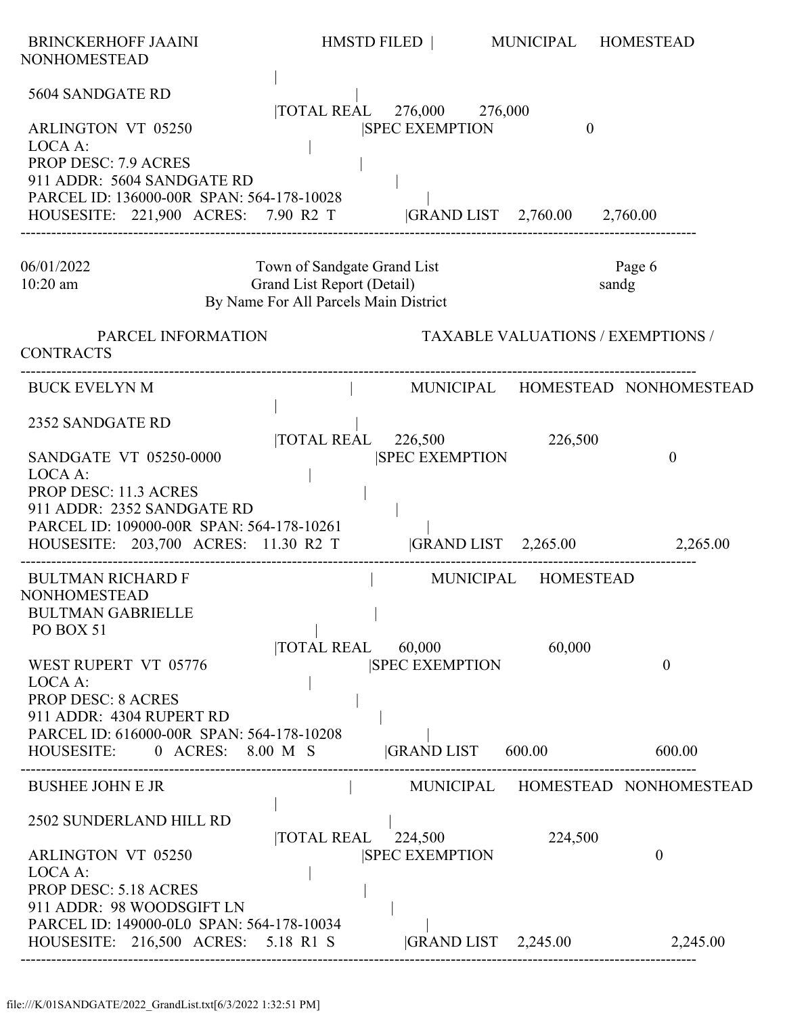| <b>BRINCKERHOFF JAAINI</b><br><b>NONHOMESTEAD</b>                                                                                               | HMSTD FILED                                                                                        |                                                                 | MUNICIPAL HOMESTEAD                      |                                  |
|-------------------------------------------------------------------------------------------------------------------------------------------------|----------------------------------------------------------------------------------------------------|-----------------------------------------------------------------|------------------------------------------|----------------------------------|
| 5604 SANDGATE RD<br><b>ARLINGTON VT 05250</b><br>LOCA A:<br><b>PROP DESC: 7.9 ACRES</b>                                                         |                                                                                                    | TOTAL REAL 276,000 276,000<br><b>SPEC EXEMPTION</b>             | $\theta$                                 |                                  |
| 911 ADDR: 5604 SANDGATE RD<br>PARCEL ID: 136000-00R SPAN: 564-178-10028<br>HOUSESITE: 221,900 ACRES: 7.90 R2 T                                  |                                                                                                    |                                                                 | GRAND LIST 2,760.00 2,760.00             |                                  |
| 06/01/2022<br>$10:20$ am                                                                                                                        | Town of Sandgate Grand List<br>Grand List Report (Detail)<br>By Name For All Parcels Main District |                                                                 |                                          | Page 6<br>sandg                  |
| PARCEL INFORMATION<br><b>CONTRACTS</b>                                                                                                          |                                                                                                    |                                                                 | <b>TAXABLE VALUATIONS / EXEMPTIONS /</b> |                                  |
| <b>BUCK EVELYN M</b>                                                                                                                            |                                                                                                    |                                                                 |                                          | MUNICIPAL HOMESTEAD NONHOMESTEAD |
| 2352 SANDGATE RD<br><b>SANDGATE VT 05250-0000</b><br>LOCA A:                                                                                    |                                                                                                    | $\overline{\text{TOTAL REAL}}$ 226,500<br><b>SPEC EXEMPTION</b> | 226,500                                  | $\boldsymbol{0}$                 |
| <b>PROP DESC: 11.3 ACRES</b><br>911 ADDR: 2352 SANDGATE RD<br>PARCEL ID: 109000-00R SPAN: 564-178-10261<br>HOUSESITE: 203,700 ACRES: 11.30 R2 T |                                                                                                    |                                                                 |                                          | GRAND LIST 2,265.00 2,265.00     |
| <b>BULTMAN RICHARD F</b><br><b>NONHOMESTEAD</b><br><b>BULTMAN GABRIELLE</b><br>PO BOX 51                                                        |                                                                                                    |                                                                 | MUNICIPAL HOMESTEAD                      |                                  |
| WEST RUPERT VT 05776<br>LOCA A:<br><b>PROP DESC: 8 ACRES</b><br>911 ADDR: 4304 RUPERT RD                                                        |                                                                                                    | $\overline{\text{TOTAL REAL}}$ 60,000<br><b>SPEC EXEMPTION</b>  | 60,000                                   | $\mathbf{0}$                     |
| PARCEL ID: 616000-00R SPAN: 564-178-10208<br>HOUSESITE: 0 ACRES: 8.00 M S                                                                       |                                                                                                    | GRAND LIST 600.00                                               |                                          | 600.00                           |
| <b>BUSHEE JOHN E JR</b>                                                                                                                         |                                                                                                    |                                                                 |                                          | MUNICIPAL HOMESTEAD NONHOMESTEAD |
| 2502 SUNDERLAND HILL RD<br><b>ARLINGTON VT 05250</b><br>LOCA A:<br><b>PROP DESC: 5.18 ACRES</b>                                                 | TOTAL REAL 224,500                                                                                 | <b>SPEC EXEMPTION</b>                                           | 224,500                                  | $\overline{0}$                   |
| 911 ADDR: 98 WOODSGIFT LN<br>PARCEL ID: 149000-0L0 SPAN: 564-178-10034<br>HOUSESITE: 216,500 ACRES: 5.18 R1 S                                   |                                                                                                    | $ GRAND LIST$ 2,245.00                                          |                                          | 2,245.00                         |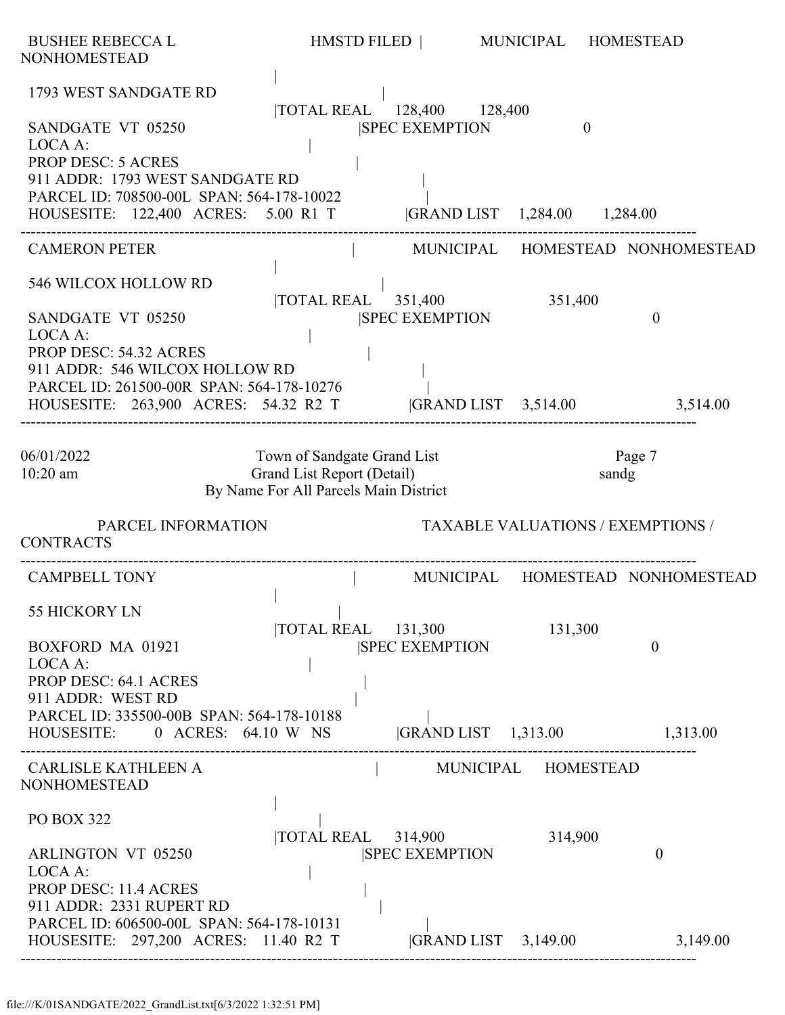| <b>BUSHEE REBECCA L</b><br><b>NONHOMESTEAD</b>                                                                                                                                   | HMSTD FILED                                                                                        |                                                                  | MUNICIPAL                                 | <b>HOMESTEAD</b>                 |
|----------------------------------------------------------------------------------------------------------------------------------------------------------------------------------|----------------------------------------------------------------------------------------------------|------------------------------------------------------------------|-------------------------------------------|----------------------------------|
| 1793 WEST SANDGATE RD                                                                                                                                                            |                                                                                                    | TOTAL REAL 128,400 128,400                                       |                                           |                                  |
| SANDGATE VT 05250<br>LOCA A:<br><b>PROP DESC: 5 ACRES</b><br>911 ADDR: 1793 WEST SANDGATE RD<br>PARCEL ID: 708500-00L SPAN: 564-178-10022<br>HOUSESITE: 122,400 ACRES: 5.00 R1 T |                                                                                                    | <b>SPEC EXEMPTION</b>                                            | $\theta$<br> GRAND LIST 1,284.00 1,284.00 |                                  |
| <b>CAMERON PETER</b>                                                                                                                                                             |                                                                                                    |                                                                  |                                           | MUNICIPAL HOMESTEAD NONHOMESTEAD |
| 546 WILCOX HOLLOW RD<br>SANDGATE VT 05250<br>LOCA A:<br>PROP DESC: 54.32 ACRES<br>911 ADDR: 546 WILCOX HOLLOW RD                                                                 | <b>TOTAL REAL</b>                                                                                  | 351,400<br><b>SPEC EXEMPTION</b>                                 | 351,400                                   | $\boldsymbol{0}$                 |
| PARCEL ID: 261500-00R SPAN: 564-178-10276<br>HOUSESITE: 263,900 ACRES: 54.32 R2 T                                                                                                |                                                                                                    | $ GRAND LIST \t3,514.00$                                         |                                           | 3,514.00                         |
| 06/01/2022<br>$10:20$ am                                                                                                                                                         | Town of Sandgate Grand List<br>Grand List Report (Detail)<br>By Name For All Parcels Main District |                                                                  |                                           | Page 7<br>sandg                  |
| PARCEL INFORMATION<br><b>CONTRACTS</b>                                                                                                                                           |                                                                                                    |                                                                  | <b>TAXABLE VALUATIONS / EXEMPTIONS /</b>  |                                  |
| <b>CAMPBELL TONY</b>                                                                                                                                                             |                                                                                                    |                                                                  |                                           | MUNICIPAL HOMESTEAD NONHOMESTEAD |
| 55 HICKORY LN<br>BOXFORD MA 01921<br>LOCA A:<br><b>PROP DESC: 64.1 ACRES</b>                                                                                                     |                                                                                                    | $\overline{\text{TOTAL REAL}}$ 131,300<br><b>ISPEC EXEMPTION</b> | 131,300                                   | $\theta$                         |
| 911 ADDR: WEST RD<br>PARCEL ID: 335500-00B SPAN: 564-178-10188<br>HOUSESITE: 0 ACRES: 64.10 W NS  GRAND LIST 1,313.00 1,313.00                                                   |                                                                                                    |                                                                  |                                           |                                  |
| <b>CARLISLE KATHLEEN A</b><br><b>NONHOMESTEAD</b>                                                                                                                                |                                                                                                    | MUNICIPAL HOMESTEAD                                              |                                           |                                  |
| <b>PO BOX 322</b>                                                                                                                                                                |                                                                                                    | TOTAL REAL 314,900                                               | 314,900                                   |                                  |
| <b>ARLINGTON VT 05250</b><br>LOCA A:<br><b>PROP DESC: 11.4 ACRES</b><br>911 ADDR: 2331 RUPERT RD<br>PARCEL ID: 606500-00L SPAN: 564-178-10131                                    |                                                                                                    | <b>SPEC EXEMPTION</b>                                            |                                           | $\theta$                         |
| HOUSESITE: 297,200 ACRES: 11.40 R2 T                                                                                                                                             |                                                                                                    | $ GRAND LIST$ 3,149.00                                           |                                           | 3,149.00                         |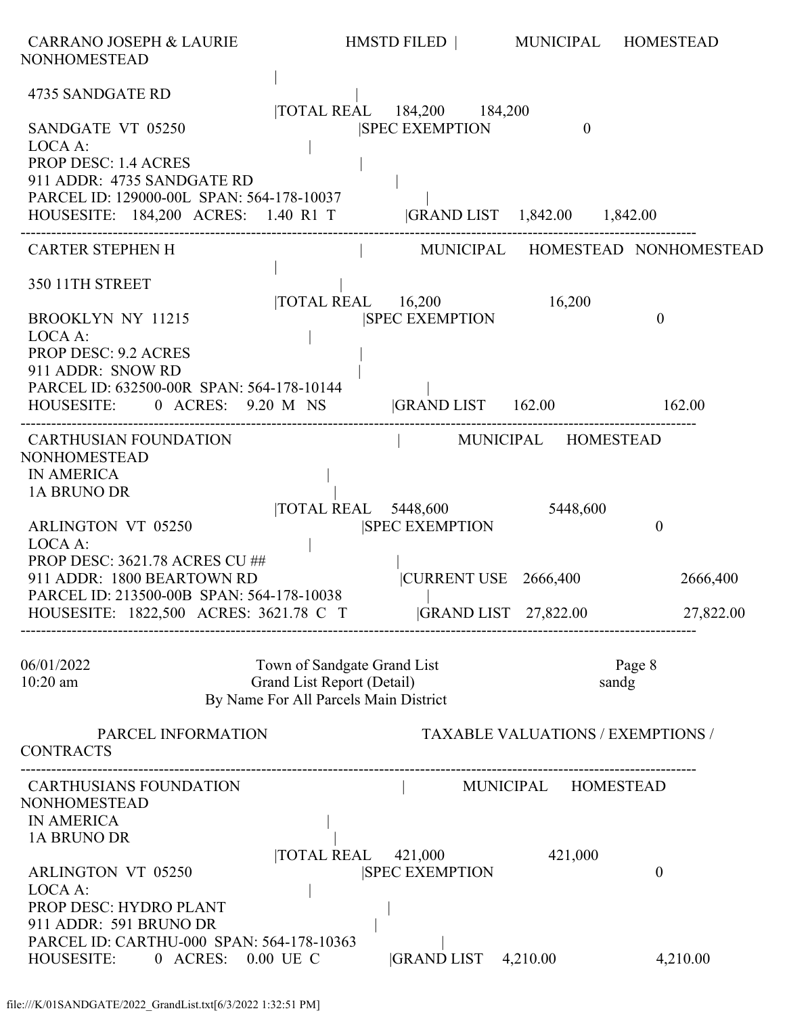| <b>CARRANO JOSEPH &amp; LAURIE</b><br><b>NONHOMESTEAD</b>                                                                                                                           |                                                                                                    | HMSTD FILED   MUNICIPAL HOMESTEAD                                   |                                          |                                  |
|-------------------------------------------------------------------------------------------------------------------------------------------------------------------------------------|----------------------------------------------------------------------------------------------------|---------------------------------------------------------------------|------------------------------------------|----------------------------------|
| 4735 SANDGATE RD<br>SANDGATE VT 05250<br>LOCA A:<br><b>PROP DESC: 1.4 ACRES</b><br>911 ADDR: 4735 SANDGATE RD                                                                       |                                                                                                    | TOTAL REAL 184,200 184,200<br><b>ISPEC EXEMPTION</b>                | $\theta$                                 |                                  |
| PARCEL ID: 129000-00L SPAN: 564-178-10037<br>HOUSESITE: 184,200 ACRES: 1.40 R1 T  GRAND LIST 1,842.00 1,842.00                                                                      |                                                                                                    |                                                                     |                                          |                                  |
| <b>CARTER STEPHEN H</b>                                                                                                                                                             |                                                                                                    |                                                                     |                                          | MUNICIPAL HOMESTEAD NONHOMESTEAD |
| 350 11TH STREET<br><b>BROOKLYN NY 11215</b><br>LOCA A:<br><b>PROP DESC: 9.2 ACRES</b><br>911 ADDR: SNOW RD                                                                          |                                                                                                    | TOTAL REAL 16,200<br><b>SPEC EXEMPTION</b>                          | 16,200                                   | $\boldsymbol{0}$                 |
| PARCEL ID: 632500-00R SPAN: 564-178-10144<br>HOUSESITE: 0 ACRES: 9.20 M NS GRAND LIST 162.00 162.00                                                                                 |                                                                                                    |                                                                     |                                          |                                  |
| <b>CARTHUSIAN FOUNDATION</b><br><b>NONHOMESTEAD</b><br><b>IN AMERICA</b><br>1A BRUNO DR<br><b>ARLINGTON VT 05250</b>                                                                |                                                                                                    | MUNICIPAL HOMESTEAD<br>TOTAL REAL 5448,600<br><b>SPEC EXEMPTION</b> | 5448,600                                 | $\boldsymbol{0}$                 |
| LOCA A:<br>PROP DESC: 3621.78 ACRES CU ##<br>911 ADDR: 1800 BEARTOWN RD<br>PARCEL ID: 213500-00B SPAN: 564-178-10038<br>HOUSESITE: 1822,500 ACRES: 3621.78 C T GRAND LIST 27,822.00 |                                                                                                    | CURRENT USE 2666,400                                                |                                          | 2666,400<br>27,822.00            |
| 06/01/2022<br>$10:20$ am                                                                                                                                                            | Town of Sandgate Grand List<br>Grand List Report (Detail)<br>By Name For All Parcels Main District |                                                                     | sandg                                    | Page 8                           |
| PARCEL INFORMATION<br><b>CONTRACTS</b>                                                                                                                                              |                                                                                                    |                                                                     | <b>TAXABLE VALUATIONS / EXEMPTIONS /</b> |                                  |
| <b>CARTHUSIANS FOUNDATION</b><br><b>NONHOMESTEAD</b><br><b>IN AMERICA</b><br>1A BRUNO DR                                                                                            |                                                                                                    |                                                                     | MUNICIPAL HOMESTEAD                      |                                  |
| <b>ARLINGTON VT 05250</b><br>LOCA A:<br>PROP DESC: HYDRO PLANT<br>911 ADDR: 591 BRUNO DR                                                                                            | TOTAL REAL 421,000                                                                                 | <b>SPEC EXEMPTION</b>                                               | 421,000                                  | $\boldsymbol{0}$                 |
| PARCEL ID: CARTHU-000 SPAN: 564-178-10363<br>HOUSESITE: 0 ACRES: 0.00 UE C                                                                                                          |                                                                                                    | GRAND LIST 4,210.00                                                 |                                          | 4,210.00                         |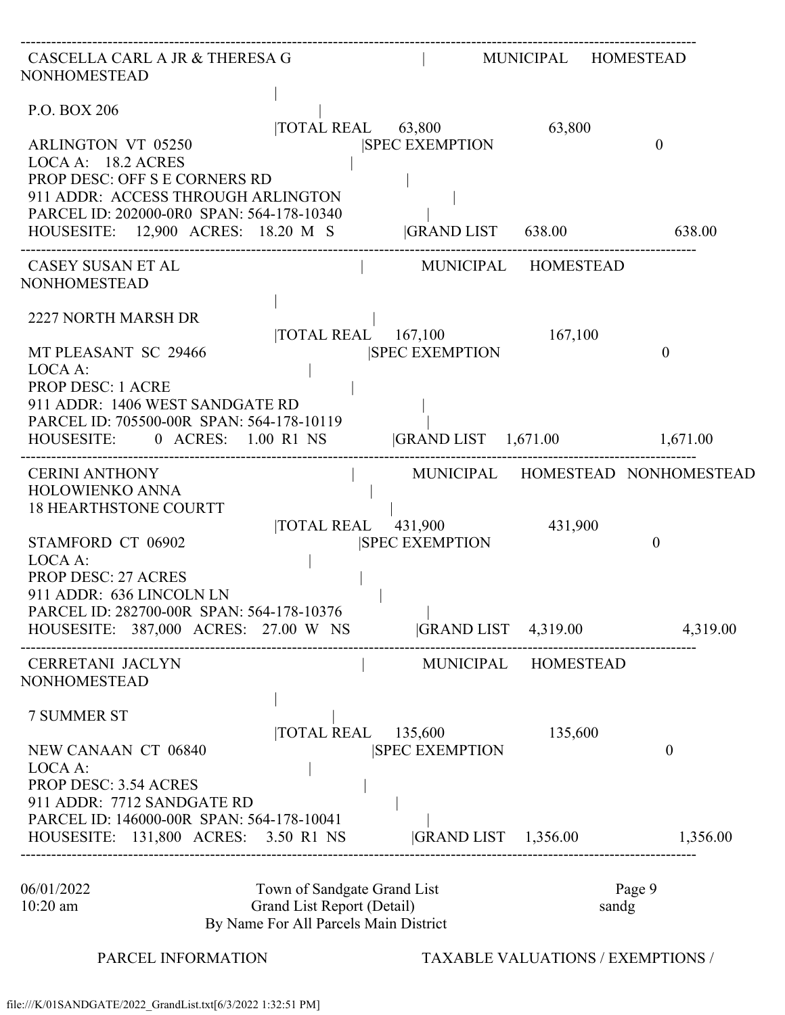| CASCELLA CARL A JR & THERESA G<br><b>NONHOMESTEAD</b>                                                                                                                   |                                                                                                    |                                                     | MUNICIPAL HOMESTEAD                      |                                  |
|-------------------------------------------------------------------------------------------------------------------------------------------------------------------------|----------------------------------------------------------------------------------------------------|-----------------------------------------------------|------------------------------------------|----------------------------------|
| P.O. BOX 206<br><b>ARLINGTON VT 05250</b><br>LOCA A: 18.2 ACRES<br>PROP DESC: OFF S E CORNERS RD                                                                        |                                                                                                    | TOTAL REAL 63,800<br><b>SPEC EXEMPTION</b>          | 63,800                                   | $\theta$                         |
| 911 ADDR: ACCESS THROUGH ARLINGTON<br>PARCEL ID: 202000-0R0 SPAN: 564-178-10340<br>HOUSESITE: 12,900 ACRES: 18.20 M S  GRAND LIST 638.00 638.00                         |                                                                                                    |                                                     |                                          |                                  |
| CASEY SUSAN ET AL<br><b>NONHOMESTEAD</b>                                                                                                                                |                                                                                                    |                                                     | MUNICIPAL HOMESTEAD                      |                                  |
| 2227 NORTH MARSH DR<br>MT PLEASANT SC 29466<br>LOCA A:                                                                                                                  |                                                                                                    | TOTAL REAL 167,100 167,100<br><b>SPEC EXEMPTION</b> |                                          | $\overline{0}$                   |
| <b>PROP DESC: 1 ACRE</b><br>911 ADDR: 1406 WEST SANDGATE RD<br>PARCEL ID: 705500-00R SPAN: 564-178-10119<br>HOUSESITE: 0 ACRES: 1.00 R1 NS GRAND LIST 1,671.00 1,671.00 |                                                                                                    |                                                     |                                          |                                  |
| <b>CERINI ANTHONY</b><br>HOLOWIENKO ANNA<br><b>18 HEARTHSTONE COURTT</b>                                                                                                |                                                                                                    |                                                     |                                          | MUNICIPAL HOMESTEAD NONHOMESTEAD |
| STAMFORD CT 06902<br>LOCA A:<br><b>PROP DESC: 27 ACRES</b><br>911 ADDR: 636 LINCOLN LN<br>PARCEL ID: 282700-00R SPAN: 564-178-10376                                     |                                                                                                    | TOTAL REAL 431,900<br><b>SPEC EXEMPTION</b>         | 431,900                                  | $\overline{0}$                   |
| HOUSESITE: 387,000 ACRES: 27.00 W NS GRAND LIST 4,319.00 4,319.00                                                                                                       |                                                                                                    |                                                     |                                          |                                  |
| CERRETANI JACLYN<br><b>NONHOMESTEAD</b>                                                                                                                                 |                                                                                                    |                                                     | MUNICIPAL HOMESTEAD                      |                                  |
| <b>7 SUMMER ST</b><br>NEW CANAAN CT 06840<br>LOCA A:<br><b>PROP DESC: 3.54 ACRES</b><br>911 ADDR: 7712 SANDGATE RD                                                      |                                                                                                    | $ TOTAL REAL$ $135,600$<br><b>SPEC EXEMPTION</b>    | 135,600                                  | $\boldsymbol{0}$                 |
| PARCEL ID: 146000-00R SPAN: 564-178-10041<br>HOUSESITE: 131,800 ACRES: 3.50 R1 NS  GRAND LIST 1,356.00 1,356.00                                                         |                                                                                                    |                                                     |                                          |                                  |
| 06/01/2022<br>$10:20$ am                                                                                                                                                | Town of Sandgate Grand List<br>Grand List Report (Detail)<br>By Name For All Parcels Main District |                                                     | sandg                                    | Page 9                           |
| PARCEL INFORMATION                                                                                                                                                      |                                                                                                    |                                                     | <b>TAXABLE VALUATIONS / EXEMPTIONS /</b> |                                  |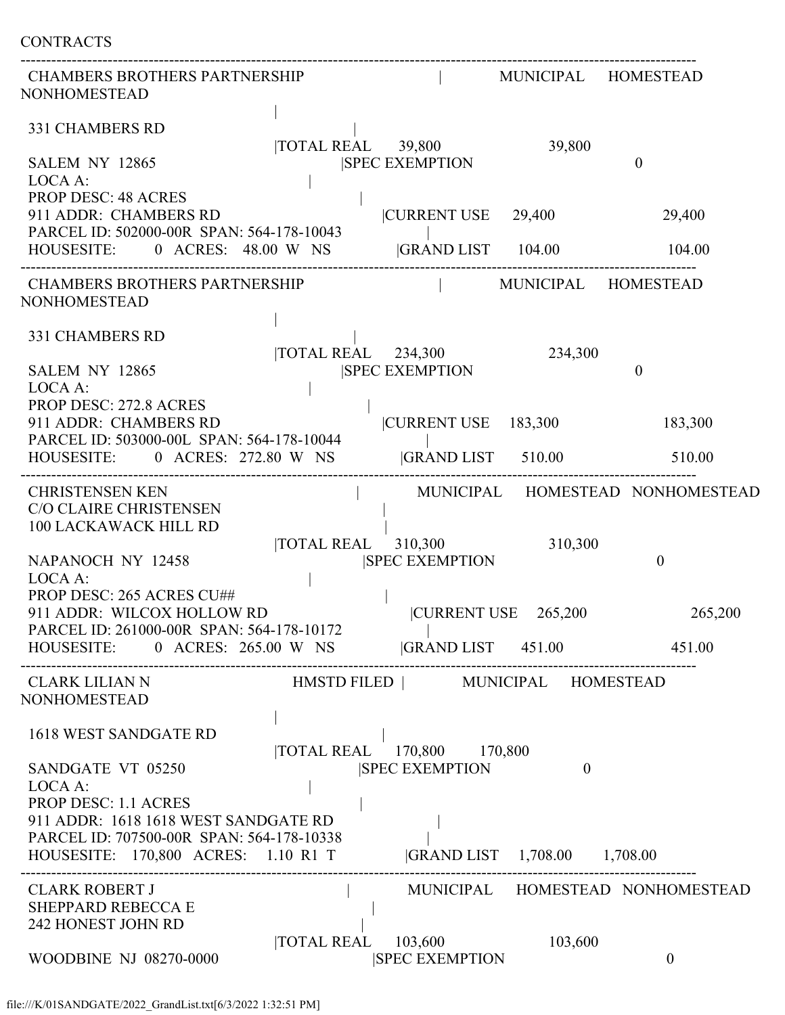| <b>CONTRACTS</b>                                                                                                                                       |                           |                                   |                                       |                                  |
|--------------------------------------------------------------------------------------------------------------------------------------------------------|---------------------------|-----------------------------------|---------------------------------------|----------------------------------|
| <b>CHAMBERS BROTHERS PARTNERSHIP</b><br><b>NONHOMESTEAD</b>                                                                                            |                           |                                   | MUNICIPAL HOMESTEAD                   |                                  |
| <b>331 CHAMBERS RD</b><br>SALEM NY 12865<br>LOCA A:                                                                                                    | TOTAL REAL 39,800         | <b>SPEC EXEMPTION</b>             | 39,800                                | $\theta$                         |
| <b>PROP DESC: 48 ACRES</b><br>911 ADDR: CHAMBERS RD<br>PARCEL ID: 502000-00R SPAN: 564-178-10043                                                       |                           | CURRENT USE                       | 29,400                                | 29,400                           |
| HOUSESITE: 0 ACRES: 48.00 W NS                                                                                                                         |                           | <b>GRAND LIST</b> 104.00          |                                       | 104.00                           |
| <b>CHAMBERS BROTHERS PARTNERSHIP</b><br><b>NONHOMESTEAD</b>                                                                                            |                           |                                   | MUNICIPAL HOMESTEAD                   |                                  |
| 331 CHAMBERS RD<br>SALEM NY 12865                                                                                                                      | <b>TOTAL REAL</b> 234,300 | <b>SPEC EXEMPTION</b>             | 234,300                               | $\overline{0}$                   |
| LOCA A:<br><b>PROP DESC: 272.8 ACRES</b><br>911 ADDR: CHAMBERS RD<br>PARCEL ID: 503000-00L SPAN: 564-178-10044                                         |                           | CURRENT USE 183,300               |                                       | 183,300                          |
| HOUSESITE: 0 ACRES: 272.80 W NS                                                                                                                        |                           | <b>GRAND LIST</b> 510.00          |                                       | 510.00                           |
| <b>CHRISTENSEN KEN</b><br>C/O CLAIRE CHRISTENSEN<br>100 LACKAWACK HILL RD                                                                              |                           |                                   |                                       | MUNICIPAL HOMESTEAD NONHOMESTEAD |
| NAPANOCH NY 12458<br>LOCA A:                                                                                                                           | TOTAL REAL 310,300        | <b>SPEC EXEMPTION</b>             | 310,300                               | $\theta$                         |
| PROP DESC: 265 ACRES CU##<br>911 ADDR: WILCOX HOLLOW RD<br>PARCEL ID: 261000-00R SPAN: 564-178-10172                                                   |                           |                                   | $ {\text{CURRENT USE}} \quad 265,200$ | 265,200                          |
| HOUSESITE: 0 ACRES: 265.00 W NS GRAND LIST 451.00                                                                                                      |                           |                                   |                                       | 451.00                           |
| CLARK LILIAN N<br><b>NONHOMESTEAD</b>                                                                                                                  |                           | HMSTD FILED   MUNICIPAL HOMESTEAD |                                       |                                  |
| 1618 WEST SANDGATE RD                                                                                                                                  |                           | TOTAL REAL 170,800 170,800        |                                       |                                  |
| SANDGATE VT 05250<br>LOCA A:<br><b>PROP DESC: 1.1 ACRES</b>                                                                                            |                           | <b>SPEC EXEMPTION</b>             | $\theta$                              |                                  |
| 911 ADDR: 1618 1618 WEST SANDGATE RD<br>PARCEL ID: 707500-00R SPAN: 564-178-10338<br>HOUSESITE: 170,800 ACRES: 1.10 R1 T  GRAND LIST 1,708.00 1,708.00 |                           |                                   |                                       |                                  |
| <b>CLARK ROBERT J</b><br><b>SHEPPARD REBECCA E</b><br>242 HONEST JOHN RD                                                                               |                           |                                   |                                       | MUNICIPAL HOMESTEAD NONHOMESTEAD |
| <b>WOODBINE NJ 08270-0000</b>                                                                                                                          | <b>TOTAL REAL</b>         | 103,600<br><b>SPEC EXEMPTION</b>  | 103,600                               | $\overline{0}$                   |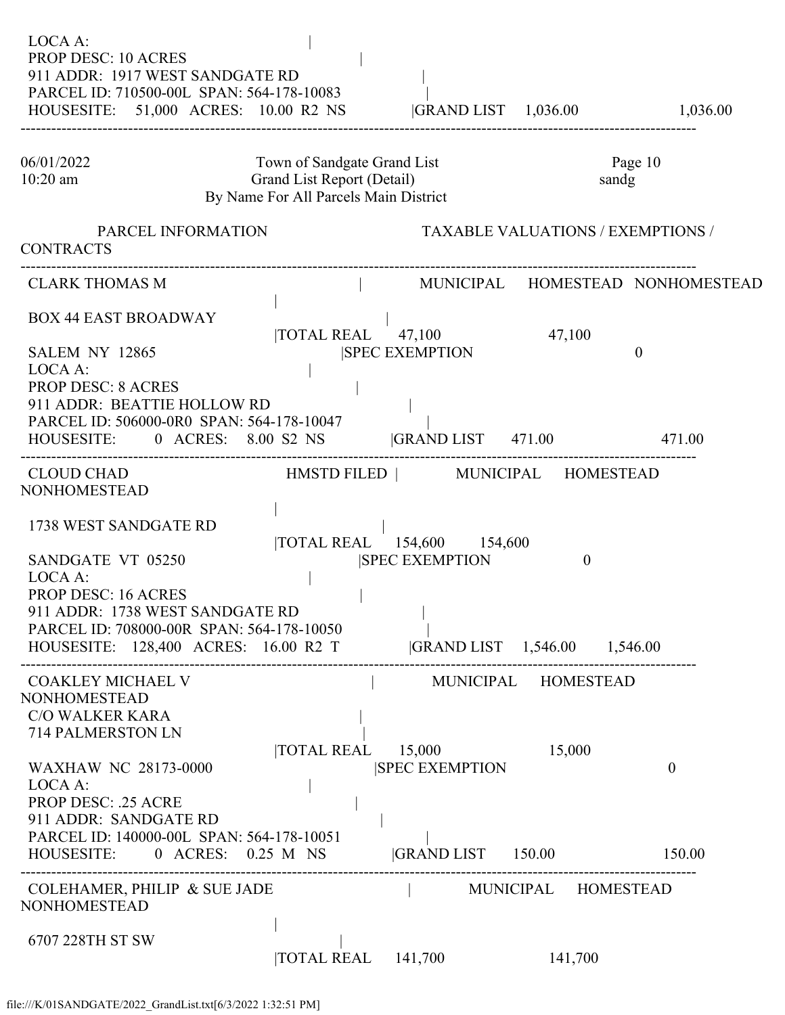| LOCA A:<br><b>PROP DESC: 10 ACRES</b><br>911 ADDR: 1917 WEST SANDGATE RD<br>PARCEL ID: 710500-00L SPAN: 564-178-10083<br>HOUSESITE: 51,000 ACRES: 10.00 R2 NS                                                                      |                                                                                                    |                                                                       |                                          |                                  |
|------------------------------------------------------------------------------------------------------------------------------------------------------------------------------------------------------------------------------------|----------------------------------------------------------------------------------------------------|-----------------------------------------------------------------------|------------------------------------------|----------------------------------|
| 06/01/2022<br>$10:20$ am                                                                                                                                                                                                           | Town of Sandgate Grand List<br>Grand List Report (Detail)<br>By Name For All Parcels Main District |                                                                       | sandg                                    | Page 10                          |
| PARCEL INFORMATION<br><b>CONTRACTS</b>                                                                                                                                                                                             |                                                                                                    |                                                                       | <b>TAXABLE VALUATIONS / EXEMPTIONS /</b> |                                  |
| <b>CLARK THOMAS M</b>                                                                                                                                                                                                              |                                                                                                    |                                                                       |                                          | MUNICIPAL HOMESTEAD NONHOMESTEAD |
| <b>BOX 44 EAST BROADWAY</b><br><b>SALEM NY 12865</b>                                                                                                                                                                               |                                                                                                    | $\overline{10}$ TAL REAL $\overline{47,100}$<br><b>SPEC EXEMPTION</b> | 47,100                                   | $\overline{0}$                   |
| LOCA A:<br><b>PROP DESC: 8 ACRES</b><br>911 ADDR: BEATTIE HOLLOW RD<br>PARCEL ID: 506000-0R0 SPAN: 564-178-10047<br>HOUSESITE: 0 ACRES: 8.00 S2 NS  GRAND LIST 471.00 471.00                                                       |                                                                                                    |                                                                       |                                          |                                  |
| <b>CLOUD CHAD</b><br>NONHOMESTEAD                                                                                                                                                                                                  | HMSTD FILED   MUNICIPAL HOMESTEAD                                                                  |                                                                       |                                          |                                  |
| 1738 WEST SANDGATE RD<br>SANDGATE VT 05250<br>LOCA A:<br>PROP DESC: 16 ACRES<br>911 ADDR: 1738 WEST SANDGATE RD<br>PARCEL ID: 708000-00R SPAN: 564-178-10050<br>HOUSESITE: 128,400 ACRES: 16.00 R2 T  GRAND LIST 1,546.00 1,546.00 |                                                                                                    | TOTAL REAL 154,600 154,600<br><b>SPEC EXEMPTION</b>                   | $\mathbf{0}$                             |                                  |
| <b>COAKLEY MICHAEL V</b><br><b>NONHOMESTEAD</b><br><b>C/O WALKER KARA</b><br>714 PALMERSTON LN                                                                                                                                     |                                                                                                    |                                                                       | MUNICIPAL HOMESTEAD                      |                                  |
| <b>WAXHAW NC 28173-0000</b><br>LOCA A:<br><b>PROP DESC: .25 ACRE</b><br>911 ADDR: SANDGATE RD                                                                                                                                      |                                                                                                    | $\text{TOTAL REAL}$ 15,000<br><b>SPEC EXEMPTION</b>                   | 15,000                                   | $\overline{0}$                   |
| PARCEL ID: 140000-00L SPAN: 564-178-10051<br>HOUSESITE: 0 ACRES: 0.25 M NS                                                                                                                                                         |                                                                                                    | GRAND LIST 150.00 150.00                                              |                                          |                                  |
| <b>COLEHAMER, PHILIP &amp; SUE JADE</b><br><b>NONHOMESTEAD</b>                                                                                                                                                                     |                                                                                                    | MUNICIPAL HOMESTEAD                                                   |                                          |                                  |
| 6707 228TH ST SW                                                                                                                                                                                                                   | $\text{TOTAL REAL}$ 141,700                                                                        |                                                                       | 141,700                                  |                                  |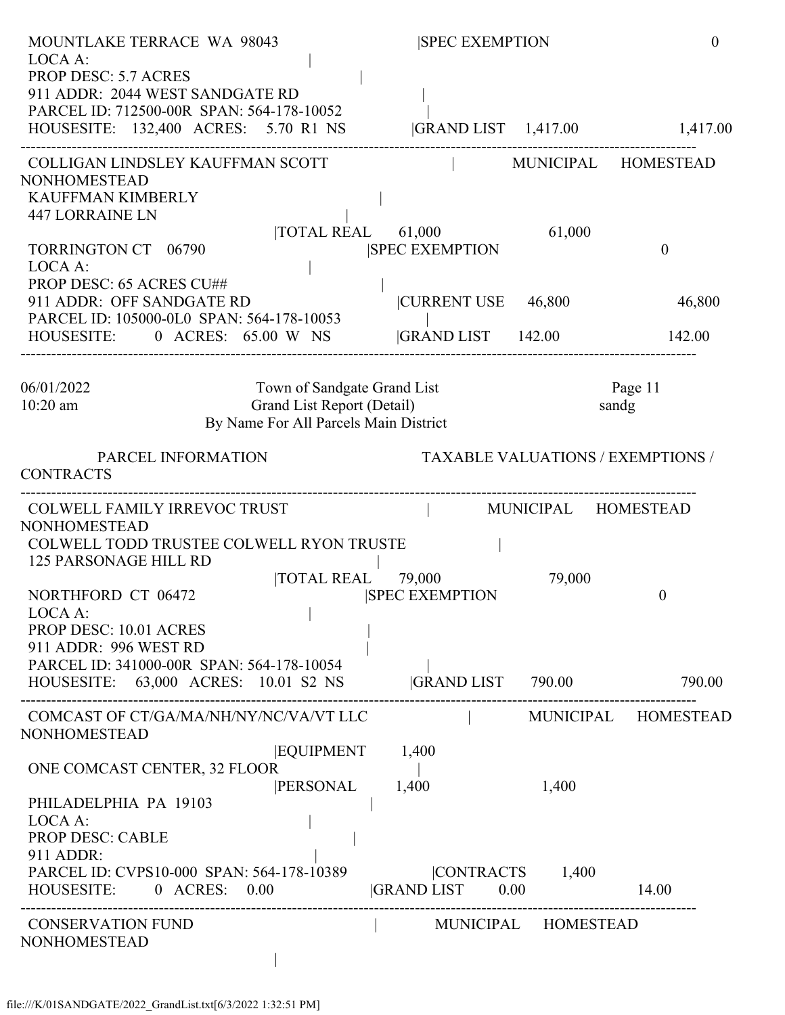| <b>MOUNTLAKE TERRACE WA 98043</b><br>LOCA A:                                                                                                                                      |                 | <b>SPEC EXEMPTION</b>                       |                             | $\overline{0}$                           |
|-----------------------------------------------------------------------------------------------------------------------------------------------------------------------------------|-----------------|---------------------------------------------|-----------------------------|------------------------------------------|
| <b>PROP DESC: 5.7 ACRES</b><br>911 ADDR: 2044 WEST SANDGATE RD<br>PARCEL ID: 712500-00R SPAN: 564-178-10052<br>HOUSESITE: 132,400 ACRES: 5.70 R1 NS                               |                 | GRAND LIST 1,417.00 1,417.00                |                             |                                          |
| COLLIGAN LINDSLEY KAUFFMAN SCOTT<br><b>NONHOMESTEAD</b>                                                                                                                           |                 |                                             |                             | MUNICIPAL HOMESTEAD                      |
| KAUFFMAN KIMBERLY<br><b>447 LORRAINE LN</b><br><b>TORRINGTON CT</b> 06790<br>LOCA A:                                                                                              |                 | TOTAL REAL 61,000<br><b>SPEC EXEMPTION</b>  | 61,000                      | $\boldsymbol{0}$                         |
| PROP DESC: 65 ACRES CU##<br>911 ADDR: OFF SANDGATE RD<br>PARCEL ID: 105000-0L0 SPAN: 564-178-10053                                                                                |                 | CURRENT USE 46,800                          |                             | 46,800                                   |
| HOUSESITE:<br>0 ACRES: 65.00 W NS                                                                                                                                                 |                 | <b>GRAND LIST</b> 142.00                    |                             | 142.00                                   |
| 06/01/2022<br>10:20 am<br>Grand List Report (Detail)<br>By Name For All Parcels Main District                                                                                     |                 | Town of Sandgate Grand List                 |                             | Page 11<br>sandg                         |
| PARCEL INFORMATION<br><b>CONTRACTS</b>                                                                                                                                            |                 |                                             |                             | <b>TAXABLE VALUATIONS / EXEMPTIONS /</b> |
| COLWELL FAMILY IRREVOC TRUST<br><b>NONHOMESTEAD</b><br>COLWELL TODD TRUSTEE COLWELL RYON TRUSTE<br><b>125 PARSONAGE HILL RD</b>                                                   |                 | MUNICIPAL HOMESTEAD                         |                             |                                          |
| NORTHFORD CT 06472<br>LOCA A:<br>PROP DESC: 10.01 ACRES<br>911 ADDR: 996 WEST RD<br>PARCEL ID: 341000-00R SPAN: 564-178-10054                                                     |                 | TOTAL REAL 79,000<br><b>ISPEC EXEMPTION</b> | 79,000                      | $\theta$                                 |
| HOUSESITE: 63,000 ACRES: 10.01 S2 NS                                                                                                                                              |                 | GRAND LIST 790.00                           |                             | 790.00                                   |
| COMCAST OF CT/GA/MA/NH/NY/NC/VA/VT LLC<br><b>NONHOMESTEAD</b>                                                                                                                     | EQUIPMENT       | 1,400                                       |                             | MUNICIPAL HOMESTEAD                      |
| ONE COMCAST CENTER, 32 FLOOR<br>PHILADELPHIA PA 19103<br>LOCA A:<br><b>PROP DESC: CABLE</b><br>911 ADDR:<br>PARCEL ID: CVPS10-000 SPAN: 564-178-10389<br>HOUSESITE: 0 ACRES: 0.00 | <b>PERSONAL</b> | 1,400<br>$ GRAND LIST$ 0.00                 | 1,400<br>$ CONTRACTS$ 1,400 | 14.00                                    |
| <b>CONSERVATION FUND</b><br><b>NONHOMESTEAD</b>                                                                                                                                   |                 |                                             | MUNICIPAL HOMESTEAD         |                                          |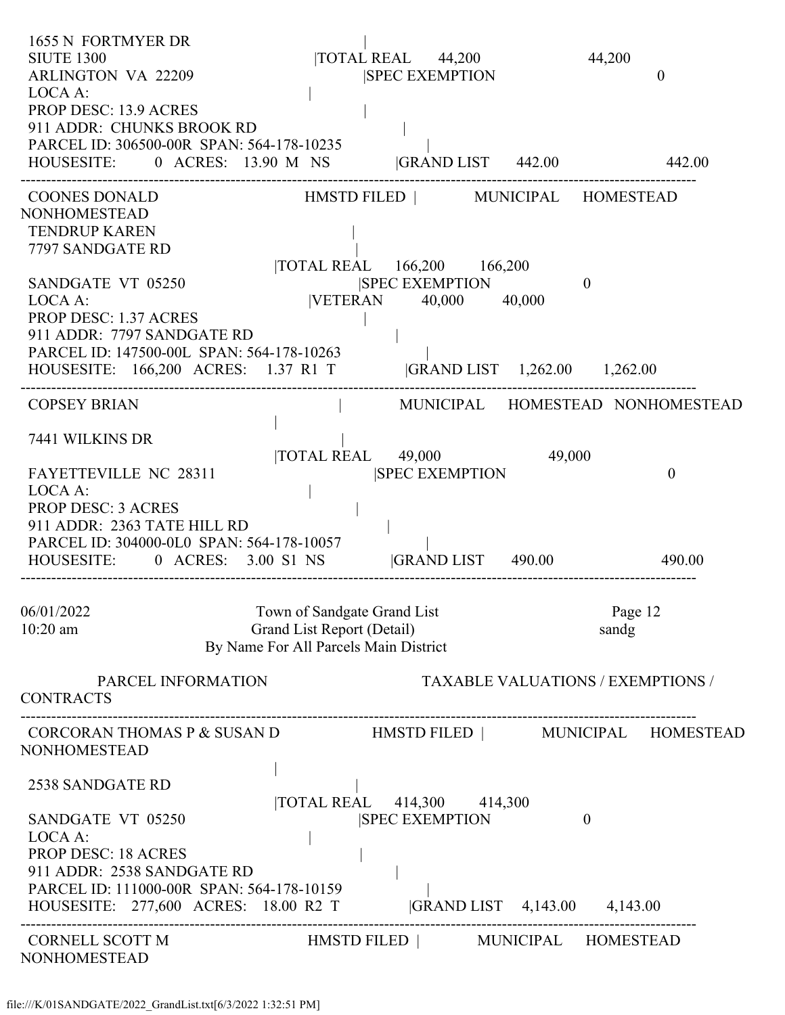| 1655 N FORTMYER DR<br><b>SIUTE 1300</b><br><b>ARLINGTON VA 22209</b><br>LOCA A:<br>PROP DESC: 13.9 ACRES<br>911 ADDR: CHUNKS BROOK RD<br>PARCEL ID: 306500-00R SPAN: 564-178-10235 |                                                                                                    | TOTAL REAL 44,200<br><b>SPEC EXEMPTION</b>             |          | 44,200<br>$\overline{0}$                 |
|------------------------------------------------------------------------------------------------------------------------------------------------------------------------------------|----------------------------------------------------------------------------------------------------|--------------------------------------------------------|----------|------------------------------------------|
| HOUSESITE: 0 ACRES: 13.90 M NS GRAND LIST 442.00                                                                                                                                   |                                                                                                    |                                                        |          | 442.00                                   |
| <b>COONES DONALD</b><br><b>NONHOMESTEAD</b><br><b>TENDRUP KAREN</b><br>7797 SANDGATE RD                                                                                            | TOTAL REAL 166,200 166,200                                                                         | HMSTD FILED   MUNICIPAL HOMESTEAD                      |          |                                          |
| SANDGATE VT 05250<br>LOCA A:<br><b>PROP DESC: 1.37 ACRES</b><br>911 ADDR: 7797 SANDGATE RD<br>PARCEL ID: 147500-00L SPAN: 564-178-10263<br>HOUSESITE: 166,200 ACRES: 1.37 R1 T     |                                                                                                    | <b>SPEC EXEMPTION</b><br> VETERAN 40,000 40,000        | $\theta$ |                                          |
| <b>COPSEY BRIAN</b>                                                                                                                                                                |                                                                                                    |                                                        |          | MUNICIPAL HOMESTEAD NONHOMESTEAD         |
| 7441 WILKINS DR                                                                                                                                                                    |                                                                                                    |                                                        |          |                                          |
| FAYETTEVILLE NC 28311<br>LOCA A:<br><b>PROP DESC: 3 ACRES</b><br>911 ADDR: 2363 TATE HILL RD<br>PARCEL ID: 304000-0L0 SPAN: 564-178-10057<br>HOUSESITE: 0 ACRES: 3.00 S1 NS        | TOTAL REAL 49,000                                                                                  | <b>ISPEC EXEMPTION</b><br><b>GRAND LIST</b> 490.00     | 49,000   | $\theta$<br>490.00                       |
| 06/01/2022<br>$10:20$ am                                                                                                                                                           | Town of Sandgate Grand List<br>Grand List Report (Detail)<br>By Name For All Parcels Main District |                                                        |          | Page 12<br>sandg                         |
| PARCEL INFORMATION<br><b>CONTRACTS</b>                                                                                                                                             |                                                                                                    |                                                        |          | <b>TAXABLE VALUATIONS / EXEMPTIONS /</b> |
| CORCORAN THOMAS P & SUSAN D HMSTD FILED   MUNICIPAL HOMESTEAD<br><b>NONHOMESTEAD</b>                                                                                               |                                                                                                    |                                                        |          |                                          |
| 2538 SANDGATE RD                                                                                                                                                                   | TOTAL REAL 414,300 414,300                                                                         |                                                        |          |                                          |
| SANDGATE VT 05250<br>LOCA A:<br><b>PROP DESC: 18 ACRES</b><br>911 ADDR: 2538 SANDGATE RD<br>PARCEL ID: 111000-00R SPAN: 564-178-10159<br>HOUSESITE: 277,600 ACRES: 18.00 R2 T      |                                                                                                    | <b>SPEC EXEMPTION</b><br> GRAND LIST 4,143.00 4,143.00 | $\theta$ |                                          |
| CORNELL SCOTT M<br><b>NONHOMESTEAD</b>                                                                                                                                             |                                                                                                    | HMSTD FILED   MUNICIPAL HOMESTEAD                      |          |                                          |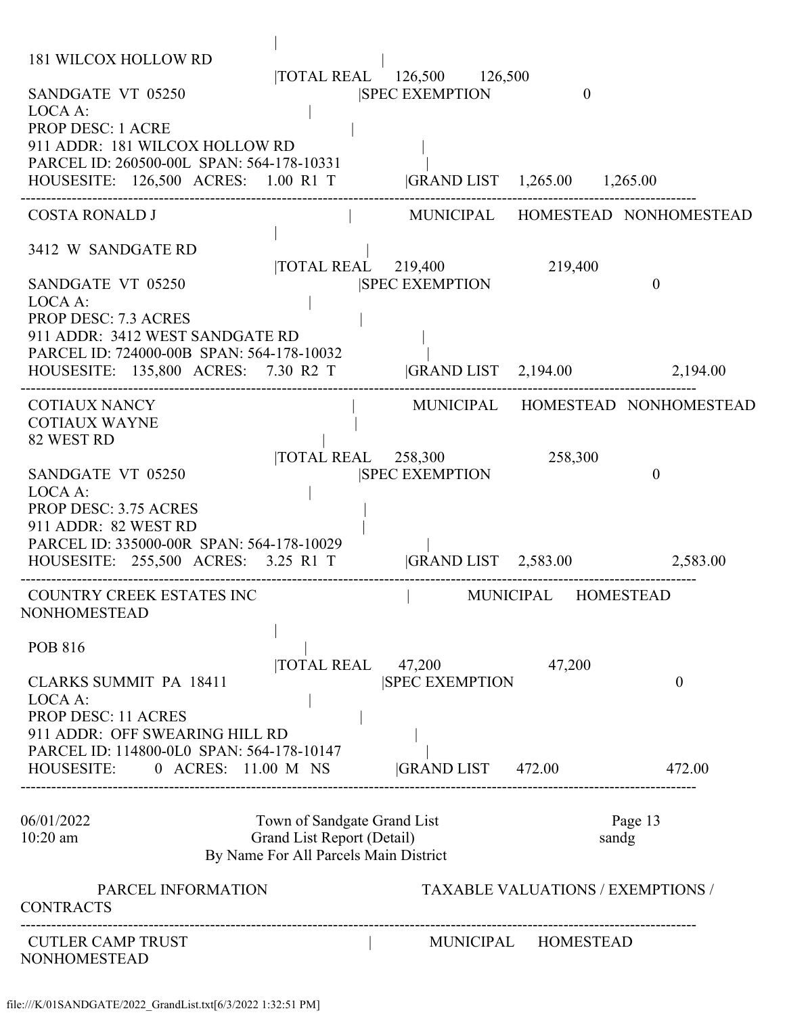| 181 WILCOX HOLLOW RD                                                                                           |                                                           |                                                                       |                     |                                          |
|----------------------------------------------------------------------------------------------------------------|-----------------------------------------------------------|-----------------------------------------------------------------------|---------------------|------------------------------------------|
| SANDGATE VT 05250<br>LOCA A:                                                                                   |                                                           | TOTAL REAL 126,500 126,500<br><b>SPEC EXEMPTION</b>                   | $\theta$            |                                          |
| <b>PROP DESC: 1 ACRE</b>                                                                                       |                                                           |                                                                       |                     |                                          |
| 911 ADDR: 181 WILCOX HOLLOW RD                                                                                 |                                                           |                                                                       |                     |                                          |
| PARCEL ID: 260500-00L SPAN: 564-178-10331<br>HOUSESITE: 126,500 ACRES: 1.00 R1 T  GRAND LIST 1,265.00 1,265.00 |                                                           |                                                                       |                     |                                          |
| <b>COSTA RONALD J</b>                                                                                          |                                                           |                                                                       |                     | MUNICIPAL HOMESTEAD NONHOMESTEAD         |
| 3412 W SANDGATE RD                                                                                             |                                                           |                                                                       |                     |                                          |
| SANDGATE VT 05250                                                                                              |                                                           | $\overline{10TAL}$ REAL $\overline{219,400}$<br><b>SPEC EXEMPTION</b> | 219,400             | $\theta$                                 |
| LOCA A:                                                                                                        |                                                           |                                                                       |                     |                                          |
| <b>PROP DESC: 7.3 ACRES</b><br>911 ADDR: 3412 WEST SANDGATE RD                                                 |                                                           |                                                                       |                     |                                          |
| PARCEL ID: 724000-00B SPAN: 564-178-10032                                                                      |                                                           |                                                                       |                     |                                          |
| HOUSESITE: 135,800 ACRES: 7.30 R2 T                                                                            |                                                           |                                                                       |                     | GRAND LIST 2,194.00 2,194.00             |
| <b>COTIAUX NANCY</b>                                                                                           |                                                           |                                                                       |                     | MUNICIPAL HOMESTEAD NONHOMESTEAD         |
| <b>COTIAUX WAYNE</b><br>82 WEST RD                                                                             |                                                           |                                                                       |                     |                                          |
|                                                                                                                |                                                           | TOTAL REAL 258,300                                                    | 258,300             |                                          |
| SANDGATE VT 05250<br>LOCA A:                                                                                   |                                                           | <b>ISPEC EXEMPTION</b>                                                |                     | $\theta$                                 |
| <b>PROP DESC: 3.75 ACRES</b>                                                                                   |                                                           |                                                                       |                     |                                          |
| 911 ADDR: 82 WEST RD<br>PARCEL ID: 335000-00R SPAN: 564-178-10029                                              |                                                           |                                                                       |                     |                                          |
| HOUSESITE: 255,500 ACRES: 3.25 R1 T                                                                            |                                                           |                                                                       |                     | GRAND LIST 2,583.00 2,583.00             |
| COUNTRY CREEK ESTATES INC<br>NONHOMESTEAD                                                                      |                                                           |                                                                       | MUNICIPAL HOMESTEAD |                                          |
| <b>POB 816</b>                                                                                                 |                                                           |                                                                       |                     |                                          |
| <b>CLARKS SUMMIT PA 18411</b>                                                                                  | <b>TOTAL REAL</b>                                         | 47,200<br><b>SPEC EXEMPTION</b>                                       | 47,200              | $\theta$                                 |
| LOCA A:                                                                                                        |                                                           |                                                                       |                     |                                          |
| <b>PROP DESC: 11 ACRES</b><br>911 ADDR: OFF SWEARING HILL RD                                                   |                                                           |                                                                       |                     |                                          |
| PARCEL ID: 114800-0L0 SPAN: 564-178-10147                                                                      |                                                           |                                                                       |                     |                                          |
| HOUSESITE:<br>0 ACRES: 11.00 M NS                                                                              |                                                           | GRAND LIST 472.00                                                     |                     | 472.00                                   |
|                                                                                                                |                                                           |                                                                       |                     |                                          |
| 06/01/2022<br>$10:20$ am                                                                                       | Town of Sandgate Grand List<br>Grand List Report (Detail) |                                                                       |                     | Page 13<br>sandg                         |
|                                                                                                                | By Name For All Parcels Main District                     |                                                                       |                     |                                          |
| PARCEL INFORMATION<br><b>CONTRACTS</b>                                                                         |                                                           |                                                                       |                     | <b>TAXABLE VALUATIONS / EXEMPTIONS /</b> |
|                                                                                                                | --------------------------------------                    |                                                                       |                     |                                          |
| <b>CUTLER CAMP TRUST</b><br><b>NONHOMESTEAD</b>                                                                |                                                           |                                                                       | MUNICIPAL HOMESTEAD |                                          |
|                                                                                                                |                                                           |                                                                       |                     |                                          |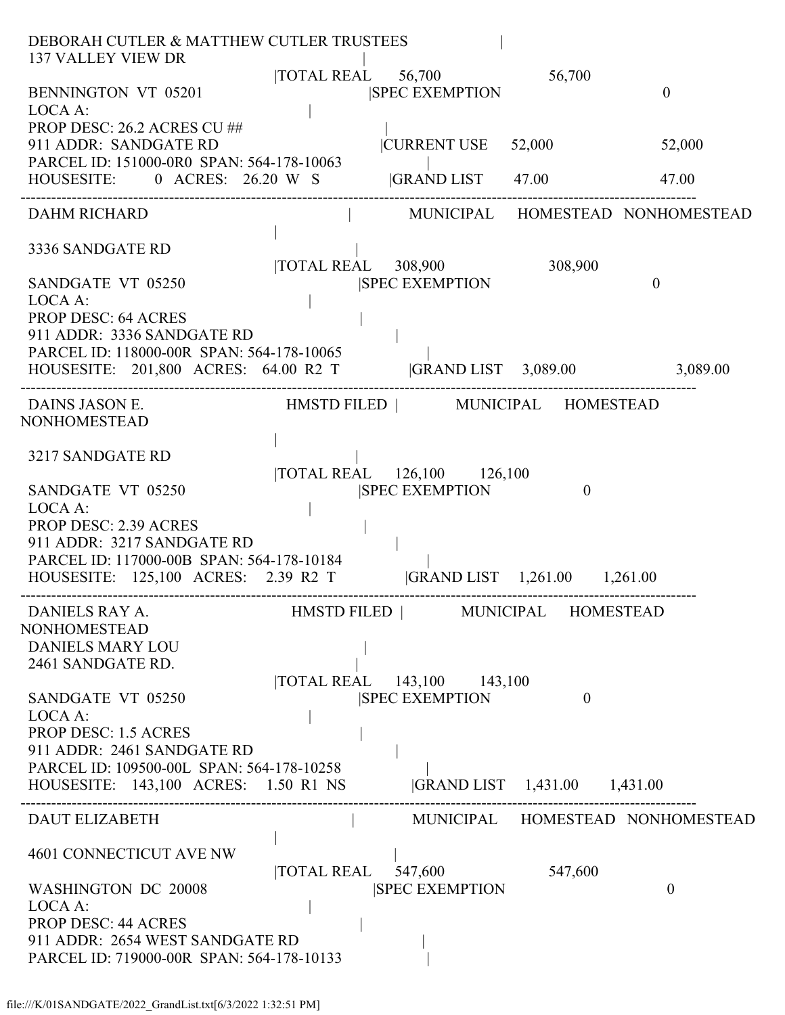| DEBORAH CUTLER & MATTHEW CUTLER TRUSTEES<br><b>137 VALLEY VIEW DR</b>                |                  |
|--------------------------------------------------------------------------------------|------------------|
| TOTAL REAL 56,700<br>56,700                                                          |                  |
| BENNINGTON VT 05201<br><b>SPEC EXEMPTION</b>                                         | $\theta$         |
| LOCA A:<br>PROP DESC: 26.2 ACRES CU ##                                               |                  |
| 911 ADDR: SANDGATE RD<br><b>CURRENT USE</b><br>52,000                                | 52,000           |
| PARCEL ID: 151000-0R0 SPAN: 564-178-10063                                            |                  |
| HOUSESITE: 0 ACRES: 26.20 W S  GRAND LIST 47.00                                      | 47.00            |
| MUNICIPAL HOMESTEAD NONHOMESTEAD<br><b>DAHM RICHARD</b>                              |                  |
| 3336 SANDGATE RD                                                                     |                  |
| 308,900<br> TOTAL REAL 308,900                                                       |                  |
| <b>SPEC EXEMPTION</b><br>SANDGATE VT 05250                                           | $\theta$         |
| LOCA A:                                                                              |                  |
| <b>PROP DESC: 64 ACRES</b><br>911 ADDR: 3336 SANDGATE RD                             |                  |
| PARCEL ID: 118000-00R SPAN: 564-178-10065                                            |                  |
| HOUSESITE: 201,800 ACRES: 64.00 R2 T  GRAND LIST 3,089.00 3,089.00                   |                  |
| HMSTD FILED   MUNICIPAL HOMESTEAD<br>DAINS JASON E.                                  |                  |
| NONHOMESTEAD                                                                         |                  |
|                                                                                      |                  |
| 3217 SANDGATE RD<br> TOTAL REAL 126,100 126,100                                      |                  |
| SANDGATE VT 05250<br><b>SPEC EXEMPTION</b><br>$\theta$                               |                  |
| LOCA A:                                                                              |                  |
| PROP DESC: 2.39 ACRES<br>911 ADDR: 3217 SANDGATE RD                                  |                  |
| PARCEL ID: 117000-00B SPAN: 564-178-10184                                            |                  |
| GRAND LIST 1,261.00 1,261.00<br>HOUSESITE: 125,100 ACRES: 2.39 R2 T                  |                  |
| HMSTD FILED   MUNICIPAL HOMESTEAD<br>DANIELS RAY A.                                  |                  |
| NONHOMESTEAD                                                                         |                  |
| <b>DANIELS MARY LOU</b>                                                              |                  |
| 2461 SANDGATE RD.                                                                    |                  |
| TOTAL REAL 143,100 143,100<br><b>SPEC EXEMPTION</b><br>SANDGATE VT 05250<br>$\theta$ |                  |
| LOCA A:                                                                              |                  |
| <b>PROP DESC: 1.5 ACRES</b>                                                          |                  |
| 911 ADDR: 2461 SANDGATE RD                                                           |                  |
| PARCEL ID: 109500-00L SPAN: 564-178-10258<br>HOUSESITE: 143,100 ACRES: 1.50 R1 NS    |                  |
|                                                                                      |                  |
| MUNICIPAL HOMESTEAD NONHOMESTEAD<br><b>DAUT ELIZABETH</b>                            |                  |
| 4601 CONNECTICUT AVE NW                                                              |                  |
| $\overline{10}$ TAL REAL 547,600<br>547,600                                          |                  |
|                                                                                      |                  |
| <b>SPEC EXEMPTION</b><br>WASHINGTON DC 20008                                         | $\boldsymbol{0}$ |
| LOCA A:                                                                              |                  |
| <b>PROP DESC: 44 ACRES</b><br>911 ADDR: 2654 WEST SANDGATE RD                        |                  |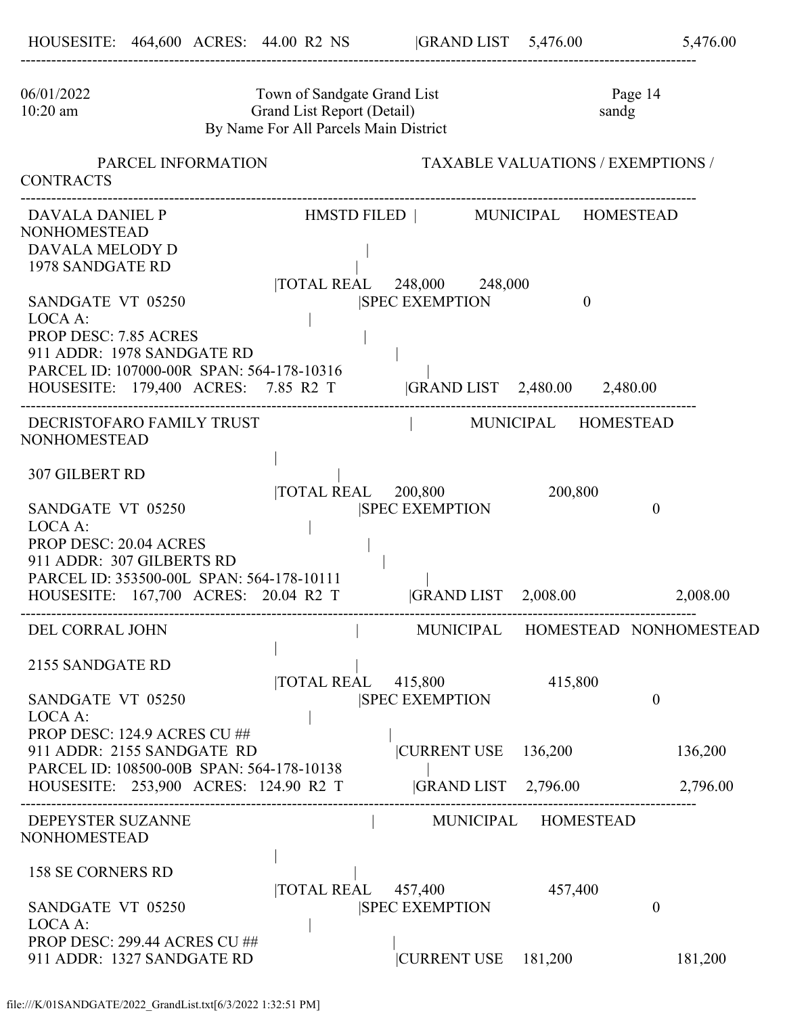| 06/01/2022<br>$10:20$ am         | Town of Sandgate Grand List<br>Grand List Report (Detail)<br>By Name For All Parcels Main District                                                                   |                    |                                                                  | sandg                                    | Page 14                          |
|----------------------------------|----------------------------------------------------------------------------------------------------------------------------------------------------------------------|--------------------|------------------------------------------------------------------|------------------------------------------|----------------------------------|
| <b>CONTRACTS</b>                 | PARCEL INFORMATION                                                                                                                                                   |                    |                                                                  | <b>TAXABLE VALUATIONS / EXEMPTIONS /</b> |                                  |
| <b>NONHOMESTEAD</b>              | DAVALA DANIEL P<br>DAVALA MELODY D<br>1978 SANDGATE RD                                                                                                               |                    | HMSTD FILED   MUNICIPAL HOMESTEAD<br> TOTAL REAL 248,000 248,000 |                                          |                                  |
| LOCA A:                          | SANDGATE VT 05250<br><b>PROP DESC: 7.85 ACRES</b><br>911 ADDR: 1978 SANDGATE RD<br>PARCEL ID: 107000-00R SPAN: 564-178-10316<br>HOUSESITE: 179,400 ACRES: 7.85 R2 T  |                    | <b>SPEC EXEMPTION</b><br> GRAND LIST 2,480.00 2,480.00           | $\overline{0}$                           |                                  |
| <b>NONHOMESTEAD</b>              | DECRISTOFARO FAMILY TRUST                                                                                                                                            |                    |                                                                  | MUNICIPAL HOMESTEAD                      |                                  |
| <b>307 GILBERT RD</b><br>LOCA A: | SANDGATE VT 05250<br><b>PROP DESC: 20.04 ACRES</b><br>911 ADDR: 307 GILBERTS RD<br>PARCEL ID: 353500-00L SPAN: 564-178-10111<br>HOUSESITE: 167,700 ACRES: 20.04 R2 T | TOTAL REAL 200,800 | <b>SPEC EXEMPTION</b>                                            | 200,800<br> GRAND LIST 2,008.00          | $\theta$<br>2,008.00             |
|                                  | DEL CORRAL JOHN                                                                                                                                                      |                    |                                                                  |                                          | MUNICIPAL HOMESTEAD NONHOMESTEAD |
| LOCA A:                          | 2155 SANDGATE RD<br>SANDGATE VT 05250                                                                                                                                | TOTAL REAL         | 415,800<br><b>SPEC EXEMPTION</b>                                 | 415,800                                  | $\theta$                         |
|                                  | PROP DESC: 124.9 ACRES CU ##<br>911 ADDR: 2155 SANDGATE RD<br>PARCEL ID: 108500-00B SPAN: 564-178-10138<br>HOUSESITE: 253,900 ACRES: 124.90 R2 T                     |                    | <b>CURRENT USE</b><br><b>GRAND LIST</b> 2,796.00                 | 136,200                                  | 136,200<br>2,796.00              |
| <b>NONHOMESTEAD</b>              | DEPEYSTER SUZANNE                                                                                                                                                    |                    |                                                                  | MUNICIPAL HOMESTEAD                      |                                  |
| LOCA A:                          | <b>158 SE CORNERS RD</b><br>SANDGATE VT 05250                                                                                                                        | <b>TOTAL REAL</b>  | 457,400<br><b>SPEC EXEMPTION</b>                                 | 457,400                                  | $\theta$                         |
|                                  | PROP DESC: 299.44 ACRES CU ##<br>911 ADDR: 1327 SANDGATE RD                                                                                                          |                    | <b>CURRENT USE</b>                                               | 181,200                                  | 181,200                          |

------------------------------------------------------------------------------------------------------------------------------------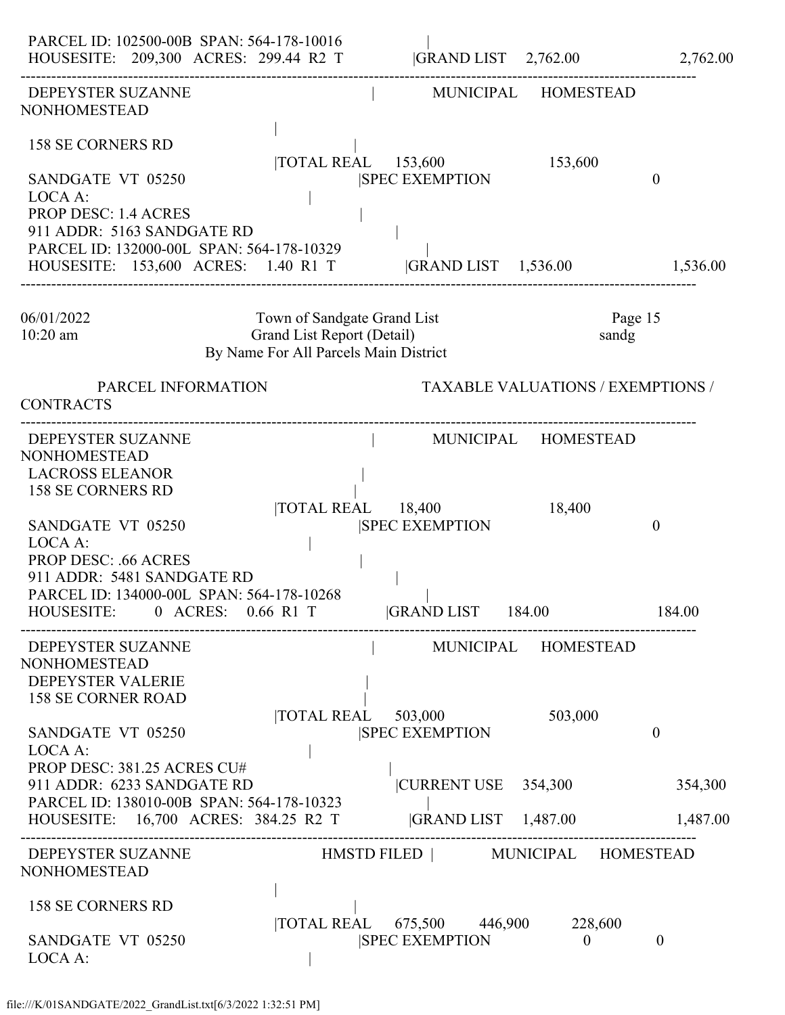| PARCEL ID: 102500-00B SPAN: 564-178-10016<br>HOUSESITE: 209,300 ACRES: 299.44 R2 T                                                                                                                                                                                                  |                                                                                                    | $ GRAND LIST \t2,762.00$                                                                         |                                          | 2,762.00                        |
|-------------------------------------------------------------------------------------------------------------------------------------------------------------------------------------------------------------------------------------------------------------------------------------|----------------------------------------------------------------------------------------------------|--------------------------------------------------------------------------------------------------|------------------------------------------|---------------------------------|
| DEPEYSTER SUZANNE<br><b>NONHOMESTEAD</b>                                                                                                                                                                                                                                            |                                                                                                    |                                                                                                  | MUNICIPAL HOMESTEAD                      |                                 |
| 158 SE CORNERS RD<br>SANDGATE VT 05250<br>LOCA A:<br><b>PROP DESC: 1.4 ACRES</b>                                                                                                                                                                                                    | $\overline{10TAL}$ REAL $\overline{153,600}$                                                       | <b>SPEC EXEMPTION</b>                                                                            | 153,600                                  | $\theta$                        |
| 911 ADDR: 5163 SANDGATE RD<br>PARCEL ID: 132000-00L SPAN: 564-178-10329<br>HOUSESITE: 153,600 ACRES: 1.40 R1 T                                                                                                                                                                      |                                                                                                    | $ GRAND LIST \t1,536.00$                                                                         |                                          | 1,536.00                        |
| 06/01/2022<br>$10:20$ am                                                                                                                                                                                                                                                            | Town of Sandgate Grand List<br>Grand List Report (Detail)<br>By Name For All Parcels Main District |                                                                                                  | Page 15<br>sandg                         |                                 |
| PARCEL INFORMATION<br><b>CONTRACTS</b>                                                                                                                                                                                                                                              |                                                                                                    |                                                                                                  | <b>TAXABLE VALUATIONS / EXEMPTIONS /</b> |                                 |
| DEPEYSTER SUZANNE<br><b>NONHOMESTEAD</b><br><b>LACROSS ELEANOR</b><br><b>158 SE CORNERS RD</b><br>SANDGATE VT 05250<br>LOCA A:<br><b>PROP DESC: .66 ACRES</b><br>911 ADDR: 5481 SANDGATE RD<br>PARCEL ID: 134000-00L SPAN: 564-178-10268<br>HOUSESITE: 0 ACRES: 0.66 R1 T           | <b>TOTAL REAL</b> 18,400                                                                           | <b>SPEC EXEMPTION</b><br><b>GRAND LIST</b> 184.00                                                | MUNICIPAL HOMESTEAD<br>18,400            | $\theta$<br>184.00              |
| DEPEYSTER SUZANNE<br><b>NONHOMESTEAD</b><br><b>DEPEYSTER VALERIE</b><br><b>158 SE CORNER ROAD</b><br>SANDGATE VT 05250<br>LOCA A:<br>PROP DESC: 381.25 ACRES CU#<br>911 ADDR: 6233 SANDGATE RD<br>PARCEL ID: 138010-00B SPAN: 564-178-10323<br>HOUSESITE: 16,700 ACRES: 384.25 R2 T | $\overline{10TAL}$ REAL $\overline{503,000}$                                                       | MUNICIPAL HOMESTEAD<br><b>SPEC EXEMPTION</b><br> CURRENT USE 354,300<br>$ GRAND LIST \t1,487.00$ | 503,000                                  | $\theta$<br>354,300<br>1,487.00 |
| DEPEYSTER SUZANNE<br><b>NONHOMESTEAD</b>                                                                                                                                                                                                                                            |                                                                                                    | HMSTD FILED   MUNICIPAL HOMESTEAD                                                                |                                          |                                 |
| 158 SE CORNERS RD<br>SANDGATE VT 05250<br>LOCA A:                                                                                                                                                                                                                                   |                                                                                                    | TOTAL REAL 675,500 446,900<br><b>ISPEC EXEMPTION</b>                                             | 228,600<br>$\theta$                      | $\overline{0}$                  |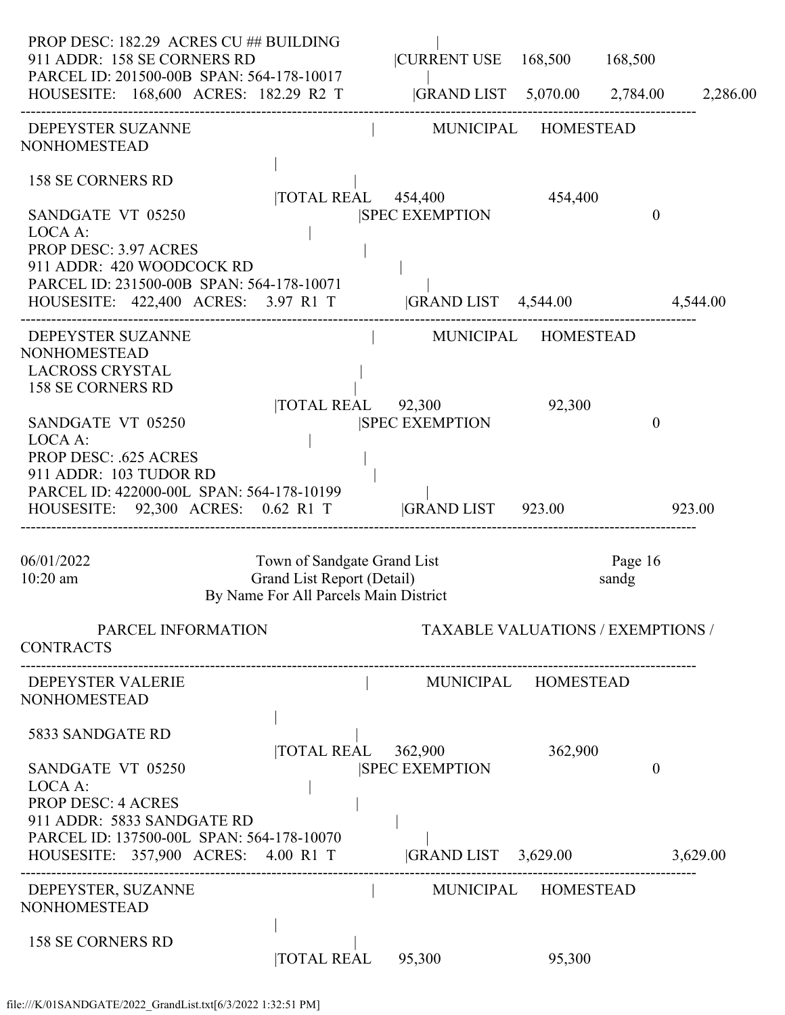| PROP DESC: 182.29 ACRES CU ## BUILDING<br>911 ADDR: 158 SE CORNERS RD<br>PARCEL ID: 201500-00B SPAN: 564-178-10017<br>HOUSESITE: 168,600 ACRES: 182.29 R2 T  GRAND LIST 5,070.00 2,784.00 2,286.00 |                                                                     | CURRENT USE 168,500 168,500                                           |         |                |          |
|----------------------------------------------------------------------------------------------------------------------------------------------------------------------------------------------------|---------------------------------------------------------------------|-----------------------------------------------------------------------|---------|----------------|----------|
| DEPEYSTER SUZANNE<br><b>NONHOMESTEAD</b>                                                                                                                                                           |                                                                     | MUNICIPAL HOMESTEAD                                                   |         |                |          |
| <b>158 SE CORNERS RD</b><br>SANDGATE VT 05250                                                                                                                                                      |                                                                     | $\overline{10TAL}$ REAL $\overline{454,400}$<br><b>SPEC EXEMPTION</b> | 454,400 | $\overline{0}$ |          |
| LOCA A:<br><b>PROP DESC: 3.97 ACRES</b><br>911 ADDR: 420 WOODCOCK RD<br>PARCEL ID: 231500-00B SPAN: 564-178-10071                                                                                  |                                                                     |                                                                       |         |                |          |
| HOUSESITE: 422,400 ACRES: 3.97 R1 T  GRAND LIST 4,544.00 4,544.00                                                                                                                                  |                                                                     |                                                                       |         |                |          |
| DEPEYSTER SUZANNE<br><b>NONHOMESTEAD</b><br><b>LACROSS CRYSTAL</b><br><b>158 SE CORNERS RD</b>                                                                                                     |                                                                     | MUNICIPAL HOMESTEAD                                                   |         |                |          |
| SANDGATE VT 05250<br>LOCA A:<br><b>PROP DESC: .625 ACRES</b><br>911 ADDR: 103 TUDOR RD<br>PARCEL ID: 422000-00L SPAN: 564-178-10199<br>HOUSESITE: 92,300 ACRES: 0.62 R1 T  GRAND LIST 923.00       | $\overline{10}$ TOTAL REAL 92,300                                   | <b>ISPEC EXEMPTION</b>                                                | 92,300  | $\theta$       | 923.00   |
| 06/01/2022                                                                                                                                                                                         | Town of Sandgate Grand List                                         |                                                                       |         | Page 16        |          |
| $10:20$ am                                                                                                                                                                                         | Grand List Report (Detail)<br>By Name For All Parcels Main District |                                                                       |         | sandg          |          |
| PARCEL INFORMATION<br><b>CONTRACTS</b>                                                                                                                                                             |                                                                     | <b>TAXABLE VALUATIONS / EXEMPTIONS /</b>                              |         |                |          |
| <b>DEPEYSTER VALERIE</b><br><b>NONHOMESTEAD</b>                                                                                                                                                    |                                                                     | MUNICIPAL HOMESTEAD                                                   |         |                |          |
| 5833 SANDGATE RD                                                                                                                                                                                   | TOTAL REAL                                                          | 362,900                                                               | 362,900 |                |          |
| SANDGATE VT 05250<br>LOCA A:<br><b>PROP DESC: 4 ACRES</b><br>911 ADDR: 5833 SANDGATE RD<br>PARCEL ID: 137500-00L SPAN: 564-178-10070                                                               |                                                                     | <b>SPEC EXEMPTION</b>                                                 |         | $\overline{0}$ |          |
| HOUSESITE: 357,900 ACRES: 4.00 R1 T                                                                                                                                                                |                                                                     | GRAND LIST 3,629.00                                                   |         |                | 3,629.00 |
| DEPEYSTER, SUZANNE<br><b>NONHOMESTEAD</b>                                                                                                                                                          |                                                                     | MUNICIPAL HOMESTEAD                                                   |         |                |          |
| <b>158 SE CORNERS RD</b>                                                                                                                                                                           | <b>TOTAL REAL</b>                                                   | 95,300                                                                | 95,300  |                |          |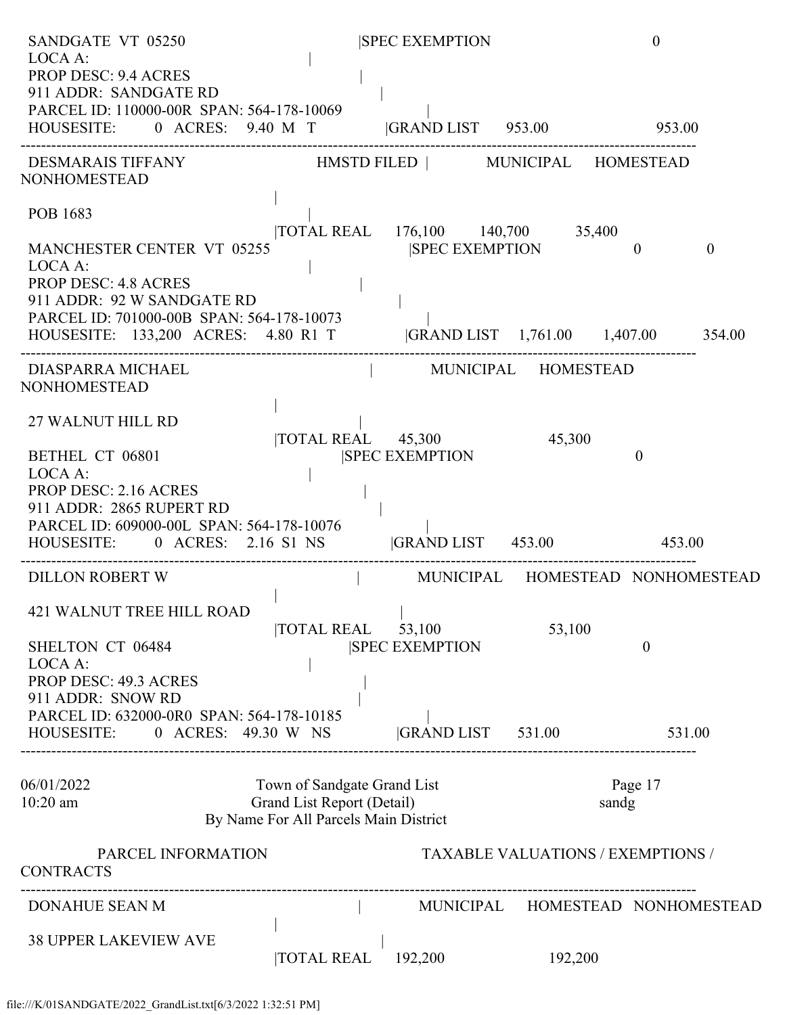| SANDGATE VT 05250                                                                                                                                                                                                                  |                                                                                                    | <b>SPEC EXEMPTION</b>                             |                                            | $\theta$         |          |
|------------------------------------------------------------------------------------------------------------------------------------------------------------------------------------------------------------------------------------|----------------------------------------------------------------------------------------------------|---------------------------------------------------|--------------------------------------------|------------------|----------|
| LOCA A:<br><b>PROP DESC: 9.4 ACRES</b><br>911 ADDR: SANDGATE RD<br>PARCEL ID: 110000-00R SPAN: 564-178-10069<br>HOUSESITE: 0 ACRES: 9.40 M T  GRAND LIST 953.00 953.00                                                             |                                                                                                    |                                                   |                                            |                  |          |
| DESMARAIS TIFFANY HMSTD FILED   MUNICIPAL HOMESTEAD<br><b>NONHOMESTEAD</b>                                                                                                                                                         |                                                                                                    |                                                   |                                            |                  |          |
| POB 1683                                                                                                                                                                                                                           |                                                                                                    | TOTAL REAL 176,100 140,700 35,400                 |                                            |                  |          |
| <b>MANCHESTER CENTER VT 05255</b><br>LOCA A:<br><b>PROP DESC: 4.8 ACRES</b><br>911 ADDR: 92 W SANDGATE RD<br>PARCEL ID: 701000-00B SPAN: 564-178-10073<br>HOUSESITE: 133,200 ACRES: 4.80 R1 T  GRAND LIST 1,761.00 1,407.00 354.00 |                                                                                                    | <b>SPEC EXEMPTION</b>                             |                                            | $\theta$         | $\theta$ |
| DIASPARRA MICHAEL<br><b>NONHOMESTEAD</b>                                                                                                                                                                                           |                                                                                                    | MUNICIPAL HOMESTEAD                               |                                            |                  |          |
| 27 WALNUT HILL RD<br>BETHEL CT 06801<br>LOCA A:<br><b>PROP DESC: 2.16 ACRES</b><br>911 ADDR: 2865 RUPERT RD<br>PARCEL ID: 609000-00L SPAN: 564-178-10076                                                                           |                                                                                                    | TOTAL REAL 45,300 45,300<br><b>SPEC EXEMPTION</b> |                                            | $\mathbf{0}$     |          |
| HOUSESITE: 0 ACRES: 2.16 S1 NS  GRAND LIST 453.00 453.00                                                                                                                                                                           |                                                                                                    |                                                   |                                            |                  |          |
| <b>DILLON ROBERT W</b><br><b>421 WALNUT TREE HILL ROAD</b><br>SHELTON CT 06484<br>LOCA A:<br>PROP DESC: 49.3 ACRES                                                                                                                 | TOTAL REAL                                                                                         | 53,100<br><b>SPEC EXEMPTION</b>                   | MUNICIPAL HOMESTEAD NONHOMESTEAD<br>53,100 | $\overline{0}$   |          |
| 911 ADDR: SNOW RD<br>PARCEL ID: 632000-0R0 SPAN: 564-178-10185<br>HOUSESITE: 0 ACRES: 49.30 W NS                                                                                                                                   |                                                                                                    | GRAND LIST 531.00                                 |                                            | 531.00           |          |
| 06/01/2022<br>$10:20$ am                                                                                                                                                                                                           | Town of Sandgate Grand List<br>Grand List Report (Detail)<br>By Name For All Parcels Main District |                                                   |                                            | Page 17<br>sandg |          |
| PARCEL INFORMATION<br><b>CONTRACTS</b>                                                                                                                                                                                             |                                                                                                    |                                                   | <b>TAXABLE VALUATIONS / EXEMPTIONS /</b>   |                  |          |
| DONAHUE SEAN M                                                                                                                                                                                                                     |                                                                                                    |                                                   | MUNICIPAL HOMESTEAD NONHOMESTEAD           |                  |          |
| <b>38 UPPER LAKEVIEW AVE</b>                                                                                                                                                                                                       | <b>TOTAL REAL</b>                                                                                  | 192,200                                           | 192,200                                    |                  |          |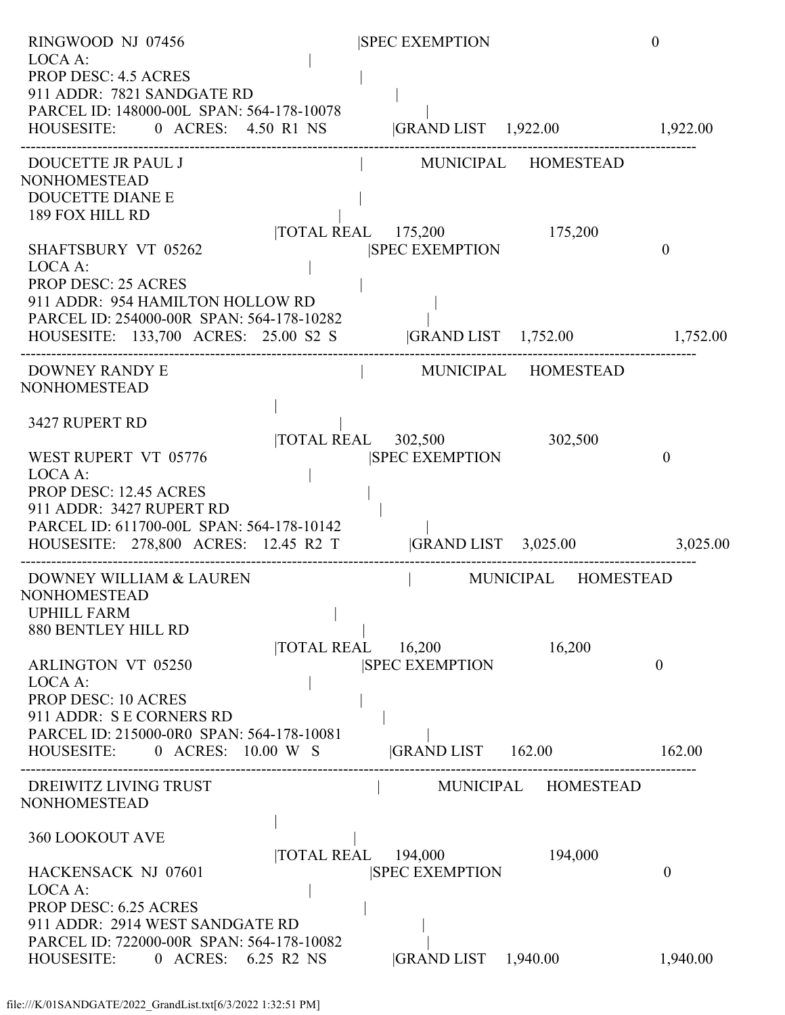| RINGWOOD NJ 07456                                                                                                                                                                 |                   | <b>SPEC EXEMPTION</b>                  |                     | $\theta$ |
|-----------------------------------------------------------------------------------------------------------------------------------------------------------------------------------|-------------------|----------------------------------------|---------------------|----------|
| LOCA A:<br><b>PROP DESC: 4.5 ACRES</b><br>911 ADDR: 7821 SANDGATE RD<br>PARCEL ID: 148000-00L SPAN: 564-178-10078<br>HOUSESITE: 0 ACRES: 4.50 R1 NS  GRAND LIST 1,922.00 1,922.00 |                   |                                        |                     |          |
| DOUCETTE JR PAUL J                                                                                                                                                                |                   | MUNICIPAL HOMESTEAD                    |                     |          |
| <b>NONHOMESTEAD</b>                                                                                                                                                               |                   |                                        |                     |          |
| <b>DOUCETTE DIANE E</b><br>189 FOX HILL RD                                                                                                                                        |                   |                                        |                     |          |
|                                                                                                                                                                                   |                   | TOTAL REAL 175,200 175,200             |                     |          |
| SHAFTSBURY VT 05262<br>LOCA A:                                                                                                                                                    |                   | <b>SPEC EXEMPTION</b>                  |                     | $\theta$ |
| <b>PROP DESC: 25 ACRES</b>                                                                                                                                                        |                   |                                        |                     |          |
| 911 ADDR: 954 HAMILTON HOLLOW RD                                                                                                                                                  |                   |                                        |                     |          |
| PARCEL ID: 254000-00R SPAN: 564-178-10282<br>HOUSESITE: 133,700 ACRES: 25.00 S2 S  GRAND LIST 1,752.00 1,752.00                                                                   |                   |                                        |                     |          |
| <b>DOWNEY RANDY E</b>                                                                                                                                                             |                   | MUNICIPAL HOMESTEAD                    |                     |          |
| <b>NONHOMESTEAD</b>                                                                                                                                                               |                   |                                        |                     |          |
| 3427 RUPERT RD                                                                                                                                                                    |                   |                                        |                     |          |
|                                                                                                                                                                                   |                   | $\overline{\text{TOTAL REAL}}$ 302,500 | 302,500             |          |
| WEST RUPERT VT 05776<br>LOCA A:                                                                                                                                                   |                   | <b>SPEC EXEMPTION</b>                  |                     | 0        |
| <b>PROP DESC: 12.45 ACRES</b>                                                                                                                                                     |                   |                                        |                     |          |
| 911 ADDR: 3427 RUPERT RD                                                                                                                                                          |                   |                                        |                     |          |
| PARCEL ID: 611700-00L SPAN: 564-178-10142<br>HOUSESITE: 278,800 ACRES: 12.45 R2 T  GRAND LIST 3,025.00 3,025.00                                                                   |                   |                                        |                     |          |
|                                                                                                                                                                                   |                   |                                        |                     |          |
| DOWNEY WILLIAM & LAUREN<br><b>NONHOMESTEAD</b>                                                                                                                                    |                   |                                        | MUNICIPAL HOMESTEAD |          |
| <b>UPHILL FARM</b>                                                                                                                                                                |                   |                                        |                     |          |
| 880 BENTLEY HILL RD                                                                                                                                                               |                   |                                        |                     |          |
| <b>ARLINGTON VT 05250</b>                                                                                                                                                         | TOTAL REAL        | 16,200<br><b>SPEC EXEMPTION</b>        | 16,200              | $\theta$ |
| LOCA A:                                                                                                                                                                           |                   |                                        |                     |          |
| <b>PROP DESC: 10 ACRES</b>                                                                                                                                                        |                   |                                        |                     |          |
| 911 ADDR: S E CORNERS RD<br>PARCEL ID: 215000-0R0 SPAN: 564-178-10081                                                                                                             |                   |                                        |                     |          |
| HOUSESITE: 0 ACRES: 10.00 W S                                                                                                                                                     |                   | GRAND LIST 162.00                      |                     | 162.00   |
| DREIWITZ LIVING TRUST                                                                                                                                                             |                   |                                        | MUNICIPAL HOMESTEAD |          |
| <b>NONHOMESTEAD</b>                                                                                                                                                               |                   |                                        |                     |          |
| <b>360 LOOKOUT AVE</b>                                                                                                                                                            |                   |                                        |                     |          |
|                                                                                                                                                                                   | <b>TOTAL REAL</b> | 194,000                                | 194,000             |          |
| HACKENSACK NJ 07601                                                                                                                                                               |                   | <b>SPEC EXEMPTION</b>                  |                     | 0        |
| LOCA A:<br><b>PROP DESC: 6.25 ACRES</b>                                                                                                                                           |                   |                                        |                     |          |
| 911 ADDR: 2914 WEST SANDGATE RD                                                                                                                                                   |                   |                                        |                     |          |
| PARCEL ID: 722000-00R SPAN: 564-178-10082                                                                                                                                         |                   |                                        |                     |          |
| 0 ACRES:<br>HOUSESITE:                                                                                                                                                            | 6.25 R2 NS        | GRAND LIST 1,940.00                    |                     | 1,940.00 |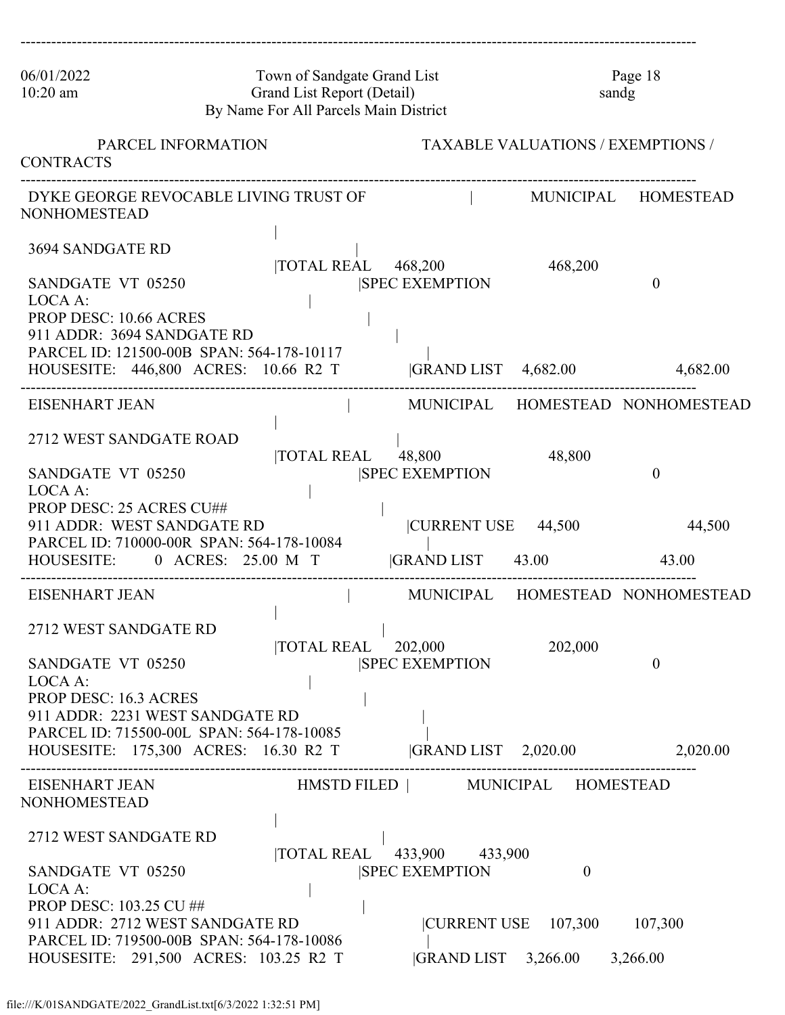| 06/01/2022<br>$10:20$ am                                                                                                                                                                                         | Town of Sandgate Grand List<br>Grand List Report (Detail)<br>By Name For All Parcels Main District |                                                                    |                                          | Page 18<br>sandg                 |
|------------------------------------------------------------------------------------------------------------------------------------------------------------------------------------------------------------------|----------------------------------------------------------------------------------------------------|--------------------------------------------------------------------|------------------------------------------|----------------------------------|
| PARCEL INFORMATION<br><b>CONTRACTS</b>                                                                                                                                                                           |                                                                                                    |                                                                    | <b>TAXABLE VALUATIONS / EXEMPTIONS /</b> |                                  |
| <b>NONHOMESTEAD</b>                                                                                                                                                                                              | DYKE GEORGE REVOCABLE LIVING TRUST OF                                                              |                                                                    |                                          | MUNICIPAL HOMESTEAD              |
| 3694 SANDGATE RD<br>SANDGATE VT 05250<br>LOCA A:<br><b>PROP DESC: 10.66 ACRES</b><br>911 ADDR: 3694 SANDGATE RD                                                                                                  | $\overline{\text{TOTAL REAL}}$ 468,200                                                             | <b>SPEC EXEMPTION</b>                                              | 468,200                                  | 0                                |
| PARCEL ID: 121500-00B SPAN: 564-178-10117<br>HOUSESITE: 446,800 ACRES: 10.66 R2 T                                                                                                                                |                                                                                                    | <b>GRAND LIST</b>                                                  | 4,682.00                                 | 4,682.00                         |
| EISENHART JEAN                                                                                                                                                                                                   |                                                                                                    |                                                                    |                                          | MUNICIPAL HOMESTEAD NONHOMESTEAD |
| 2712 WEST SANDGATE ROAD<br>SANDGATE VT 05250<br>LOCA A:                                                                                                                                                          | <b>TOTAL REAL</b>                                                                                  | 48,800<br><b>ISPEC EXEMPTION</b>                                   | 48,800                                   | 0                                |
| PROP DESC: 25 ACRES CU##<br>911 ADDR: WEST SANDGATE RD<br>PARCEL ID: 710000-00R SPAN: 564-178-10084<br>HOUSESITE:                                                                                                | 0 ACRES: 25.00 M T                                                                                 | CURRENT USE 44,500<br>$ GRAND LIST$ 43.00                          |                                          | 44,500<br>43.00                  |
| EISENHART JEAN                                                                                                                                                                                                   |                                                                                                    |                                                                    |                                          | MUNICIPAL HOMESTEAD NONHOMESTEAD |
| 2712 WEST SANDGATE RD<br>SANDGATE VT 05250<br>LOCA A:<br><b>PROP DESC: 16.3 ACRES</b><br>911 ADDR: 2231 WEST SANDGATE RD<br>PARCEL ID: 715500-00L SPAN: 564-178-10085                                            | <b>TOTAL REAL</b>                                                                                  | 202,000<br><b>SPEC EXEMPTION</b>                                   | 202,000                                  | 0                                |
| HOUSESITE: 175,300 ACRES: 16.30 R2 T                                                                                                                                                                             |                                                                                                    | $ GRAND LIST$ 2,020.00                                             |                                          | 2,020.00                         |
| EISENHART JEAN<br><b>NONHOMESTEAD</b>                                                                                                                                                                            |                                                                                                    | HMSTD FILED   MUNICIPAL HOMESTEAD                                  |                                          |                                  |
| 2712 WEST SANDGATE RD<br>SANDGATE VT 05250<br>LOCA A:<br><b>PROP DESC: 103.25 CU ##</b><br>911 ADDR: 2712 WEST SANDGATE RD<br>PARCEL ID: 719500-00B SPAN: 564-178-10086<br>HOUSESITE: 291,500 ACRES: 103.25 R2 T | <b>TOTAL REAL</b>                                                                                  | 433,900 433,900<br><b>SPEC EXEMPTION</b><br>$ GRAND LIST$ 3,266.00 | $\Omega$<br> CURRENT USE 107,300         | 107,300<br>3,266.00              |

------------------------------------------------------------------------------------------------------------------------------------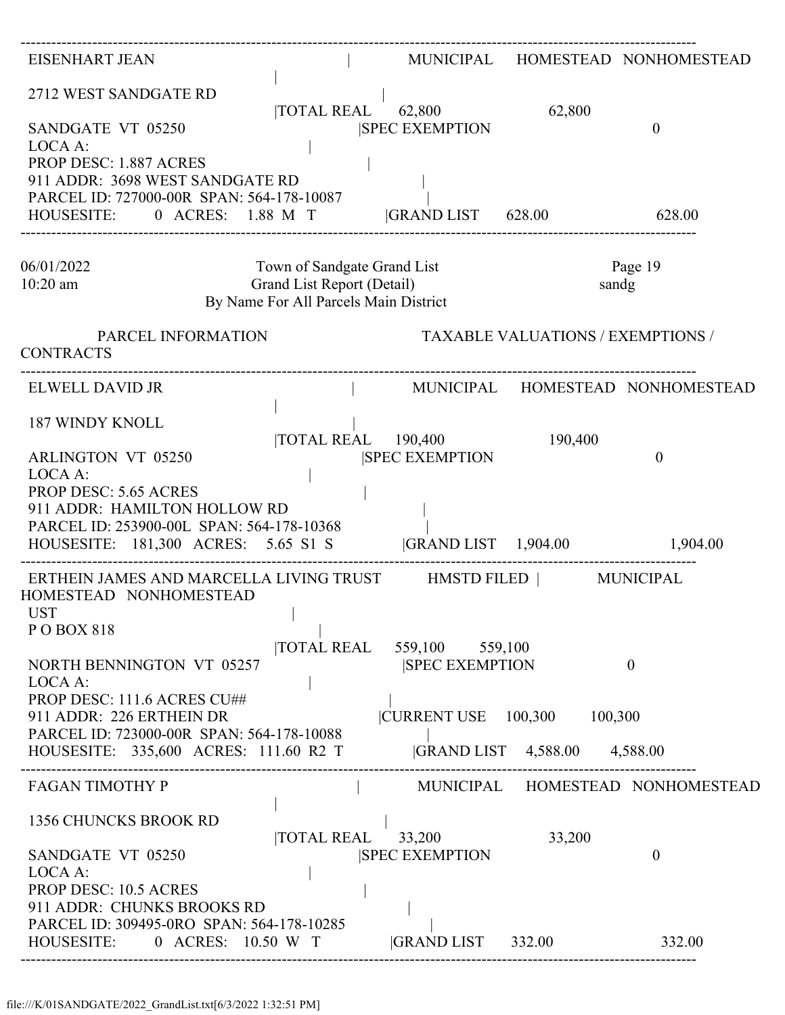| EISENHART JEAN                                                                                                                                                                                                     |                                                               |                                             | MUNICIPAL HOMESTEAD NONHOMESTEAD |
|--------------------------------------------------------------------------------------------------------------------------------------------------------------------------------------------------------------------|---------------------------------------------------------------|---------------------------------------------|----------------------------------|
| 2712 WEST SANDGATE RD<br>SANDGATE VT 05250<br>LOCA A:<br>PROP DESC: 1.887 ACRES<br>911 ADDR: 3698 WEST SANDGATE RD<br>PARCEL ID: 727000-00R SPAN: 564-178-10087<br>HOUSESITE: 0 ACRES: 1.88 M T  GRAND LIST 628.00 | TOTAL REAL 62,800<br><b>SPEC EXEMPTION</b>                    | 62,800                                      | $\boldsymbol{0}$<br>628.00       |
| 06/01/2022<br>$10:20$ am<br>By Name For All Parcels Main District                                                                                                                                                  | Town of Sandgate Grand List<br>Grand List Report (Detail)     |                                             | Page 19<br>sandg                 |
| PARCEL INFORMATION<br><b>CONTRACTS</b>                                                                                                                                                                             |                                                               | <b>TAXABLE VALUATIONS / EXEMPTIONS /</b>    |                                  |
| ELWELL DAVID JR                                                                                                                                                                                                    |                                                               |                                             | MUNICIPAL HOMESTEAD NONHOMESTEAD |
| <b>187 WINDY KNOLL</b><br><b>ARLINGTON VT 05250</b><br>LOCA A:<br><b>PROP DESC: 5.65 ACRES</b>                                                                                                                     | TOTAL REAL 190,400<br><b>SPEC EXEMPTION</b>                   | 190,400                                     | $\theta$                         |
| 911 ADDR: HAMILTON HOLLOW RD<br>PARCEL ID: 253900-00L SPAN: 564-178-10368<br>HOUSESITE: 181,300 ACRES: 5.65 S1 S  GRAND LIST 1,904.00 1,904.00                                                                     |                                                               |                                             |                                  |
| ERTHEIN JAMES AND MARCELLA LIVING TRUST HMSTD FILED   MUNICIPAL<br>HOMESTEAD NONHOMESTEAD<br><b>UST</b><br>$\sim$ 1.000 $\sim$<br>P O BOX 818                                                                      |                                                               |                                             |                                  |
| NORTH BENNINGTON VT 05257<br>LOCA A:                                                                                                                                                                               | <b>TOTAL REAL</b><br>559,100 559,100<br><b>SPEC EXEMPTION</b> |                                             | $\mathbf{0}$                     |
| PROP DESC: 111.6 ACRES CU##<br>911 ADDR: 226 ERTHEIN DR<br>PARCEL ID: 723000-00R SPAN: 564-178-10088<br>HOUSESITE: 335,600 ACRES: 111.60 R2 T                                                                      |                                                               | CURRENT USE 100,300<br> GRAND LIST 4,588.00 | 100,300<br>4,588.00              |
| <b>FAGAN TIMOTHY P</b>                                                                                                                                                                                             |                                                               |                                             | MUNICIPAL HOMESTEAD NONHOMESTEAD |
| 1356 CHUNCKS BROOK RD<br><b>TOTAL REAL</b><br>SANDGATE VT 05250<br>LOCA A:                                                                                                                                         | 33,200<br><b>SPEC EXEMPTION</b>                               | 33,200                                      | $\theta$                         |
| <b>PROP DESC: 10.5 ACRES</b><br>911 ADDR: CHUNKS BROOKS RD<br>PARCEL ID: 309495-0RO SPAN: 564-178-10285<br>HOUSESITE: 0 ACRES: 10.50 W T                                                                           | <b>GRAND LIST</b> 332.00                                      |                                             | 332.00                           |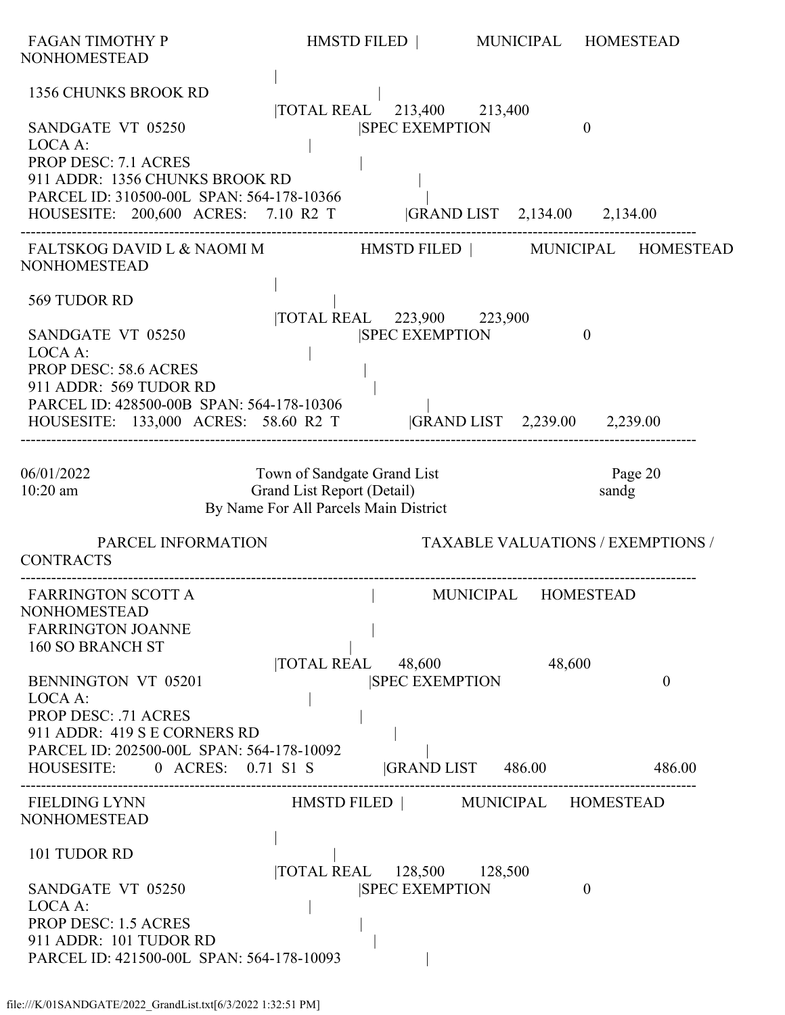| FAGAN TIMOTHY P<br><b>NONHOMESTEAD</b>                                                                                                                                                                                                                                                                   | HMSTD FILED   MUNICIPAL HOMESTEAD                                                                  |                     |                                          |
|----------------------------------------------------------------------------------------------------------------------------------------------------------------------------------------------------------------------------------------------------------------------------------------------------------|----------------------------------------------------------------------------------------------------|---------------------|------------------------------------------|
| 1356 CHUNKS BROOK RD<br>SANDGATE VT 05250<br>LOCA A:<br><b>PROP DESC: 7.1 ACRES</b><br>911 ADDR: 1356 CHUNKS BROOK RD<br>PARCEL ID: 310500-00L SPAN: 564-178-10366                                                                                                                                       | TOTAL REAL 213,400 213,400<br><b>SPEC EXEMPTION</b>                                                |                     | $\overline{0}$                           |
| HOUSESITE: 200,600 ACRES: 7.10 R2 T  GRAND LIST 2,134.00 2,134.00                                                                                                                                                                                                                                        |                                                                                                    |                     |                                          |
| <b>NONHOMESTEAD</b>                                                                                                                                                                                                                                                                                      |                                                                                                    |                     |                                          |
| 569 TUDOR RD<br>SANDGATE VT 05250<br>LOCA A:<br><b>PROP DESC: 58.6 ACRES</b><br>911 ADDR: 569 TUDOR RD<br>PARCEL ID: 428500-00B SPAN: 564-178-10306<br>HOUSESITE: 133,000 ACRES: 58.60 R2 T  GRAND LIST 2,239.00 2,239.00                                                                                | TOTAL REAL 223,900 223,900<br><b>SPEC EXEMPTION</b>                                                |                     | $\mathbf{0}$                             |
| 06/01/2022<br>10:20 am                                                                                                                                                                                                                                                                                   | Town of Sandgate Grand List<br>Grand List Report (Detail)<br>By Name For All Parcels Main District |                     | Page 20<br>sandg                         |
| PARCEL INFORMATION<br><b>CONTRACTS</b>                                                                                                                                                                                                                                                                   |                                                                                                    |                     | <b>TAXABLE VALUATIONS / EXEMPTIONS /</b> |
| <b>FARRINGTON SCOTT A</b><br><b>NONHOMESTEAD</b><br><b>FARRINGTON JOANNE</b><br>160 SO BRANCH ST<br><b>BENNINGTON VT 05201</b><br>LOCA A:<br><b>PROP DESC: .71 ACRES</b><br>911 ADDR: 419 S E CORNERS RD<br>PARCEL ID: 202500-00L SPAN: 564-178-10092<br>HOUSESITE: 0 ACRES: 0.71 S1 S GRAND LIST 486.00 | TOTAL REAL 48,600<br><b>SPEC EXEMPTION</b>                                                         | MUNICIPAL<br>48,600 | <b>HOMESTEAD</b><br>$\theta$<br>486.00   |
| <b>FIELDING LYNN</b><br><b>NONHOMESTEAD</b>                                                                                                                                                                                                                                                              | HMSTD FILED   MUNICIPAL HOMESTEAD                                                                  |                     |                                          |
| 101 TUDOR RD<br>SANDGATE VT 05250<br>LOCA A:<br><b>PROP DESC: 1.5 ACRES</b><br>911 ADDR: 101 TUDOR RD<br>PARCEL ID: 421500-00L SPAN: 564-178-10093                                                                                                                                                       | TOTAL REAL 128,500 128,500<br><b>SPEC EXEMPTION</b>                                                |                     | $\theta$                                 |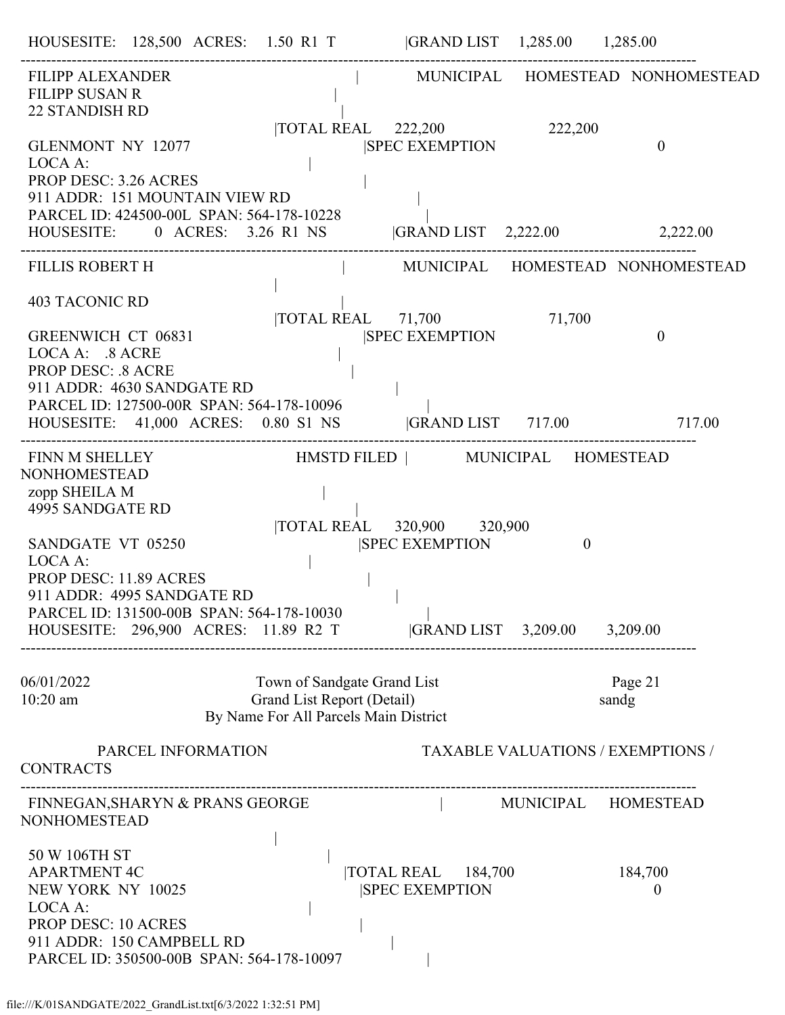| <b>FILIPP ALEXANDER</b><br><b>FILIPP SUSAN R</b><br><b>22 STANDISH RD</b>                                                                                                                               |                                                                                                    |                                                                       |                                          | MUNICIPAL HOMESTEAD NONHOMESTEAD |
|---------------------------------------------------------------------------------------------------------------------------------------------------------------------------------------------------------|----------------------------------------------------------------------------------------------------|-----------------------------------------------------------------------|------------------------------------------|----------------------------------|
| GLENMONT NY 12077<br>LOCA A:<br>PROP DESC: 3.26 ACRES<br>911 ADDR: 151 MOUNTAIN VIEW RD                                                                                                                 |                                                                                                    | $\overline{\text{TOTAL REAL}}$ 222,200<br><b>SPEC EXEMPTION</b>       | 222,200                                  | $\theta$                         |
| PARCEL ID: 424500-00L SPAN: 564-178-10228<br>HOUSESITE: 0 ACRES: 3.26 R1 NS  GRAND LIST 2,222.00 2,222.00                                                                                               |                                                                                                    |                                                                       |                                          |                                  |
| <b>FILLIS ROBERT H</b>                                                                                                                                                                                  |                                                                                                    |                                                                       |                                          | MUNICIPAL HOMESTEAD NONHOMESTEAD |
| <b>403 TACONIC RD</b><br><b>GREENWICH CT 06831</b><br>LOCA A: .8 ACRE<br><b>PROP DESC: .8 ACRE</b><br>911 ADDR: 4630 SANDGATE RD                                                                        |                                                                                                    | $\overline{10}$ TAL REAL $\overline{71,700}$<br><b>SPEC EXEMPTION</b> | 71,700                                   | $\theta$                         |
| PARCEL ID: 127500-00R SPAN: 564-178-10096<br>HOUSESITE: 41,000 ACRES: 0.80 S1 NS  GRAND LIST 717.00 717.00                                                                                              |                                                                                                    |                                                                       |                                          |                                  |
| FINN M SHELLEY HMSTD FILED   MUNICIPAL HOMESTEAD<br><b>NONHOMESTEAD</b><br>zopp SHEILA M<br><b>4995 SANDGATE RD</b>                                                                                     |                                                                                                    | TOTAL REAL 320,900 320,900                                            |                                          |                                  |
| SANDGATE VT 05250<br>LOCA A:<br>PROP DESC: 11.89 ACRES<br>911 ADDR: 4995 SANDGATE RD<br>PARCEL ID: 131500-00B SPAN: 564-178-10030<br>HOUSESITE: 296,900 ACRES: 11.89 R2 T  GRAND LIST 3,209.00 3,209.00 |                                                                                                    | <b>SPEC EXEMPTION</b>                                                 | $\overline{0}$                           |                                  |
| 06/01/2022<br>$10:20$ am                                                                                                                                                                                | Town of Sandgate Grand List<br>Grand List Report (Detail)<br>By Name For All Parcels Main District |                                                                       | sandg                                    | Page 21                          |
| PARCEL INFORMATION<br><b>CONTRACTS</b>                                                                                                                                                                  |                                                                                                    |                                                                       | <b>TAXABLE VALUATIONS / EXEMPTIONS /</b> |                                  |
| FINNEGAN, SHARYN & PRANS GEORGE<br><b>NONHOMESTEAD</b>                                                                                                                                                  |                                                                                                    |                                                                       | MUNICIPAL HOMESTEAD                      |                                  |
| 50 W 106TH ST<br><b>APARTMENT 4C</b><br>NEW YORK NY 10025<br>LOCA A:<br><b>PROP DESC: 10 ACRES</b><br>911 ADDR: 150 CAMPBELL RD<br>PARCEL ID: 350500-00B SPAN: 564-178-10097                            |                                                                                                    | TOTAL REAL 184,700<br><b>SPEC EXEMPTION</b>                           |                                          | 184,700<br>$\theta$              |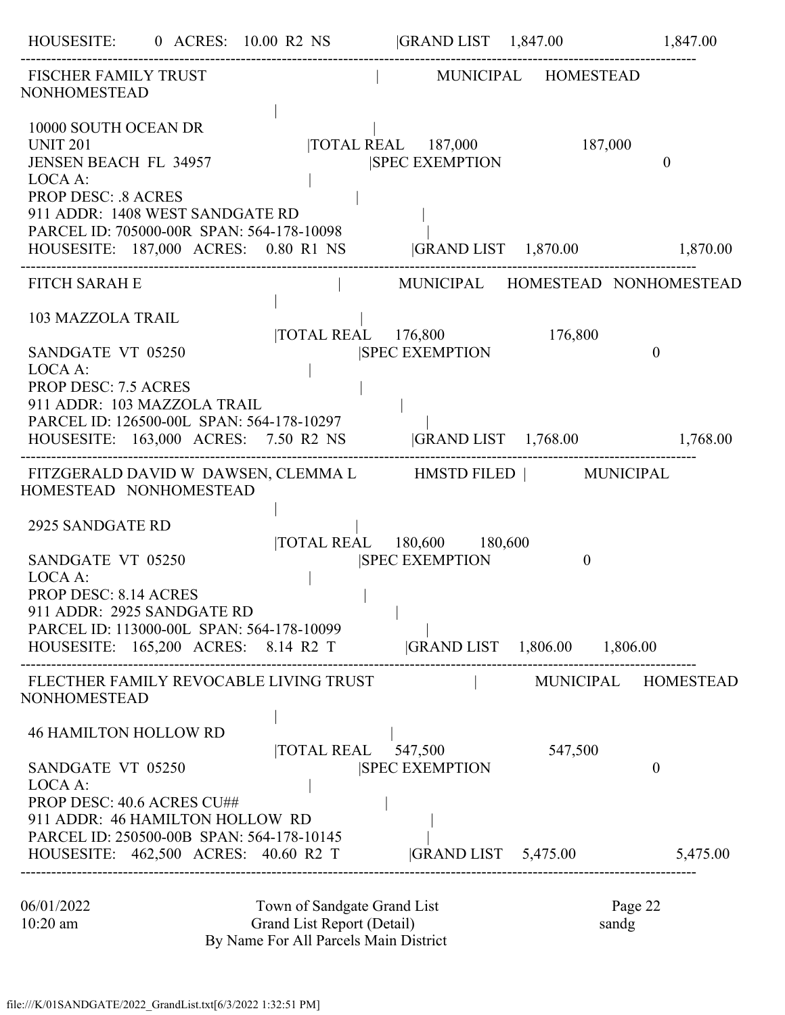|                                                                                                                                                                                                                              |                                                                                                    | HOUSESITE: 0 ACRES: 10.00 R2 NS  GRAND LIST 1,847.00 1,847.00                                                     |          |                                  |
|------------------------------------------------------------------------------------------------------------------------------------------------------------------------------------------------------------------------------|----------------------------------------------------------------------------------------------------|-------------------------------------------------------------------------------------------------------------------|----------|----------------------------------|
| <b>FISCHER FAMILY TRUST</b><br><b>NONHOMESTEAD</b>                                                                                                                                                                           |                                                                                                    | MUNICIPAL HOMESTEAD                                                                                               |          |                                  |
| 10000 SOUTH OCEAN DR<br><b>UNIT 201</b><br><b>JENSEN BEACH FL 34957</b><br>LOCA A:<br><b>PROP DESC: .8 ACRES</b><br>911 ADDR: 1408 WEST SANDGATE RD<br>PARCEL ID: 705000-00R SPAN: 564-178-10098                             |                                                                                                    | TOTAL REAL 187,000<br><b>SPEC EXEMPTION</b><br>HOUSESITE: 187,000 ACRES: 0.80 R1 NS  GRAND LIST 1,870.00 1,870.00 | 187,000  | $\theta$                         |
| <b>FITCH SARAH E</b>                                                                                                                                                                                                         |                                                                                                    |                                                                                                                   |          | MUNICIPAL HOMESTEAD NONHOMESTEAD |
| 103 MAZZOLA TRAIL<br>SANDGATE VT 05250<br>LOCA A:<br><b>PROP DESC: 7.5 ACRES</b><br>911 ADDR: 103 MAZZOLA TRAIL<br>PARCEL ID: 126500-00L SPAN: 564-178-10297                                                                 | $\overline{10}$ TOTAL REAL $176,800$                                                               | <b>ISPEC EXEMPTION</b><br>HOUSESITE: 163,000 ACRES: 7.50 R2 NS  GRAND LIST 1,768.00 1,768.00                      | 176,800  | $\mathbf{0}$                     |
|                                                                                                                                                                                                                              |                                                                                                    | FITZGERALD DAVID W DAWSEN, CLEMMA L HMSTD FILED   MUNICIPAL                                                       |          |                                  |
| HOMESTEAD NONHOMESTEAD<br>2925 SANDGATE RD<br>SANDGATE VT 05250<br>LOCA A:<br><b>PROP DESC: 8.14 ACRES</b><br>911 ADDR: 2925 SANDGATE RD<br>PARCEL ID: 113000-00L SPAN: 564-178-10099<br>HOUSESITE: 165,200 ACRES: 8.14 R2 T |                                                                                                    | TOTAL REAL 180,600 180,600<br><b>SPEC EXEMPTION</b>                                                               | $\theta$ |                                  |
| FLECTHER FAMILY REVOCABLE LIVING TRUST<br><b>NONHOMESTEAD</b>                                                                                                                                                                |                                                                                                    |                                                                                                                   |          | MUNICIPAL HOMESTEAD              |
| <b>46 HAMILTON HOLLOW RD</b><br>SANDGATE VT 05250<br>LOCA A:<br>PROP DESC: 40.6 ACRES CU##<br>911 ADDR: 46 HAMILTON HOLLOW RD                                                                                                | TOTAL REAL                                                                                         | 547,500<br><b>SPEC EXEMPTION</b>                                                                                  | 547,500  | $\boldsymbol{0}$                 |
| PARCEL ID: 250500-00B SPAN: 564-178-10145<br>HOUSESITE: 462,500 ACRES: 40.60 R2 T                                                                                                                                            |                                                                                                    | GRAND LIST 5,475.00                                                                                               |          | 5,475.00                         |
| 06/01/2022<br>10:20 am                                                                                                                                                                                                       | Town of Sandgate Grand List<br>Grand List Report (Detail)<br>By Name For All Parcels Main District |                                                                                                                   |          | Page 22<br>sandg                 |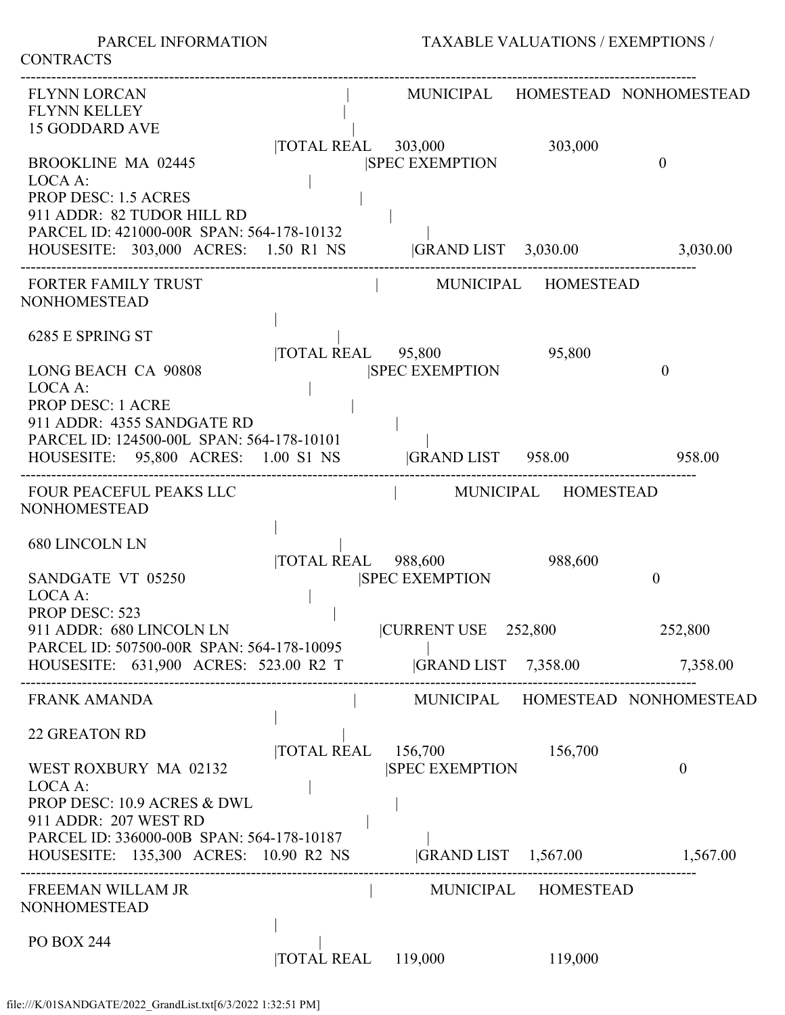PARCEL INFORMATION TAXABLE VALUATIONS / EXEMPTIONS /

| <b>FLYNN LORCAN</b><br><b>FLYNN KELLEY</b><br><b>15 GODDARD AVE</b>                                                                                                             |                    |                                              |                     | MUNICIPAL HOMESTEAD NONHOMESTEAD |
|---------------------------------------------------------------------------------------------------------------------------------------------------------------------------------|--------------------|----------------------------------------------|---------------------|----------------------------------|
| <b>BROOKLINE MA 02445</b><br>LOCA A:<br><b>PROP DESC: 1.5 ACRES</b><br>911 ADDR: 82 TUDOR HILL RD                                                                               |                    | TOTAL REAL 303,000<br><b>ISPEC EXEMPTION</b> | 303,000             | $\theta$                         |
| PARCEL ID: 421000-00R SPAN: 564-178-10132<br>HOUSESITE: 303,000 ACRES: 1.50 R1 NS  GRAND LIST 3,030.00 3,030.00                                                                 |                    |                                              |                     |                                  |
| <b>FORTER FAMILY TRUST</b><br><b>NONHOMESTEAD</b>                                                                                                                               |                    |                                              | MUNICIPAL HOMESTEAD |                                  |
| 6285 E SPRING ST<br><b>LONG BEACH CA 90808</b>                                                                                                                                  |                    | TOTAL REAL 95,800<br><b>SPEC EXEMPTION</b>   | 95,800              | $\theta$                         |
| LOCA A:<br><b>PROP DESC: 1 ACRE</b><br>911 ADDR: 4355 SANDGATE RD<br>PARCEL ID: 124500-00L SPAN: 564-178-10101<br>HOUSESITE: 95,800 ACRES: 1.00 S1 NS  GRAND LIST 958.00 958.00 |                    |                                              |                     |                                  |
| FOUR PEACEFUL PEAKS LLC<br><b>NONHOMESTEAD</b>                                                                                                                                  |                    | MUNICIPAL HOMESTEAD                          |                     |                                  |
| <b>680 LINCOLN LN</b><br>SANDGATE VT 05250<br>LOCA A:                                                                                                                           |                    | TOTAL REAL 988,600<br><b>SPEC EXEMPTION</b>  | 988,600             | $\boldsymbol{0}$                 |
| <b>PROP DESC: 523</b><br>911 ADDR: 680 LINCOLN LN<br>PARCEL ID: 507500-00R SPAN: 564-178-10095                                                                                  |                    | CURRENT USE 252,800                          |                     | 252,800                          |
| HOUSESITE: 631,900 ACRES: 523.00 R2 T                                                                                                                                           |                    | GRAND LIST 7,358.00 7,358.00                 |                     |                                  |
| <b>FRANK AMANDA</b>                                                                                                                                                             |                    |                                              |                     | MUNICIPAL HOMESTEAD NONHOMESTEAD |
| <b>22 GREATON RD</b><br>WEST ROXBURY MA 02132<br>LOCA A:<br>PROP DESC: 10.9 ACRES & DWL<br>911 ADDR: 207 WEST RD                                                                | <b>TOTAL REAL</b>  | 156,700<br><b>SPEC EXEMPTION</b>             | 156,700             | $\theta$                         |
| PARCEL ID: 336000-00B SPAN: 564-178-10187<br>HOUSESITE: 135,300 ACRES: 10.90 R2 NS                                                                                              |                    | GRAND LIST 1,567.00 1,567.00                 |                     |                                  |
| FREEMAN WILLAM JR<br><b>NONHOMESTEAD</b>                                                                                                                                        |                    |                                              | MUNICIPAL HOMESTEAD |                                  |
| <b>PO BOX 244</b>                                                                                                                                                               | TOTAL REAL 119,000 |                                              | 119,000             |                                  |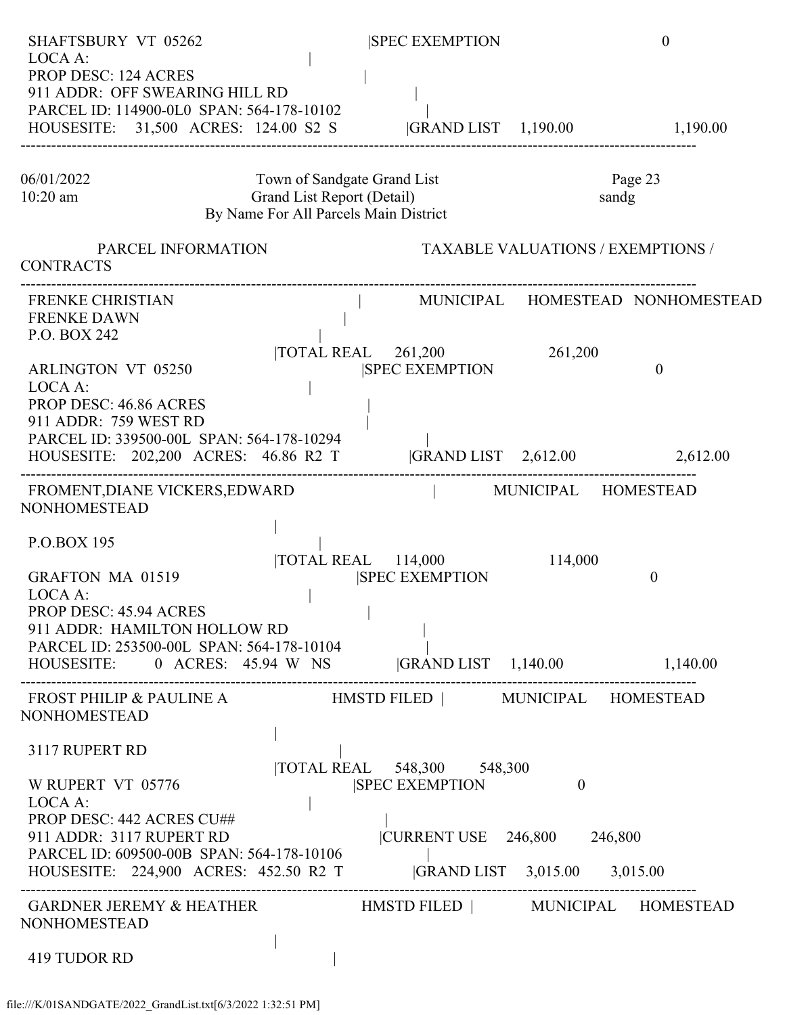| <b>SHAFTSBURY VT 05262</b><br>LOCA A:                                                                                                                                                                                   |                    |                                                                                                    |                       | <b>SPEC EXEMPTION</b> |                                            | $\theta$         |          |
|-------------------------------------------------------------------------------------------------------------------------------------------------------------------------------------------------------------------------|--------------------|----------------------------------------------------------------------------------------------------|-----------------------|-----------------------|--------------------------------------------|------------------|----------|
| <b>PROP DESC: 124 ACRES</b><br>911 ADDR: OFF SWEARING HILL RD<br>PARCEL ID: 114900-0L0 SPAN: 564-178-10102                                                                                                              |                    |                                                                                                    |                       |                       |                                            |                  |          |
| HOUSESITE: 31,500 ACRES: 124.00 S2 S  GRAND LIST 1,190.00                                                                                                                                                               |                    |                                                                                                    |                       |                       |                                            |                  | 1,190.00 |
| 06/01/2022<br>10:20 am                                                                                                                                                                                                  |                    | Town of Sandgate Grand List<br>Grand List Report (Detail)<br>By Name For All Parcels Main District |                       |                       |                                            | Page 23<br>sandg |          |
| <b>CONTRACTS</b>                                                                                                                                                                                                        | PARCEL INFORMATION |                                                                                                    |                       |                       | <b>TAXABLE VALUATIONS / EXEMPTIONS /</b>   |                  |          |
| <b>FRENKE CHRISTIAN</b><br><b>FRENKE DAWN</b><br>P.O. BOX 242                                                                                                                                                           |                    |                                                                                                    |                       |                       | MUNICIPAL HOMESTEAD NONHOMESTEAD           |                  |          |
| ARLINGTON VT 05250<br>LOCA A:<br>PROP DESC: 46.86 ACRES<br>911 ADDR: 759 WEST RD<br>PARCEL ID: 339500-00L SPAN: 564-178-10294<br>HOUSESITE: 202,200 ACRES: 46.86 R2 T                                                   |                    | $\text{TOTAL REAL}$ 261,200                                                                        | <b>SPEC EXEMPTION</b> |                       | 261,200<br> GRAND LIST 2,612.00 2,612.00   | $\overline{0}$   |          |
| FROMENT, DIANE VICKERS, EDWARD<br>NONHOMESTEAD                                                                                                                                                                          |                    |                                                                                                    |                       |                       | MUNICIPAL HOMESTEAD                        |                  |          |
| P.O.BOX 195<br><b>GRAFTON MA 01519</b><br>LOCA A:<br>PROP DESC: 45.94 ACRES<br>911 ADDR: HAMILTON HOLLOW RD<br>PARCEL ID: 253500-00L SPAN: 564-178-10104<br>HOUSESITE: 0 ACRES: 45.94 W NS GRAND LIST 1,140.00 1,140.00 |                    | $\overline{\text{TOTAL REAL}}$ 114,000                                                             | <b>SPEC EXEMPTION</b> |                       | 114,000                                    | $\theta$         |          |
| FROST PHILIP & PAULINE A HMSTD FILED   MUNICIPAL HOMESTEAD<br><b>NONHOMESTEAD</b>                                                                                                                                       |                    |                                                                                                    |                       |                       |                                            |                  |          |
| 3117 RUPERT RD<br>W RUPERT VT 05776<br>LOCA A:<br>PROP DESC: 442 ACRES CU##<br>911 ADDR: 3117 RUPERT RD<br>PARCEL ID: 609500-00B SPAN: 564-178-10106                                                                    |                    | TOTAL REAL 548,300 548,300                                                                         | <b>SPEC EXEMPTION</b> |                       | $\theta$<br> CURRENT USE  246,800  246,800 |                  |          |
| HOUSESITE: 224,900 ACRES: 452.50 R2 T<br>GARDNER JEREMY & HEATHER HMSTD FILED   MUNICIPAL HOMESTEAD<br><b>NONHOMESTEAD</b>                                                                                              |                    |                                                                                                    |                       |                       |                                            |                  |          |
| 419 TUDOR RD                                                                                                                                                                                                            |                    |                                                                                                    |                       |                       |                                            |                  |          |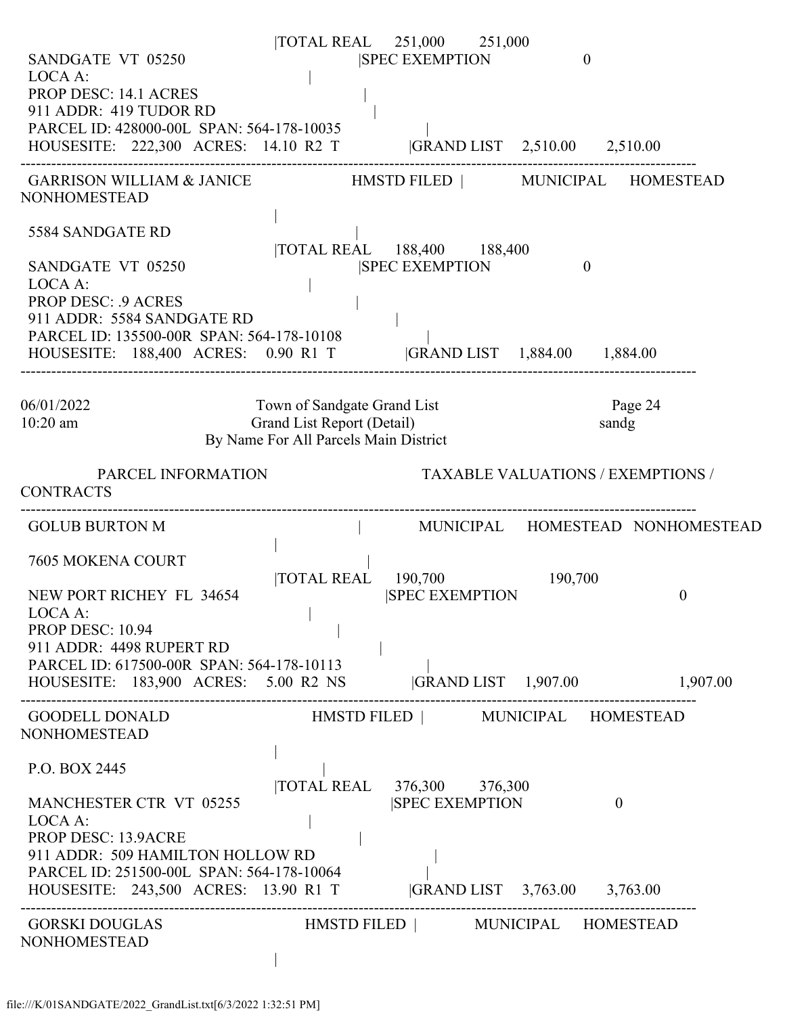| SANDGATE VT 05250<br>LOCA A:<br><b>PROP DESC: 14.1 ACRES</b><br>911 ADDR: 419 TUDOR RD<br>PARCEL ID: 428000-00L SPAN: 564-178-10035<br>HOUSESITE: 222,300 ACRES: 14.10 R2 T  GRAND LIST 2,510.00 2,510.00                                |                                                                                                    | TOTAL REAL 251,000 251,000<br><b>SPEC EXEMPTION</b> | $\mathbf{0}$ |                                          |
|------------------------------------------------------------------------------------------------------------------------------------------------------------------------------------------------------------------------------------------|----------------------------------------------------------------------------------------------------|-----------------------------------------------------|--------------|------------------------------------------|
| GARRISON WILLIAM & JANICE HMSTD FILED   MUNICIPAL HOMESTEAD<br>NONHOMESTEAD                                                                                                                                                              |                                                                                                    |                                                     |              |                                          |
| 5584 SANDGATE RD<br>SANDGATE VT 05250<br>LOCA A:<br><b>PROP DESC: . 9 ACRES</b><br>911 ADDR: 5584 SANDGATE RD<br>PARCEL ID: 135500-00R SPAN: 564-178-10108<br>HOUSESITE: 188,400 ACRES: 0.90 R1 T  GRAND LIST 1,884.00 1,884.00          |                                                                                                    | TOTAL REAL 188,400 188,400<br><b>SPEC EXEMPTION</b> | $\mathbf{0}$ |                                          |
| 06/01/2022<br>$10:20$ am                                                                                                                                                                                                                 | Town of Sandgate Grand List<br>Grand List Report (Detail)<br>By Name For All Parcels Main District |                                                     |              | Page 24<br>sandg                         |
| PARCEL INFORMATION<br><b>CONTRACTS</b>                                                                                                                                                                                                   |                                                                                                    |                                                     |              | <b>TAXABLE VALUATIONS / EXEMPTIONS /</b> |
| <b>GOLUB BURTON M</b>                                                                                                                                                                                                                    |                                                                                                    |                                                     |              | MUNICIPAL HOMESTEAD NONHOMESTEAD         |
| 7605 MOKENA COURT<br>NEW PORT RICHEY FL 34654<br>LOCA A:<br>PROP DESC: 10.94                                                                                                                                                             | <b>TOTAL REAL</b>                                                                                  | 190,700<br><b>SPEC EXEMPTION</b>                    | 190,700      | $\theta$                                 |
| 911 ADDR: 4498 RUPERT RD<br>PARCEL ID: 617500-00R SPAN: 564-178-10113<br>HOUSESITE: 183,900 ACRES: 5.00 R2 NS  GRAND LIST 1,907.00 1,907.00                                                                                              |                                                                                                    |                                                     |              |                                          |
| GOODELL DONALD<br><b>NONHOMESTEAD</b>                                                                                                                                                                                                    |                                                                                                    | HMSTD FILED   MUNICIPAL HOMESTEAD                   |              |                                          |
| P.O. BOX 2445<br>MANCHESTER CTR VT 05255<br>LOCA A:<br><b>PROP DESC: 13.9ACRE</b><br>911 ADDR: 509 HAMILTON HOLLOW RD<br>PARCEL ID: 251500-00L SPAN: 564-178-10064<br>HOUSESITE: 243,500 ACRES: 13.90 R1 T  GRAND LIST 3,763.00 3,763.00 |                                                                                                    | TOTAL REAL 376,300 376,300<br><b>SPEC EXEMPTION</b> |              | $\theta$                                 |
| <b>GORSKI DOUGLAS</b><br><b>NONHOMESTEAD</b>                                                                                                                                                                                             |                                                                                                    | HMSTD FILED   MUNICIPAL HOMESTEAD                   |              |                                          |
|                                                                                                                                                                                                                                          |                                                                                                    |                                                     |              |                                          |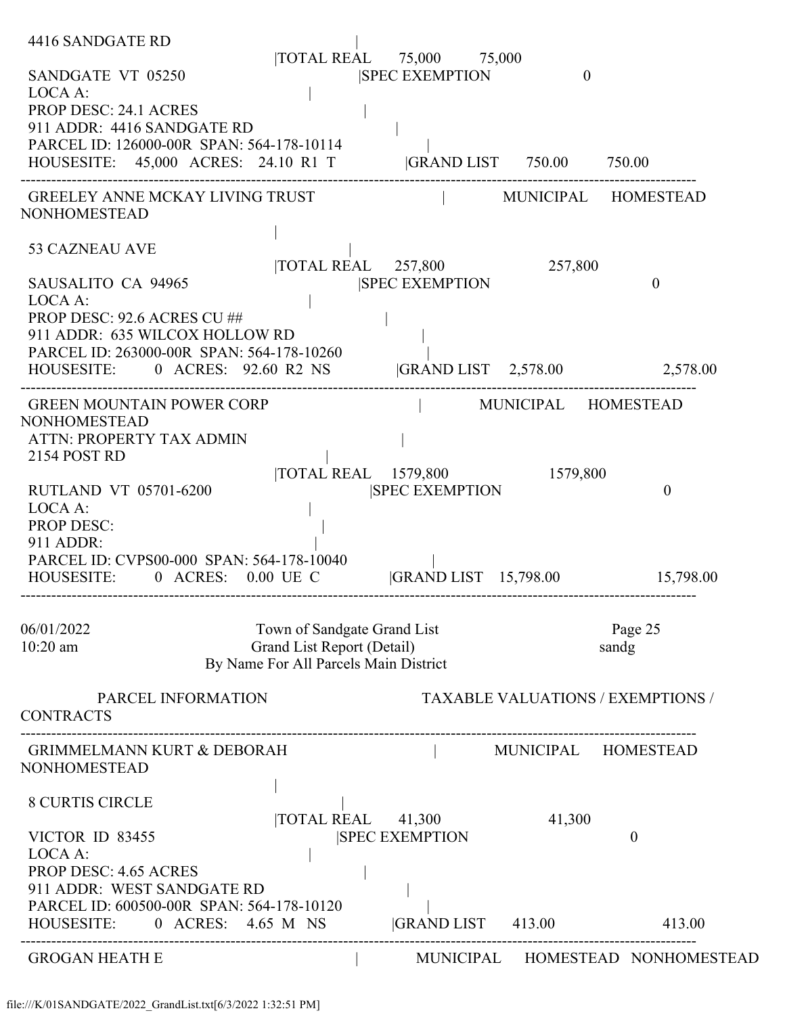| 4416 SANDGATE RD                                                                                           |                             |                                                   |                     |                                          |
|------------------------------------------------------------------------------------------------------------|-----------------------------|---------------------------------------------------|---------------------|------------------------------------------|
| SANDGATE VT 05250                                                                                          |                             | TOTAL REAL 75,000 75,000<br><b>SPEC EXEMPTION</b> | $\overline{0}$      |                                          |
| LOCA A:                                                                                                    |                             |                                                   |                     |                                          |
| <b>PROP DESC: 24.1 ACRES</b>                                                                               |                             |                                                   |                     |                                          |
| 911 ADDR: 4416 SANDGATE RD                                                                                 |                             |                                                   |                     |                                          |
| PARCEL ID: 126000-00R SPAN: 564-178-10114<br>HOUSESITE: 45,000 ACRES: 24.10 R1 T  GRAND LIST 750.00 750.00 |                             |                                                   |                     |                                          |
|                                                                                                            |                             |                                                   |                     |                                          |
| <b>GREELEY ANNE MCKAY LIVING TRUST</b><br><b>NONHOMESTEAD</b>                                              |                             |                                                   |                     | MUNICIPAL HOMESTEAD                      |
| <b>53 CAZNEAU AVE</b>                                                                                      |                             | TOTAL REAL 257,800                                | 257,800             |                                          |
| SAUSALITO CA 94965                                                                                         |                             | <b>SPEC EXEMPTION</b>                             |                     | $\mathbf{0}$                             |
| LOCA A:                                                                                                    |                             |                                                   |                     |                                          |
| PROP DESC: 92.6 ACRES CU ##                                                                                |                             |                                                   |                     |                                          |
| 911 ADDR: 635 WILCOX HOLLOW RD<br>PARCEL ID: 263000-00R SPAN: 564-178-10260                                |                             |                                                   |                     |                                          |
| HOUSESITE: 0 ACRES: 92.60 R2 NS  GRAND LIST 2,578.00 2,578.00                                              |                             |                                                   |                     |                                          |
|                                                                                                            |                             |                                                   |                     |                                          |
| <b>GREEN MOUNTAIN POWER CORP</b><br><b>NONHOMESTEAD</b>                                                    |                             |                                                   | MUNICIPAL HOMESTEAD |                                          |
| <b>ATTN: PROPERTY TAX ADMIN</b>                                                                            |                             |                                                   |                     |                                          |
| 2154 POST RD                                                                                               |                             |                                                   |                     |                                          |
|                                                                                                            |                             | TOTAL REAL 1579,800 1579,800                      |                     |                                          |
| RUTLAND VT 05701-6200<br>LOCA A:                                                                           |                             | <b>SPEC EXEMPTION</b>                             |                     | $\theta$                                 |
| <b>PROP DESC:</b>                                                                                          |                             |                                                   |                     |                                          |
| 911 ADDR:                                                                                                  |                             |                                                   |                     |                                          |
| PARCEL ID: CVPS00-000 SPAN: 564-178-10040                                                                  |                             |                                                   |                     |                                          |
| HOUSESITE: 0 ACRES: 0.00 UE C                                                                              |                             | GRAND LIST 15,798.00 15,798.00                    |                     |                                          |
|                                                                                                            |                             |                                                   |                     |                                          |
| 06/01/2022                                                                                                 | Town of Sandgate Grand List |                                                   |                     | Page 25                                  |
| $10:20$ am                                                                                                 | Grand List Report (Detail)  | By Name For All Parcels Main District             |                     | sandg                                    |
|                                                                                                            |                             |                                                   |                     |                                          |
| PARCEL INFORMATION                                                                                         |                             |                                                   |                     | <b>TAXABLE VALUATIONS / EXEMPTIONS /</b> |
| <b>CONTRACTS</b>                                                                                           |                             |                                                   |                     |                                          |
| GRIMMELMANN KURT & DEBORAH                                                                                 |                             | MUNICIPAL HOMESTEAD                               |                     |                                          |
| <b>NONHOMESTEAD</b>                                                                                        |                             |                                                   |                     |                                          |
| <b>8 CURTIS CIRCLE</b>                                                                                     |                             |                                                   |                     |                                          |
|                                                                                                            |                             | TOTAL REAL 41,300                                 | 41,300              |                                          |
| VICTOR ID 83455                                                                                            |                             | <b>SPEC EXEMPTION</b>                             |                     | $\theta$                                 |
| LOCA A:                                                                                                    |                             |                                                   |                     |                                          |
| <b>PROP DESC: 4.65 ACRES</b>                                                                               |                             |                                                   |                     |                                          |
| 911 ADDR: WEST SANDGATE RD<br>PARCEL ID: 600500-00R SPAN: 564-178-10120                                    |                             |                                                   |                     |                                          |
| HOUSESITE: 0 ACRES: 4.65 M NS                                                                              |                             | GRAND LIST 413.00                                 |                     | 413.00                                   |
| <b>GROGAN HEATH E</b>                                                                                      |                             |                                                   |                     | MUNICIPAL HOMESTEAD NONHOMESTEAD         |
|                                                                                                            |                             |                                                   |                     |                                          |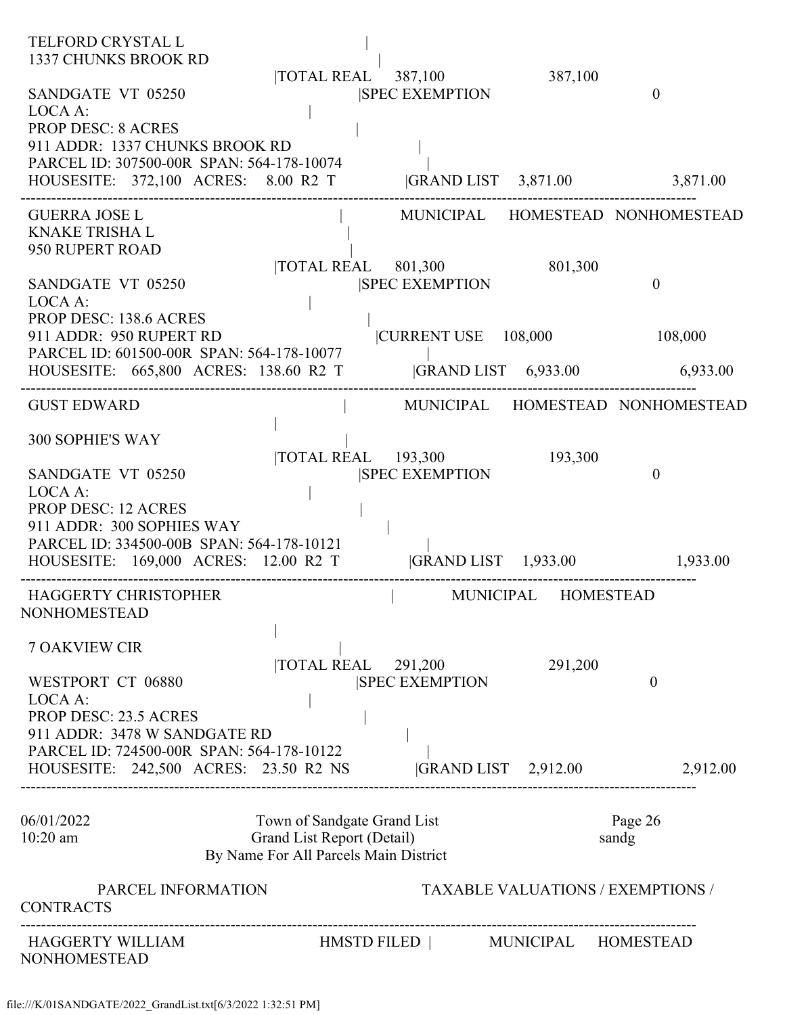| <b>TELFORD CRYSTAL L</b><br>1337 CHUNKS BROOK RD                                                                                                                                | TOTAL REAL 387,100                                                                                 | 387,100                                  |                                  |
|---------------------------------------------------------------------------------------------------------------------------------------------------------------------------------|----------------------------------------------------------------------------------------------------|------------------------------------------|----------------------------------|
| SANDGATE VT 05250<br>LOCA A:<br><b>PROP DESC: 8 ACRES</b><br>911 ADDR: 1337 CHUNKS BROOK RD<br>PARCEL ID: 307500-00R SPAN: 564-178-10074<br>HOUSESITE: 372,100 ACRES: 8.00 R2 T | <b>SPEC EXEMPTION</b>                                                                              | GRAND LIST 3,871.00 3,871.00             | $\theta$                         |
|                                                                                                                                                                                 |                                                                                                    |                                          |                                  |
| <b>GUERRA JOSE L</b><br><b>KNAKE TRISHA L</b><br>950 RUPERT ROAD                                                                                                                |                                                                                                    |                                          | MUNICIPAL HOMESTEAD NONHOMESTEAD |
| SANDGATE VT 05250<br>LOCA A:                                                                                                                                                    | $\overline{\text{TOTAL REAL}}$ 801,300<br><b>SPEC EXEMPTION</b>                                    | 801,300                                  | $\theta$                         |
| <b>PROP DESC: 138.6 ACRES</b><br>911 ADDR: 950 RUPERT RD<br>PARCEL ID: 601500-00R SPAN: 564-178-10077                                                                           |                                                                                                    | CURRENT USE 108,000                      | 108,000                          |
| HOUSESITE: 665,800 ACRES: 138.60 R2 T  GRAND LIST 6,933.00 6,933.00                                                                                                             |                                                                                                    |                                          |                                  |
| <b>GUST EDWARD</b>                                                                                                                                                              |                                                                                                    |                                          | MUNICIPAL HOMESTEAD NONHOMESTEAD |
| <b>300 SOPHIE'S WAY</b>                                                                                                                                                         |                                                                                                    |                                          |                                  |
| SANDGATE VT 05250<br>LOCA A:<br><b>PROP DESC: 12 ACRES</b>                                                                                                                      | $\overline{\text{TOTAL REAL}}$ 193,300<br><b>SPEC EXEMPTION</b>                                    | 193,300                                  | $\mathbf{0}$                     |
| 911 ADDR: 300 SOPHIES WAY<br>PARCEL ID: 334500-00B SPAN: 564-178-10121<br>HOUSESITE: 169,000 ACRES: 12.00 R2 T                                                                  |                                                                                                    | GRAND LIST 1,933.00 1,933.00             |                                  |
| HAGGERTY CHRISTOPHER<br><b>NONHOMESTEAD</b>                                                                                                                                     |                                                                                                    | MUNICIPAL HOMESTEAD                      |                                  |
| <b>7 OAKVIEW CIR</b>                                                                                                                                                            | $\overline{\text{TOTAL REAL}}$ 291,200                                                             | 291,200                                  |                                  |
| WESTPORT CT 06880<br>LOCA A:<br><b>PROP DESC: 23.5 ACRES</b><br>911 ADDR: 3478 W SANDGATE RD                                                                                    | <b>SPEC EXEMPTION</b>                                                                              |                                          | $\theta$                         |
| PARCEL ID: 724500-00R SPAN: 564-178-10122<br>HOUSESITE: 242,500 ACRES: 23.50 R2 NS                                                                                              |                                                                                                    | GRAND LIST 2,912.00                      | 2,912.00                         |
| 06/01/2022<br>10:20 am                                                                                                                                                          | Town of Sandgate Grand List<br>Grand List Report (Detail)<br>By Name For All Parcels Main District |                                          | Page 26<br>sandg                 |
| PARCEL INFORMATION<br><b>CONTRACTS</b>                                                                                                                                          |                                                                                                    | <b>TAXABLE VALUATIONS / EXEMPTIONS /</b> |                                  |
| HAGGERTY WILLIAM<br><b>NONHOMESTEAD</b>                                                                                                                                         | HMSTD FILED   MUNICIPAL HOMESTEAD                                                                  |                                          |                                  |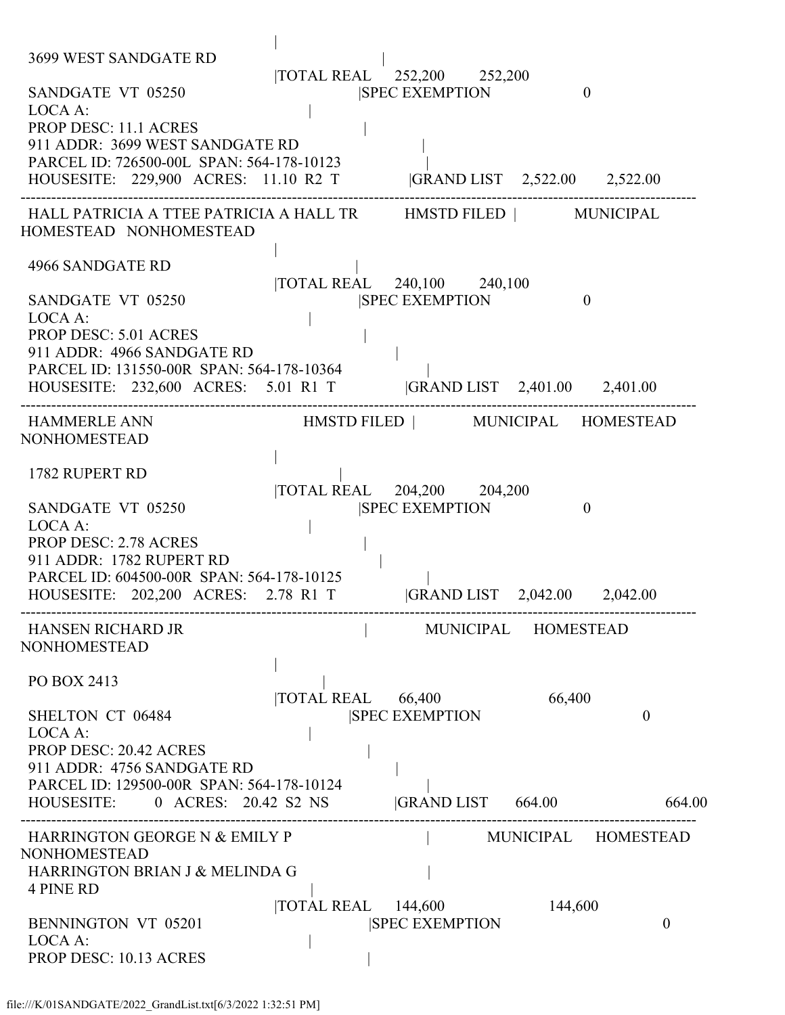| 3699 WEST SANDGATE RD<br>SANDGATE VT 05250<br>LOCA A:<br><b>PROP DESC: 11.1 ACRES</b>                                                                                                                                            |                   | TOTAL REAL 252,200 252,200<br><b>SPEC EXEMPTION</b>                                  | $\theta$ |                          |
|----------------------------------------------------------------------------------------------------------------------------------------------------------------------------------------------------------------------------------|-------------------|--------------------------------------------------------------------------------------|----------|--------------------------|
| 911 ADDR: 3699 WEST SANDGATE RD<br>PARCEL ID: 726500-00L SPAN: 564-178-10123<br>HOUSESITE: 229,900 ACRES: 11.10 R2 T                                                                                                             |                   | GRAND LIST 2,522.00 2,522.00                                                         |          |                          |
| HALL PATRICIA A TTEE PATRICIA A HALL TR HMSTD FILED   MUNICIPAL<br>HOMESTEAD NONHOMESTEAD                                                                                                                                        |                   |                                                                                      |          |                          |
| 4966 SANDGATE RD<br>SANDGATE VT 05250<br>LOCA A:<br><b>PROP DESC: 5.01 ACRES</b><br>911 ADDR: 4966 SANDGATE RD<br>PARCEL ID: 131550-00R SPAN: 564-178-10364<br>HOUSESITE: 232,600 ACRES: 5.01 R1 T  GRAND LIST 2,401.00 2,401.00 |                   | TOTAL REAL 240,100 240,100<br><b>ISPEC EXEMPTION</b>                                 | $\theta$ |                          |
| <b>HAMMERLE ANN</b><br><b>NONHOMESTEAD</b>                                                                                                                                                                                       |                   | HMSTD FILED   MUNICIPAL HOMESTEAD                                                    |          |                          |
| 1782 RUPERT RD<br>SANDGATE VT 05250<br>LOCA A:<br><b>PROP DESC: 2.78 ACRES</b><br>911 ADDR: 1782 RUPERT RD<br>PARCEL ID: 604500-00R SPAN: 564-178-10125<br>HOUSESITE: 202,200 ACRES: 2.78 R1 T                                   |                   | TOTAL REAL 204,200 204,200<br><b>SPEC EXEMPTION</b><br> GRAND LIST 2,042.00 2,042.00 | $\theta$ |                          |
| <b>HANSEN RICHARD JR</b><br><b>NONHOMESTEAD</b>                                                                                                                                                                                  |                   | MUNICIPAL HOMESTEAD                                                                  |          |                          |
| PO BOX 2413<br>SHELTON CT 06484<br>LOCA A:<br><b>PROP DESC: 20.42 ACRES</b><br>911 ADDR: 4756 SANDGATE RD<br>PARCEL ID: 129500-00R SPAN: 564-178-10124<br>HOUSESITE: 0 ACRES: 20.42 S2 NS                                        | TOTAL REAL 66,400 | <b>SPEC EXEMPTION</b><br> GRAND LIST 664.00                                          | 66,400   | $\overline{0}$<br>664.00 |
| HARRINGTON GEORGE N & EMILY P<br><b>NONHOMESTEAD</b><br>HARRINGTON BRIAN J & MELINDA G<br><b>4 PINE RD</b>                                                                                                                       |                   |                                                                                      |          | MUNICIPAL HOMESTEAD      |
| <b>BENNINGTON VT 05201</b><br>LOCA A:<br>PROP DESC: 10.13 ACRES                                                                                                                                                                  | <b>TOTAL REAL</b> | 144,600<br><b>SPEC EXEMPTION</b>                                                     | 144,600  | $\boldsymbol{0}$         |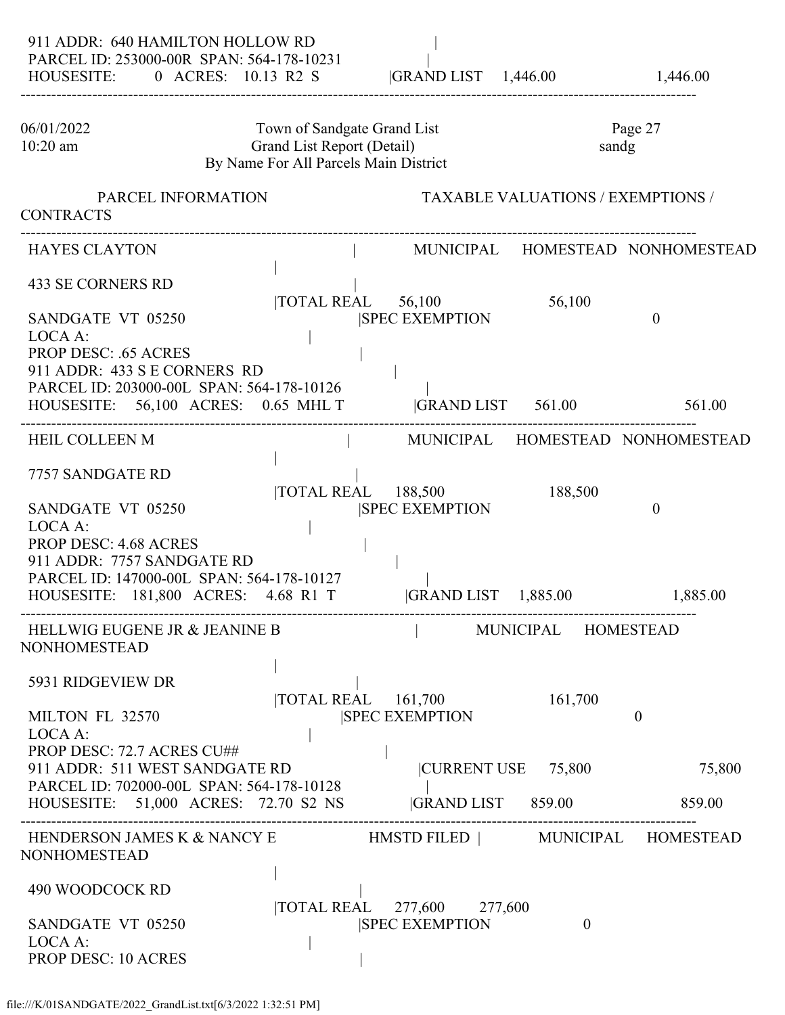| 911 ADDR: 640 HAMILTON HOLLOW RD<br>PARCEL ID: 253000-00R SPAN: 564-178-10231<br>HOUSESITE: 0 ACRES: 10.13 R2 S  GRAND LIST 1,446.00                      |                                                                                                    |                                                     |                                                 | 1,446.00                         |
|-----------------------------------------------------------------------------------------------------------------------------------------------------------|----------------------------------------------------------------------------------------------------|-----------------------------------------------------|-------------------------------------------------|----------------------------------|
| 06/01/2022<br>$10:20$ am                                                                                                                                  | Town of Sandgate Grand List<br>Grand List Report (Detail)<br>By Name For All Parcels Main District |                                                     |                                                 | Page 27<br>sandg                 |
| PARCEL INFORMATION<br><b>CONTRACTS</b>                                                                                                                    |                                                                                                    |                                                     | <b>TAXABLE VALUATIONS / EXEMPTIONS /</b>        |                                  |
| <b>HAYES CLAYTON</b>                                                                                                                                      |                                                                                                    |                                                     |                                                 | MUNICIPAL HOMESTEAD NONHOMESTEAD |
| <b>433 SE CORNERS RD</b><br>SANDGATE VT 05250<br>LOCA A:                                                                                                  | $\overline{10TAL}$ REAL 56,100                                                                     | <b>SPEC EXEMPTION</b>                               | 56,100                                          | $\theta$                         |
| <b>PROP DESC: .65 ACRES</b><br>911 ADDR: 433 S E CORNERS RD<br>PARCEL ID: 203000-00L SPAN: 564-178-10126<br>HOUSESITE: 56,100 ACRES: 0.65 MHL T           |                                                                                                    | GRAND LIST 561.00                                   |                                                 | 561.00                           |
| <b>HEIL COLLEEN M</b>                                                                                                                                     |                                                                                                    |                                                     |                                                 | MUNICIPAL HOMESTEAD NONHOMESTEAD |
| 7757 SANDGATE RD<br>SANDGATE VT 05250                                                                                                                     |                                                                                                    | TOTAL REAL 188,500<br><b>SPEC EXEMPTION</b>         | 188,500                                         | $\boldsymbol{0}$                 |
| LOCA A:<br><b>PROP DESC: 4.68 ACRES</b><br>911 ADDR: 7757 SANDGATE RD<br>PARCEL ID: 147000-00L SPAN: 564-178-10127<br>HOUSESITE: 181,800 ACRES: 4.68 R1 T |                                                                                                    | <b>GRAND LIST</b> 1,885.00                          |                                                 | 1,885.00                         |
| <b>HELLWIG EUGENE JR &amp; JEANINE B</b><br><b>NONHOMESTEAD</b>                                                                                           |                                                                                                    |                                                     | MUNICIPAL HOMESTEAD                             |                                  |
| 5931 RIDGEVIEW DR<br>MILTON FL 32570<br>LOCA A:<br>PROP DESC: 72.7 ACRES CU##                                                                             |                                                                                                    | TOTAL REAL 161,700<br><b>SPEC EXEMPTION</b>         | 161,700                                         | $\theta$                         |
| 911 ADDR: 511 WEST SANDGATE RD<br>PARCEL ID: 702000-00L SPAN: 564-178-10128<br>HOUSESITE: 51,000 ACRES: 72.70 S2 NS                                       |                                                                                                    |                                                     | CURRENT USE 75,800<br> GRAND LIST 859.00 859.00 | 75,800                           |
| HENDERSON JAMES K & NANCY E HMSTD FILED   MUNICIPAL HOMESTEAD<br><b>NONHOMESTEAD</b>                                                                      |                                                                                                    |                                                     |                                                 |                                  |
| 490 WOODCOCK RD<br>SANDGATE VT 05250<br>LOCA A:<br><b>PROP DESC: 10 ACRES</b>                                                                             |                                                                                                    | TOTAL REAL 277,600 277,600<br><b>SPEC EXEMPTION</b> | $\theta$                                        |                                  |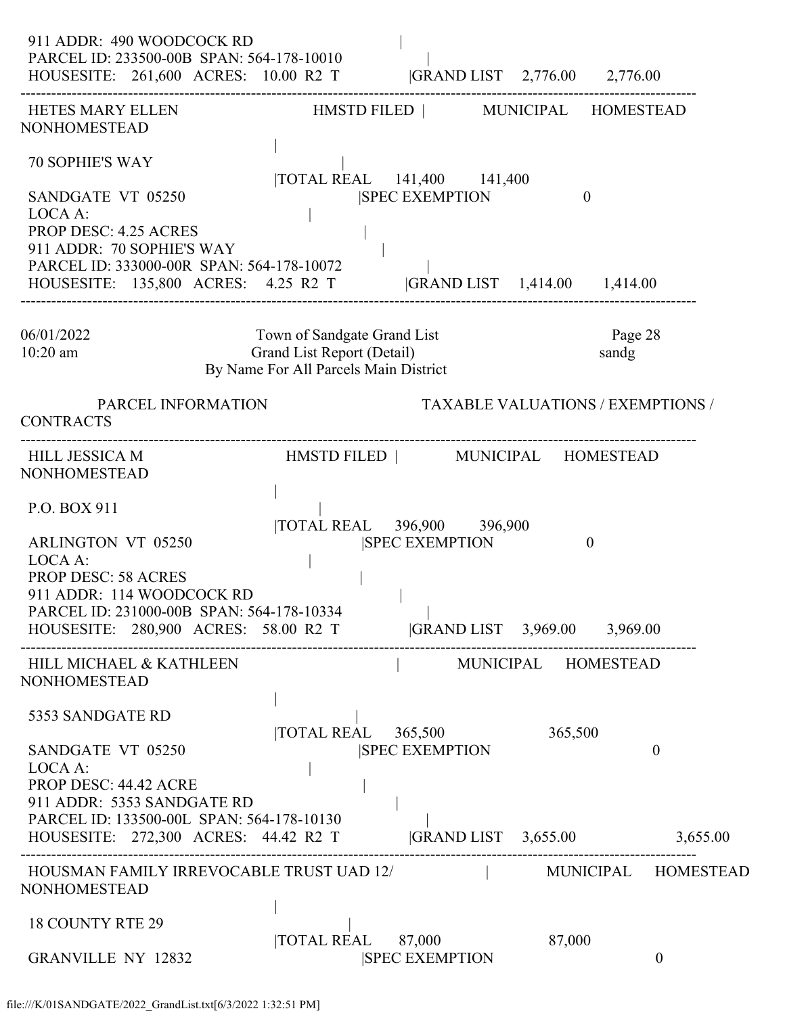| 911 ADDR: 490 WOODCOCK RD<br>PARCEL ID: 233500-00B SPAN: 564-178-10010<br>HOUSESITE: 261,600 ACRES: 10.00 R2 T  GRAND LIST 2,776.00 2,776.00                                                                                       |                                                                                                    |                                                                       |                                           |                          |
|------------------------------------------------------------------------------------------------------------------------------------------------------------------------------------------------------------------------------------|----------------------------------------------------------------------------------------------------|-----------------------------------------------------------------------|-------------------------------------------|--------------------------|
| HETES MARY ELLEN<br><b>NONHOMESTEAD</b>                                                                                                                                                                                            |                                                                                                    | HMSTD FILED   MUNICIPAL HOMESTEAD                                     |                                           |                          |
| <b>70 SOPHIE'S WAY</b><br>SANDGATE VT 05250<br>LOCA A:<br><b>PROP DESC: 4.25 ACRES</b><br>911 ADDR: 70 SOPHIE'S WAY<br>PARCEL ID: 333000-00R SPAN: 564-178-10072<br>HOUSESITE: 135,800 ACRES: 4.25 R2 T                            |                                                                                                    | TOTAL REAL 141,400 141,400<br><b>SPEC EXEMPTION</b>                   | $\theta$<br> GRAND LIST 1,414.00 1,414.00 |                          |
| 06/01/2022<br>$10:20$ am                                                                                                                                                                                                           | Town of Sandgate Grand List<br>Grand List Report (Detail)<br>By Name For All Parcels Main District |                                                                       |                                           | Page 28<br>sandg         |
| PARCEL INFORMATION<br><b>CONTRACTS</b>                                                                                                                                                                                             |                                                                                                    |                                                                       | <b>TAXABLE VALUATIONS / EXEMPTIONS /</b>  |                          |
| <b>HILL JESSICA M</b><br><b>NONHOMESTEAD</b>                                                                                                                                                                                       |                                                                                                    | HMSTD FILED   MUNICIPAL HOMESTEAD                                     |                                           |                          |
| P.O. BOX 911<br><b>ARLINGTON VT 05250</b><br>LOCA A:<br><b>PROP DESC: 58 ACRES</b><br>911 ADDR: 114 WOODCOCK RD<br>PARCEL ID: 231000-00B SPAN: 564-178-10334<br>HOUSESITE: 280,900 ACRES: 58.00 R2 T  GRAND LIST 3,969.00 3,969.00 |                                                                                                    | TOTAL REAL 396,900 396,900<br><b>SPEC EXEMPTION</b>                   | $\theta$                                  |                          |
| HILL MICHAEL & KATHLEEN<br><b>NONHOMESTEAD</b>                                                                                                                                                                                     |                                                                                                    |                                                                       | MUNICIPAL HOMESTEAD                       |                          |
| 5353 SANDGATE RD<br>SANDGATE VT 05250<br>LOCA A:<br>PROP DESC: 44.42 ACRE<br>911 ADDR: 5353 SANDGATE RD<br>PARCEL ID: 133500-00L SPAN: 564-178-10130<br>HOUSESITE: 272,300 ACRES: 44.42 R2 T                                       |                                                                                                    | TOTAL REAL 365,500<br><b>SPEC EXEMPTION</b><br>$ GRAND LIST$ 3,655.00 | 365,500                                   | $\mathbf{0}$<br>3,655.00 |
| HOUSMAN FAMILY IRREVOCABLE TRUST UAD 12/ [19] MUNICIPAL HOMESTEAD<br><b>NONHOMESTEAD</b>                                                                                                                                           |                                                                                                    |                                                                       |                                           |                          |
| <b>18 COUNTY RTE 29</b><br><b>GRANVILLE NY 12832</b>                                                                                                                                                                               |                                                                                                    | TOTAL REAL 87,000<br><b>SPEC EXEMPTION</b>                            | 87,000                                    | $\overline{0}$           |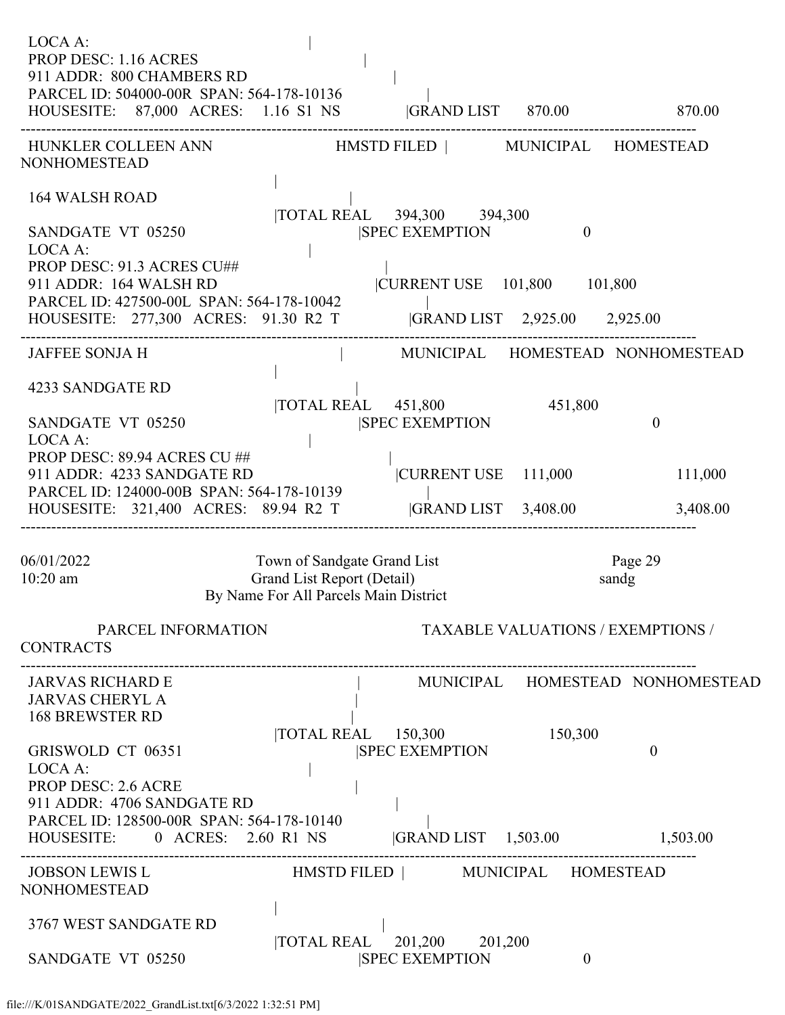| LOCA A:<br><b>PROP DESC: 1.16 ACRES</b><br>911 ADDR: 800 CHAMBERS RD<br>PARCEL ID: 504000-00R SPAN: 564-178-10136<br>HOUSESITE: 87,000 ACRES: 1.16 S1 NS  GRAND LIST 870.00 |                                                           |                                                                          |                                          | 870.00                           |
|-----------------------------------------------------------------------------------------------------------------------------------------------------------------------------|-----------------------------------------------------------|--------------------------------------------------------------------------|------------------------------------------|----------------------------------|
| HUNKLER COLLEEN ANN HMSTD FILED   MUNICIPAL HOMESTEAD<br>NONHOMESTEAD                                                                                                       |                                                           |                                                                          |                                          |                                  |
| <b>164 WALSH ROAD</b><br>SANDGATE VT 05250<br>LOCA A:                                                                                                                       |                                                           | TOTAL REAL 394,300 394,300<br><b>SPEC EXEMPTION</b>                      | $\theta$                                 |                                  |
| PROP DESC: 91.3 ACRES CU##<br>911 ADDR: 164 WALSH RD<br>PARCEL ID: 427500-00L SPAN: 564-178-10042<br>HOUSESITE: 277,300 ACRES: 91.30 R2 T                                   |                                                           | CURRENT USE  101,800  101,800                                            | GRAND LIST 2,925.00 2,925.00             |                                  |
| <b>JAFFEE SONJA H</b>                                                                                                                                                       |                                                           |                                                                          |                                          | MUNICIPAL HOMESTEAD NONHOMESTEAD |
| 4233 SANDGATE RD<br>SANDGATE VT 05250<br>LOCA A:                                                                                                                            |                                                           | TOTAL REAL 451,800<br><b>SPEC EXEMPTION</b>                              | 451,800                                  | $\overline{0}$                   |
| PROP DESC: 89.94 ACRES CU ##<br>911 ADDR: 4233 SANDGATE RD<br>PARCEL ID: 124000-00B SPAN: 564-178-10139<br>HOUSESITE: 321,400 ACRES: 89.94 R2 T                             |                                                           | $ {\text{CURRENT USE}} \quad 111,000$                                    | <b>GRAND LIST</b> 3,408.00               | 111,000<br>3,408.00              |
| 06/01/2022<br>$10:20$ am                                                                                                                                                    | Town of Sandgate Grand List<br>Grand List Report (Detail) | By Name For All Parcels Main District                                    |                                          | Page 29<br>sandg                 |
| PARCEL INFORMATION<br><b>CONTRACTS</b>                                                                                                                                      |                                                           |                                                                          | <b>TAXABLE VALUATIONS / EXEMPTIONS /</b> |                                  |
| <b>JARVAS RICHARD E</b><br><b>JARVAS CHERYL A</b><br><b>168 BREWSTER RD</b>                                                                                                 |                                                           |                                                                          |                                          | MUNICIPAL HOMESTEAD NONHOMESTEAD |
| GRISWOLD CT 06351<br>LOCA A:<br><b>PROP DESC: 2.6 ACRE</b><br>911 ADDR: 4706 SANDGATE RD                                                                                    |                                                           | $\overline{10}$ TOTAL REAL $\overline{150,300}$<br><b>SPEC EXEMPTION</b> | 150,300                                  | $\theta$                         |
| PARCEL ID: 128500-00R SPAN: 564-178-10140<br>HOUSESITE: 0 ACRES: 2.60 R1 NS                                                                                                 |                                                           | $ GRAND LIST \t1,503.00$                                                 |                                          | 1,503.00                         |
| JOBSON LEWIS L<br>NONHOMESTEAD                                                                                                                                              |                                                           | HMSTD FILED   MUNICIPAL HOMESTEAD                                        |                                          |                                  |
| 3767 WEST SANDGATE RD<br>SANDGATE VT 05250                                                                                                                                  | <b>TOTAL REAL</b>                                         | 201,200 201,200<br><b>SPEC EXEMPTION</b>                                 | $\overline{0}$                           |                                  |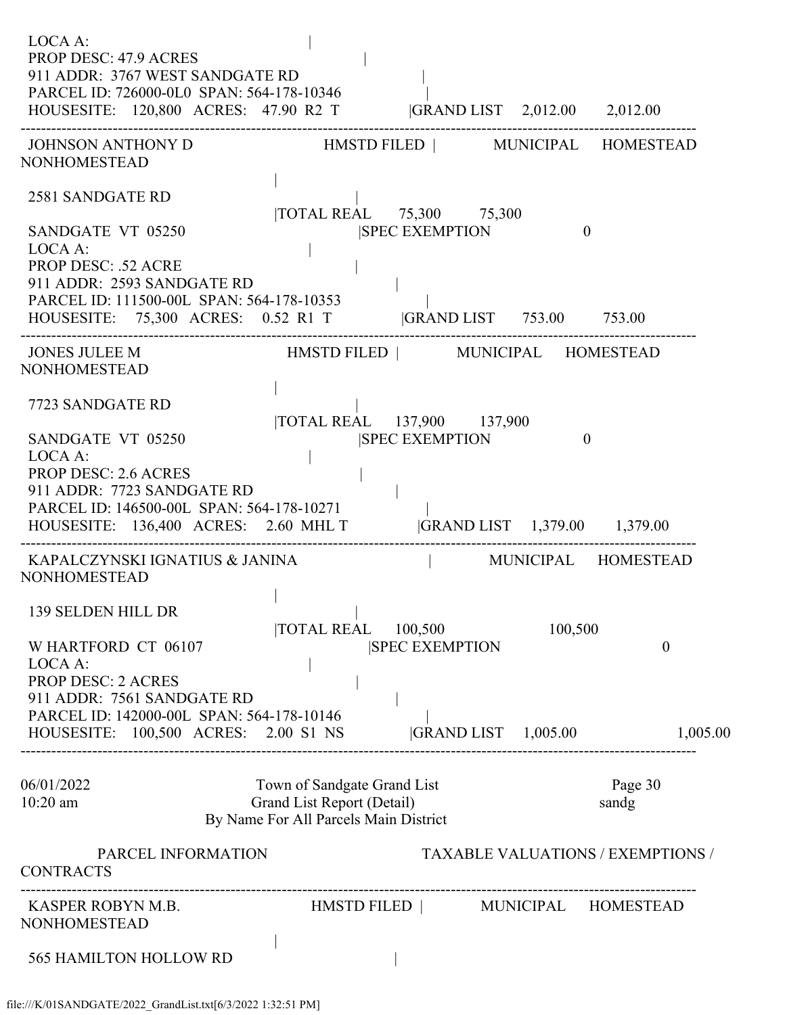| LOCA A:<br><b>PROP DESC: 47.9 ACRES</b><br>911 ADDR: 3767 WEST SANDGATE RD<br>PARCEL ID: 726000-0L0 SPAN: 564-178-10346<br>HOUSESITE: 120,800 ACRES: 47.90 R2 T  GRAND LIST 2,012.00 2,012.00                                    |                                                                                                    |                                                              |         |                                          |
|----------------------------------------------------------------------------------------------------------------------------------------------------------------------------------------------------------------------------------|----------------------------------------------------------------------------------------------------|--------------------------------------------------------------|---------|------------------------------------------|
| JOHNSON ANTHONY D HMSTD FILED   MUNICIPAL HOMESTEAD<br><b>NONHOMESTEAD</b>                                                                                                                                                       |                                                                                                    |                                                              |         |                                          |
| 2581 SANDGATE RD                                                                                                                                                                                                                 |                                                                                                    | TOTAL REAL 75,300 75,300                                     |         |                                          |
| SANDGATE VT 05250<br>LOCA A:<br><b>PROP DESC: .52 ACRE</b><br>911 ADDR: 2593 SANDGATE RD<br>PARCEL ID: 111500-00L SPAN: 564-178-10353<br>HOUSESITE: 75,300 ACRES: 0.52 R1 T  GRAND LIST 753.00 753.00                            |                                                                                                    | <b>SPEC EXEMPTION</b>                                        |         | $\theta$                                 |
| JONES JULEE M<br><b>NONHOMESTEAD</b>                                                                                                                                                                                             |                                                                                                    | HMSTD FILED   MUNICIPAL HOMESTEAD                            |         |                                          |
| 7723 SANDGATE RD<br>SANDGATE VT 05250<br>LOCA A:<br><b>PROP DESC: 2.6 ACRES</b><br>911 ADDR: 7723 SANDGATE RD<br>PARCEL ID: 146500-00L SPAN: 564-178-10271<br>HOUSESITE: 136,400 ACRES: 2.60 MHL T  GRAND LIST 1,379.00 1,379.00 |                                                                                                    | TOTAL REAL 137,900 137,900<br><b>SPEC EXEMPTION</b>          |         | $\theta$                                 |
| KAPALCZYNSKI IGNATIUS & JANINA<br><b>NONHOMESTEAD</b>                                                                                                                                                                            |                                                                                                    | MUNICIPAL HOMESTEAD                                          |         |                                          |
| 139 SELDEN HILL DR<br>W HARTFORD CT 06107<br>LOCA A:<br><b>PROP DESC: 2 ACRES</b><br>911 ADDR: 7561 SANDGATE RD<br>PARCEL ID: 142000-00L SPAN: 564-178-10146<br>HOUSESITE: 100,500 ACRES: 2.00 S1 NS                             | <b>TOTAL REAL</b>                                                                                  | 100,500<br><b>SPEC EXEMPTION</b><br>$ GRAND LIST \t1,005.00$ | 100,500 | $\theta$<br>1,005.00                     |
| 06/01/2022<br>10:20 am                                                                                                                                                                                                           | Town of Sandgate Grand List<br>Grand List Report (Detail)<br>By Name For All Parcels Main District |                                                              |         | Page 30<br>sandg                         |
| PARCEL INFORMATION<br><b>CONTRACTS</b>                                                                                                                                                                                           |                                                                                                    |                                                              |         | <b>TAXABLE VALUATIONS / EXEMPTIONS /</b> |
| KASPER ROBYN M.B.<br><b>NONHOMESTEAD</b>                                                                                                                                                                                         |                                                                                                    | HMSTD FILED   MUNICIPAL HOMESTEAD                            |         |                                          |
| <b>565 HAMILTON HOLLOW RD</b>                                                                                                                                                                                                    |                                                                                                    |                                                              |         |                                          |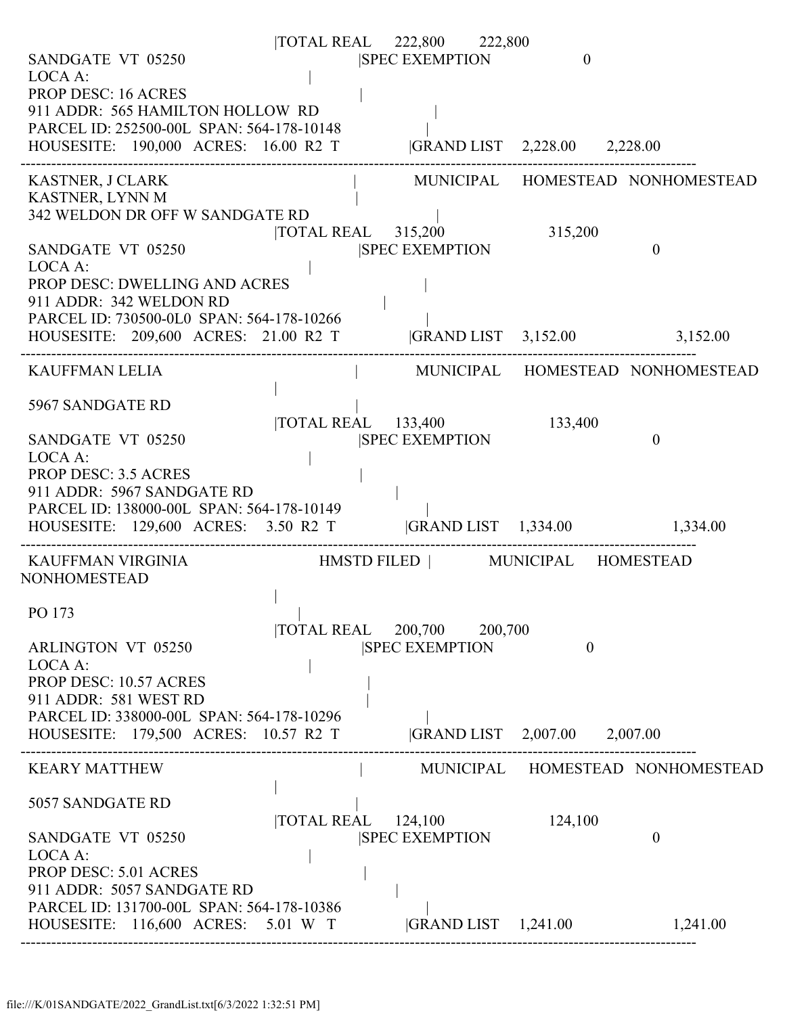|                                                                                                      |                    | TOTAL REAL 222,800 222,800                                      |                              |                                  |
|------------------------------------------------------------------------------------------------------|--------------------|-----------------------------------------------------------------|------------------------------|----------------------------------|
| SANDGATE VT 05250                                                                                    |                    | <b>SPEC EXEMPTION</b>                                           | $\theta$                     |                                  |
| LOCA A:<br><b>PROP DESC: 16 ACRES</b>                                                                |                    |                                                                 |                              |                                  |
| 911 ADDR: 565 HAMILTON HOLLOW RD                                                                     |                    |                                                                 |                              |                                  |
| PARCEL ID: 252500-00L SPAN: 564-178-10148                                                            |                    |                                                                 |                              |                                  |
| HOUSESITE: 190,000 ACRES: 16.00 R2 T  GRAND LIST 2,228.00 2,228.00                                   |                    |                                                                 |                              |                                  |
|                                                                                                      |                    |                                                                 |                              |                                  |
| <b>KASTNER, J CLARK</b>                                                                              |                    |                                                                 |                              | MUNICIPAL HOMESTEAD NONHOMESTEAD |
| KASTNER, LYNN M<br>342 WELDON DR OFF W SANDGATE RD                                                   |                    |                                                                 |                              |                                  |
|                                                                                                      |                    | $\overline{\text{TOTAL REAL}}$ 315,200                          | 315,200                      |                                  |
| SANDGATE VT 05250                                                                                    |                    | <b>SPEC EXEMPTION</b>                                           |                              | $\theta$                         |
| LOCA A:                                                                                              |                    |                                                                 |                              |                                  |
| PROP DESC: DWELLING AND ACRES                                                                        |                    |                                                                 |                              |                                  |
| 911 ADDR: 342 WELDON RD<br>PARCEL ID: 730500-0L0 SPAN: 564-178-10266                                 |                    |                                                                 |                              |                                  |
| HOUSESITE: 209,600 ACRES: 21.00 R2 T                                                                 |                    |                                                                 | GRAND LIST 3,152.00 3,152.00 |                                  |
|                                                                                                      |                    |                                                                 |                              |                                  |
| <b>KAUFFMAN LELIA</b>                                                                                |                    |                                                                 |                              | MUNICIPAL HOMESTEAD NONHOMESTEAD |
|                                                                                                      |                    |                                                                 |                              |                                  |
| 5967 SANDGATE RD                                                                                     |                    |                                                                 |                              |                                  |
| SANDGATE VT 05250                                                                                    |                    | $\overline{\text{TOTAL REAL}}$ 133,400<br><b>SPEC EXEMPTION</b> | 133,400                      | $\theta$                         |
| LOCA A:                                                                                              |                    |                                                                 |                              |                                  |
| <b>PROP DESC: 3.5 ACRES</b>                                                                          |                    |                                                                 |                              |                                  |
| 911 ADDR: 5967 SANDGATE RD                                                                           |                    |                                                                 |                              |                                  |
| PARCEL ID: 138000-00L SPAN: 564-178-10149                                                            |                    |                                                                 |                              |                                  |
| HOUSESITE: 129,600 ACRES: 3.50 R2 T  GRAND LIST 1,334.00 1,334.00                                    |                    |                                                                 |                              |                                  |
| KAUFFMAN VIRGINIA                                  HMSTD FILED               MUNICIPAL     HOMESTEAD |                    |                                                                 |                              |                                  |
| NONHOMESTEAD                                                                                         |                    |                                                                 |                              |                                  |
|                                                                                                      |                    |                                                                 |                              |                                  |
| PO 173                                                                                               |                    |                                                                 |                              |                                  |
| <b>ARLINGTON VT 05250</b>                                                                            |                    | TOTAL REAL 200,700 200,700<br><b>SPEC EXEMPTION</b>             | $\overline{0}$               |                                  |
| LOCA A:                                                                                              |                    |                                                                 |                              |                                  |
| <b>PROP DESC: 10.57 ACRES</b>                                                                        |                    |                                                                 |                              |                                  |
| 911 ADDR: 581 WEST RD                                                                                |                    |                                                                 |                              |                                  |
| PARCEL ID: 338000-00L SPAN: 564-178-10296                                                            |                    |                                                                 |                              |                                  |
| HOUSESITE: 179,500 ACRES: 10.57 R2 T                                                                 |                    |                                                                 | GRAND LIST 2,007.00 2,007.00 |                                  |
| <b>KEARY MATTHEW</b>                                                                                 |                    |                                                                 |                              | MUNICIPAL HOMESTEAD NONHOMESTEAD |
|                                                                                                      |                    |                                                                 |                              |                                  |
| 5057 SANDGATE RD                                                                                     |                    |                                                                 |                              |                                  |
|                                                                                                      | TOTAL REAL 124,100 |                                                                 | 124,100                      |                                  |
| SANDGATE VT 05250                                                                                    |                    | <b>SPEC EXEMPTION</b>                                           |                              | $\mathbf{0}$                     |
| LOCA A:<br><b>PROP DESC: 5.01 ACRES</b>                                                              |                    |                                                                 |                              |                                  |
| 911 ADDR: 5057 SANDGATE RD                                                                           |                    |                                                                 |                              |                                  |
| PARCEL ID: 131700-00L SPAN: 564-178-10386                                                            |                    |                                                                 |                              |                                  |
| HOUSESITE: 116,600 ACRES: 5.01 W T                                                                   |                    | $ GRAND LIST \t1,241.00$                                        |                              | 1,241.00                         |
|                                                                                                      |                    |                                                                 |                              |                                  |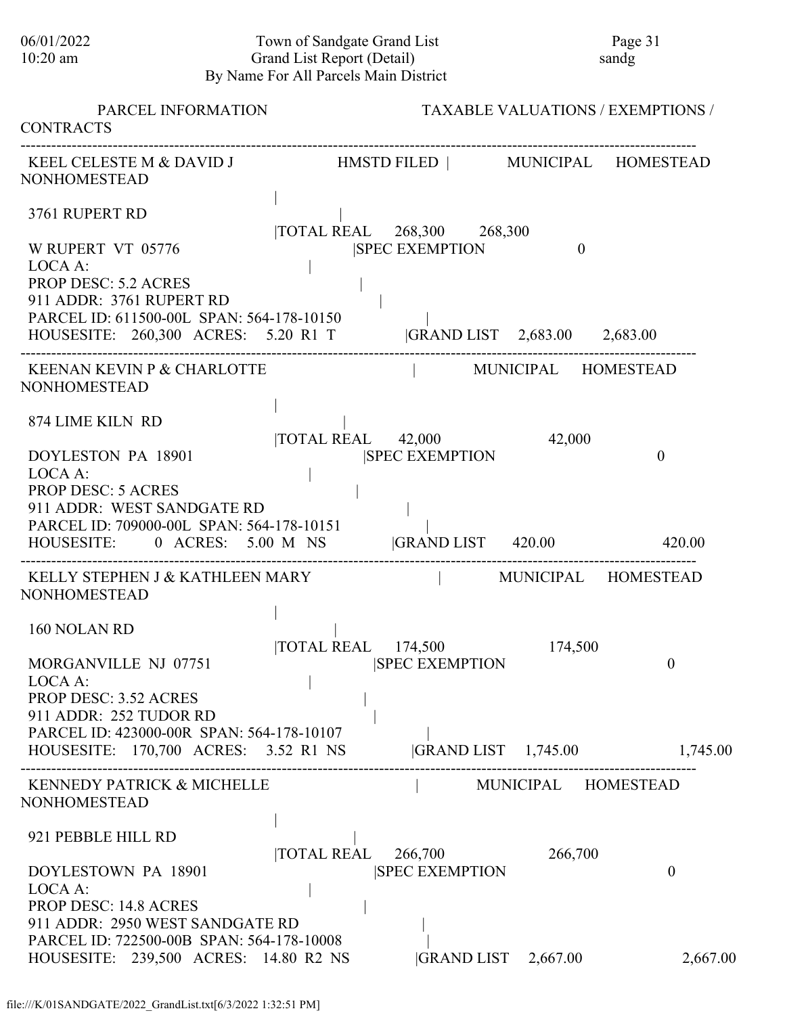# 06/01/2022 Town of Sandgate Grand List Page 31<br>10:20 am Grand List Report (Detail) sandg 10:20 am Grand List Report (Detail) sandg By Name For All Parcels Main District

| PARCEL INFORMATION<br><b>CONTRACTS</b>                                                                                                                                               |                   |                                                     |                     | <b>TAXABLE VALUATIONS / EXEMPTIONS /</b> |
|--------------------------------------------------------------------------------------------------------------------------------------------------------------------------------------|-------------------|-----------------------------------------------------|---------------------|------------------------------------------|
| KEEL CELESTE M & DAVID J HMSTD FILED   MUNICIPAL HOMESTEAD<br><b>NONHOMESTEAD</b>                                                                                                    |                   |                                                     |                     |                                          |
| 3761 RUPERT RD<br>W RUPERT VT 05776                                                                                                                                                  |                   | TOTAL REAL 268,300 268,300<br><b>SPEC EXEMPTION</b> | $\theta$            |                                          |
| LOCA A:<br><b>PROP DESC: 5.2 ACRES</b><br>911 ADDR: 3761 RUPERT RD<br>PARCEL ID: 611500-00L SPAN: 564-178-10150<br>HOUSESITE: 260,300 ACRES: 5.20 R1 T  GRAND LIST 2,683.00 2,683.00 |                   |                                                     |                     |                                          |
| KEENAN KEVIN P & CHARLOTTE<br><b>NONHOMESTEAD</b>                                                                                                                                    |                   | MUNICIPAL HOMESTEAD                                 |                     |                                          |
| 874 LIME KILN RD                                                                                                                                                                     |                   | TOTAL REAL 42,000                                   | 42,000              |                                          |
| DOYLESTON PA 18901<br>LOCA A:<br><b>PROP DESC: 5 ACRES</b><br>911 ADDR: WEST SANDGATE RD<br>PARCEL ID: 709000-00L SPAN: 564-178-10151                                                |                   | <b>SPEC EXEMPTION</b>                               |                     | $\theta$                                 |
| HOUSESITE: 0 ACRES: 5.00 M NS GRAND LIST 420.00 420.00                                                                                                                               |                   |                                                     |                     |                                          |
| KELLY STEPHEN J & KATHLEEN MARY<br><b>NONHOMESTEAD</b>                                                                                                                               |                   | MUNICIPAL HOMESTEAD                                 |                     |                                          |
| 160 NOLAN RD                                                                                                                                                                         |                   | TOTAL REAL 174,500 174,500                          |                     |                                          |
| MORGANVILLE NJ 07751<br>LOCA A:<br><b>PROP DESC: 3.52 ACRES</b><br>911 ADDR: 252 TUDOR RD<br>PARCEL ID: 423000-00R SPAN: 564-178-10107                                               |                   | <b>SPEC EXEMPTION</b>                               |                     | $\theta$                                 |
| HOUSESITE: 170,700 ACRES: 3.52 R1 NS                                                                                                                                                 |                   |                                                     |                     | GRAND LIST 1,745.00 1,745.00             |
| KENNEDY PATRICK & MICHELLE<br><b>NONHOMESTEAD</b>                                                                                                                                    |                   |                                                     | MUNICIPAL HOMESTEAD |                                          |
| 921 PEBBLE HILL RD                                                                                                                                                                   | <b>TOTAL REAL</b> | 266,700                                             | 266,700             |                                          |
| DOYLESTOWN PA 18901<br>LOCA A:<br><b>PROP DESC: 14.8 ACRES</b>                                                                                                                       |                   | <b>SPEC EXEMPTION</b>                               |                     | $\theta$                                 |
| 911 ADDR: 2950 WEST SANDGATE RD<br>PARCEL ID: 722500-00B SPAN: 564-178-10008<br>HOUSESITE: 239,500 ACRES: 14.80 R2 NS                                                                |                   | GRAND LIST 2,667.00                                 |                     | 2,667.00                                 |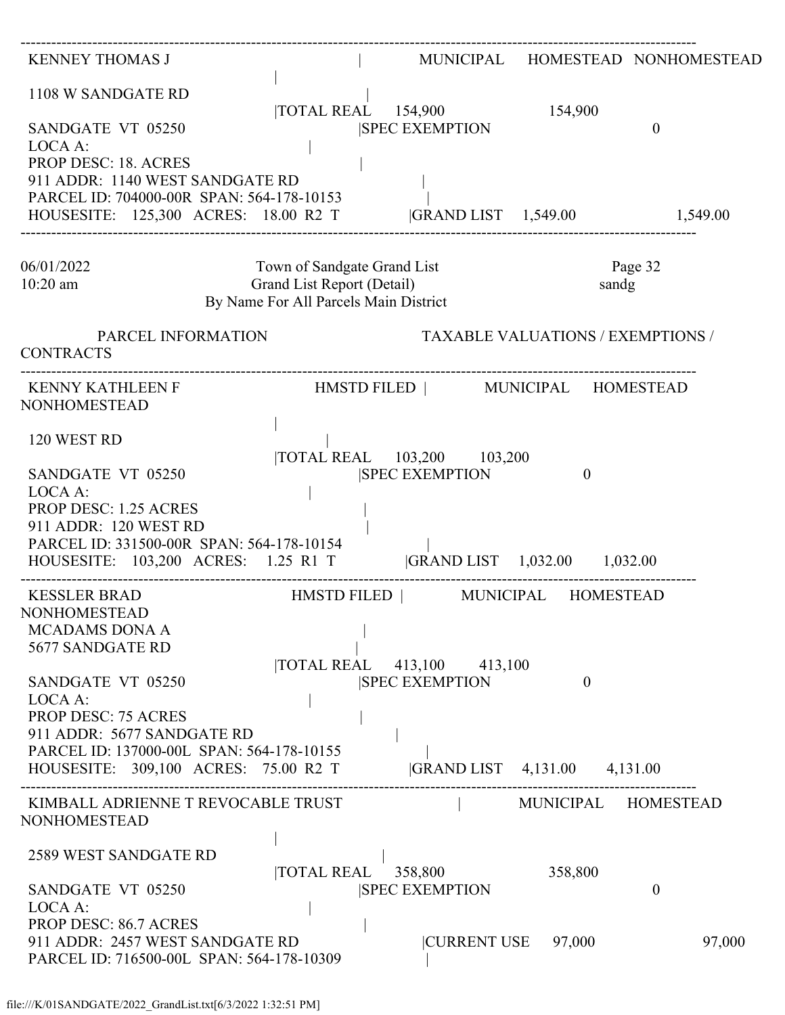| <b>KENNEY THOMAS J</b>                                                                                                                                                                                                                  |                                                                                                    |                                                     |                                          | MUNICIPAL HOMESTEAD NONHOMESTEAD |
|-----------------------------------------------------------------------------------------------------------------------------------------------------------------------------------------------------------------------------------------|----------------------------------------------------------------------------------------------------|-----------------------------------------------------|------------------------------------------|----------------------------------|
| 1108 W SANDGATE RD<br>SANDGATE VT 05250<br>LOCA A:<br><b>PROP DESC: 18. ACRES</b><br>911 ADDR: 1140 WEST SANDGATE RD<br>PARCEL ID: 704000-00R SPAN: 564-178-10153<br>HOUSESITE: 125,300 ACRES: 18.00 R2 T  GRAND LIST 1,549.00 1,549.00 |                                                                                                    | TOTAL REAL 154,900<br><b>ISPEC EXEMPTION</b>        | 154,900                                  | $\boldsymbol{0}$                 |
| 06/01/2022<br>$10:20$ am                                                                                                                                                                                                                | Town of Sandgate Grand List<br>Grand List Report (Detail)<br>By Name For All Parcels Main District |                                                     | sandg                                    | Page 32                          |
| PARCEL INFORMATION<br><b>CONTRACTS</b>                                                                                                                                                                                                  |                                                                                                    |                                                     | <b>TAXABLE VALUATIONS / EXEMPTIONS /</b> |                                  |
| <b>NONHOMESTEAD</b>                                                                                                                                                                                                                     |                                                                                                    |                                                     |                                          |                                  |
| 120 WEST RD<br>SANDGATE VT 05250                                                                                                                                                                                                        |                                                                                                    | TOTAL REAL 103,200 103,200<br><b>SPEC EXEMPTION</b> | $\overline{0}$                           |                                  |
| LOCA A:<br>PROP DESC: 1.25 ACRES<br>911 ADDR: 120 WEST RD<br>PARCEL ID: 331500-00R SPAN: 564-178-10154<br>HOUSESITE: 103,200 ACRES: 1.25 R1 T  GRAND LIST 1,032.00 1,032.00                                                             |                                                                                                    |                                                     |                                          |                                  |
| <b>KESSLER BRAD</b><br><b>NONHOMESTEAD</b><br><b>MCADAMS DONA A</b><br>5677 SANDGATE RD                                                                                                                                                 | HMSTD FILED   MUNICIPAL HOMESTEAD                                                                  |                                                     |                                          |                                  |
| SANDGATE VT 05250<br>LOCA A:<br><b>PROP DESC: 75 ACRES</b><br>911 ADDR: 5677 SANDGATE RD                                                                                                                                                |                                                                                                    | TOTAL REAL 413,100 413,100<br><b>SPEC EXEMPTION</b> | $\Omega$                                 |                                  |
| PARCEL ID: 137000-00L SPAN: 564-178-10155<br>HOUSESITE: 309,100 ACRES: 75.00 R2 T                                                                                                                                                       |                                                                                                    |                                                     | GRAND LIST 4,131.00 4,131.00             |                                  |
| KIMBALL ADRIENNE T REVOCABLE TRUST<br><b>NONHOMESTEAD</b>                                                                                                                                                                               |                                                                                                    |                                                     | MUNICIPAL HOMESTEAD                      |                                  |
| 2589 WEST SANDGATE RD<br>SANDGATE VT 05250                                                                                                                                                                                              | TOTAL REAL 358,800                                                                                 | <b>SPEC EXEMPTION</b>                               | 358,800                                  | 0                                |
| LOCA A:<br><b>PROP DESC: 86.7 ACRES</b><br>911 ADDR: 2457 WEST SANDGATE RD<br>PARCEL ID: 716500-00L SPAN: 564-178-10309                                                                                                                 |                                                                                                    | <b>CURRENT USE</b>                                  | 97,000                                   | 97,000                           |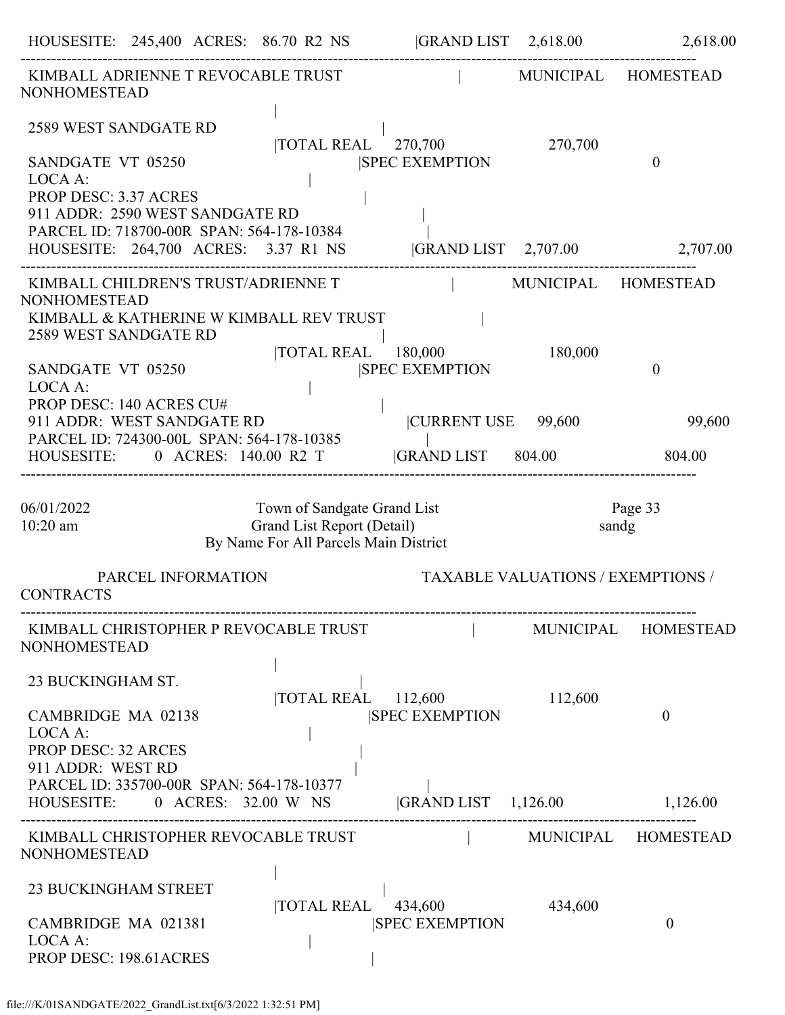| HOUSESITE: 245,400 ACRES: 86.70 R2 NS GRAND LIST 2,618.00 2,618.00                                                                                 |                                                                                                    |                                                                       |                                          |                     |
|----------------------------------------------------------------------------------------------------------------------------------------------------|----------------------------------------------------------------------------------------------------|-----------------------------------------------------------------------|------------------------------------------|---------------------|
| KIMBALL ADRIENNE T REVOCABLE TRUST<br><b>NONHOMESTEAD</b>                                                                                          |                                                                                                    |                                                                       |                                          | MUNICIPAL HOMESTEAD |
| 2589 WEST SANDGATE RD<br>SANDGATE VT 05250<br>LOCA A:<br>PROP DESC: 3.37 ACRES                                                                     |                                                                                                    | TOTAL REAL 270,700<br><b>SPEC EXEMPTION</b>                           | 270,700                                  | $\theta$            |
| 911 ADDR: 2590 WEST SANDGATE RD<br>PARCEL ID: 718700-00R SPAN: 564-178-10384<br>HOUSESITE: 264,700 ACRES: 3.37 R1 NS  GRAND LIST 2,707.00 2,707.00 |                                                                                                    |                                                                       |                                          |                     |
| KIMBALL CHILDREN'S TRUST/ADRIENNE T                                                                                                                |                                                                                                    | MUNICIPAL HOMESTEAD                                                   |                                          |                     |
| <b>NONHOMESTEAD</b><br>KIMBALL & KATHERINE W KIMBALL REV TRUST<br>2589 WEST SANDGATE RD                                                            | $ {\rm TOTAL}\;{\rm REAL}^{-1}$ 180,000                                                            |                                                                       | 180,000                                  |                     |
| SANDGATE VT 05250<br>LOCA A:<br>PROP DESC: 140 ACRES CU#                                                                                           |                                                                                                    | <b>SPEC EXEMPTION</b>                                                 |                                          | $\theta$            |
| 911 ADDR: WEST SANDGATE RD<br>PARCEL ID: 724300-00L SPAN: 564-178-10385                                                                            |                                                                                                    | CURRENT USE 99,600                                                    |                                          | 99,600              |
| HOUSESITE: 0 ACRES: 140.00 R2 T  GRAND LIST 804.00 804.00                                                                                          |                                                                                                    |                                                                       |                                          |                     |
| 06/01/2022<br>$10:20$ am                                                                                                                           | Town of Sandgate Grand List<br>Grand List Report (Detail)<br>By Name For All Parcels Main District |                                                                       |                                          | Page 33<br>sandg    |
| PARCEL INFORMATION<br><b>CONTRACTS</b>                                                                                                             |                                                                                                    |                                                                       | <b>TAXABLE VALUATIONS / EXEMPTIONS /</b> |                     |
| KIMBALL CHRISTOPHER P REVOCABLE TRUST<br><b>NONHOMESTEAD</b>                                                                                       |                                                                                                    |                                                                       |                                          | MUNICIPAL HOMESTEAD |
| 23 BUCKINGHAM ST.<br>CAMBRIDGE MA 02138<br>LOCA A:<br><b>PROP DESC: 32 ARCES</b><br>911 ADDR: WEST RD                                              |                                                                                                    | TOTAL REAL 112,600<br><b>SPEC EXEMPTION</b>                           | 112,600                                  | $\theta$            |
| PARCEL ID: 335700-00R SPAN: 564-178-10377<br>HOUSESITE: 0 ACRES: 32.00 W NS GRAND LIST 1,126.00 1,126.00                                           |                                                                                                    |                                                                       |                                          |                     |
| KIMBALL CHRISTOPHER REVOCABLE TRUST<br><b>NONHOMESTEAD</b>                                                                                         |                                                                                                    |                                                                       |                                          | MUNICIPAL HOMESTEAD |
| <b>23 BUCKINGHAM STREET</b><br>CAMBRIDGE MA 021381<br>LOCA A:                                                                                      |                                                                                                    | $\overline{10TAL}$ REAL $\overline{434,600}$<br><b>SPEC EXEMPTION</b> | 434,600                                  | $\theta$            |
| PROP DESC: 198.61 ACRES                                                                                                                            |                                                                                                    |                                                                       |                                          |                     |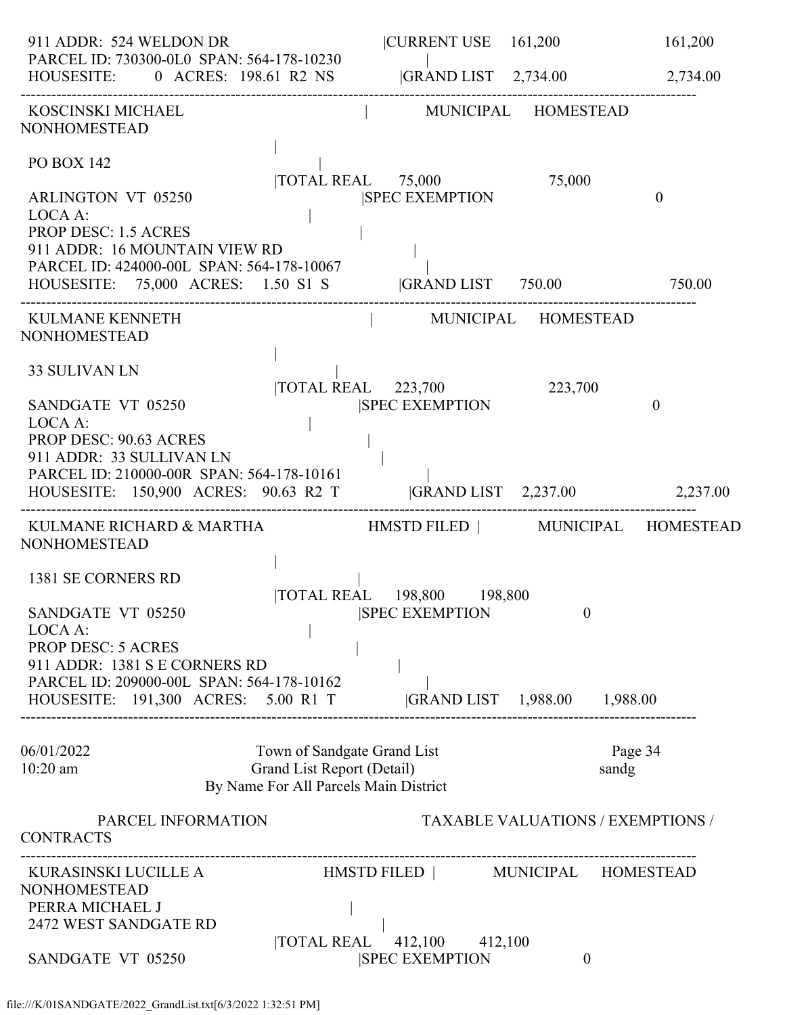| 911 ADDR: 524 WELDON DR                                                                                                                                                | CURRENT USE 161,200                                                                                                                               | 161,200        |
|------------------------------------------------------------------------------------------------------------------------------------------------------------------------|---------------------------------------------------------------------------------------------------------------------------------------------------|----------------|
| PARCEL ID: 730300-0L0 SPAN: 564-178-10230                                                                                                                              | PARCEL ID: 730300-0L0 SPAN: 564-178-10230<br>HOUSESITE: 0 ACRES: 198.61 R2 NS [GRAND LIST 2,734.00 2,734.00                                       |                |
| KOSCINSKI MICHAEL<br><b>NONHOMESTEAD</b>                                                                                                                               | MUNICIPAL HOMESTEAD                                                                                                                               |                |
| <b>PO BOX 142</b><br><b>ARLINGTON VT 05250</b><br>LOCA A:<br><b>PROP DESC: 1.5 ACRES</b><br>911 ADDR: 16 MOUNTAIN VIEW RD<br>PARCEL ID: 424000-00L SPAN: 564-178-10067 | TOTAL REAL 75,000<br>75,000<br><b>SPEC EXEMPTION</b><br>HOUSESITE: 75,000 ACRES: 1.50 S1 S  GRAND LIST 750.00 750.00                              | $\overline{0}$ |
| KULMANE KENNETH<br><b>NONHOMESTEAD</b>                                                                                                                                 | MUNICIPAL HOMESTEAD                                                                                                                               |                |
| <b>33 SULIVAN LN</b><br>SANDGATE VT 05250<br>LOCA A:<br><b>PROP DESC: 90.63 ACRES</b><br>911 ADDR: 33 SULLIVAN LN<br>PARCEL ID: 210000-00R SPAN: 564-178-10161         | $\overline{\text{TOTAL REAL}}$ 223,700<br>223,700<br><b>ISPEC EXEMPTION</b><br>HOUSESITE: 150,900 ACRES: 90.63 R2 T  GRAND LIST 2,237.00 2,237.00 | $\mathbf{0}$   |
| <b>NONHOMESTEAD</b>                                                                                                                                                    | KULMANE RICHARD & MARTHA                            HMSTD FILED               MUNICIPAL     HOMESTEAD                                             |                |
| 1381 SE CORNERS RD<br>SANDGATE VT 05250<br>LOCA A:<br><b>PROP DESC: 5 ACRES</b><br>911 ADDR: 1381 S E CORNERS RD<br>PARCEL ID: 209000-00L SPAN: 564-178-10162          | TOTAL REAL 198,800 198,800<br><b>SPEC EXEMPTION</b><br>$\theta$<br>HOUSESITE: 191,300 ACRES: 5.00 R1 T  GRAND LIST 1,988.00 1,988.00              |                |
| 06/01/2022<br>$10:20$ am                                                                                                                                               | Town of Sandgate Grand List<br>Page 34<br>Grand List Report (Detail)<br>sandg<br>By Name For All Parcels Main District                            |                |
| PARCEL INFORMATION<br><b>CONTRACTS</b>                                                                                                                                 | <b>TAXABLE VALUATIONS / EXEMPTIONS /</b>                                                                                                          |                |
| KURASINSKI LUCILLE A<br><b>NONHOMESTEAD</b><br>PERRA MICHAEL J<br>2472 WEST SANDGATE RD<br>SANDGATE VT 05250                                                           | HMSTD FILED   MUNICIPAL HOMESTEAD<br><b>TOTAL REAL</b><br>412,100 412,100<br><b>SPEC EXEMPTION</b><br>$\overline{0}$                              |                |
|                                                                                                                                                                        |                                                                                                                                                   |                |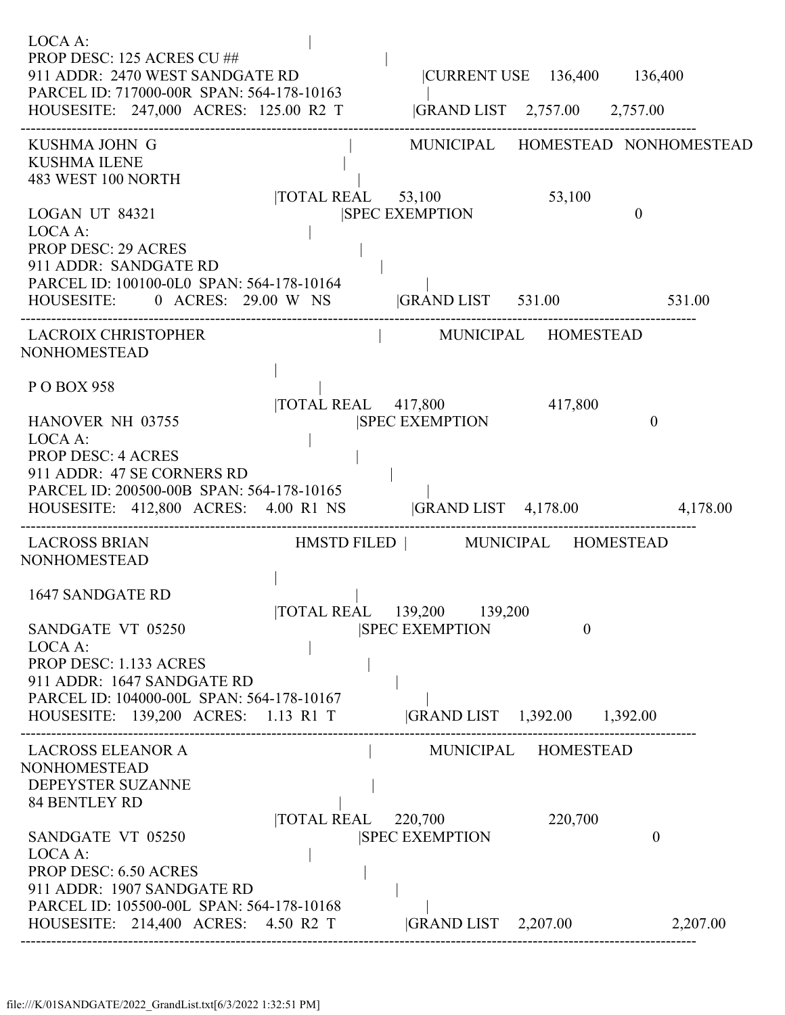| LOCA A:<br>PROP DESC: 125 ACRES CU ##<br>911 ADDR: 2470 WEST SANDGATE RD<br>PARCEL ID: 717000-00R SPAN: 564-178-10163<br>HOUSESITE: 247,000 ACRES: 125.00 R2 T  GRAND LIST 2,757.00 2,757.00 |                    |                                                                                      | CURRENT USE 136,400 136,400 |                                  |
|----------------------------------------------------------------------------------------------------------------------------------------------------------------------------------------------|--------------------|--------------------------------------------------------------------------------------|-----------------------------|----------------------------------|
| KUSHMA JOHN G<br><b>KUSHMA ILENE</b><br>483 WEST 100 NORTH                                                                                                                                   |                    |                                                                                      |                             | MUNICIPAL HOMESTEAD NONHOMESTEAD |
| LOGAN UT 84321<br>LOCA A:<br><b>PROP DESC: 29 ACRES</b><br>911 ADDR: SANDGATE RD<br>PARCEL ID: 100100-0L0 SPAN: 564-178-10164<br>HOUSESITE: 0 ACRES: 29.00 W NS GRAND LIST 531.00 531.00     |                    | TOTAL REAL 53,100<br><b>SPEC EXEMPTION</b>                                           | 53,100                      | $\theta$                         |
| LACROIX CHRISTOPHER<br><b>NONHOMESTEAD</b>                                                                                                                                                   |                    | MUNICIPAL HOMESTEAD                                                                  |                             |                                  |
| P O BOX 958<br>HANOVER NH 03755<br>LOCA A:<br><b>PROP DESC: 4 ACRES</b>                                                                                                                      |                    | TOTAL REAL 417,800 417,800<br><b>SPEC EXEMPTION</b>                                  |                             | $\theta$                         |
| 911 ADDR: 47 SE CORNERS RD<br>PARCEL ID: 200500-00B SPAN: 564-178-10165<br>HOUSESITE: 412,800 ACRES: 4.00 R1 NS  GRAND LIST 4,178.00 4,178.00                                                |                    |                                                                                      |                             |                                  |
| LACROSS BRIAN HMSTD FILED   MUNICIPAL HOMESTEAD<br><b>NONHOMESTEAD</b>                                                                                                                       |                    |                                                                                      |                             |                                  |
| 1647 SANDGATE RD<br>SANDGATE VT 05250<br>LOCA A:<br>PROP DESC: 1.133 ACRES<br>911 ADDR: 1647 SANDGATE RD<br>PARCEL ID: 104000-00L SPAN: 564-178-10167<br>HOUSESITE: 139,200 ACRES: 1.13 R1 T |                    | TOTAL REAL 139,200 139,200<br><b>SPEC EXEMPTION</b><br> GRAND LIST 1,392.00 1,392.00 | $\theta$                    |                                  |
| <b>LACROSS ELEANOR A</b><br><b>NONHOMESTEAD</b><br>DEPEYSTER SUZANNE<br><b>84 BENTLEY RD</b>                                                                                                 |                    |                                                                                      | MUNICIPAL HOMESTEAD         |                                  |
| SANDGATE VT 05250<br>LOCA A:<br><b>PROP DESC: 6.50 ACRES</b><br>911 ADDR: 1907 SANDGATE RD                                                                                                   | TOTAL REAL 220,700 | <b>SPEC EXEMPTION</b>                                                                | 220,700                     | $\overline{0}$                   |
| PARCEL ID: 105500-00L SPAN: 564-178-10168<br>HOUSESITE: 214,400 ACRES: 4.50 R2 T                                                                                                             |                    | $ GRAND LIST$ 2,207.00                                                               |                             | 2,207.00                         |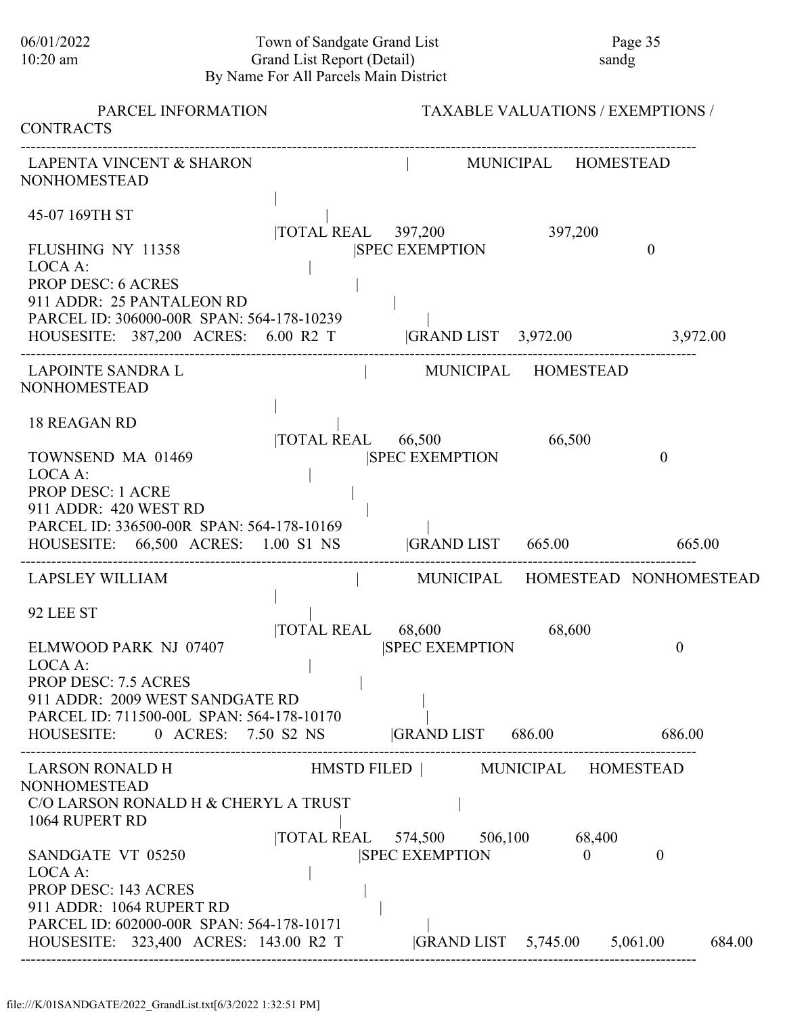## 06/01/2022 Town of Sandgate Grand List Page 35<br>10:20 am Grand List Report (Detail) sandg Grand List Report (Detail) By Name For All Parcels Main District

| PARCEL INFORMATION<br><b>CONTRACTS</b>                                                                                                                                                                   |                                    |                                                                                                  | <b>TAXABLE VALUATIONS / EXEMPTIONS /</b> |                                  |
|----------------------------------------------------------------------------------------------------------------------------------------------------------------------------------------------------------|------------------------------------|--------------------------------------------------------------------------------------------------|------------------------------------------|----------------------------------|
| <b>LAPENTA VINCENT &amp; SHARON</b><br><b>NONHOMESTEAD</b>                                                                                                                                               |                                    | MUNICIPAL HOMESTEAD                                                                              |                                          |                                  |
| 45-07 169TH ST                                                                                                                                                                                           | $\overline{10}$ TOTAL REAL 397,200 |                                                                                                  | 397,200                                  |                                  |
| FLUSHING NY 11358<br>LOCA A:<br><b>PROP DESC: 6 ACRES</b><br>911 ADDR: 25 PANTALEON RD<br>PARCEL ID: 306000-00R SPAN: 564-178-10239<br>HOUSESITE: 387,200 ACRES: 6.00 R2 T  GRAND LIST 3,972.00 3,972.00 |                                    | <b>SPEC EXEMPTION</b>                                                                            |                                          | $\Omega$                         |
| LAPOINTE SANDRA L<br><b>NONHOMESTEAD</b>                                                                                                                                                                 |                                    | MUNICIPAL HOMESTEAD                                                                              |                                          |                                  |
| <b>18 REAGAN RD</b><br>TOWNSEND MA 01469<br>LOCA A:<br><b>PROP DESC: 1 ACRE</b><br>911 ADDR: 420 WEST RD<br>PARCEL ID: 336500-00R SPAN: 564-178-10169                                                    |                                    | TOTAL REAL 66,500<br><b>SPEC EXEMPTION</b>                                                       | 66,500                                   | $\overline{0}$                   |
| HOUSESITE: 66,500 ACRES: 1.00 S1 NS  GRAND LIST 665.00                                                                                                                                                   |                                    |                                                                                                  |                                          | 665.00                           |
| <b>LAPSLEY WILLIAM</b><br>92 LEE ST                                                                                                                                                                      |                                    |                                                                                                  |                                          | MUNICIPAL HOMESTEAD NONHOMESTEAD |
| ELMWOOD PARK NJ 07407<br>LOCA A:<br>PROP DESC: 7.5 ACRES<br>911 ADDR: 2009 WEST SANDGATE RD                                                                                                              | <b>TOTAL REAL</b>                  | 68,600<br><b>SPEC EXEMPTION</b>                                                                  | 68,600                                   | $\boldsymbol{0}$                 |
| PARCEL ID: 711500-00L SPAN: 564-178-10170<br>HOUSESITE: 0 ACRES: 7.50 S2 NS GRAND LIST 686.00                                                                                                            |                                    |                                                                                                  |                                          | 686.00                           |
| <b>LARSON RONALD H</b><br><b>NONHOMESTEAD</b><br>C/O LARSON RONALD H & CHERYL A TRUST<br>1064 RUPERT RD<br>SANDGATE VT 05250                                                                             |                                    | HMSTD FILED   MUNICIPAL HOMESTEAD<br> TOTAL REAL 574,500 506,100 68,400<br><b>SPEC EXEMPTION</b> | $\theta$                                 | $\theta$                         |
| LOCA A:<br><b>PROP DESC: 143 ACRES</b><br>911 ADDR: 1064 RUPERT RD<br>PARCEL ID: 602000-00R SPAN: 564-178-10171<br>HOUSESITE: 323,400 ACRES: 143.00 R2 T                                                 |                                    |                                                                                                  | GRAND LIST 5,745.00 5,061.00             | 684.00                           |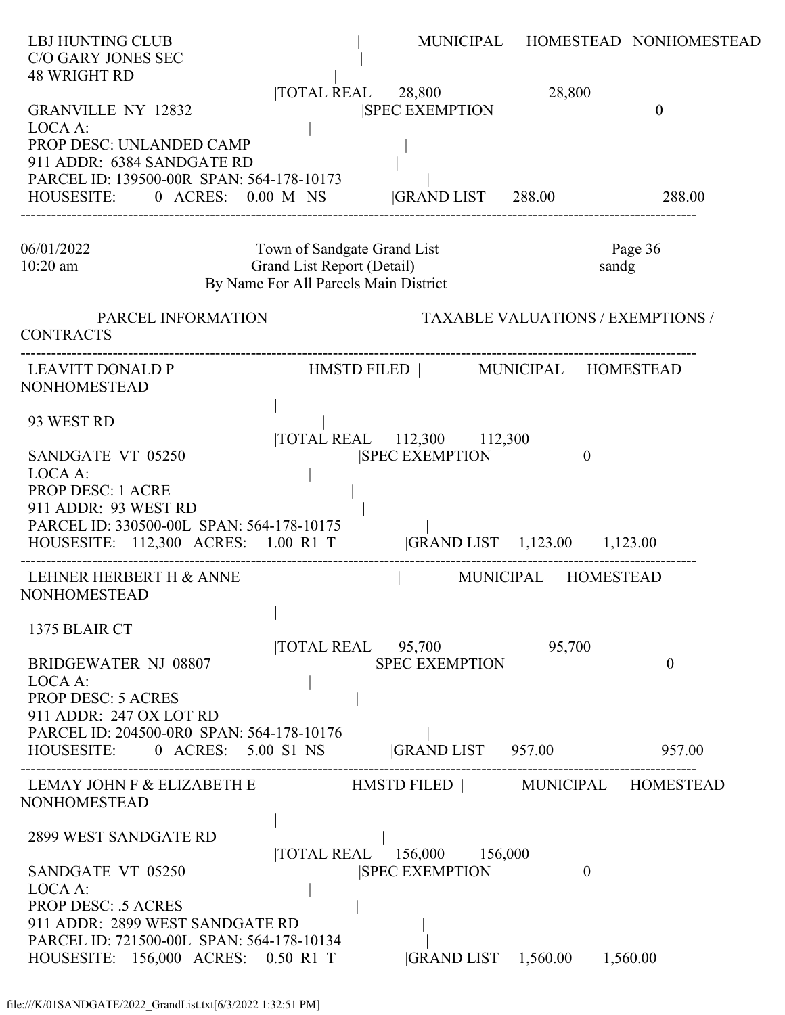| <b>LBJ HUNTING CLUB</b><br>C/O GARY JONES SEC<br><b>48 WRIGHT RD</b>                                                                                                                                              |                                                                                                    |                                                                             |                                          | MUNICIPAL HOMESTEAD NONHOMESTEAD |
|-------------------------------------------------------------------------------------------------------------------------------------------------------------------------------------------------------------------|----------------------------------------------------------------------------------------------------|-----------------------------------------------------------------------------|------------------------------------------|----------------------------------|
| <b>GRANVILLE NY 12832</b><br>LOCA A:<br>PROP DESC: UNLANDED CAMP<br>911 ADDR: 6384 SANDGATE RD<br>PARCEL ID: 139500-00R SPAN: 564-178-10173                                                                       |                                                                                                    | TOTAL REAL 28,800<br><b>SPEC EXEMPTION</b>                                  | 28,800                                   | $\boldsymbol{0}$                 |
| HOUSESITE: 0 ACRES: 0.00 M NS  GRAND LIST 288.00                                                                                                                                                                  |                                                                                                    |                                                                             |                                          | 288.00                           |
| 06/01/2022<br>$10:20$ am                                                                                                                                                                                          | Town of Sandgate Grand List<br>Grand List Report (Detail)<br>By Name For All Parcels Main District |                                                                             | sandg                                    | Page 36                          |
| PARCEL INFORMATION<br><b>CONTRACTS</b>                                                                                                                                                                            |                                                                                                    |                                                                             | <b>TAXABLE VALUATIONS / EXEMPTIONS /</b> |                                  |
| NONHOMESTEAD                                                                                                                                                                                                      |                                                                                                    |                                                                             |                                          |                                  |
| 93 WEST RD<br>SANDGATE VT 05250<br>LOCA A:<br>PROP DESC: 1 ACRE<br>911 ADDR: 93 WEST RD<br>PARCEL ID: 330500-00L SPAN: 564-178-10175<br>HOUSESITE: 112,300 ACRES: 1.00 R1 T  GRAND LIST 1,123.00 1,123.00         |                                                                                                    | TOTAL REAL 112,300 112,300<br><b>SPEC EXEMPTION</b>                         | $\mathbf{0}$                             |                                  |
| LEHNER HERBERT H & ANNE<br>NONHOMESTEAD                                                                                                                                                                           |                                                                                                    |                                                                             | MUNICIPAL HOMESTEAD                      |                                  |
| 1375 BLAIR CT<br><b>BRIDGEWATER NJ 08807</b><br>LOCA A:<br><b>PROP DESC: 5 ACRES</b><br>911 ADDR: 247 OX LOT RD<br>PARCEL ID: 204500-0R0 SPAN: 564-178-10176<br>HOUSESITE:<br>0 ACRES: 5.00 S1 NS                 | $\overline{10TAL}$ REAL $\overline{95,700}$                                                        | <b>SPEC EXEMPTION</b><br><b>GRAND LIST</b> 957.00                           | 95,700                                   | $\theta$<br>957.00               |
| LEMAY JOHN F & ELIZABETH E                           HMSTD FILED               MUNICIPAL     HOMESTEAD<br>NONHOMESTEAD                                                                                            |                                                                                                    |                                                                             |                                          |                                  |
| <b>2899 WEST SANDGATE RD</b><br>SANDGATE VT 05250<br>LOCA A:<br><b>PROP DESC: .5 ACRES</b><br>911 ADDR: 2899 WEST SANDGATE RD<br>PARCEL ID: 721500-00L SPAN: 564-178-10134<br>HOUSESITE: 156,000 ACRES: 0.50 R1 T |                                                                                                    | TOTAL REAL 156,000 156,000<br><b>SPEC EXEMPTION</b><br> GRAND LIST 1,560.00 | $\overline{0}$<br>1,560.00               |                                  |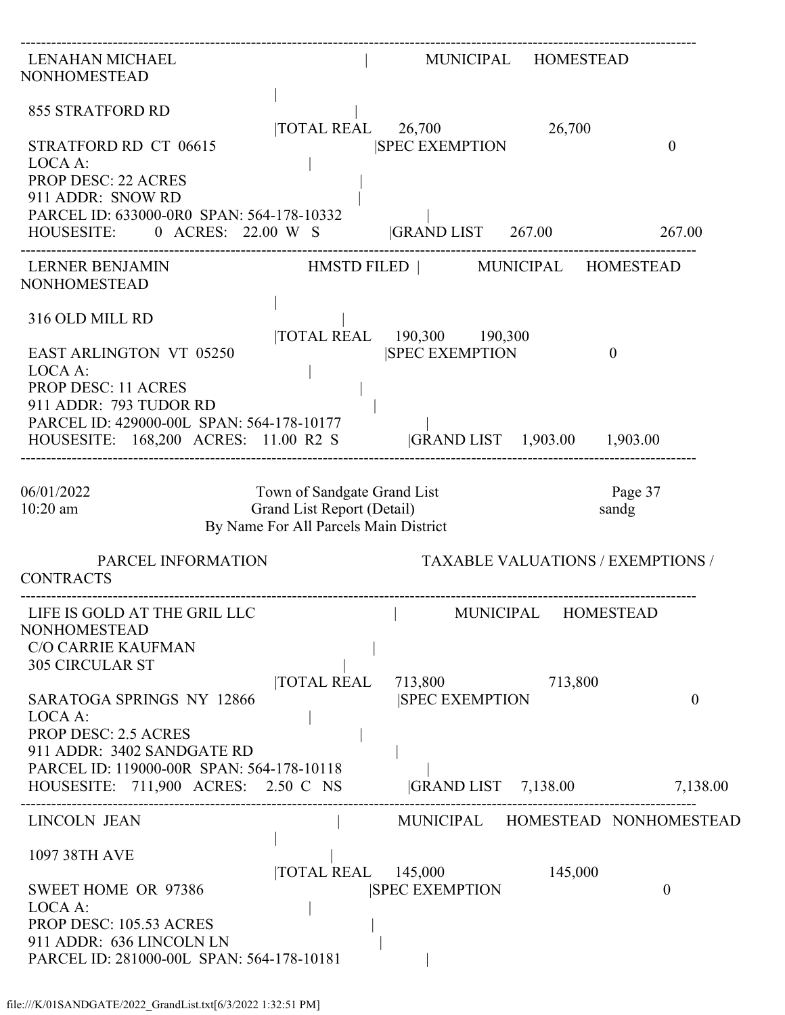| LENAHAN MICHAEL<br><b>NONHOMESTEAD</b>                                                                                                                                             |                                                                                                    |                                                     | MUNICIPAL HOMESTEAD |                                          |
|------------------------------------------------------------------------------------------------------------------------------------------------------------------------------------|----------------------------------------------------------------------------------------------------|-----------------------------------------------------|---------------------|------------------------------------------|
| <b>855 STRATFORD RD</b>                                                                                                                                                            |                                                                                                    | $\overline{10TAL}$ REAL $\overline{26,700}$         | 26,700              |                                          |
| STRATFORD RD CT 06615<br>LOCA A:<br><b>PROP DESC: 22 ACRES</b><br>911 ADDR: SNOW RD                                                                                                |                                                                                                    | <b>SPEC EXEMPTION</b>                               |                     | $\overline{0}$                           |
| PARCEL ID: 633000-0R0 SPAN: 564-178-10332<br>HOUSESITE: 0 ACRES: 22.00 W S GRAND LIST 267.00 267.00                                                                                |                                                                                                    |                                                     |                     |                                          |
| <b>LERNER BENJAMIN</b><br><b>NONHOMESTEAD</b>                                                                                                                                      |                                                                                                    | HMSTD FILED   MUNICIPAL HOMESTEAD                   |                     |                                          |
| 316 OLD MILL RD<br><b>EAST ARLINGTON VT 05250</b>                                                                                                                                  |                                                                                                    | TOTAL REAL 190,300 190,300<br><b>SPEC EXEMPTION</b> |                     | $\mathbf{0}$                             |
| LOCA A:<br><b>PROP DESC: 11 ACRES</b><br>911 ADDR: 793 TUDOR RD<br>PARCEL ID: 429000-00L SPAN: 564-178-10177<br>HOUSESITE: 168,200 ACRES: 11.00 R2 S  GRAND LIST 1,903.00 1,903.00 |                                                                                                    |                                                     |                     |                                          |
| 06/01/2022<br>$10:20$ am                                                                                                                                                           | Town of Sandgate Grand List<br>Grand List Report (Detail)<br>By Name For All Parcels Main District |                                                     |                     | Page 37<br>sandg                         |
| PARCEL INFORMATION<br><b>CONTRACTS</b>                                                                                                                                             |                                                                                                    |                                                     |                     | <b>TAXABLE VALUATIONS / EXEMPTIONS /</b> |
| LIFE IS GOLD AT THE GRIL LLC<br><b>NONHOMESTEAD</b><br><b>C/O CARRIE KAUFMAN</b><br><b>305 CIRCULAR ST</b>                                                                         |                                                                                                    | MUNICIPAL HOMESTEAD                                 |                     |                                          |
| <b>SARATOGA SPRINGS NY 12866</b><br>LOCA A:<br><b>PROP DESC: 2.5 ACRES</b><br>911 ADDR: 3402 SANDGATE RD                                                                           | <b>TOTAL REAL</b>                                                                                  | 713,800<br><b>SPEC EXEMPTION</b>                    | 713,800             | $\theta$                                 |
| PARCEL ID: 119000-00R SPAN: 564-178-10118<br>HOUSESITE: 711,900 ACRES: 2.50 C NS                                                                                                   |                                                                                                    | GRAND LIST 7,138.00                                 |                     | 7,138.00                                 |
| <b>LINCOLN JEAN</b>                                                                                                                                                                |                                                                                                    |                                                     |                     | MUNICIPAL HOMESTEAD NONHOMESTEAD         |
| 1097 38TH AVE                                                                                                                                                                      | <b>TOTAL REAL</b>                                                                                  | 145,000                                             | 145,000             |                                          |
| SWEET HOME OR 97386<br>LOCA A:<br>PROP DESC: 105.53 ACRES<br>911 ADDR: 636 LINCOLN LN<br>PARCEL ID: 281000-00L SPAN: 564-178-10181                                                 |                                                                                                    | <b>SPEC EXEMPTION</b>                               |                     | $\overline{0}$                           |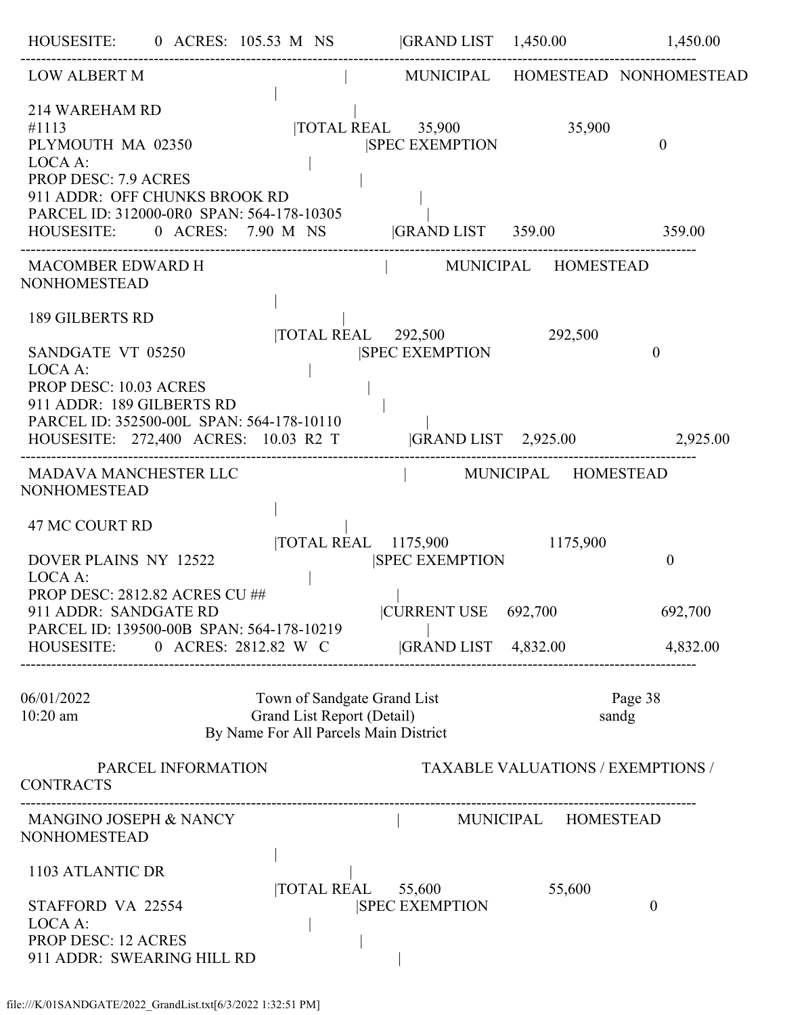| HOUSESITE: 0 ACRES: 105.53 M NS  GRAND LIST 1,450.00 1,450.00                                                                                                                                                                    |                            |                                                                      |                            |                              |                                          |
|----------------------------------------------------------------------------------------------------------------------------------------------------------------------------------------------------------------------------------|----------------------------|----------------------------------------------------------------------|----------------------------|------------------------------|------------------------------------------|
| LOW ALBERT M                                                                                                                                                                                                                     |                            |                                                                      |                            |                              | MUNICIPAL HOMESTEAD NONHOMESTEAD         |
| 214 WAREHAM RD<br>#1113<br>PLYMOUTH MA 02350<br>LOCA A:<br><b>PROP DESC: 7.9 ACRES</b><br>911 ADDR: OFF CHUNKS BROOK RD<br>PARCEL ID: 312000-0R0 SPAN: 564-178-10305<br>HOUSESITE: 0 ACRES: 7.90 M NS  GRAND LIST 359.00 359.00  |                            | <b>SPEC EXEMPTION</b>                                                |                            | TOTAL REAL 35,900 35,900     | $\mathbf{0}$                             |
| MACOMBER EDWARD H<br><b>NONHOMESTEAD</b>                                                                                                                                                                                         |                            |                                                                      |                            | MUNICIPAL HOMESTEAD          |                                          |
| 189 GILBERTS RD<br>SANDGATE VT 05250<br>LOCA A:<br><b>PROP DESC: 10.03 ACRES</b><br>911 ADDR: 189 GILBERTS RD<br>PARCEL ID: 352500-00L SPAN: 564-178-10110<br>HOUSESITE: 272,400 ACRES: 10.03 R2 T  GRAND LIST 2,925.00 2,925.00 |                            | TOTAL REAL 292,500 292,500<br><b>SPEC EXEMPTION</b>                  |                            |                              | $\theta$                                 |
| MADAVA MANCHESTER LLC<br><b>NONHOMESTEAD</b>                                                                                                                                                                                     |                            |                                                                      | -------------------------- | MUNICIPAL HOMESTEAD          |                                          |
| <b>47 MC COURT RD</b><br>DOVER PLAINS NY 12522<br>LOCA A:<br><b>PROP DESC: 2812.82 ACRES CU ##</b><br>911 ADDR: SANDGATE RD                                                                                                      |                            | <b>SPEC EXEMPTION</b><br> CURRENT USE 692,700                        |                            | TOTAL REAL 1175,900 1175,900 | $\mathbf{0}$<br>692,700                  |
| PARCEL ID: 139500-00B SPAN: 564-178-10219<br>HOUSESITE: 0 ACRES: 2812.82 W C GRAND LIST 4,832.00                                                                                                                                 |                            |                                                                      |                            |                              | 4,832.00                                 |
| 06/01/2022<br>$10:20$ am                                                                                                                                                                                                         | Grand List Report (Detail) | Town of Sandgate Grand List<br>By Name For All Parcels Main District |                            |                              | Page 38<br>sandg                         |
| PARCEL INFORMATION<br><b>CONTRACTS</b>                                                                                                                                                                                           |                            |                                                                      |                            |                              | <b>TAXABLE VALUATIONS / EXEMPTIONS /</b> |
| MANGINO JOSEPH & NANCY<br>NONHOMESTEAD                                                                                                                                                                                           |                            |                                                                      |                            | MUNICIPAL HOMESTEAD          |                                          |
| 1103 ATLANTIC DR<br>STAFFORD VA 22554<br>LOCA A:<br><b>PROP DESC: 12 ACRES</b><br>911 ADDR: SWEARING HILL RD                                                                                                                     |                            | TOTAL REAL 55,600<br><b>SPEC EXEMPTION</b>                           |                            | 55,600                       | $\overline{0}$                           |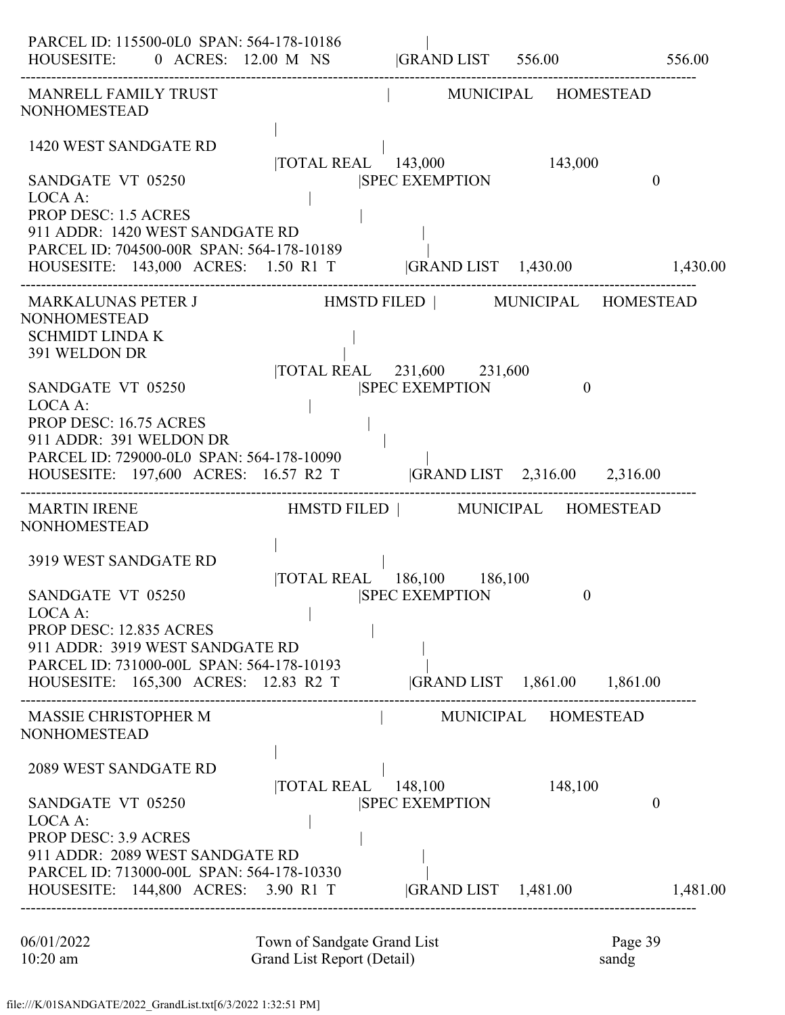| PARCEL ID: 115500-0L0 SPAN: 564-178-10186<br>HOUSESITE: 0 ACRES: 12.00 M NS  GRAND LIST 556.00 556.00           |                                              |                                   |          |                |
|-----------------------------------------------------------------------------------------------------------------|----------------------------------------------|-----------------------------------|----------|----------------|
| MANRELL FAMILY TRUST<br><b>NONHOMESTEAD</b>                                                                     |                                              | MUNICIPAL HOMESTEAD               |          |                |
| 1420 WEST SANDGATE RD                                                                                           |                                              | TOTAL REAL 143,000 143,000        |          |                |
| SANDGATE VT 05250<br>LOCA A:                                                                                    |                                              | <b>SPEC EXEMPTION</b>             |          | $\overline{0}$ |
| <b>PROP DESC: 1.5 ACRES</b><br>911 ADDR: 1420 WEST SANDGATE RD<br>PARCEL ID: 704500-00R SPAN: 564-178-10189     |                                              |                                   |          |                |
| HOUSESITE: 143,000 ACRES: 1.50 R1 T  GRAND LIST 1,430.00 1,430.00                                               |                                              |                                   |          |                |
| <b>NONHOMESTEAD</b><br><b>SCHMIDT LINDA K</b>                                                                   |                                              |                                   |          |                |
| 391 WELDON DR                                                                                                   |                                              | TOTAL REAL 231,600 231,600        |          |                |
| SANDGATE VT 05250<br>LOCA A:                                                                                    |                                              | <b>SPEC EXEMPTION</b>             | $\theta$ |                |
| PROP DESC: 16.75 ACRES<br>911 ADDR: 391 WELDON DR                                                               |                                              |                                   |          |                |
| PARCEL ID: 729000-0L0 SPAN: 564-178-10090<br>HOUSESITE: 197,600 ACRES: 16.57 R2 T  GRAND LIST 2,316.00 2,316.00 |                                              |                                   |          |                |
| <b>MARTIN IRENE</b><br><b>NONHOMESTEAD</b>                                                                      |                                              | HMSTD FILED   MUNICIPAL HOMESTEAD |          |                |
| 3919 WEST SANDGATE RD                                                                                           |                                              | TOTAL REAL 186,100 186,100        |          |                |
| SANDGATE VT 05250<br>LOCA A:                                                                                    |                                              | <b>SPEC EXEMPTION</b>             | $\theta$ |                |
| PROP DESC: 12.835 ACRES<br>911 ADDR: 3919 WEST SANDGATE RD                                                      |                                              |                                   |          |                |
| PARCEL ID: 731000-00L SPAN: 564-178-10193                                                                       |                                              |                                   |          |                |
| HOUSESITE: 165,300 ACRES: 12.83 R2 T  GRAND LIST 1,861.00 1,861.00                                              |                                              |                                   |          |                |
| <b>MASSIE CHRISTOPHER M</b><br><b>NONHOMESTEAD</b>                                                              |                                              | MUNICIPAL HOMESTEAD               |          |                |
| <b>2089 WEST SANDGATE RD</b>                                                                                    |                                              |                                   | 148,100  |                |
| SANDGATE VT 05250<br>LOCA A:                                                                                    | $\overline{10TAL}$ REAL $\overline{148,100}$ | <b>SPEC EXEMPTION</b>             |          | $\mathbf{0}$   |
| <b>PROP DESC: 3.9 ACRES</b>                                                                                     |                                              |                                   |          |                |
| 911 ADDR: 2089 WEST SANDGATE RD<br>PARCEL ID: 713000-00L SPAN: 564-178-10330                                    |                                              |                                   |          |                |
| HOUSESITE: 144,800 ACRES: 3.90 R1 T  GRAND LIST 1,481.00                                                        |                                              |                                   |          | 1,481.00       |

| 06/01/2022 | Town of Sandgate Grand List | Page 39 |
|------------|-----------------------------|---------|
| $10:20$ am | Grand List Report (Detail)  | sandg   |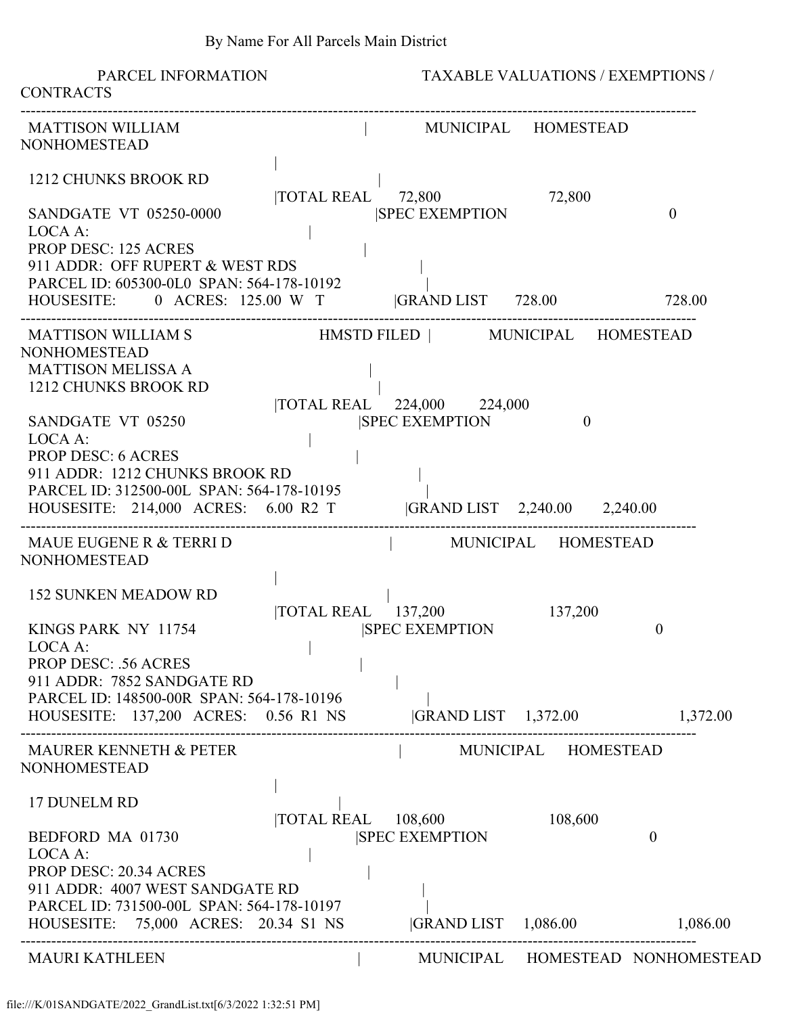PARCEL INFORMATION TAXABLE VALUATIONS / EXEMPTIONS / **CONTRACTS** ------------------------------------------------------------------------------------------------------------------------------------ MATTISON WILLIAM  $\parallel$  MUNICIPAL HOMESTEAD NONHOMESTEAD | 1212 CHUNKS BROOK RD | |TOTAL REAL 72,800 72,800 SANDGATE VT 05250-0000 SPEC EXEMPTION 0 LOCA A: PROP DESC: 125 ACRES 911 ADDR: OFF RUPERT & WEST RDS | PARCEL ID: 605300-0L0 SPAN: 564-178-10192 HOUSESITE: 0 ACRES: 125.00 W T |GRAND LIST 728.00 728.00 ------------------------------------------------------------------------------------------------------------------------------------ MATTISON WILLIAM S HMSTD FILED | MUNICIPAL HOMESTEAD NONHOMESTEAD MATTISON MELISSA A | 1212 CHUNKS BROOK RD | |TOTAL REAL 224,000 224,000 SANDGATE VT 05250 **SANDGATE VT 05250 ISPEC EXEMPTION** 0  $\text{LOCA A}:$ PROP DESC: 6 ACRES 911 ADDR: 1212 CHUNKS BROOK RD | PARCEL ID: 312500-00L SPAN: 564-178-10195 | HOUSESITE: 214,000 ACRES: 6.00 R2 T |GRAND LIST 2,240.00 2,240.00 ------------------------------------------------------------------------------------------------------------------------------------ MAUE EUGENE R & TERRI D | MUNICIPAL HOMESTEAD NONHOMESTEAD | 152 SUNKEN MEADOW RD | |TOTAL REAL 137,200 137,200 KINGS PARK NY 11754 |SPEC EXEMPTION 0 LOCA A: PROP DESC: .56 ACRES 911 ADDR: 7852 SANDGATE RD | PARCEL ID: 148500-00R SPAN: 564-178-10196 | HOUSESITE: 137,200 ACRES: 0.56 R1 NS |GRAND LIST 1,372.00 1,372.00 ------------------------------------------------------------------------------------------------------------------------------------ MAURER KENNETH & PETER  $|$  MUNICIPAL HOMESTEAD NONHOMESTEAD | 17 DUNELM RD | |TOTAL REAL 108,600 108,600 BEDFORD MA 01730 |SPEC EXEMPTION 0 LOCA A: PROP DESC: 20.34 ACRES 911 ADDR: 4007 WEST SANDGATE RD | PARCEL ID: 731500-00L SPAN: 564-178-10197 | HOUSESITE: 75,000 ACRES: 20.34 S1 NS |GRAND LIST 1,086.00 1,086.00 ------------------------------------------------------------------------------------------------------------------------------------ MAURI KATHLEEN | MUNICIPAL HOMESTEAD NONHOMESTEAD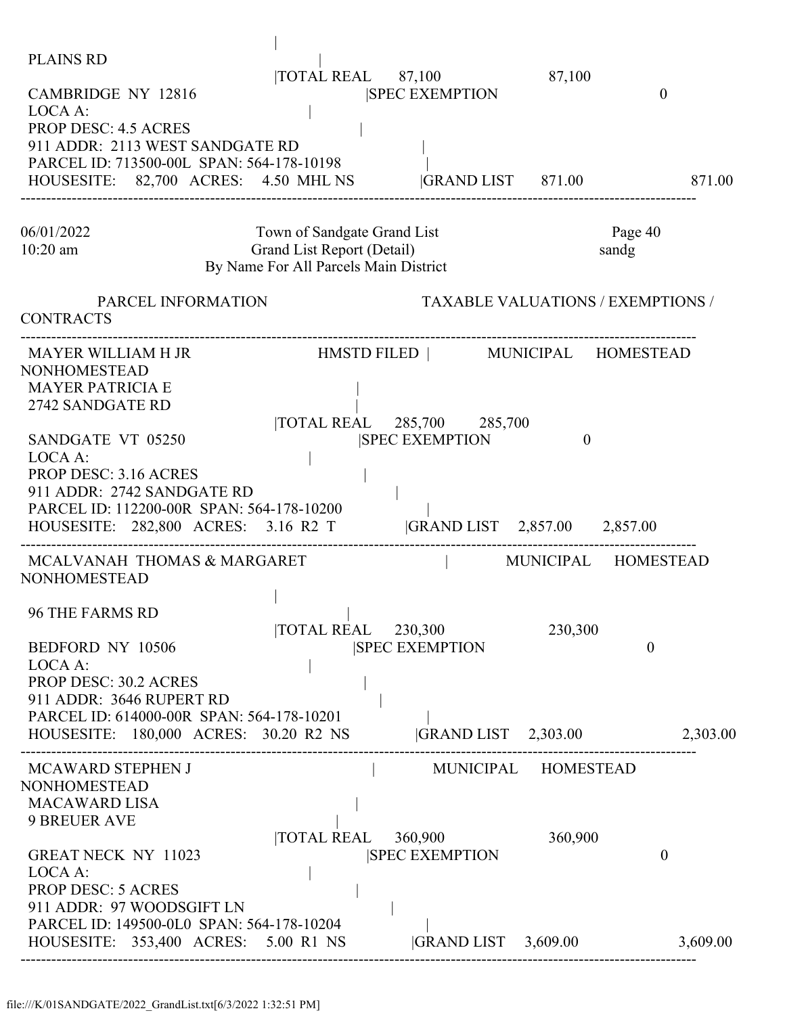| <b>PLAINS RD</b><br><b>CAMBRIDGE NY 12816</b><br>LOCA A:<br><b>PROP DESC: 4.5 ACRES</b><br>911 ADDR: 2113 WEST SANDGATE RD<br>PARCEL ID: 713500-00L SPAN: 564-178-10198<br>HOUSESITE: 82,700 ACRES: 4.50 MHL NS                                                                 | $\overline{10TAL}$ REAL $\overline{87,100}$                                                        | <b>SPEC EXEMPTION</b><br> GRAND LIST 871.00                                                                                | 87,100   | $\overline{0}$<br>871.00                    |
|---------------------------------------------------------------------------------------------------------------------------------------------------------------------------------------------------------------------------------------------------------------------------------|----------------------------------------------------------------------------------------------------|----------------------------------------------------------------------------------------------------------------------------|----------|---------------------------------------------|
| 06/01/2022<br>$10:20$ am                                                                                                                                                                                                                                                        | Town of Sandgate Grand List<br>Grand List Report (Detail)<br>By Name For All Parcels Main District |                                                                                                                            |          | Page 40<br>sandg                            |
| PARCEL INFORMATION<br><b>CONTRACTS</b>                                                                                                                                                                                                                                          |                                                                                                    |                                                                                                                            |          | <b>TAXABLE VALUATIONS / EXEMPTIONS /</b>    |
| MAYER WILLIAM H JR<br><b>NONHOMESTEAD</b><br><b>MAYER PATRICIA E</b><br>2742 SANDGATE RD<br>SANDGATE VT 05250<br>LOCA A:<br><b>PROP DESC: 3.16 ACRES</b><br>911 ADDR: 2742 SANDGATE RD<br>PARCEL ID: 112200-00R SPAN: 564-178-10200<br>HOUSESITE: 282,800 ACRES: 3.16 R2 T      |                                                                                                    | HMSTD FILED   MUNICIPAL HOMESTEAD<br> TOTAL REAL 285,700 285,700<br><b>SPEC EXEMPTION</b><br> GRAND LIST 2,857.00 2,857.00 | $\theta$ |                                             |
| MCALVANAH THOMAS & MARGARET<br><b>NONHOMESTEAD</b><br><b>96 THE FARMS RD</b><br>BEDFORD NY 10506<br>LOCA A:<br>PROP DESC: 30.2 ACRES<br>911 ADDR: 3646 RUPERT RD<br>PARCEL ID: 614000-00R SPAN: 564-178-10201<br>HOUSESITE: 180,000 ACRES: 30.20 R2 NS                          | $\overline{10}$ TOTAL REAL 230,300                                                                 | <b>SPEC EXEMPTION</b><br>$ GRAND LIST$ 2,303.00                                                                            | 230,300  | MUNICIPAL HOMESTEAD<br>$\theta$<br>2,303.00 |
| MCAWARD STEPHEN J<br><b>NONHOMESTEAD</b><br><b>MACAWARD LISA</b><br><b>9 BREUER AVE</b><br><b>GREAT NECK NY 11023</b><br>LOCA A:<br><b>PROP DESC: 5 ACRES</b><br>911 ADDR: 97 WOODSGIFT LN<br>PARCEL ID: 149500-0L0 SPAN: 564-178-10204<br>HOUSESITE: 353,400 ACRES: 5.00 R1 NS | TOTAL REAL 360,900                                                                                 | MUNICIPAL HOMESTEAD<br><b>ISPEC EXEMPTION</b><br> GRAND LIST 3,609.00                                                      | 360,900  | $\theta$<br>3,609.00                        |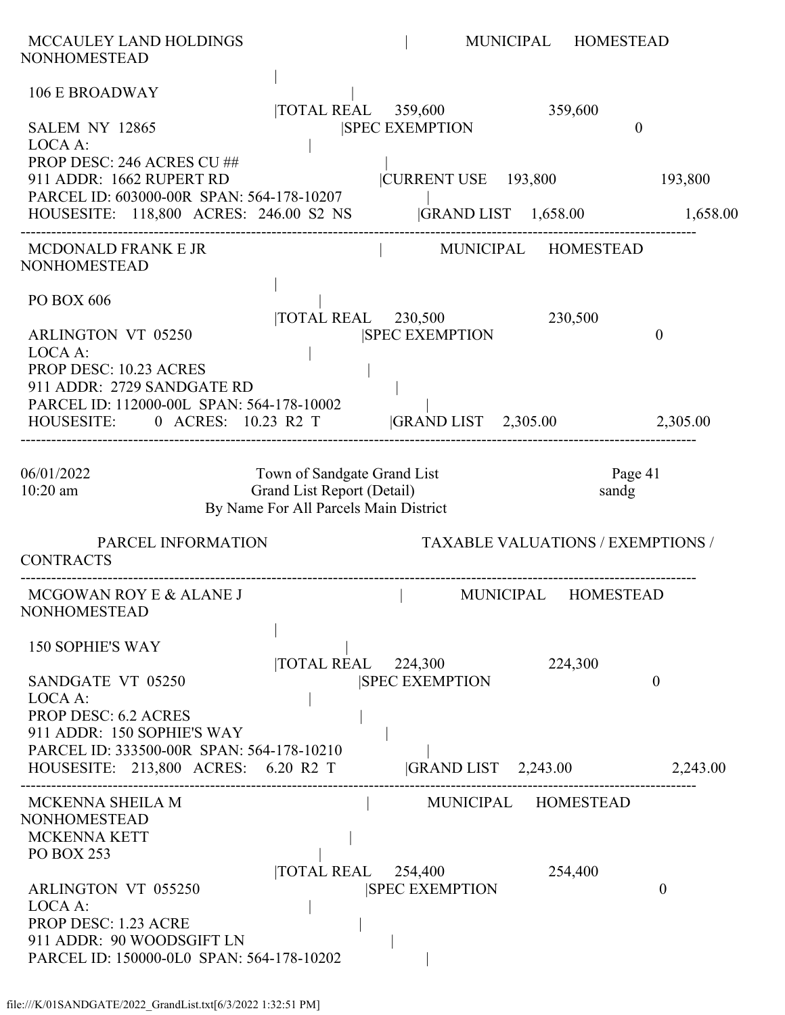| MCCAULEY LAND HOLDINGS<br><b>NONHOMESTEAD</b>                                                                                                                                 |                                                                                                    |                                                                 | MUNICIPAL | <b>HOMESTEAD</b>                         |                     |
|-------------------------------------------------------------------------------------------------------------------------------------------------------------------------------|----------------------------------------------------------------------------------------------------|-----------------------------------------------------------------|-----------|------------------------------------------|---------------------|
| <b>106 E BROADWAY</b><br>SALEM NY 12865                                                                                                                                       | $\overline{1}$ TOTAL REAL 359,600                                                                  | <b>SPEC EXEMPTION</b>                                           |           | 359,600<br>$\boldsymbol{0}$              |                     |
| LOCA A:<br>PROP DESC: 246 ACRES CU ##<br>911 ADDR: 1662 RUPERT RD<br>PARCEL ID: 603000-00R SPAN: 564-178-10207<br>HOUSESITE: 118,800 ACRES: 246.00 S2 NS  GRAND LIST 1,658.00 |                                                                                                    | CURRENT USE 193,800                                             |           |                                          | 193,800<br>1,658.00 |
| MCDONALD FRANK E JR<br><b>NONHOMESTEAD</b>                                                                                                                                    |                                                                                                    | MUNICIPAL HOMESTEAD                                             |           |                                          |                     |
| PO BOX 606<br><b>ARLINGTON VT 05250</b><br>LOCA A:<br>PROP DESC: 10.23 ACRES<br>911 ADDR: 2729 SANDGATE RD                                                                    |                                                                                                    | TOTAL REAL 230,500<br><b>SPEC EXEMPTION</b>                     |           | 230,500                                  | $\theta$            |
| PARCEL ID: 112000-00L SPAN: 564-178-10002<br>HOUSESITE: 0 ACRES: 10.23 R2 T GRAND LIST 2,305.00                                                                               |                                                                                                    |                                                                 |           |                                          | 2,305.00            |
| 06/01/2022<br>10:20 am                                                                                                                                                        | Town of Sandgate Grand List<br>Grand List Report (Detail)<br>By Name For All Parcels Main District |                                                                 |           | Page 41<br>sandg                         |                     |
| PARCEL INFORMATION<br><b>CONTRACTS</b>                                                                                                                                        |                                                                                                    |                                                                 |           | <b>TAXABLE VALUATIONS / EXEMPTIONS /</b> |                     |
| MCGOWAN ROY E & ALANE J MUNICIPAL HOMESTEAD<br><b>NONHOMESTEAD</b>                                                                                                            |                                                                                                    |                                                                 |           |                                          |                     |
| <b>150 SOPHIE'S WAY</b><br>SANDGATE VT 05250<br>LOCA A:<br><b>PROP DESC: 6.2 ACRES</b>                                                                                        |                                                                                                    | $\overline{\text{TOTAL REAL}}$ 224,300<br><b>SPEC EXEMPTION</b> |           | 224,300                                  | $\boldsymbol{0}$    |
| 911 ADDR: 150 SOPHIE'S WAY<br>PARCEL ID: 333500-00R SPAN: 564-178-10210<br>HOUSESITE: 213,800 ACRES: 6.20 R2 T                                                                |                                                                                                    | $ GRAND LIST$ 2,243.00                                          |           |                                          | 2,243.00            |
| MCKENNA SHEILA M<br><b>NONHOMESTEAD</b><br>MCKENNA KETT<br><b>PO BOX 253</b>                                                                                                  |                                                                                                    | MUNICIPAL HOMESTEAD                                             |           |                                          |                     |
| ARLINGTON VT 055250<br>LOCA A:<br><b>PROP DESC: 1.23 ACRE</b><br>911 ADDR: 90 WOODSGIFT LN<br>PARCEL ID: 150000-0L0 SPAN: 564-178-10202                                       |                                                                                                    | $\overline{\text{TOTAL REAL}}$ 254,400<br><b>SPEC EXEMPTION</b> |           | 254,400                                  | $\theta$            |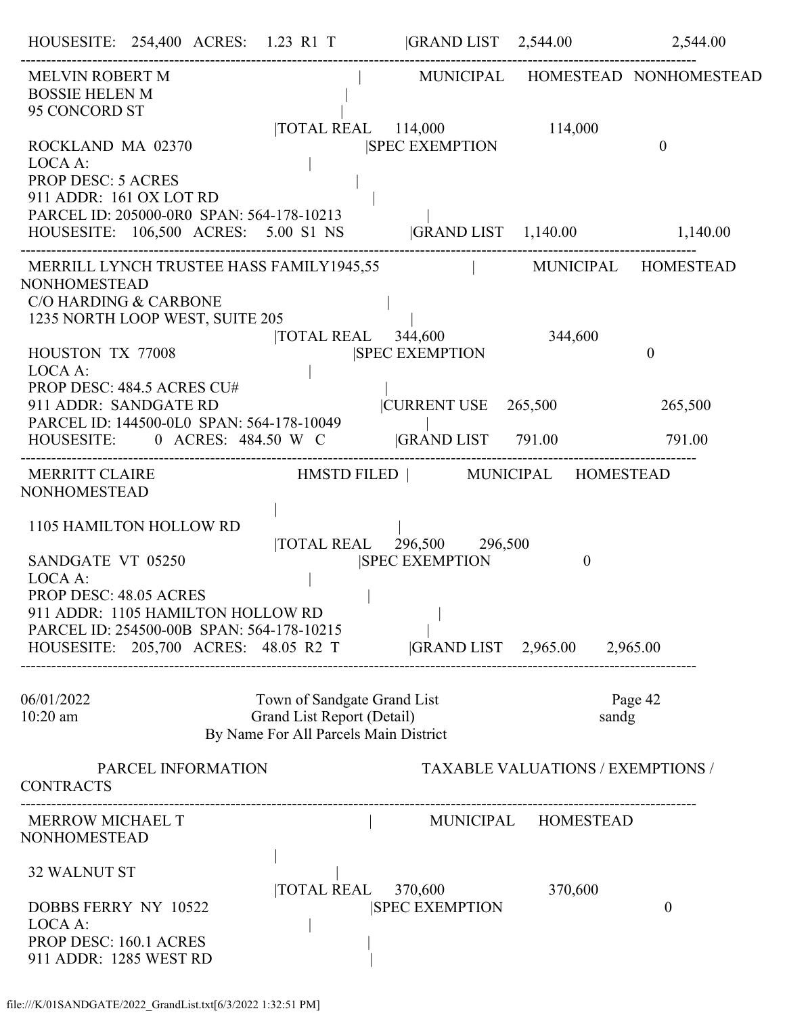| MELVIN ROBERT M<br><b>BOSSIE HELEN M</b><br>95 CONCORD ST                                                                                                                                                   |                                                                                                    |                                       |                                           | MUNICIPAL HOMESTEAD NONHOMESTEAD |
|-------------------------------------------------------------------------------------------------------------------------------------------------------------------------------------------------------------|----------------------------------------------------------------------------------------------------|---------------------------------------|-------------------------------------------|----------------------------------|
| ROCKLAND MA 02370<br>LOCA A:<br><b>PROP DESC: 5 ACRES</b><br>911 ADDR: 161 OX LOT RD<br>PARCEL ID: 205000-0R0 SPAN: 564-178-10213                                                                           | TOTAL REAL 114,000                                                                                 | <b>SPEC EXEMPTION</b>                 | 114,000                                   | $\theta$                         |
|                                                                                                                                                                                                             |                                                                                                    |                                       |                                           |                                  |
| MERRILL LYNCH TRUSTEE HASS FAMILY1945,55   MUNICIPAL HOMESTEAD<br><b>NONHOMESTEAD</b><br><b>C/O HARDING &amp; CARBONE</b><br>1235 NORTH LOOP WEST, SUITE 205                                                |                                                                                                    |                                       |                                           |                                  |
| HOUSTON TX 77008<br>LOCA A:                                                                                                                                                                                 | TOTAL REAL 344,600                                                                                 | <b>SPEC EXEMPTION</b>                 | 344,600                                   | $\overline{0}$                   |
| PROP DESC: 484.5 ACRES CU#<br>911 ADDR: SANDGATE RD<br>PARCEL ID: 144500-0L0 SPAN: 564-178-10049                                                                                                            |                                                                                                    | $ {\text{CURRENT USE}} \quad 265,500$ |                                           | 265,500                          |
| HOUSESITE: 0 ACRES: 484.50 W C  GRAND LIST 791.00 791.00                                                                                                                                                    |                                                                                                    |                                       |                                           |                                  |
| MERRITT CLAIRE HMSTD FILED   MUNICIPAL HOMESTEAD<br><b>NONHOMESTEAD</b>                                                                                                                                     |                                                                                                    |                                       |                                           |                                  |
| 1105 HAMILTON HOLLOW RD<br>SANDGATE VT 05250<br>LOCA A:<br>PROP DESC: 48.05 ACRES<br>911 ADDR: 1105 HAMILTON HOLLOW RD<br>PARCEL ID: 254500-00B SPAN: 564-178-10215<br>HOUSESITE: 205,700 ACRES: 48.05 R2 T | TOTAL REAL 296,500 296,500                                                                         | <b>SPEC EXEMPTION</b>                 | $\theta$<br> GRAND LIST 2,965.00 2,965.00 |                                  |
| 06/01/2022<br>$10:20$ am                                                                                                                                                                                    | Town of Sandgate Grand List<br>Grand List Report (Detail)<br>By Name For All Parcels Main District |                                       | sandg                                     | Page 42                          |
| PARCEL INFORMATION<br><b>CONTRACTS</b>                                                                                                                                                                      |                                                                                                    |                                       | <b>TAXABLE VALUATIONS / EXEMPTIONS /</b>  |                                  |
| MERROW MICHAEL T<br><b>NONHOMESTEAD</b>                                                                                                                                                                     |                                                                                                    |                                       | MUNICIPAL HOMESTEAD                       |                                  |
| <b>32 WALNUT ST</b><br>DOBBS FERRY NY 10522<br>LOCA A:<br>PROP DESC: 160.1 ACRES<br>911 ADDR: 1285 WEST RD                                                                                                  | <b>TOTAL REAL</b>                                                                                  | 370,600<br><b>SPEC EXEMPTION</b>      | 370,600                                   | $\boldsymbol{0}$                 |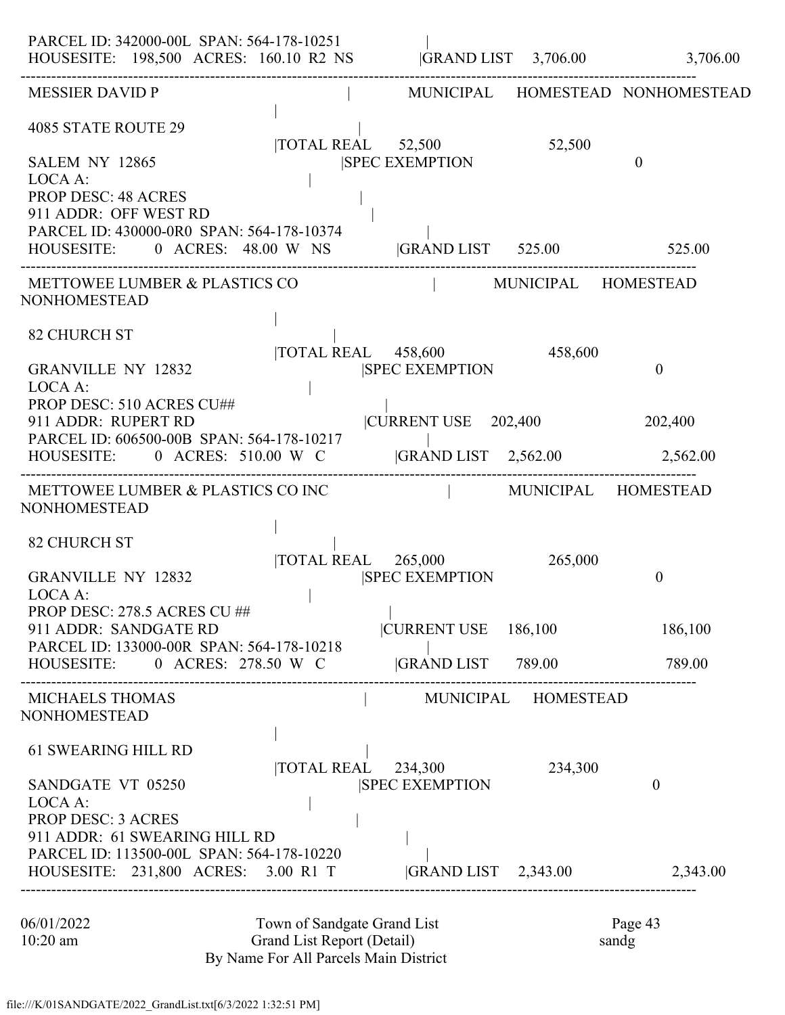| PARCEL ID: 342000-00L SPAN: 564-178-10251<br>HOUSESITE: 198,500 ACRES: 160.10 R2 NS GRAND LIST 3,706.00 3,706.00 |                                                                     |                                   |                     |                                  |
|------------------------------------------------------------------------------------------------------------------|---------------------------------------------------------------------|-----------------------------------|---------------------|----------------------------------|
| <b>MESSIER DAVID P</b>                                                                                           |                                                                     |                                   |                     | MUNICIPAL HOMESTEAD NONHOMESTEAD |
| 4085 STATE ROUTE 29                                                                                              | TOTAL REAL 52,500                                                   |                                   | 52,500              |                                  |
| SALEM NY 12865<br>LOCA A:                                                                                        |                                                                     | <b>SPEC EXEMPTION</b>             |                     | $\theta$                         |
| <b>PROP DESC: 48 ACRES</b><br>911 ADDR: OFF WEST RD                                                              |                                                                     |                                   |                     |                                  |
| PARCEL ID: 430000-0R0 SPAN: 564-178-10374<br>HOUSESITE: 0 ACRES: 48.00 W NS GRAND LIST 525.00 525.00             |                                                                     |                                   |                     |                                  |
| METTOWEE LUMBER & PLASTICS CO<br>NONHOMESTEAD                                                                    |                                                                     | MUNICIPAL HOMESTEAD               |                     |                                  |
| <b>82 CHURCH ST</b>                                                                                              |                                                                     |                                   |                     |                                  |
| <b>GRANVILLE NY 12832</b><br>LOCA A:                                                                             |                                                                     | <b>SPEC EXEMPTION</b>             |                     | $\mathbf{0}$                     |
| PROP DESC: 510 ACRES CU##<br>911 ADDR: RUPERT RD                                                                 |                                                                     | $ C\overline{U}$ RENT USE 202,400 |                     | 202,400                          |
| PARCEL ID: 606500-00B SPAN: 564-178-10217<br>HOUSESITE: 0 ACRES: 510.00 W C  GRAND LIST 2,562.00 2,562.00        |                                                                     |                                   |                     |                                  |
| METTOWEE LUMBER & PLASTICS CO INC<br>NONHOMESTEAD                                                                |                                                                     | MUNICIPAL HOMESTEAD               |                     |                                  |
| <b>82 CHURCH ST</b>                                                                                              |                                                                     |                                   |                     |                                  |
| <b>GRANVILLE NY 12832</b><br>LOCA A:                                                                             | TOTAL REAL 265,000                                                  | <b>SPEC EXEMPTION</b>             | 265,000             | $\mathbf{0}$                     |
| PROP DESC: 278.5 ACRES CU ##<br>911 ADDR: SANDGATE RD                                                            |                                                                     | CURRENT USE 186,100               |                     | 186,100                          |
| PARCEL ID: 133000-00R SPAN: 564-178-10218<br>HOUSESITE: 0 ACRES: 278.50 W C GRAND LIST 789.00                    |                                                                     |                                   |                     | 789.00                           |
| <b>MICHAELS THOMAS</b><br>NONHOMESTEAD                                                                           |                                                                     |                                   | MUNICIPAL HOMESTEAD |                                  |
| <b>61 SWEARING HILL RD</b>                                                                                       | TOTAL REAL 234,300                                                  |                                   | 234,300             |                                  |
| SANDGATE VT 05250<br>LOCA A:                                                                                     |                                                                     | <b>SPEC EXEMPTION</b>             |                     | $\theta$                         |
| <b>PROP DESC: 3 ACRES</b><br>911 ADDR: 61 SWEARING HILL RD                                                       |                                                                     |                                   |                     |                                  |
| PARCEL ID: 113500-00L SPAN: 564-178-10220<br>HOUSESITE: 231,800 ACRES: 3.00 R1 T  GRAND LIST 2,343.00 2,343.00   |                                                                     |                                   |                     |                                  |
| 06/01/2022                                                                                                       | Town of Sandgate Grand List                                         |                                   |                     | Page 43                          |
| $10:20$ am                                                                                                       | Grand List Report (Detail)<br>By Name For All Parcels Main District |                                   |                     | sandg                            |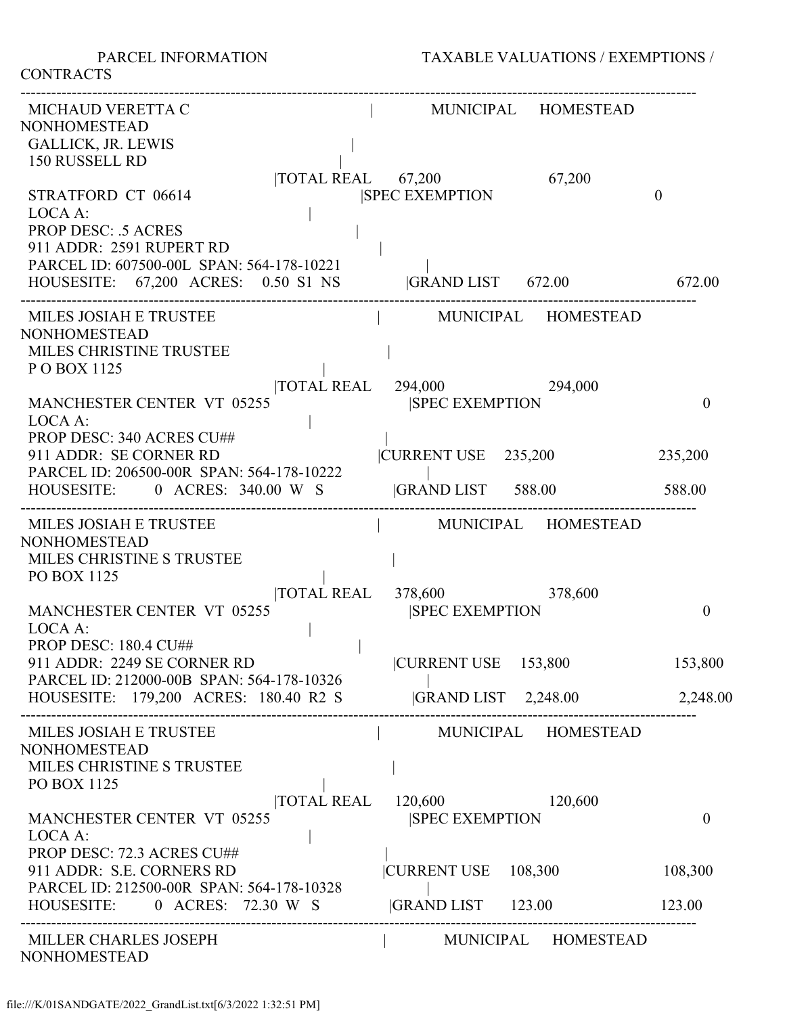**CONTRACTS** 

| MICHAUD VERETTA C<br><b>NONHOMESTEAD</b>                                                                 |                                                     | MUNICIPAL HOMESTEAD      |              |
|----------------------------------------------------------------------------------------------------------|-----------------------------------------------------|--------------------------|--------------|
| <b>GALLICK, JR. LEWIS</b><br>150 RUSSELL RD                                                              | $\overline{10TAL}$ REAL 67,200                      | 67,200                   |              |
| STRATFORD CT 06614<br>LOCA A:                                                                            | <b>SPEC EXEMPTION</b>                               |                          | $\mathbf{0}$ |
| <b>PROP DESC: .5 ACRES</b><br>911 ADDR: 2591 RUPERT RD<br>PARCEL ID: 607500-00L SPAN: 564-178-10221      |                                                     |                          |              |
| HOUSESITE: 67,200 ACRES: 0.50 S1 NS                                                                      |                                                     | GRAND LIST 672.00 672.00 |              |
| MILES JOSIAH E TRUSTEE<br><b>NONHOMESTEAD</b><br>MILES CHRISTINE TRUSTEE<br>POBOX 1125                   |                                                     | MUNICIPAL HOMESTEAD      |              |
| <b>MANCHESTER CENTER VT 05255</b><br>LOCA A:                                                             | TOTAL REAL 294,000<br><b>SPEC EXEMPTION</b>         | 294,000                  | $\mathbf{0}$ |
| PROP DESC: 340 ACRES CU##<br>911 ADDR: SE CORNER RD<br>PARCEL ID: 206500-00R SPAN: 564-178-10222         | CURRENT USE 235,200                                 |                          | 235,200      |
| HOUSESITE: 0 ACRES: 340.00 W S GRAND LIST 588.00                                                         |                                                     |                          | 588.00       |
| MILES JOSIAH E TRUSTEE<br><b>NONHOMESTEAD</b><br>MILES CHRISTINE S TRUSTEE<br>PO BOX 1125                |                                                     | MUNICIPAL HOMESTEAD      |              |
| <b>MANCHESTER CENTER VT 05255</b><br>LOCA A:                                                             | TOTAL REAL 378,600 378,600<br><b>SPEC EXEMPTION</b> |                          | $\theta$     |
| <b>PROP DESC: 180.4 CU##</b><br>911 ADDR: 2249 SE CORNER RD<br>PARCEL ID: 212000-00B SPAN: 564-178-10326 | CURRENT USE 153,800                                 |                          | 153,800      |
| HOUSESITE: 179,200 ACRES: 180.40 R2 S  GRAND LIST 2,248.00 2,248.00                                      |                                                     |                          |              |
| MILES JOSIAH E TRUSTEE<br><b>NONHOMESTEAD</b>                                                            |                                                     | MUNICIPAL HOMESTEAD      |              |
| MILES CHRISTINE S TRUSTEE<br>PO BOX 1125                                                                 |                                                     |                          |              |
| <b>MANCHESTER CENTER VT 05255</b><br>LOCA A:                                                             | TOTAL REAL 120,600 120,600<br><b>SPEC EXEMPTION</b> |                          | $\mathbf{0}$ |
| PROP DESC: 72.3 ACRES CU##<br>911 ADDR: S.E. CORNERS RD<br>PARCEL ID: 212500-00R SPAN: 564-178-10328     |                                                     | CURRENT USE 108,300      | 108,300      |
| HOUSESITE: 0 ACRES: 72.30 W S  GRAND LIST 123.00                                                         |                                                     |                          | 123.00       |
| MILLER CHARLES JOSEPH<br><b>NONHOMESTEAD</b>                                                             |                                                     | MUNICIPAL HOMESTEAD      |              |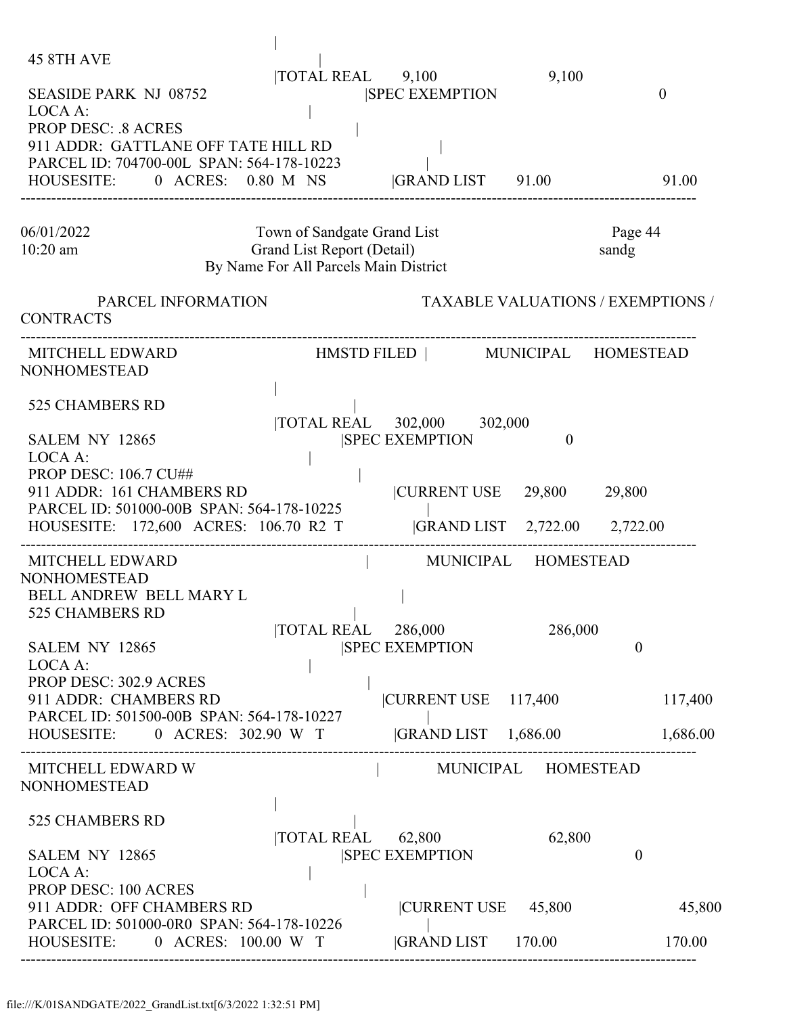| <b>45 8TH AVE</b><br><b>SEASIDE PARK NJ 08752</b><br>LOCA A:<br><b>PROP DESC: .8 ACRES</b><br>911 ADDR: GATTLANE OFF TATE HILL RD<br>PARCEL ID: 704700-00L SPAN: 564-178-10223<br>HOUSESITE: 0 ACRES: 0.80 M NS                                                   | 9,100<br>$\overline{10TAL}$ REAL $9,100$<br><b>SPEC EXEMPTION</b><br>$ GRAND LIST$ 91.00                                          | $\theta$<br>91.00                  |
|-------------------------------------------------------------------------------------------------------------------------------------------------------------------------------------------------------------------------------------------------------------------|-----------------------------------------------------------------------------------------------------------------------------------|------------------------------------|
| 06/01/2022<br>10:20 am                                                                                                                                                                                                                                            | Town of Sandgate Grand List<br>Grand List Report (Detail)<br>By Name For All Parcels Main District                                | Page 44<br>sandg                   |
| PARCEL INFORMATION<br><b>CONTRACTS</b>                                                                                                                                                                                                                            | <b>TAXABLE VALUATIONS / EXEMPTIONS /</b>                                                                                          |                                    |
| <b>MITCHELL EDWARD</b><br><b>NONHOMESTEAD</b>                                                                                                                                                                                                                     | HMSTD FILED   MUNICIPAL HOMESTEAD                                                                                                 |                                    |
| 525 CHAMBERS RD<br><b>SALEM NY 12865</b><br>LOCA A:<br><b>PROP DESC: 106.7 CU##</b><br>911 ADDR: 161 CHAMBERS RD<br>PARCEL ID: 501000-00B SPAN: 564-178-10225<br>HOUSESITE: 172,600 ACRES: 106.70 R2 T                                                            | TOTAL REAL 302,000 302,000<br><b>SPEC EXEMPTION</b><br>$\Omega$<br> CURRENT USE 29,800<br> GRAND LIST 2,722.00 2,722.00           | 29,800                             |
| MITCHELL EDWARD<br><b>NONHOMESTEAD</b><br><b>BELL ANDREW BELL MARY L</b><br>525 CHAMBERS RD<br><b>SALEM NY 12865</b><br>LOCA A:<br>PROP DESC: 302.9 ACRES<br>911 ADDR: CHAMBERS RD<br>PARCEL ID: 501500-00B SPAN: 564-178-10227<br>HOUSESITE: 0 ACRES: 302.90 W T | MUNICIPAL HOMESTEAD<br>TOTAL REAL 286,000<br>286,000<br><b>SPEC EXEMPTION</b><br> CURRENT USE 117,400<br>$ GRAND LIST \t1,686.00$ | $\theta$<br>117,400<br>1,686.00    |
| MITCHELL EDWARD W<br><b>NONHOMESTEAD</b><br>525 CHAMBERS RD<br>SALEM NY 12865<br>LOCA A:<br><b>PROP DESC: 100 ACRES</b><br>911 ADDR: OFF CHAMBERS RD<br>PARCEL ID: 501000-0R0 SPAN: 564-178-10226<br>HOUSESITE: 0 ACRES: 100.00 W T                               | MUNICIPAL HOMESTEAD<br>62,800<br>TOTAL REAL 62,800<br><b>SPEC EXEMPTION</b><br> CURRENT USE 45,800<br><b>GRAND LIST</b> 170.00    | $\overline{0}$<br>45,800<br>170.00 |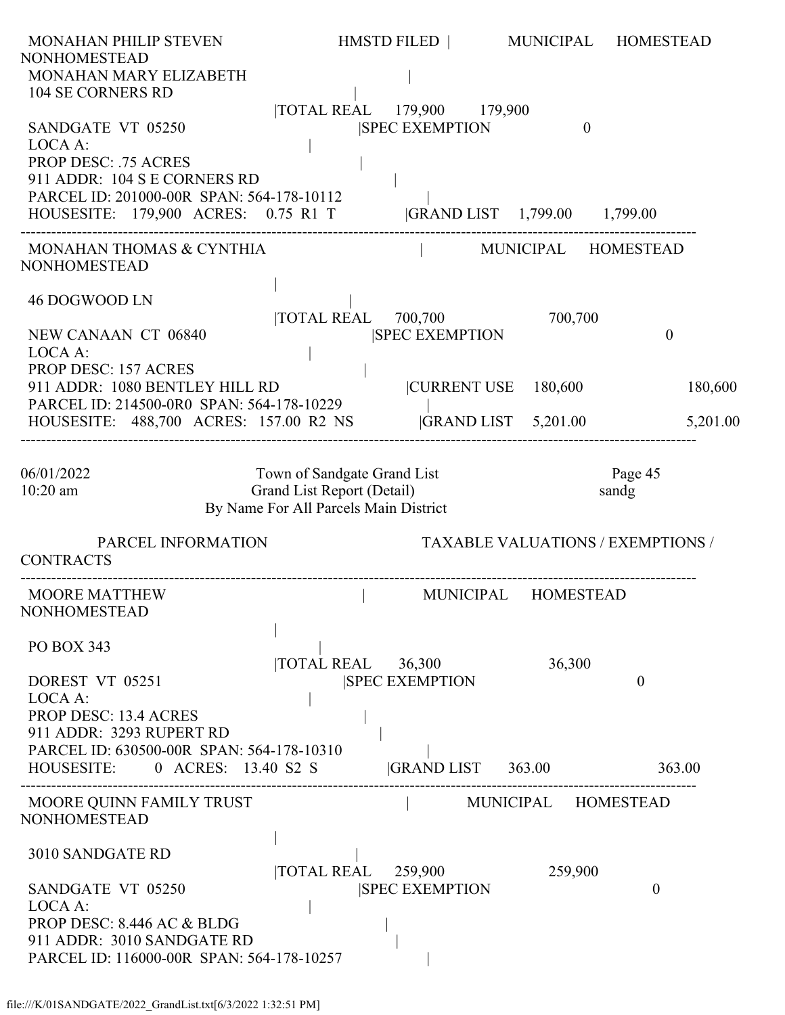| <b>MONAHAN PHILIP STEVEN</b><br><b>NONHOMESTEAD</b><br>MONAHAN MARY ELIZABETH<br>104 SE CORNERS RD                                                                                                            |                                                                                                    | HMSTD FILED                                                            | MUNICIPAL           | <b>HOMESTEAD</b>                         |
|---------------------------------------------------------------------------------------------------------------------------------------------------------------------------------------------------------------|----------------------------------------------------------------------------------------------------|------------------------------------------------------------------------|---------------------|------------------------------------------|
| SANDGATE VT 05250<br>LOCA A:<br><b>PROP DESC: .75 ACRES</b><br>911 ADDR: 104 S E CORNERS RD<br>PARCEL ID: 201000-00R SPAN: 564-178-10112<br>HOUSESITE: 179,900 ACRES: 0.75 R1 T  GRAND LIST 1,799.00 1,799.00 |                                                                                                    | TOTAL REAL 179,900 179,900<br><b>SPEC EXEMPTION</b>                    | $\theta$            |                                          |
| MONAHAN THOMAS & CYNTHIA<br><b>NONHOMESTEAD</b>                                                                                                                                                               |                                                                                                    |                                                                        | MUNICIPAL HOMESTEAD |                                          |
| 46 DOGWOOD LN<br>NEW CANAAN CT 06840<br>LOCA A:                                                                                                                                                               |                                                                                                    | $\overline{10}$ TAL REAL $\overline{700,700}$<br><b>SPEC EXEMPTION</b> | 700,700             | $\theta$                                 |
| <b>PROP DESC: 157 ACRES</b><br>911 ADDR: 1080 BENTLEY HILL RD<br>PARCEL ID: 214500-0R0 SPAN: 564-178-10229<br>HOUSESITE: 488,700 ACRES: 157.00 R2 NS                                                          |                                                                                                    | CURRENT USE 180,600<br>$ GRAND LIST$ 5,201.00                          |                     | 180,600<br>5,201.00                      |
| 06/01/2022<br>$10:20$ am                                                                                                                                                                                      | Town of Sandgate Grand List<br>Grand List Report (Detail)<br>By Name For All Parcels Main District |                                                                        |                     | Page 45<br>sandg                         |
| PARCEL INFORMATION<br><b>CONTRACTS</b>                                                                                                                                                                        |                                                                                                    |                                                                        |                     | <b>TAXABLE VALUATIONS / EXEMPTIONS /</b> |
| <b>MOORE MATTHEW</b><br><b>NONHOMESTEAD</b>                                                                                                                                                                   |                                                                                                    | MUNICIPAL                                                              | <b>HOMESTEAD</b>    |                                          |
| PO BOX 343<br>DOREST VT 05251<br>LOCA A:<br><b>PROP DESC: 13.4 ACRES</b><br>911 ADDR: 3293 RUPERT RD<br>PARCEL ID: 630500-00R SPAN: 564-178-10310<br>HOUSESITE: 0 ACRES: 13.40 S2 S                           | $\overline{\text{TOTAL REAL}}$ 36,300                                                              | <b>SPEC EXEMPTION</b><br> GRAND LIST 363.00                            | 36,300              | $\theta$<br>363.00                       |
| MOORE QUINN FAMILY TRUST<br><b>NONHOMESTEAD</b>                                                                                                                                                               |                                                                                                    |                                                                        | MUNICIPAL HOMESTEAD |                                          |
| 3010 SANDGATE RD<br>SANDGATE VT 05250<br>LOCA A:<br>PROP DESC: 8.446 AC & BLDG<br>911 ADDR: 3010 SANDGATE RD<br>PARCEL ID: 116000-00R SPAN: 564-178-10257                                                     | $\overline{10TAL}$ REAL 259,900                                                                    | <b>SPEC EXEMPTION</b>                                                  | 259,900             | $\theta$                                 |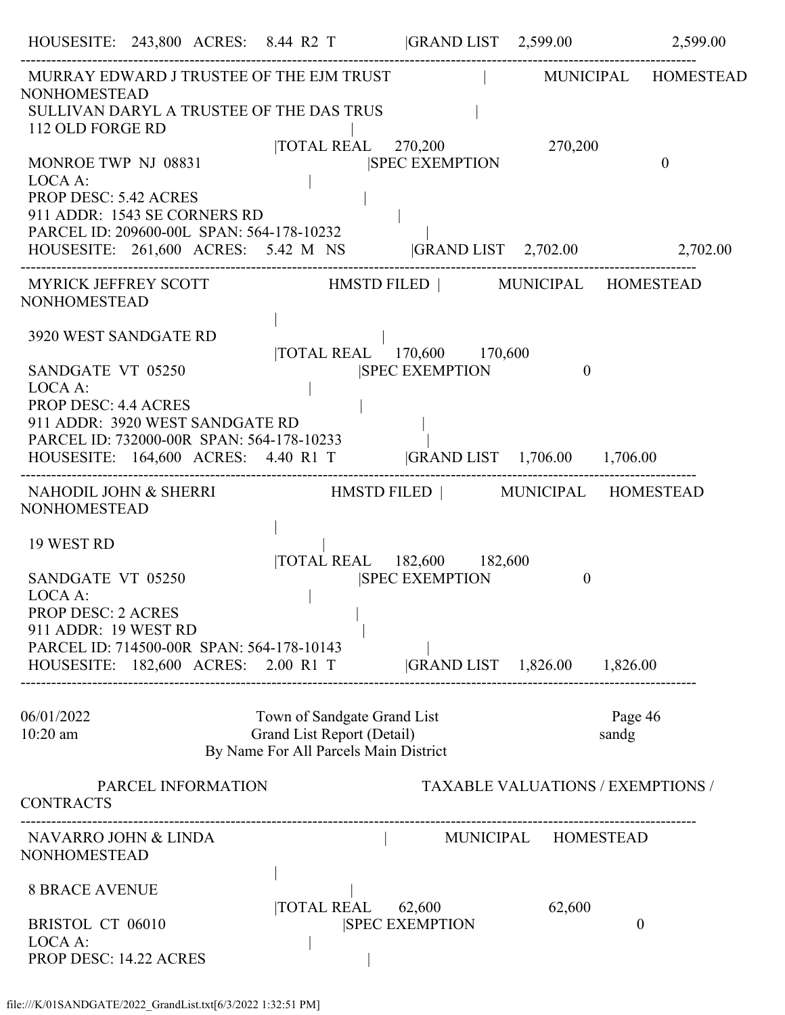|                                                                                                                                             |                    | HOUSESITE: 243,800 ACRES: 8.44 R2 T  GRAND LIST 2,599.00 2,599.00                                              |                       |                                          |                  |              |
|---------------------------------------------------------------------------------------------------------------------------------------------|--------------------|----------------------------------------------------------------------------------------------------------------|-----------------------|------------------------------------------|------------------|--------------|
| <b>NONHOMESTEAD</b>                                                                                                                         |                    | MURRAY EDWARD J TRUSTEE OF THE EJM TRUST FOR THE MUNICIPAL HOMESTEAD                                           |                       |                                          |                  |              |
| 112 OLD FORGE RD                                                                                                                            |                    | SULLIVAN DARYL A TRUSTEE OF THE DAS TRUS<br> TOTAL REAL 270,200 270,200                                        |                       |                                          |                  |              |
| MONROE TWP NJ 08831<br>LOCA A:<br><b>PROP DESC: 5.42 ACRES</b><br>911 ADDR: 1543 SE CORNERS RD<br>PARCEL ID: 209600-00L SPAN: 564-178-10232 |                    |                                                                                                                | <b>SPEC EXEMPTION</b> |                                          |                  | $\mathbf{0}$ |
|                                                                                                                                             |                    | HOUSESITE: 261,600 ACRES: 5.42 M NS  GRAND LIST 2,702.00 2,702.00                                              |                       |                                          |                  |              |
| <b>NONHOMESTEAD</b>                                                                                                                         |                    | MYRICK JEFFREY SCOTT HMSTD FILED   MUNICIPAL HOMESTEAD                                                         |                       |                                          |                  |              |
| 3920 WEST SANDGATE RD                                                                                                                       |                    |                                                                                                                |                       |                                          |                  |              |
| SANDGATE VT 05250<br>LOCA A:                                                                                                                |                    | TOTAL REAL 170,600 170,600                                                                                     | <b>SPEC EXEMPTION</b> | $\theta$                                 |                  |              |
| <b>PROP DESC: 4.4 ACRES</b><br>911 ADDR: 3920 WEST SANDGATE RD                                                                              |                    | PARCEL ID: 732000-00R SPAN: 564-178-10233<br>HOUSESITE: 164,600 ACRES: 4.40 R1 T  GRAND LIST 1,706.00 1,706.00 |                       |                                          |                  |              |
| <b>NONHOMESTEAD</b>                                                                                                                         |                    | NAHODIL JOHN & SHERRI HMSTD FILED   MUNICIPAL HOMESTEAD                                                        |                       |                                          |                  |              |
| 19 WEST RD                                                                                                                                  |                    |                                                                                                                |                       |                                          |                  |              |
| SANDGATE VT 05250<br>LOCA A:<br><b>PROP DESC: 2 ACRES</b><br>911 ADDR: 19 WEST RD<br>PARCEL ID: 714500-00R SPAN: 564-178-10143              |                    | TOTAL REAL 182,600 182,600                                                                                     | <b>SPEC EXEMPTION</b> | $\theta$                                 |                  |              |
|                                                                                                                                             |                    | HOUSESITE: 182,600 ACRES: 2.00 R1 T                                                                            |                       | GRAND LIST 1,826.00 1,826.00             |                  |              |
| 06/01/2022<br>10:20 am                                                                                                                      |                    | Town of Sandgate Grand List<br>Grand List Report (Detail)<br>By Name For All Parcels Main District             |                       |                                          | Page 46<br>sandg |              |
| <b>CONTRACTS</b>                                                                                                                            | PARCEL INFORMATION |                                                                                                                |                       | <b>TAXABLE VALUATIONS / EXEMPTIONS /</b> |                  |              |
| NAVARRO JOHN & LINDA<br>NONHOMESTEAD                                                                                                        |                    |                                                                                                                |                       | MUNICIPAL HOMESTEAD                      |                  |              |
| <b>8 BRACE AVENUE</b>                                                                                                                       |                    |                                                                                                                |                       |                                          |                  |              |
| <b>BRISTOL CT 06010</b><br>LOCA A:<br><b>PROP DESC: 14.22 ACRES</b>                                                                         |                    | TOTAL REAL 62,600                                                                                              | <b>SPEC EXEMPTION</b> | 62,600                                   | $\theta$         |              |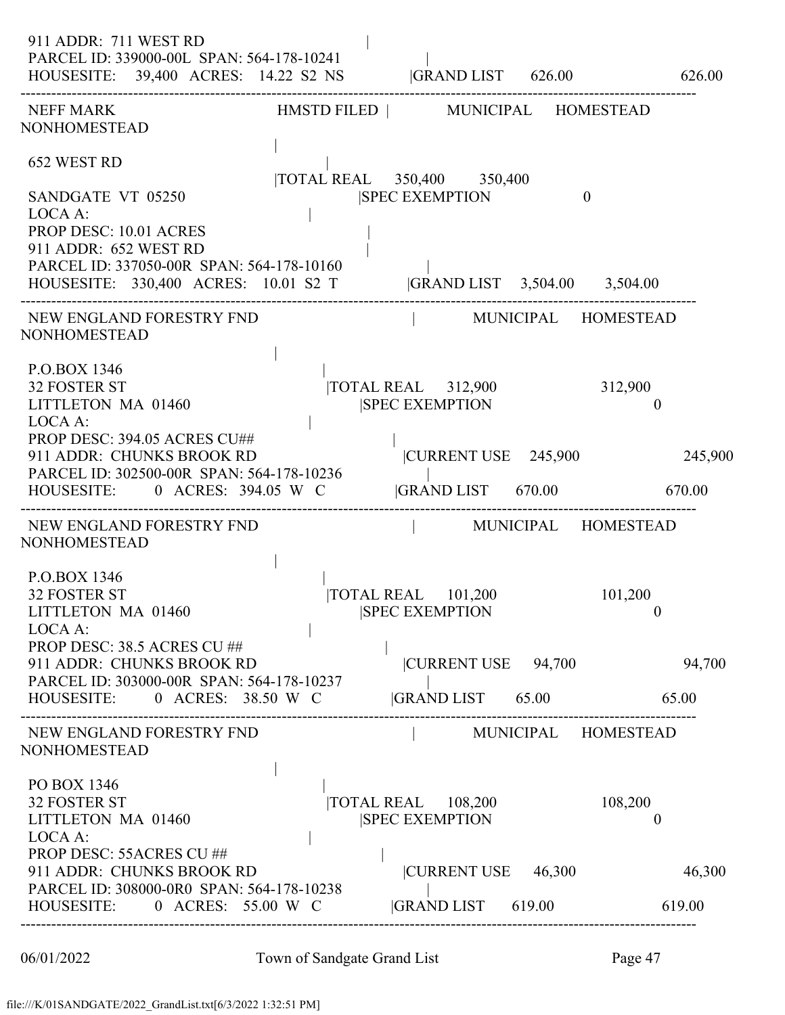| 911 ADDR: 711 WEST RD<br>PARCEL ID: 339000-00L SPAN: 564-178-10241<br>HOUSESITE: 39,400 ACRES: 14.22 S2 NS  GRAND LIST 626.00 626.00                                                               |                                                                         |                           |                  |
|----------------------------------------------------------------------------------------------------------------------------------------------------------------------------------------------------|-------------------------------------------------------------------------|---------------------------|------------------|
| ---------------------------------<br>NEFF MARK<br><b>NONHOMESTEAD</b>                                                                                                                              | HMSTD FILED   MUNICIPAL HOMESTEAD                                       |                           |                  |
| 652 WEST RD                                                                                                                                                                                        | TOTAL REAL 350,400 350,400                                              |                           |                  |
| SANDGATE VT 05250<br>LOCA A:<br>PROP DESC: 10.01 ACRES<br>911 ADDR: 652 WEST RD<br>PARCEL ID: 337050-00R SPAN: 564-178-10160<br>HOUSESITE: 330,400 ACRES: 10.01 S2 T  GRAND LIST 3,504.00 3,504.00 | <b>SPEC EXEMPTION</b>                                                   | $\mathbf{0}$              |                  |
| NEW ENGLAND FORESTRY FND<br><b>NONHOMESTEAD</b>                                                                                                                                                    | MUNICIPAL HOMESTEAD                                                     |                           |                  |
| P.O.BOX 1346<br><b>32 FOSTER ST</b><br>LITTLETON MA 01460<br>LOCA A:                                                                                                                               | $\overline{\text{NOTAL REAL}}$ 312,900 312,900<br><b>SPEC EXEMPTION</b> | $\mathbf{0}$              |                  |
| PROP DESC: 394.05 ACRES CU##<br>911 ADDR: CHUNKS BROOK RD<br>PARCEL ID: 302500-00R SPAN: 564-178-10236<br>HOUSESITE: 0 ACRES: 394.05 W C                                                           | CURRENT USE 245,900<br> GRAND LIST 670.00 670.00                        |                           | 245,900          |
| NEW ENGLAND FORESTRY FND<br><b>NONHOMESTEAD</b>                                                                                                                                                    | MUNICIPAL HOMESTEAD                                                     |                           |                  |
| P.O.BOX 1346<br><b>32 FOSTER ST</b><br>LITTLETON MA 01460<br>LOCA A:                                                                                                                               | TOTAL REAL 101,200<br><b>SPEC EXEMPTION</b>                             | 101,200<br>$\mathbf{0}$   |                  |
| PROP DESC: 38.5 ACRES CU ##<br>911 ADDR: CHUNKS BROOK RD<br>PARCEL ID: 303000-00R SPAN: 564-178-10237<br>HOUSESITE: 0 ACRES: 38.50 W C                                                             | CURRENT USE 94,700<br>$ GRAND LIST$ 65.00 65.00                         |                           | 94,700           |
| NEW ENGLAND FORESTRY FND<br><b>NONHOMESTEAD</b>                                                                                                                                                    |                                                                         | MUNICIPAL HOMESTEAD       |                  |
| PO BOX 1346<br><b>32 FOSTER ST</b><br>LITTLETON MA 01460<br>LOCA A:                                                                                                                                | $\overline{\text{TOTAL REAL}}$ 108,200<br><b>SPEC EXEMPTION</b>         | 108,200<br>$\overline{0}$ |                  |
| PROP DESC: 55ACRES CU ##<br>911 ADDR: CHUNKS BROOK RD<br>PARCEL ID: 308000-0R0 SPAN: 564-178-10238<br>HOUSESITE: 0 ACRES: 55.00 W C                                                                | CURRENT USE 46,300<br> GRAND LIST 619.00                                |                           | 46,300<br>619.00 |
|                                                                                                                                                                                                    |                                                                         |                           |                  |

06/01/2022 Town of Sandgate Grand List Page 47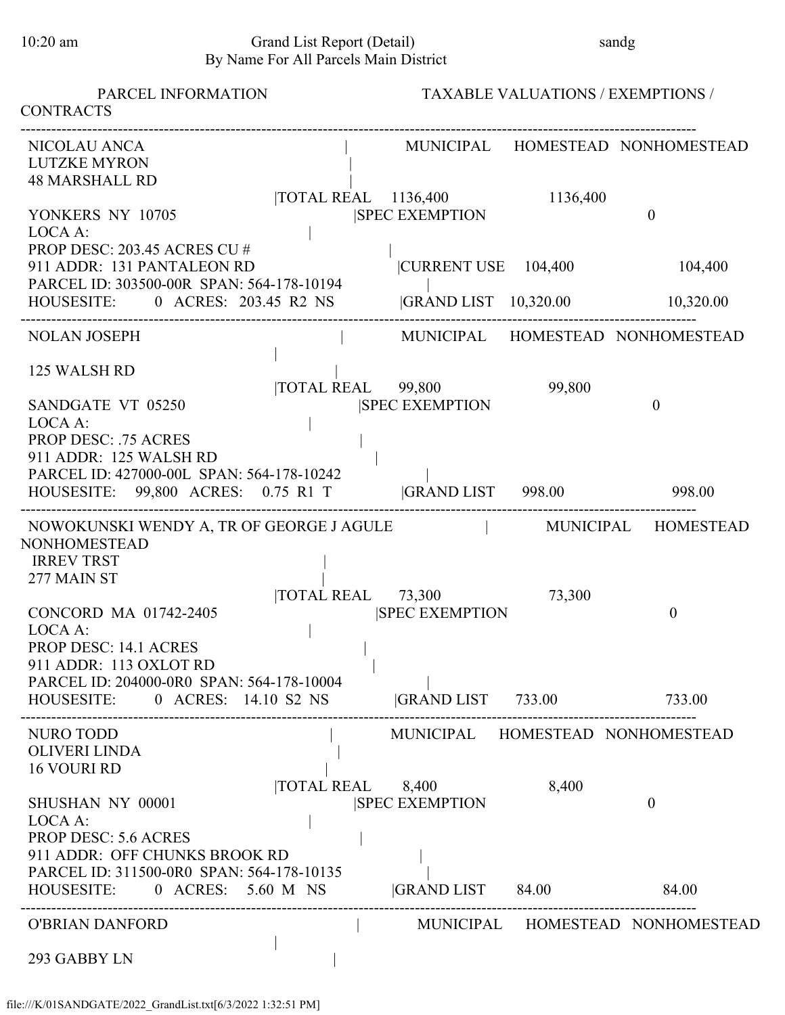### 10:20 am Grand List Report (Detail) sandg By Name For All Parcels Main District

| PARCEL INFORMATION<br><b>CONTRACTS</b>                                                                                                                                |                                                          | <b>TAXABLE VALUATIONS / EXEMPTIONS /</b> |                                  |
|-----------------------------------------------------------------------------------------------------------------------------------------------------------------------|----------------------------------------------------------|------------------------------------------|----------------------------------|
| NICOLAU ANCA<br><b>LUTZKE MYRON</b><br><b>48 MARSHALL RD</b>                                                                                                          |                                                          |                                          | MUNICIPAL HOMESTEAD NONHOMESTEAD |
| YONKERS NY 10705<br>LOCA A:                                                                                                                                           | TOTAL REAL 1136,400<br><b>SPEC EXEMPTION</b>             | 1136,400                                 | $\theta$                         |
| PROP DESC: 203.45 ACRES CU #<br>911 ADDR: 131 PANTALEON RD<br>PARCEL ID: 303500-00R SPAN: 564-178-10194                                                               | CURRENT USE 104,400                                      |                                          | 104,400                          |
| HOUSESITE: 0 ACRES: 203.45 R2 NS                                                                                                                                      | GRAND LIST 10,320.00                                     |                                          | 10,320.00                        |
| <b>NOLAN JOSEPH</b>                                                                                                                                                   |                                                          |                                          | MUNICIPAL HOMESTEAD NONHOMESTEAD |
| 125 WALSH RD<br>TOTAL REAL 99,800<br>SANDGATE VT 05250                                                                                                                | <b>SPEC EXEMPTION</b>                                    | 99,800                                   | $\overline{0}$                   |
| LOCA A:<br><b>PROP DESC: .75 ACRES</b><br>911 ADDR: 125 WALSH RD<br>PARCEL ID: 427000-00L SPAN: 564-178-10242<br>HOUSESITE: 99,800 ACRES: 0.75 R1 T GRAND LIST 998.00 |                                                          |                                          | 998.00                           |
| NOWOKUNSKI WENDY A, TR OF GEORGE J AGULE MUNICIPAL HOMESTEAD<br><b>NONHOMESTEAD</b>                                                                                   |                                                          |                                          |                                  |
| <b>IRREV TRST</b><br>277 MAIN ST                                                                                                                                      | $\overline{10}$ TAL REAL $\overline{73,300}$             | 73,300                                   |                                  |
| CONCORD MA 01742-2405<br>LOCA A:<br>PROP DESC: 14.1 ACRES<br>911 ADDR: 113 OXLOT RD                                                                                   | <b>SPEC EXEMPTION</b>                                    |                                          | $\boldsymbol{0}$                 |
| PARCEL ID: 204000-0R0 SPAN: 564-178-10004<br>HOUSESITE: 0 ACRES: 14.10 S2 NS  GRAND LIST 733.00 733.00                                                                |                                                          |                                          |                                  |
| NURO TODD<br><b>OLIVERI LINDA</b><br><b>16 VOURI RD</b>                                                                                                               | MUNICIPAL HOMESTEAD NONHOMESTEAD                         |                                          |                                  |
| SHUSHAN NY 00001<br>LOCA A:<br><b>PROP DESC: 5.6 ACRES</b>                                                                                                            | $\overline{10TAL}$ REAL $8,400$<br><b>SPEC EXEMPTION</b> | 8,400                                    | $\theta$                         |
| 911 ADDR: OFF CHUNKS BROOK RD<br>PARCEL ID: 311500-0R0 SPAN: 564-178-10135<br>HOUSESITE: 0 ACRES: 5.60 M NS  GRAND LIST 84.00 84.00                                   |                                                          |                                          |                                  |
| <b>O'BRIAN DANFORD</b>                                                                                                                                                |                                                          |                                          | MUNICIPAL HOMESTEAD NONHOMESTEAD |
| 293 GABBY LN                                                                                                                                                          |                                                          |                                          |                                  |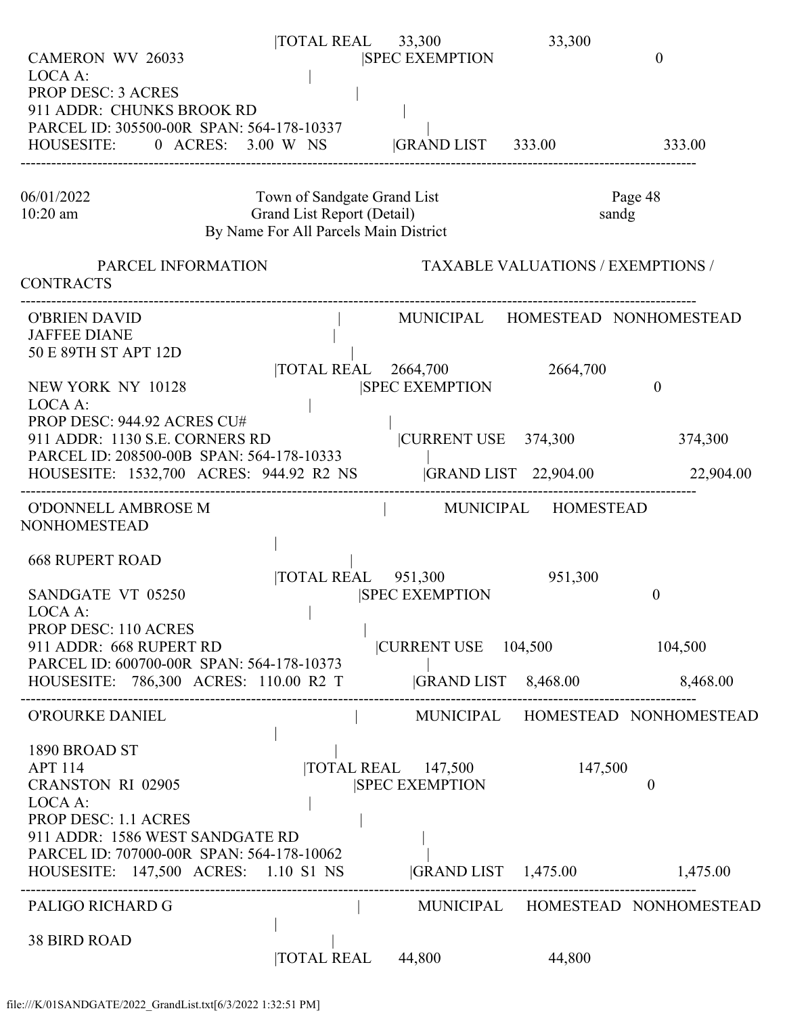| <b>CAMERON WV 26033</b>                                                                                                                                           | $\overline{1}$ TOTAL REAL 33,300                                                                   | <b>SPEC EXEMPTION</b>                                                  | 33,300                                   | $\theta$                         |
|-------------------------------------------------------------------------------------------------------------------------------------------------------------------|----------------------------------------------------------------------------------------------------|------------------------------------------------------------------------|------------------------------------------|----------------------------------|
| LOCA A:<br><b>PROP DESC: 3 ACRES</b><br>911 ADDR: CHUNKS BROOK RD<br>PARCEL ID: 305500-00R SPAN: 564-178-10337<br>HOUSESITE: 0 ACRES: 3.00 W NS GRAND LIST 333.00 |                                                                                                    |                                                                        |                                          | 333.00                           |
| 06/01/2022<br>$10:20$ am                                                                                                                                          | Town of Sandgate Grand List<br>Grand List Report (Detail)<br>By Name For All Parcels Main District |                                                                        |                                          | Page 48<br>sandg                 |
| PARCEL INFORMATION<br><b>CONTRACTS</b>                                                                                                                            |                                                                                                    |                                                                        | <b>TAXABLE VALUATIONS / EXEMPTIONS /</b> |                                  |
| <b>O'BRIEN DAVID</b><br><b>JAFFEE DIANE</b><br>50 E 89TH ST APT 12D                                                                                               |                                                                                                    |                                                                        |                                          | MUNICIPAL HOMESTEAD NONHOMESTEAD |
| NEW YORK NY 10128<br>LOCA A:                                                                                                                                      |                                                                                                    | TOTAL REAL 2664,700<br><b>SPEC EXEMPTION</b>                           | 2664,700                                 | $\theta$                         |
| PROP DESC: 944.92 ACRES CU#<br>911 ADDR: 1130 S.E. CORNERS RD<br>PARCEL ID: 208500-00B SPAN: 564-178-10333                                                        |                                                                                                    | CURRENT USE 374,300                                                    |                                          | 374,300                          |
| HOUSESITE: 1532,700 ACRES: 944.92 R2 NS                                                                                                                           |                                                                                                    |                                                                        | <b>GRAND LIST</b> 22,904.00              | 22,904.00                        |
| O'DONNELL AMBROSE M<br><b>NONHOMESTEAD</b>                                                                                                                        |                                                                                                    | MUNICIPAL HOMESTEAD                                                    |                                          |                                  |
| <b>668 RUPERT ROAD</b><br>SANDGATE VT 05250<br>LOCA A:                                                                                                            |                                                                                                    | $\overline{10TAL}$ REAL $\overline{951,300}$<br><b>SPEC EXEMPTION</b>  | 951,300                                  | $\overline{0}$                   |
| PROP DESC: 110 ACRES<br>911 ADDR: 668 RUPERT RD<br>PARCEL ID: 600700-00R SPAN: 564-178-10373                                                                      |                                                                                                    | $ {\rm CURRENT \: USE} \quad 104,500$                                  |                                          | 104,500                          |
| HOUSESITE: 786,300 ACRES: 110.00 R2 T                                                                                                                             |                                                                                                    | GRAND LIST 8,468.00                                                    |                                          | 8,468.00                         |
| O'ROURKE DANIEL                                                                                                                                                   |                                                                                                    |                                                                        |                                          | MUNICIPAL HOMESTEAD NONHOMESTEAD |
| 1890 BROAD ST<br><b>APT 114</b><br><b>CRANSTON RI 02905</b><br>LOCA A:                                                                                            |                                                                                                    | $\overline{10}$ TAL REAL $\overline{147,500}$<br><b>SPEC EXEMPTION</b> | 147,500                                  | $\theta$                         |
| <b>PROP DESC: 1.1 ACRES</b><br>911 ADDR: 1586 WEST SANDGATE RD<br>PARCEL ID: 707000-00R SPAN: 564-178-10062<br>HOUSESITE: 147,500 ACRES: 1.10 S1 NS               |                                                                                                    |                                                                        |                                          | GRAND LIST 1,475.00 1,475.00     |
| PALIGO RICHARD G                                                                                                                                                  |                                                                                                    |                                                                        |                                          | MUNICIPAL HOMESTEAD NONHOMESTEAD |
| <b>38 BIRD ROAD</b>                                                                                                                                               | <b>TOTAL REAL</b>                                                                                  | 44,800                                                                 | 44,800                                   |                                  |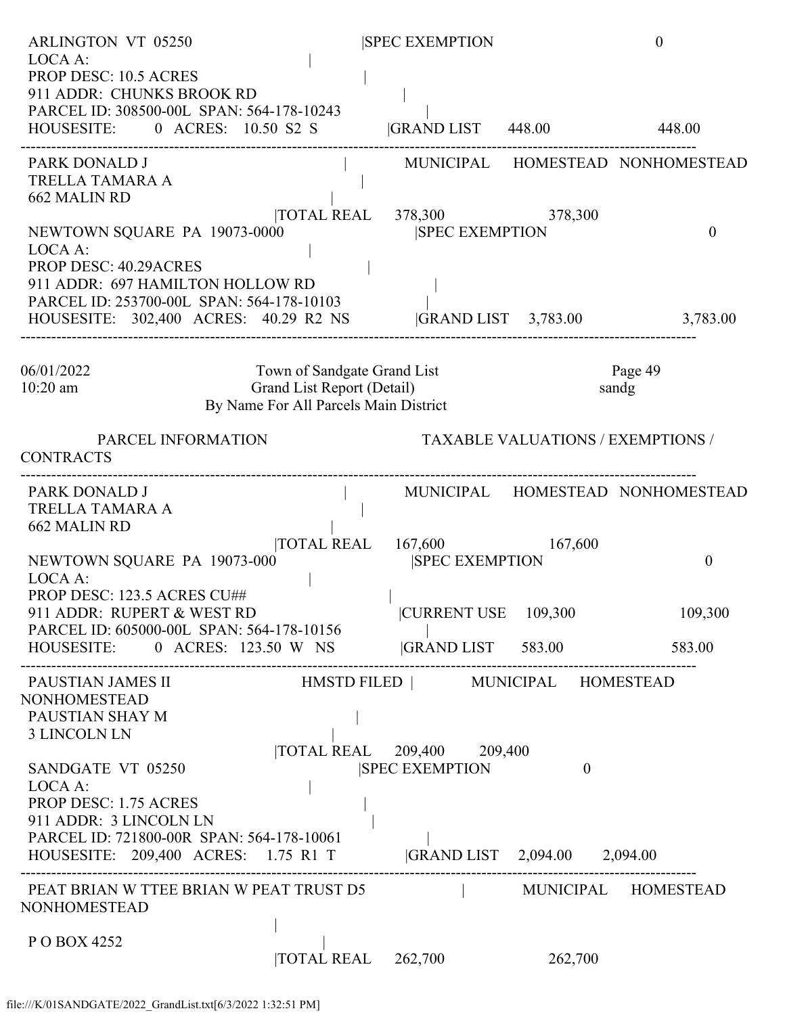| <b>ARLINGTON VT 05250</b>                                                                                                                                              |                                                                                                    | <b>SPEC EXEMPTION</b>                                            |                                          | $\theta$                         |
|------------------------------------------------------------------------------------------------------------------------------------------------------------------------|----------------------------------------------------------------------------------------------------|------------------------------------------------------------------|------------------------------------------|----------------------------------|
| LOCA A:<br><b>PROP DESC: 10.5 ACRES</b><br>911 ADDR: CHUNKS BROOK RD<br>PARCEL ID: 308500-00L SPAN: 564-178-10243<br>HOUSESITE: 0 ACRES: 10.50 S2 S  GRAND LIST 448.00 |                                                                                                    |                                                                  |                                          | 448.00                           |
| PARK DONALD J<br>TRELLA TAMARA A<br>662 MALIN RD                                                                                                                       |                                                                                                    |                                                                  |                                          | MUNICIPAL HOMESTEAD NONHOMESTEAD |
| NEWTOWN SQUARE PA 19073-0000<br>LOCA A:<br><b>PROP DESC: 40.29ACRES</b><br>911 ADDR: 697 HAMILTON HOLLOW RD                                                            |                                                                                                    | TOTAL REAL 378,300 378,300<br><b>SPEC EXEMPTION</b>              |                                          | $\Omega$                         |
| PARCEL ID: 253700-00L SPAN: 564-178-10103<br>HOUSESITE: 302,400 ACRES: 40.29 R2 NS GRAND LIST 3,783.00                                                                 |                                                                                                    |                                                                  |                                          | 3,783.00                         |
| 06/01/2022<br>$10:20$ am                                                                                                                                               | Town of Sandgate Grand List<br>Grand List Report (Detail)<br>By Name For All Parcels Main District |                                                                  |                                          | Page 49<br>sandg                 |
| PARCEL INFORMATION<br><b>CONTRACTS</b>                                                                                                                                 |                                                                                                    |                                                                  | <b>TAXABLE VALUATIONS / EXEMPTIONS /</b> |                                  |
| PARK DONALD J<br>TRELLA TAMARA A<br>662 MALIN RD                                                                                                                       | the contract of the contract of                                                                    |                                                                  |                                          | MUNICIPAL HOMESTEAD NONHOMESTEAD |
| NEWTOWN SQUARE PA 19073-000<br>LOCA A:                                                                                                                                 |                                                                                                    | TOTAL REAL 167,600<br><b>ISPEC EXEMPTION</b>                     | 167,600                                  | $\theta$                         |
| PROP DESC: 123.5 ACRES CU##<br>911 ADDR: RUPERT & WEST RD<br>PARCEL ID: 605000-00L SPAN: 564-178-10156                                                                 |                                                                                                    | CURRENT USE 109,300                                              |                                          | 109,300                          |
| HOUSESITE: 0 ACRES: 123.50 W NS  GRAND LIST 583.00 583.00 583.00<br>PAUSTIAN JAMES II                                                                                  |                                                                                                    |                                                                  |                                          |                                  |
| <b>NONHOMESTEAD</b><br>PAUSTIAN SHAY M<br><b>3 LINCOLN LN</b>                                                                                                          |                                                                                                    | HMSTD FILED   MUNICIPAL HOMESTEAD<br> TOTAL REAL 209,400 209,400 |                                          |                                  |
| SANDGATE VT 05250<br>LOCA A:<br><b>PROP DESC: 1.75 ACRES</b><br>911 ADDR: 3 LINCOLN LN                                                                                 |                                                                                                    | <b>SPEC EXEMPTION</b>                                            | $\overline{0}$                           |                                  |
| PARCEL ID: 721800-00R SPAN: 564-178-10061<br>HOUSESITE: 209,400 ACRES: 1.75 R1 T  GRAND LIST 2,094.00 2,094.00                                                         |                                                                                                    |                                                                  |                                          |                                  |
| PEAT BRIAN W TTEE BRIAN W PEAT TRUST D5<br><b>NONHOMESTEAD</b>                                                                                                         |                                                                                                    |                                                                  |                                          | MUNICIPAL HOMESTEAD              |
| P O BOX 4252                                                                                                                                                           | $\overline{10}$ TAL REAL $\overline{262,700}$                                                      |                                                                  | 262,700                                  |                                  |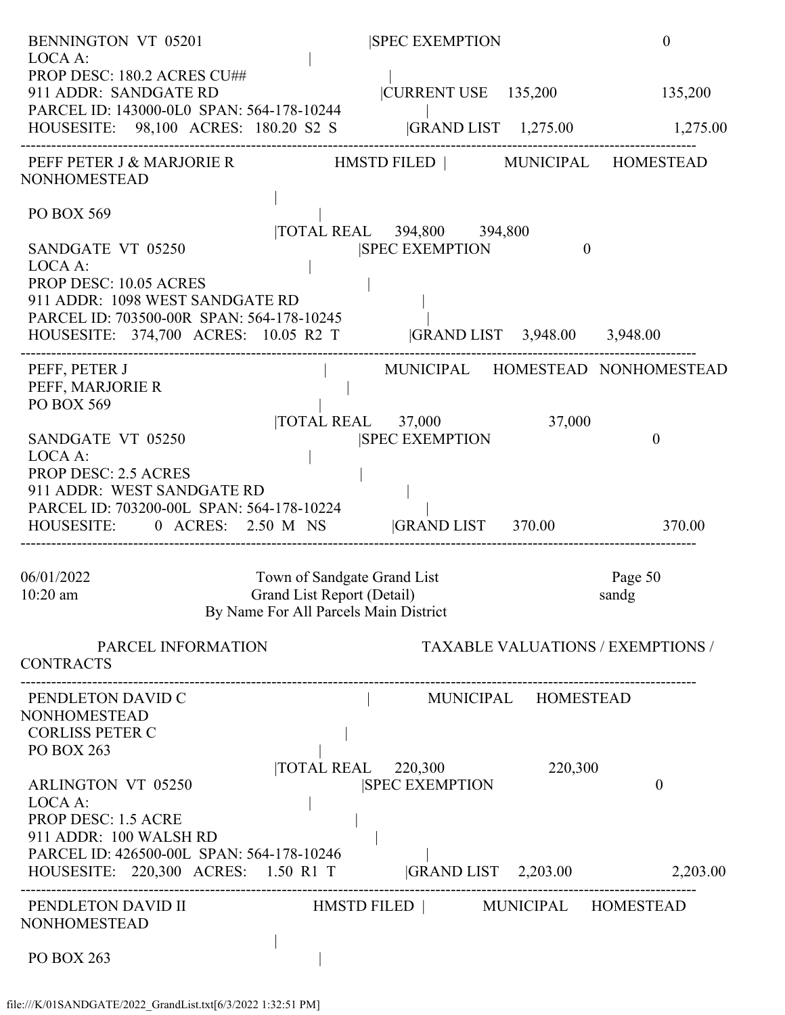| <b>BENNINGTON VT 05201</b>                                                                                                                                                                                     |                                                                                                    | <b>SPEC EXEMPTION</b>                                           |          | $\boldsymbol{0}$                         |
|----------------------------------------------------------------------------------------------------------------------------------------------------------------------------------------------------------------|----------------------------------------------------------------------------------------------------|-----------------------------------------------------------------|----------|------------------------------------------|
| LOCA A:<br>PROP DESC: 180.2 ACRES CU##<br>911 ADDR: SANDGATE RD<br>PARCEL ID: 143000-0L0 SPAN: 564-178-10244<br>HOUSESITE: 98,100 ACRES: 180.20 S2 S  GRAND LIST 1,275.00 1,275.00                             |                                                                                                    |                                                                 |          | CURRENT USE 135,200 135,200              |
| PEFF PETER J & MARJORIE R                         HMSTD FILED               MUNICIPAL     HOMESTEAD<br><b>NONHOMESTEAD</b>                                                                                     |                                                                                                    |                                                                 |          |                                          |
| PO BOX 569<br>SANDGATE VT 05250<br>LOCA A:<br>PROP DESC: 10.05 ACRES<br>911 ADDR: 1098 WEST SANDGATE RD                                                                                                        |                                                                                                    | TOTAL REAL 394,800 394,800<br><b>SPEC EXEMPTION</b>             | $\theta$ |                                          |
| PARCEL ID: 703500-00R SPAN: 564-178-10245<br>HOUSESITE: 374,700 ACRES: 10.05 R2 T  GRAND LIST 3,948.00 3,948.00                                                                                                |                                                                                                    |                                                                 |          |                                          |
| PEFF, PETER J<br>PEFF, MARJORIE R<br>PO BOX 569                                                                                                                                                                |                                                                                                    | MUNICIPAL HOMESTEAD NONHOMESTEAD                                |          |                                          |
| SANDGATE VT 05250<br>LOCA A:<br><b>PROP DESC: 2.5 ACRES</b><br>911 ADDR: WEST SANDGATE RD<br>PARCEL ID: 703200-00L SPAN: 564-178-10224<br>HOUSESITE: 0 ACRES: 2.50 M NS  GRAND LIST 370.00 370.00              |                                                                                                    | TOTAL REAL 37,000<br><b>SPEC EXEMPTION</b>                      | 37,000   | $\mathbf{0}$                             |
| 06/01/2022<br>10:20 am                                                                                                                                                                                         | Town of Sandgate Grand List<br>Grand List Report (Detail)<br>By Name For All Parcels Main District |                                                                 |          | Page 50<br>sandg                         |
| PARCEL INFORMATION<br><b>CONTRACTS</b>                                                                                                                                                                         |                                                                                                    |                                                                 |          | <b>TAXABLE VALUATIONS / EXEMPTIONS /</b> |
| PENDLETON DAVID C<br><b>NONHOMESTEAD</b><br><b>CORLISS PETER C</b><br>PO BOX 263                                                                                                                               |                                                                                                    | MUNICIPAL HOMESTEAD                                             |          |                                          |
| <b>ARLINGTON VT 05250</b><br>LOCA A:<br><b>PROP DESC: 1.5 ACRE</b><br>911 ADDR: 100 WALSH RD<br>PARCEL ID: 426500-00L SPAN: 564-178-10246<br>HOUSESITE: 220,300 ACRES: 1.50 R1 T  GRAND LIST 2,203.00 2,203.00 |                                                                                                    | $\overline{\text{TOTAL REAL}}$ 220,300<br><b>SPEC EXEMPTION</b> | 220,300  | $\boldsymbol{0}$                         |
| PENDLETON DAVID II<br><b>NONHOMESTEAD</b>                                                                                                                                                                      |                                                                                                    | HMSTD FILED   MUNICIPAL HOMESTEAD                               |          |                                          |
| PO BOX 263                                                                                                                                                                                                     |                                                                                                    |                                                                 |          |                                          |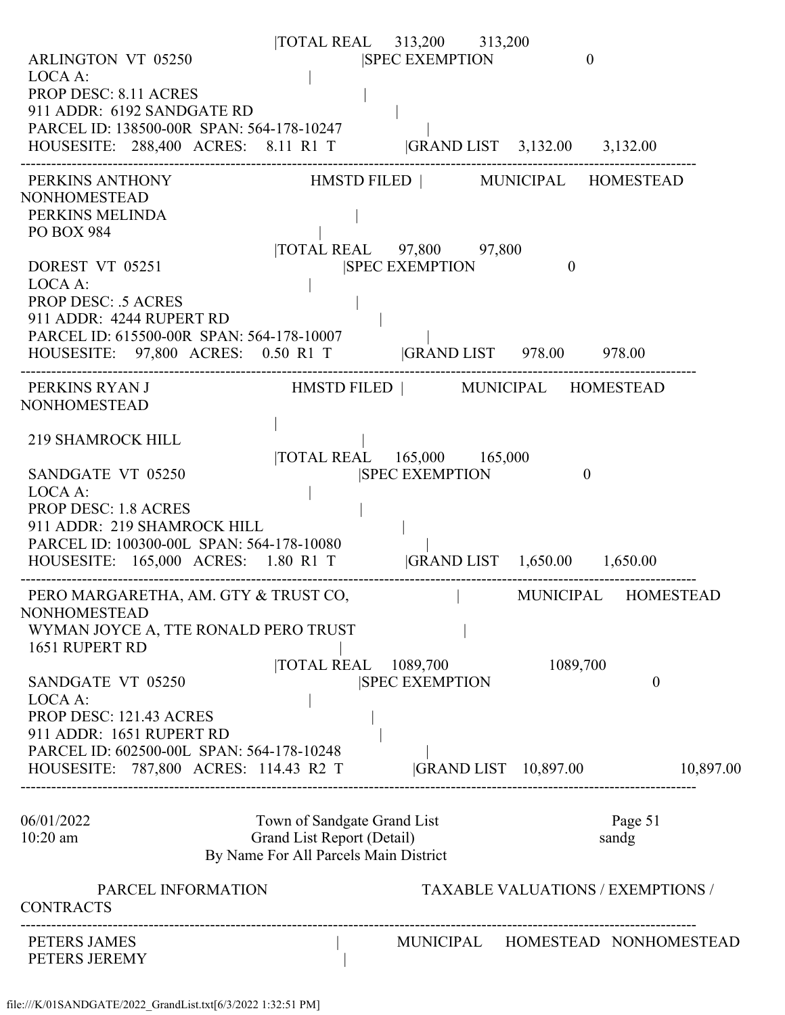| <b>ARLINGTON VT 05250</b><br>LOCA A:<br><b>PROP DESC: 8.11 ACRES</b><br>911 ADDR: 6192 SANDGATE RD<br>PARCEL ID: 138500-00R SPAN: 564-178-10247<br>HOUSESITE: 288,400 ACRES: 8.11 R1 T  GRAND LIST 3,132.00 3,132.00                                                                |                                                                                                    | TOTAL REAL 313,200 313,200<br><b>SPEC EXEMPTION</b>                                       | $\mathbf{0}$                             |                  |           |
|-------------------------------------------------------------------------------------------------------------------------------------------------------------------------------------------------------------------------------------------------------------------------------------|----------------------------------------------------------------------------------------------------|-------------------------------------------------------------------------------------------|------------------------------------------|------------------|-----------|
| PERKINS ANTHONY<br><b>NONHOMESTEAD</b><br>PERKINS MELINDA<br><b>PO BOX 984</b><br>DOREST VT 05251<br>LOCA A:<br><b>PROP DESC: .5 ACRES</b><br>911 ADDR: 4244 RUPERT RD<br>PARCEL ID: 615500-00R SPAN: 564-178-10007<br>HOUSESITE: 97,800 ACRES: 0.50 R1 T  GRAND LIST 978.00 978.00 |                                                                                                    | HMSTD FILED   MUNICIPAL HOMESTEAD<br> TOTAL REAL 97,800 97,800<br><b>SPEC EXEMPTION</b>   | $\mathbf{0}$                             |                  |           |
| PERKINS RYAN J<br><b>NONHOMESTEAD</b><br><b>219 SHAMROCK HILL</b><br>SANDGATE VT 05250<br>LOCA A:<br><b>PROP DESC: 1.8 ACRES</b><br>911 ADDR: 219 SHAMROCK HILL<br>PARCEL ID: 100300-00L SPAN: 564-178-10080                                                                        |                                                                                                    | HMSTD FILED   MUNICIPAL HOMESTEAD<br> TOTAL REAL 165,000 165,000<br><b>SPEC EXEMPTION</b> | $\theta$                                 |                  |           |
| HOUSESITE: 165,000 ACRES: 1.80 R1 T  GRAND LIST 1,650.00 1,650.00<br>PERO MARGARETHA, AM. GTY & TRUST CO,<br><b>NONHOMESTEAD</b><br>WYMAN JOYCE A, TTE RONALD PERO TRUST<br>1651 RUPERT RD                                                                                          |                                                                                                    | $\mathcal{L}=\{1,2,3,4\}$ .                                                               | MUNICIPAL HOMESTEAD                      |                  |           |
| SANDGATE VT 05250<br>LOCA A:<br>PROP DESC: 121.43 ACRES<br>911 ADDR: 1651 RUPERT RD<br>PARCEL ID: 602500-00L SPAN: 564-178-10248<br>HOUSESITE: 787,800 ACRES: 114.43 R2 T                                                                                                           | <b>TOTAL REAL</b>                                                                                  | 1089,700<br><b>SPEC EXEMPTION</b><br> GRAND LIST 10,897.00                                | 1089,700                                 | $\overline{0}$   | 10,897.00 |
| 06/01/2022<br>$10:20$ am                                                                                                                                                                                                                                                            | Town of Sandgate Grand List<br>Grand List Report (Detail)<br>By Name For All Parcels Main District |                                                                                           |                                          | Page 51<br>sandg |           |
| PARCEL INFORMATION<br><b>CONTRACTS</b>                                                                                                                                                                                                                                              |                                                                                                    |                                                                                           | <b>TAXABLE VALUATIONS / EXEMPTIONS /</b> |                  |           |
| PETERS JAMES<br>PETERS JEREMY                                                                                                                                                                                                                                                       |                                                                                                    | MUNICIPAL HOMESTEAD NONHOMESTEAD                                                          |                                          |                  |           |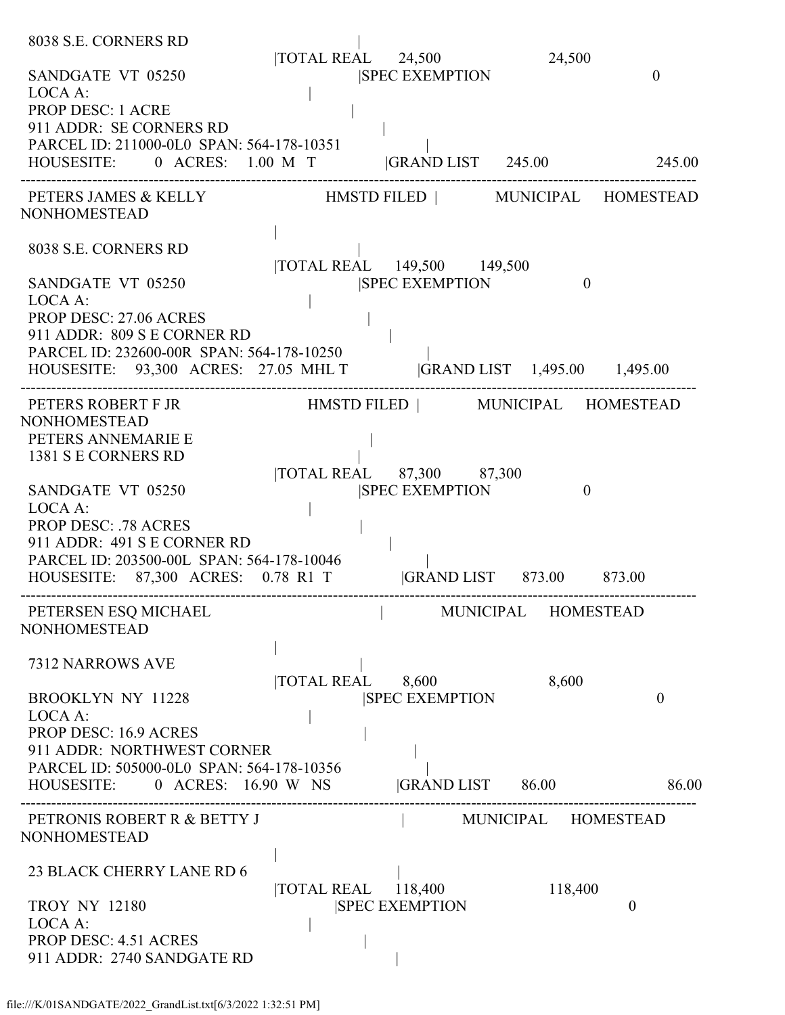| 8038 S.E. CORNERS RD                                                                                            | TOTAL REAL 24,500 |                                                     | 24,500              |                  |
|-----------------------------------------------------------------------------------------------------------------|-------------------|-----------------------------------------------------|---------------------|------------------|
| SANDGATE VT 05250<br>LOCA A:<br><b>PROP DESC: 1 ACRE</b>                                                        |                   | <b>SPEC EXEMPTION</b>                               |                     | $\theta$         |
| 911 ADDR: SE CORNERS RD                                                                                         |                   |                                                     |                     |                  |
| PARCEL ID: 211000-0L0 SPAN: 564-178-10351<br>HOUSESITE: 0 ACRES: 1.00 M T  GRAND LIST 245.00 245.00             |                   |                                                     |                     |                  |
|                                                                                                                 |                   |                                                     |                     |                  |
| PETERS JAMES & KELLY HMSTD FILED   MUNICIPAL HOMESTEAD<br><b>NONHOMESTEAD</b>                                   |                   |                                                     |                     |                  |
| 8038 S.E. CORNERS RD                                                                                            |                   |                                                     |                     |                  |
| SANDGATE VT 05250<br>LOCA A:                                                                                    |                   | TOTAL REAL 149,500 149,500<br><b>SPEC EXEMPTION</b> | $\theta$            |                  |
| PROP DESC: 27.06 ACRES                                                                                          |                   |                                                     |                     |                  |
| 911 ADDR: 809 S E CORNER RD                                                                                     |                   |                                                     |                     |                  |
| PARCEL ID: 232600-00R SPAN: 564-178-10250<br>HOUSESITE: 93,300 ACRES: 27.05 MHL T  GRAND LIST 1,495.00 1,495.00 |                   |                                                     |                     |                  |
| PETERS ROBERT F JR<br><b>NONHOMESTEAD</b>                                                                       |                   | HMSTD FILED   MUNICIPAL HOMESTEAD                   |                     |                  |
| PETERS ANNEMARIE E                                                                                              |                   |                                                     |                     |                  |
| 1381 S E CORNERS RD                                                                                             |                   |                                                     |                     |                  |
| SANDGATE VT 05250                                                                                               |                   | TOTAL REAL 87,300 87,300<br><b>SPEC EXEMPTION</b>   | $\theta$            |                  |
| LOCA A:                                                                                                         |                   |                                                     |                     |                  |
| <b>PROP DESC: .78 ACRES</b>                                                                                     |                   |                                                     |                     |                  |
| 911 ADDR: 491 S E CORNER RD<br>PARCEL ID: 203500-00L SPAN: 564-178-10046                                        |                   |                                                     |                     |                  |
| HOUSESITE: 87,300 ACRES: 0.78 R1 T  GRAND LIST 873.00 873.00                                                    |                   |                                                     |                     |                  |
| PETERSEN ESQ MICHAEL<br><b>NONHOMESTEAD</b>                                                                     |                   |                                                     | MUNICIPAL           | <b>HOMESTEAD</b> |
| 7312 NARROWS AVE                                                                                                | TOTAL REAL        | 8,600                                               | 8,600               |                  |
| <b>BROOKLYN NY 11228</b>                                                                                        |                   | <b>SPEC EXEMPTION</b>                               |                     | $\theta$         |
| LOCA A:<br>PROP DESC: 16.9 ACRES                                                                                |                   |                                                     |                     |                  |
| 911 ADDR: NORTHWEST CORNER                                                                                      |                   |                                                     |                     |                  |
| PARCEL ID: 505000-0L0 SPAN: 564-178-10356                                                                       |                   |                                                     |                     |                  |
| HOUSESITE: 0 ACRES: 16.90 W NS GRAND LIST 86.00                                                                 |                   |                                                     |                     | 86.00            |
| PETRONIS ROBERT R & BETTY J<br><b>NONHOMESTEAD</b>                                                              |                   |                                                     | MUNICIPAL HOMESTEAD |                  |
| 23 BLACK CHERRY LANE RD 6                                                                                       |                   |                                                     |                     |                  |
| <b>TROY NY 12180</b>                                                                                            |                   | TOTAL REAL 118,400<br><b>SPEC EXEMPTION</b>         | 118,400             | $\theta$         |
| LOCA A:                                                                                                         |                   |                                                     |                     |                  |
| <b>PROP DESC: 4.51 ACRES</b><br>911 ADDR: 2740 SANDGATE RD                                                      |                   |                                                     |                     |                  |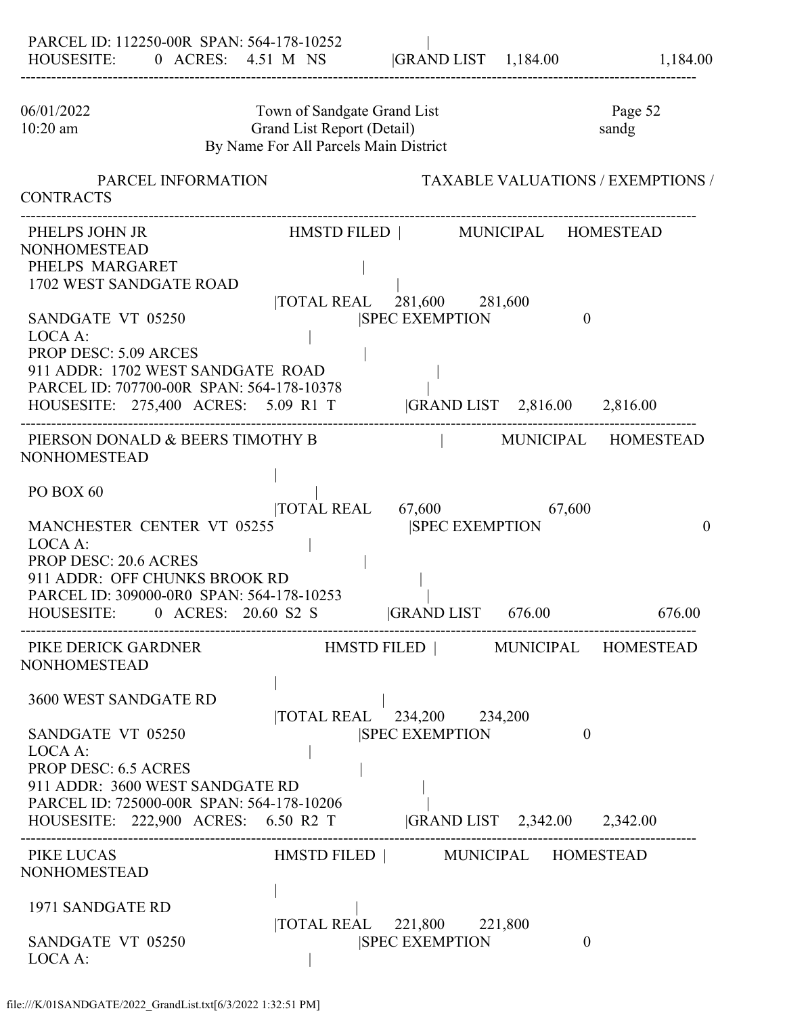| 06/01/2022<br>10:20 am                                                                                                                                                                                                      | Town of Sandgate Grand List<br>Grand List Report (Detail)<br>By Name For All Parcels Main District |                                                                                                                                                                | Page 52<br>sandg                                    |
|-----------------------------------------------------------------------------------------------------------------------------------------------------------------------------------------------------------------------------|----------------------------------------------------------------------------------------------------|----------------------------------------------------------------------------------------------------------------------------------------------------------------|-----------------------------------------------------|
| PARCEL INFORMATION<br><b>CONTRACTS</b>                                                                                                                                                                                      |                                                                                                    |                                                                                                                                                                | <b>TAXABLE VALUATIONS / EXEMPTIONS /</b>            |
| PHELPS JOHN JR<br><b>NONHOMESTEAD</b><br>PHELPS MARGARET<br>1702 WEST SANDGATE ROAD<br>SANDGATE VT 05250<br>LOCA A:<br><b>PROP DESC: 5.09 ARCES</b><br>911 ADDR: 1702 WEST SANDGATE ROAD                                    | PARCEL ID: 707700-00R SPAN: 564-178-10378                                                          | HMSTD FILED   MUNICIPAL HOMESTEAD<br> TOTAL REAL 281,600 281,600<br><b>SPEC EXEMPTION</b><br>HOUSESITE: 275,400 ACRES: 5.09 R1 T  GRAND LIST 2,816.00 2,816.00 | $\theta$                                            |
| PIERSON DONALD & BEERS TIMOTHY B<br><b>NONHOMESTEAD</b><br>PO BOX 60<br>MANCHESTER CENTER VT 05255<br>LOCA A:<br><b>PROP DESC: 20.6 ACRES</b><br>911 ADDR: OFF CHUNKS BROOK RD<br>PARCEL ID: 309000-0R0 SPAN: 564-178-10253 | HOUSESITE: 0 ACRES: 20.60 S2 S                                                                     | TOTAL REAL 67,600<br><b>ISPEC EXEMPTION</b><br> GRAND LIST 676.00                                                                                              | MUNICIPAL HOMESTEAD<br>67,600<br>$\theta$<br>676.00 |
| PIKE DERICK GARDNER<br><b>NONHOMESTEAD</b><br>3600 WEST SANDGATE RD<br>SANDGATE VT 05250<br>LOCA A:<br><b>PROP DESC: 6.5 ACRES</b><br>911 ADDR: 3600 WEST SANDGATE RD<br>PARCEL ID: 725000-00R SPAN: 564-178-10206          | HOUSESITE: 222,900 ACRES: 6.50 R2 T                                                                | HMSTD FILED   MUNICIPAL HOMESTEAD<br> TOTAL REAL 234,200 234,200<br><b>ISPEC EXEMPTION</b><br> GRAND LIST 2,342.00 2,342.00                                    | $\theta$                                            |
| PIKE LUCAS<br><b>NONHOMESTEAD</b><br>1971 SANDGATE RD<br>SANDGATE VT 05250<br>LOCA A:                                                                                                                                       |                                                                                                    | HMSTD FILED   MUNICIPAL HOMESTEAD<br> TOTAL REAL 221,800 221,800<br><b>SPEC EXEMPTION</b>                                                                      | $\theta$                                            |

### file:///K/01SANDGATE/2022\_GrandList.txt[6/3/2022 1:32:51 PM]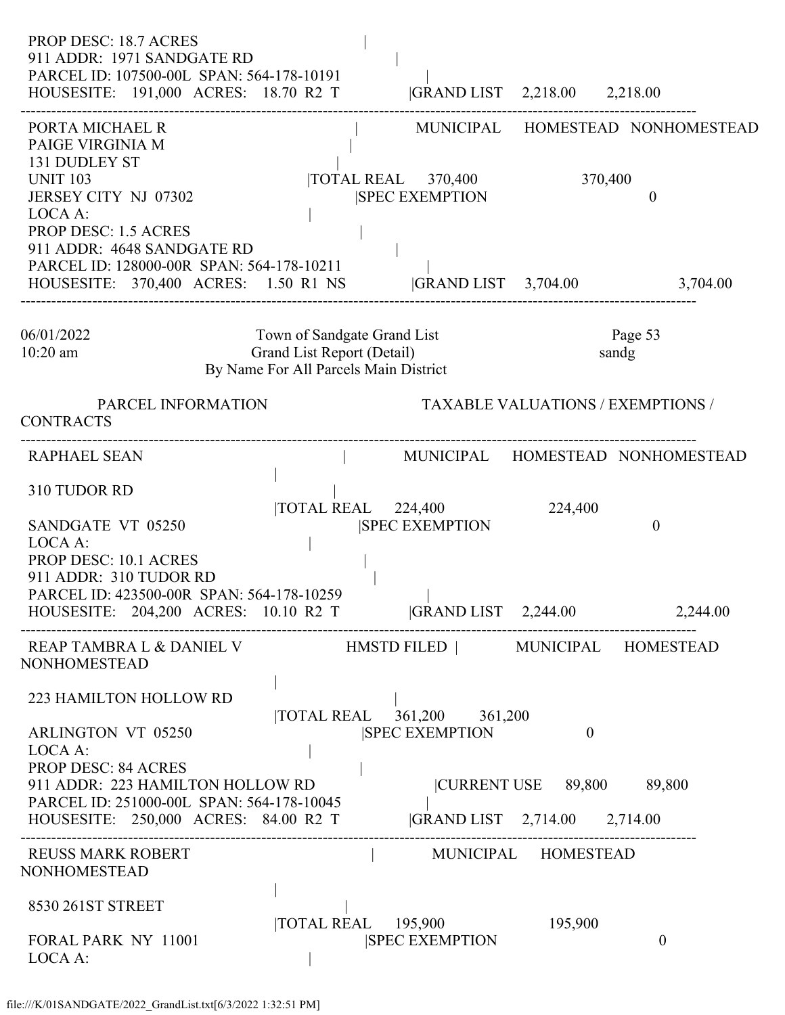| PROP DESC: 18.7 ACRES<br>911 ADDR: 1971 SANDGATE RD<br>PARCEL ID: 107500-00L SPAN: 564-178-10191<br>HOUSESITE: 191,000 ACRES: 18.70 R2 T  GRAND LIST 2,218.00 2,218.00                                                                              |                                                                                                    |                                                                        |                     |                                              |
|-----------------------------------------------------------------------------------------------------------------------------------------------------------------------------------------------------------------------------------------------------|----------------------------------------------------------------------------------------------------|------------------------------------------------------------------------|---------------------|----------------------------------------------|
| PORTA MICHAEL R<br>PAIGE VIRGINIA M<br>131 DUDLEY ST<br><b>UNIT 103</b><br>JERSEY CITY NJ 07302<br>LOCA A:<br><b>PROP DESC: 1.5 ACRES</b>                                                                                                           |                                                                                                    | $\overline{10TAL}$ REAL $\overline{370,400}$<br><b>SPEC EXEMPTION</b>  | 370,400             | MUNICIPAL HOMESTEAD NONHOMESTEAD<br>$\Omega$ |
| 911 ADDR: 4648 SANDGATE RD<br>PARCEL ID: 128000-00R SPAN: 564-178-10211<br>HOUSESITE: 370,400 ACRES: 1.50 R1 NS  GRAND LIST 3,704.00                                                                                                                |                                                                                                    |                                                                        |                     | 3,704.00                                     |
| 06/01/2022<br>$10:20$ am                                                                                                                                                                                                                            | Town of Sandgate Grand List<br>Grand List Report (Detail)<br>By Name For All Parcels Main District |                                                                        |                     | Page 53<br>sandg                             |
| PARCEL INFORMATION<br><b>CONTRACTS</b>                                                                                                                                                                                                              |                                                                                                    |                                                                        |                     | <b>TAXABLE VALUATIONS / EXEMPTIONS /</b>     |
| <b>RAPHAEL SEAN</b>                                                                                                                                                                                                                                 |                                                                                                    |                                                                        |                     | MUNICIPAL HOMESTEAD NONHOMESTEAD             |
| 310 TUDOR RD<br>SANDGATE VT 05250<br>LOCA A:<br><b>PROP DESC: 10.1 ACRES</b><br>911 ADDR: 310 TUDOR RD<br>PARCEL ID: 423500-00R SPAN: 564-178-10259<br>HOUSESITE: 204,200 ACRES: 10.10 R2 T GRAND LIST 2,244.00                                     |                                                                                                    | TOTAL REAL 224,400<br><b>SPEC EXEMPTION</b>                            | 224,400             | $\overline{0}$                               |
| NONHOMESTEAD                                                                                                                                                                                                                                        |                                                                                                    |                                                                        |                     | 2,244.00                                     |
| 223 HAMILTON HOLLOW RD<br><b>ARLINGTON VT 05250</b><br>LOCA A:<br><b>PROP DESC: 84 ACRES</b><br>911 ADDR: 223 HAMILTON HOLLOW RD<br>PARCEL ID: 251000-00L SPAN: 564-178-10045<br>HOUSESITE: 250,000 ACRES: 84.00 R2 T  GRAND LIST 2,714.00 2,714.00 |                                                                                                    | TOTAL REAL 361,200 361,200<br><b>SPEC EXEMPTION</b>                    | $\theta$            |                                              |
| <b>REUSS MARK ROBERT</b><br>NONHOMESTEAD                                                                                                                                                                                                            |                                                                                                    |                                                                        | MUNICIPAL HOMESTEAD |                                              |
| 8530 261ST STREET<br><b>FORAL PARK NY 11001</b><br>LOCA A:                                                                                                                                                                                          |                                                                                                    | $\overline{10}$ TAL REAL $\overline{195,900}$<br><b>SPEC EXEMPTION</b> | 195,900             | $\overline{0}$                               |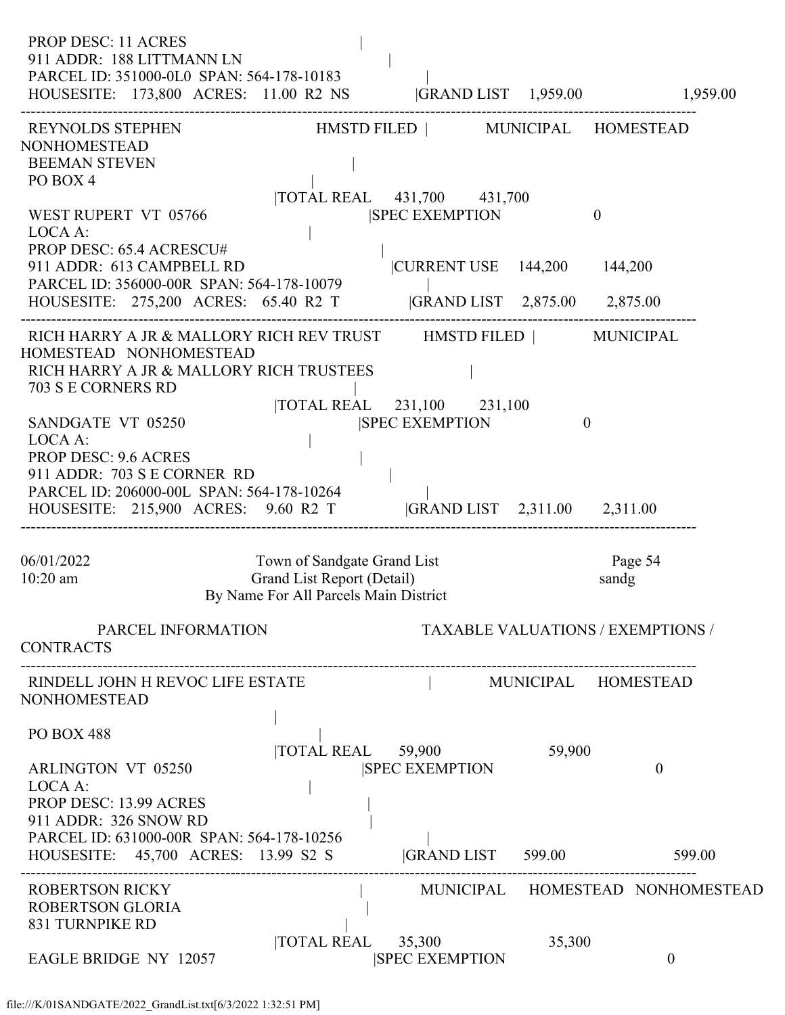PROP DESC: 11 ACRES 911 ADDR: 188 LITTMANN LN | PARCEL ID: 351000-0L0 SPAN: 564-178-10183 | HOUSESITE: 173,800 ACRES: 11.00 R2 NS |GRAND LIST 1,959.00 1,959.00 ------------------------------------------------------------------------------------------------------------------------------------ REYNOLDS STEPHEN HMSTD FILED | MUNICIPAL HOMESTEAD NONHOMESTEAD BEEMAN STEVEN | PO BOX 4 |TOTAL REAL 431,700 431,700 WEST RUPERT VT 05766 SPEC EXEMPTION 0 LOCA A: PROP DESC: 65.4 ACRESCU# | 911 ADDR: 613 CAMPBELL RD |CURRENT USE 144,200 144,200 PARCEL ID: 356000-00R SPAN: 564-178-10079 | HOUSESITE: 275,200 ACRES: 65.40 R2 T |GRAND LIST 2,875.00 2,875.00 ------------------------------------------------------------------------------------------------------------------------------------ RICH HARRY A JR & MALLORY RICH REV TRUST HMSTD FILED | MUNICIPAL HOMESTEAD NONHOMESTEAD RICH HARRY A JR & MALLORY RICH TRUSTEES | 703 S E CORNERS RD | |TOTAL REAL 231,100 231,100 SANDGATE VT 05250 **SANDGATE VT 05250 ISPEC EXEMPTION** 0 LOCA A: PROP DESC: 9.6 ACRES 911 ADDR: 703 S E CORNER RD | PARCEL ID: 206000-00L SPAN: 564-178-10264 | HOUSESITE: 215,900 ACRES: 9.60 R2 T |GRAND LIST 2,311.00 2,311.00 ------------------------------------------------------------------------------------------------------------------------------------ 06/01/2022 Town of Sandgate Grand List Page 54 10:20 am Grand List Report (Detail) sandg By Name For All Parcels Main District PARCEL INFORMATION TAXABLE VALUATIONS / EXEMPTIONS / CONTRACTS ------------------------------------------------------------------------------------------------------------------------------------ RINDELL JOHN H REVOC LIFE ESTATE  $\vert$  MUNICIPAL HOMESTEAD NONHOMESTEAD | PO BOX 488 | |TOTAL REAL 59,900 59,900 ARLINGTON VT 05250 SPEC EXEMPTION 0 LOCA A: PROP DESC: 13.99 ACRES 911 ADDR: 326 SNOW RD | PARCEL ID: 631000-00R SPAN: 564-178-10256<br>HOUSESITE: 45,700 ACRES: 13.99 S2 S |GRAND LIST 599.00 599.00 HOUSESITE: 45,700 ACRES: 13.99 S2 S ------------------------------------------------------------------------------------------------------------------------------------ ROBERTSON RICKY | MUNICIPAL HOMESTEAD NONHOMESTEAD ROBERTSON GLORIA | 831 TURNPIKE RD | |TOTAL REAL 35,300 35,300 EAGLE BRIDGE NY 12057 SPEC EXEMPTION 0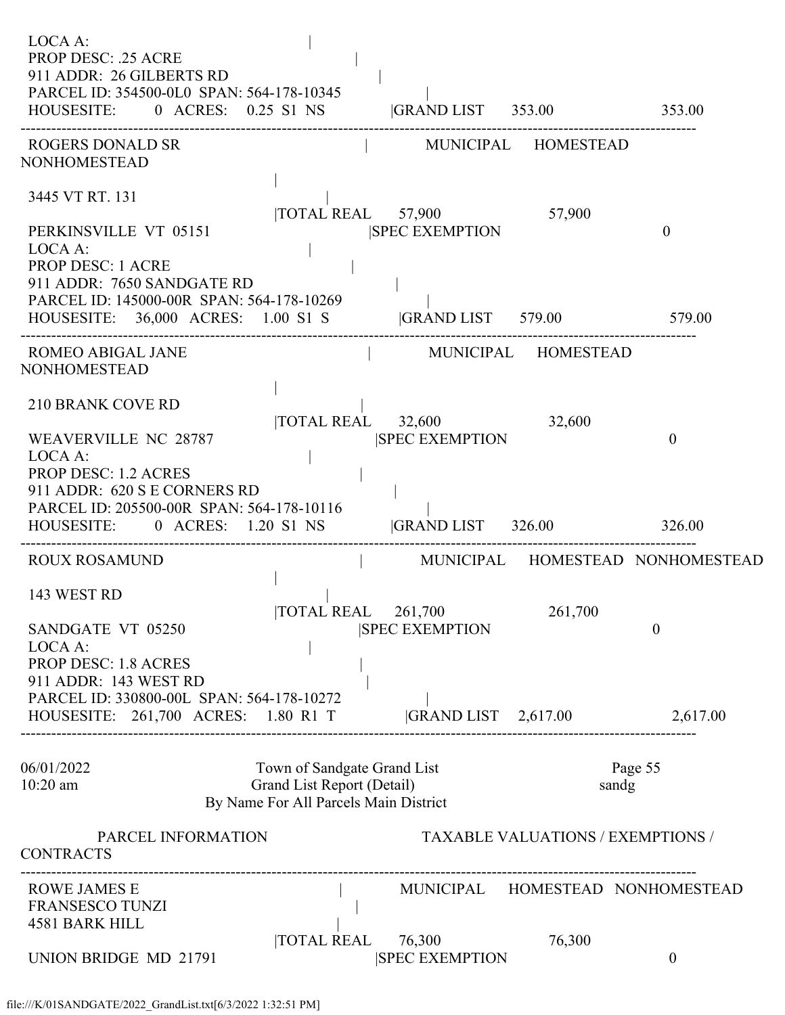| LOCA A:<br><b>PROP DESC: .25 ACRE</b><br>911 ADDR: 26 GILBERTS RD<br>PARCEL ID: 354500-0L0 SPAN: 564-178-10345<br>HOUSESITE: 0 ACRES: 0.25 S1 NS  GRAND LIST 353.00 353.00 |                                                                                                    |                                 |                                          |                                  |
|----------------------------------------------------------------------------------------------------------------------------------------------------------------------------|----------------------------------------------------------------------------------------------------|---------------------------------|------------------------------------------|----------------------------------|
| ROGERS DONALD SR<br><b>NONHOMESTEAD</b>                                                                                                                                    |                                                                                                    | MUNICIPAL HOMESTEAD             |                                          |                                  |
| 3445 VT RT. 131                                                                                                                                                            |                                                                                                    | TOTAL REAL 57,900 57,900        |                                          |                                  |
| PERKINSVILLE VT 05151<br>LOCA A:<br><b>PROP DESC: 1 ACRE</b><br>911 ADDR: 7650 SANDGATE RD<br>PARCEL ID: 145000-00R SPAN: 564-178-10269                                    |                                                                                                    | <b>SPEC EXEMPTION</b>           |                                          | $\mathbf{0}$                     |
| HOUSESITE: 36,000 ACRES: 1.00 S1 S  GRAND LIST 579.00 579.00                                                                                                               |                                                                                                    |                                 |                                          |                                  |
| <b>ROMEO ABIGAL JANE</b><br>NONHOMESTEAD                                                                                                                                   |                                                                                                    | MUNICIPAL HOMESTEAD             |                                          |                                  |
| <b>210 BRANK COVE RD</b>                                                                                                                                                   |                                                                                                    | TOTAL REAL 32,600               | 32,600                                   |                                  |
| WEAVERVILLE NC 28787<br>LOCA A:<br><b>PROP DESC: 1.2 ACRES</b>                                                                                                             |                                                                                                    | <b>SPEC EXEMPTION</b>           |                                          | $\theta$                         |
| 911 ADDR: 620 S E CORNERS RD                                                                                                                                               |                                                                                                    |                                 |                                          |                                  |
| PARCEL ID: 205500-00R SPAN: 564-178-10116<br>HOUSESITE: 0 ACRES: 1.20 S1 NS                                                                                                |                                                                                                    | GRAND LIST 326.00               |                                          | 326.00                           |
| <b>ROUX ROSAMUND</b>                                                                                                                                                       | the control of the con-                                                                            |                                 |                                          | MUNICIPAL HOMESTEAD NONHOMESTEAD |
| 143 WEST RD                                                                                                                                                                | TOTAL REAL                                                                                         | 261,700                         | 261,700                                  |                                  |
| SANDGATE VT 05250<br>LOCA A:<br>PROP DESC: 1.8 ACRES                                                                                                                       |                                                                                                    | <b>SPEC EXEMPTION</b>           |                                          | $\theta$                         |
| 911 ADDR: 143 WEST RD                                                                                                                                                      |                                                                                                    |                                 |                                          |                                  |
| PARCEL ID: 330800-00L SPAN: 564-178-10272<br>HOUSESITE: 261,700 ACRES: 1.80 R1 T                                                                                           |                                                                                                    | $ GRAND LIST$ 2,617.00          |                                          | 2,617.00                         |
| 06/01/2022<br>$10:20$ am                                                                                                                                                   | Town of Sandgate Grand List<br>Grand List Report (Detail)<br>By Name For All Parcels Main District |                                 |                                          | Page 55<br>sandg                 |
| PARCEL INFORMATION<br><b>CONTRACTS</b>                                                                                                                                     |                                                                                                    |                                 | <b>TAXABLE VALUATIONS / EXEMPTIONS /</b> |                                  |
| <b>ROWE JAMES E</b><br><b>FRANSESCO TUNZI</b>                                                                                                                              |                                                                                                    |                                 |                                          | MUNICIPAL HOMESTEAD NONHOMESTEAD |
| <b>4581 BARK HILL</b><br>UNION BRIDGE MD 21791                                                                                                                             | <b>TOTAL REAL</b>                                                                                  | 76,300<br><b>SPEC EXEMPTION</b> | 76,300                                   | $\boldsymbol{0}$                 |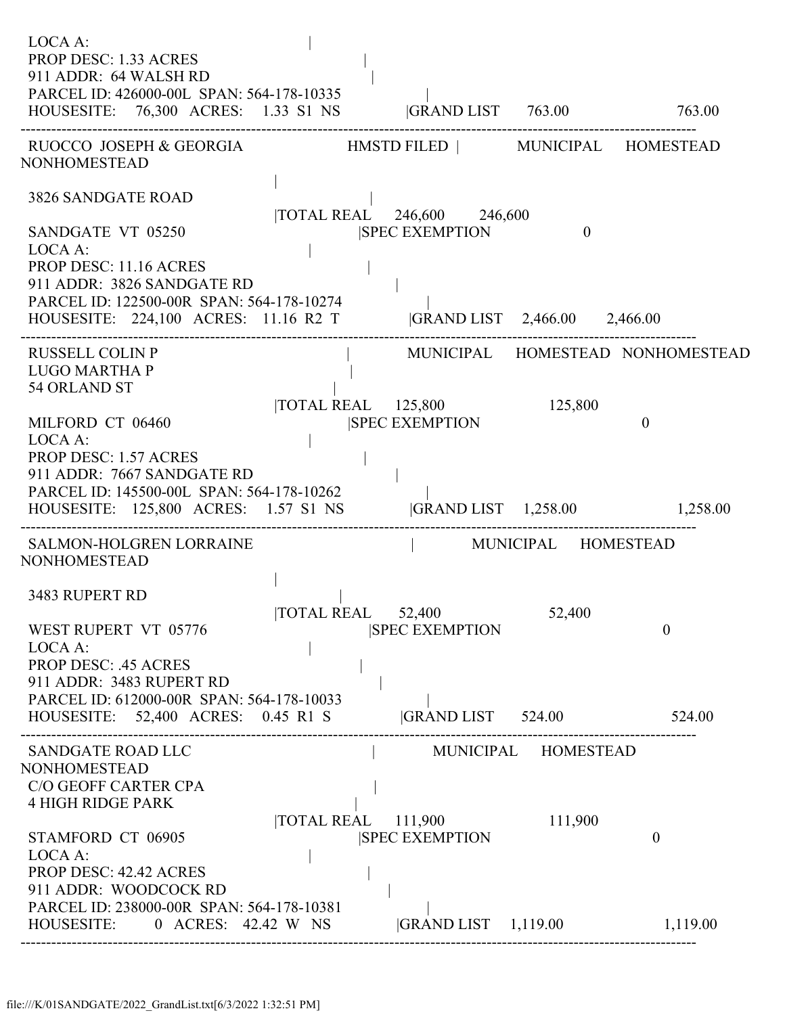| LOCA A:<br><b>PROP DESC: 1.33 ACRES</b><br>911 ADDR: 64 WALSH RD<br>PARCEL ID: 426000-00L SPAN: 564-178-10335<br>HOUSESITE: 76,300 ACRES: 1.33 S1 NS  GRAND LIST 763.00 763.00                               |                                         |                                                                                      |                                |                                  |
|--------------------------------------------------------------------------------------------------------------------------------------------------------------------------------------------------------------|-----------------------------------------|--------------------------------------------------------------------------------------|--------------------------------|----------------------------------|
| RUOCCO JOSEPH & GEORGIA HMSTD FILED   MUNICIPAL HOMESTEAD<br><b>NONHOMESTEAD</b>                                                                                                                             |                                         |                                                                                      |                                |                                  |
| 3826 SANDGATE ROAD<br>SANDGATE VT 05250<br>LOCA A:<br>PROP DESC: 11.16 ACRES<br>911 ADDR: 3826 SANDGATE RD<br>PARCEL ID: 122500-00R SPAN: 564-178-10274<br>HOUSESITE: 224,100 ACRES: 11.16 R2 T              | $\mathcal{L}^{\text{max}}_{\text{max}}$ | TOTAL REAL 246,600 246,600<br><b>SPEC EXEMPTION</b><br> GRAND LIST 2,466.00 2,466.00 | $\theta$                       |                                  |
| <b>RUSSELL COLIN P</b><br><b>LUGO MARTHA P</b><br>54 ORLAND ST                                                                                                                                               |                                         |                                                                                      |                                | MUNICIPAL HOMESTEAD NONHOMESTEAD |
| MILFORD CT 06460<br>LOCA A:<br><b>PROP DESC: 1.57 ACRES</b><br>911 ADDR: 7667 SANDGATE RD<br>PARCEL ID: 145500-00L SPAN: 564-178-10262<br>HOUSESITE: 125,800 ACRES: 1.57 S1 NS  GRAND LIST 1,258.00 1,258.00 |                                         | TOTAL REAL 125,800<br><b>SPEC EXEMPTION</b>                                          | 125,800                        | $\overline{0}$                   |
| SALMON-HOLGREN LORRAINE<br><b>NONHOMESTEAD</b>                                                                                                                                                               |                                         | MUNICIPAL HOMESTEAD                                                                  |                                |                                  |
| 3483 RUPERT RD<br>WEST RUPERT VT 05776<br>LOCA A:<br><b>PROP DESC: .45 ACRES</b><br>911 ADDR: 3483 RUPERT RD<br>PARCEL ID: 612000-00R SPAN: 564-178-10033                                                    | TOTAL REAL 52,400                       | <b>SPEC EXEMPTION</b>                                                                | 52,400                         | $\boldsymbol{0}$                 |
| HOUSESITE: 52,400 ACRES: 0.45 R1 S                                                                                                                                                                           |                                         | GRAND LIST 524.00 524.00                                                             |                                |                                  |
| <b>SANDGATE ROAD LLC</b><br><b>NONHOMESTEAD</b><br>C/O GEOFF CARTER CPA<br><b>4 HIGH RIDGE PARK</b><br>STAMFORD CT 06905<br>LOCA A:<br>PROP DESC: 42.42 ACRES<br>911 ADDR: WOODCOCK RD                       |                                         | $\overline{\text{TOTAL REAL}}$ 111,900<br><b>SPEC EXEMPTION</b>                      | MUNICIPAL HOMESTEAD<br>111,900 | $\theta$                         |
| PARCEL ID: 238000-00R SPAN: 564-178-10381<br>HOUSESITE: 0 ACRES: 42.42 W NS                                                                                                                                  |                                         | GRAND LIST 1,119.00                                                                  |                                | 1,119.00                         |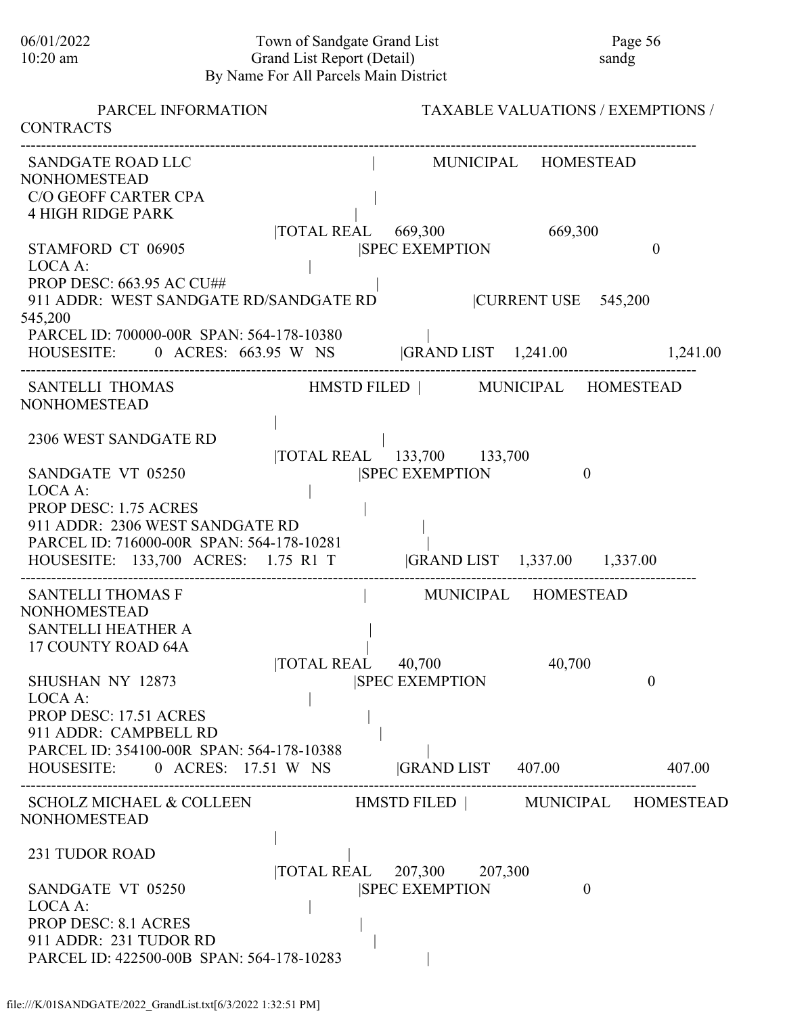# 06/01/2022 Town of Sandgate Grand List Page 56<br>10:20 am Grand List Report (Detail) sandg Grand List Report (Detail) By Name For All Parcels Main District

| PARCEL INFORMATION<br><b>CONTRACTS</b>                                                                                                                                                                                                   | <b>TAXABLE VALUATIONS / EXEMPTIONS /</b>                                                                                                                              |
|------------------------------------------------------------------------------------------------------------------------------------------------------------------------------------------------------------------------------------------|-----------------------------------------------------------------------------------------------------------------------------------------------------------------------|
| SANDGATE ROAD LLC<br><b>NONHOMESTEAD</b><br>C/O GEOFF CARTER CPA<br><b>4 HIGH RIDGE PARK</b><br>STAMFORD CT 06905<br>LOCA A:<br><b>PROP DESC: 663.95 AC CU##</b>                                                                         | MUNICIPAL HOMESTEAD<br>TOTAL REAL 669,300<br>669,300<br><b>ISPEC EXEMPTION</b><br>$\mathbf{0}$                                                                        |
| 911 ADDR: WEST SANDGATE RD/SANDGATE RD<br>545,200<br>PARCEL ID: 700000-00R SPAN: 564-178-10380                                                                                                                                           | CURRENT USE 545,200<br>HOUSESITE: 0 ACRES: 663.95 W NS  GRAND LIST 1,241.00 1,241.00                                                                                  |
| <b>SANTELLI THOMAS</b><br><b>NONHOMESTEAD</b>                                                                                                                                                                                            | HMSTD FILED   MUNICIPAL HOMESTEAD                                                                                                                                     |
| 2306 WEST SANDGATE RD<br>SANDGATE VT 05250<br>LOCA A:<br><b>PROP DESC: 1.75 ACRES</b><br>911 ADDR: 2306 WEST SANDGATE RD<br>PARCEL ID: 716000-00R SPAN: 564-178-10281                                                                    | TOTAL REAL 133,700 133,700<br><b>SPEC EXEMPTION</b><br>$\theta$<br>HOUSESITE: 133,700 ACRES: 1.75 R1 T  GRAND LIST 1,337.00 1,337.00                                  |
| <b>SANTELLI THOMAS F</b><br><b>NONHOMESTEAD</b><br><b>SANTELLI HEATHER A</b><br>17 COUNTY ROAD 64A<br>SHUSHAN NY 12873<br>LOCA A:<br><b>PROP DESC: 17.51 ACRES</b><br>911 ADDR: CAMPBELL RD<br>PARCEL ID: 354100-00R SPAN: 564-178-10388 | MUNICIPAL HOMESTEAD<br><b>TOTAL REAL</b><br>40,700<br>40,700<br>$\boldsymbol{0}$<br><b>SPEC EXEMPTION</b><br>HOUSESITE: 0 ACRES: 17.51 W NS  GRAND LIST 407.00 407.00 |
| <b>NONHOMESTEAD</b>                                                                                                                                                                                                                      | SCHOLZ MICHAEL & COLLEEN HMSTD FILED   MUNICIPAL HOMESTEAD                                                                                                            |
| 231 TUDOR ROAD<br>SANDGATE VT 05250<br>LOCA A:<br><b>PROP DESC: 8.1 ACRES</b><br>911 ADDR: 231 TUDOR RD<br>PARCEL ID: 422500-00B SPAN: 564-178-10283                                                                                     | TOTAL REAL 207,300 207,300<br><b>SPEC EXEMPTION</b><br>$\theta$                                                                                                       |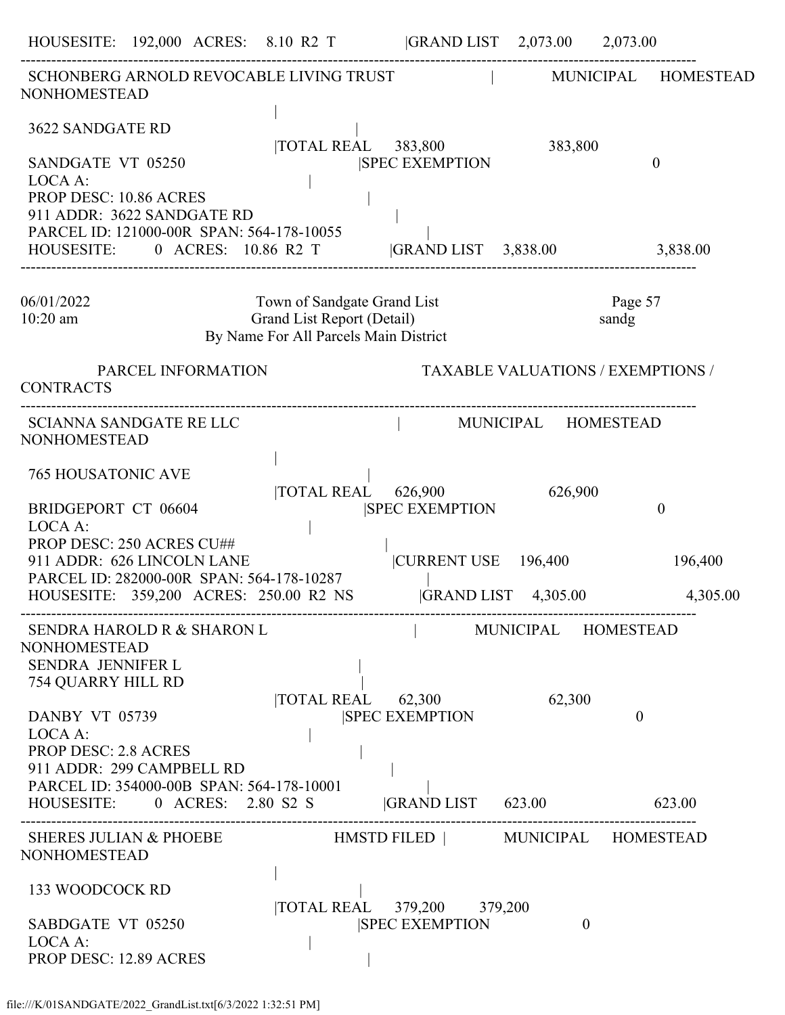HOUSESITE: 192,000 ACRES: 8.10 R2 T |GRAND LIST 2,073.00 2,073.00 ------------------------------------------------------------------------------------------------------------------------------------ SCHONBERG ARNOLD REVOCABLE LIVING TRUST FUNKS IN AUNICIPAL HOMESTEAD NONHOMESTEAD | 3622 SANDGATE RD | |TOTAL REAL 383,800 383,800 SANDGATE VT 05250 SANDGES SANDGES OF SPEC EXEMPTION OF A SANDGES OF SANDGES OF A SANDGES OF SANDGES OF A SANDGES OF SANDGES OF A SANDGES OF SANDGES OF A SANDGES OF SANDGES OF A SANDGES OF SANDGES OF A SANDGES OF SANDGES OF LOCA A: PROP DESC: 10.86 ACRES 911 ADDR: 3622 SANDGATE RD | PARCEL ID: 121000-00R SPAN: 564-178-10055 | HOUSESITE: 0 ACRES: 10.86 R2 T |GRAND LIST 3,838.00 3,838.00 ------------------------------------------------------------------------------------------------------------------------------------ 06/01/2022 Town of Sandgate Grand List Page 57 10:20 am Grand List Report (Detail) sandg By Name For All Parcels Main District PARCEL INFORMATION TAXABLE VALUATIONS / EXEMPTIONS / CONTRACTS ------------------------------------------------------------------------------------------------------------------------------------ SCIANNA SANDGATE RE LLC | MUNICIPAL HOMESTEAD NONHOMESTEAD | 765 HOUSATONIC AVE | |TOTAL REAL 626,900 626,900 BRIDGEPORT CT 06604 |SPEC EXEMPTION 0 LOCA A: PROP DESC: 250 ACRES CU## | 911 ADDR: 626 LINCOLN LANE |CURRENT USE 196,400 196,400 PARCEL ID: 282000-00R SPAN: 564-178-10287 | HOUSESITE: 359,200 ACRES: 250.00 R2 NS |GRAND LIST 4,305.00 4,305.00 ------------------------------------------------------------------------------------------------------------------------------------ SENDRA HAROLD R & SHARON L | MUNICIPAL HOMESTEAD NONHOMESTEAD SENDRA JENNIFER L 754 QUARRY HILL RD | |TOTAL REAL 62,300 62,300 DANBY VT 05739 |SPEC EXEMPTION 0  $LOCA A$ : PROP DESC: 2.8 ACRES 911 ADDR: 299 CAMPBELL RD | PARCEL ID: 354000-00B SPAN: 564-178-10001 HOUSESITE: 0 ACRES: 2.80 S2 S |GRAND LIST 623.00 623.00 ------------------------------------------------------------------------------------------------------------------------------------ SHERES JULIAN & PHOEBE HMSTD FILED | MUNICIPAL HOMESTEAD NONHOMESTEAD | 133 WOODCOCK RD | |TOTAL REAL 379,200 379,200 SABDGATE VT 05250 |SPEC EXEMPTION 0 LOCA A: PROP DESC: 12.89 ACRES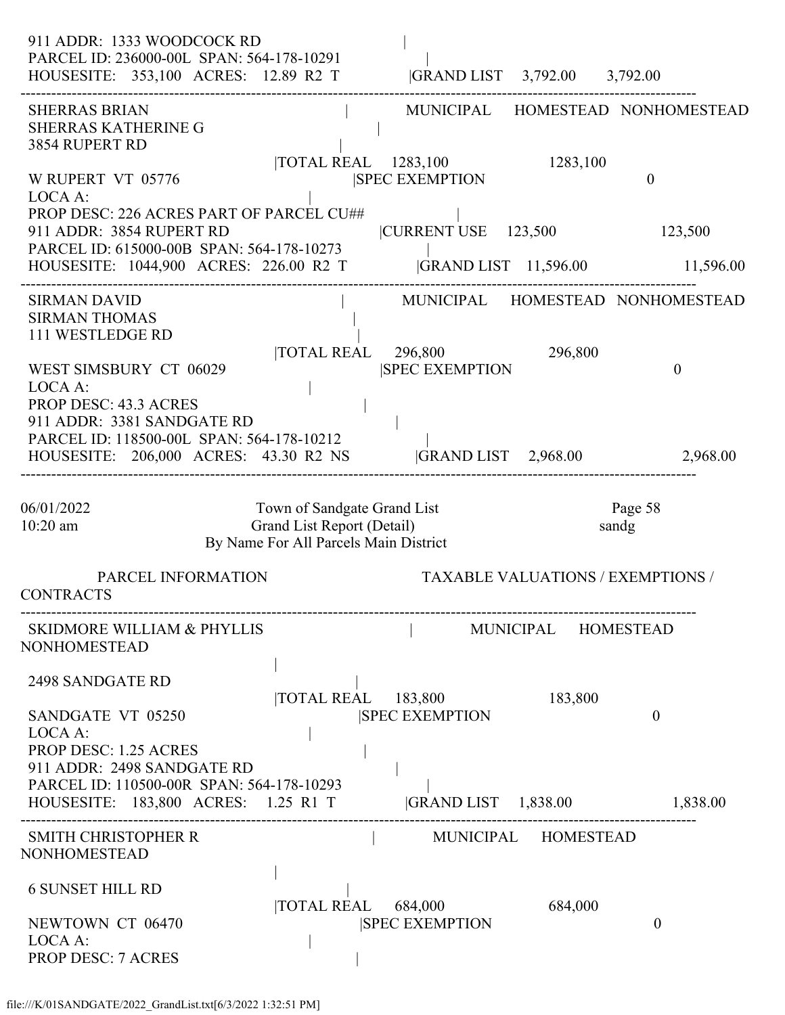| 911 ADDR: 1333 WOODCOCK RD<br>PARCEL ID: 236000-00L SPAN: 564-178-10291<br>HOUSESITE: 353,100 ACRES: 12.89 R2 T                                                                             |                                                                                                    | GRAND LIST 3,792.00 3,792.00                  |                             |                                          |
|---------------------------------------------------------------------------------------------------------------------------------------------------------------------------------------------|----------------------------------------------------------------------------------------------------|-----------------------------------------------|-----------------------------|------------------------------------------|
| <b>SHERRAS BRIAN</b><br><b>SHERRAS KATHERINE G</b><br>3854 RUPERT RD                                                                                                                        |                                                                                                    | TOTAL REAL 1283,100                           | 1283,100                    | MUNICIPAL HOMESTEAD NONHOMESTEAD         |
| W RUPERT VT 05776<br>LOCA A:<br>PROP DESC: 226 ACRES PART OF PARCEL CU##<br>911 ADDR: 3854 RUPERT RD<br>PARCEL ID: 615000-00B SPAN: 564-178-10273<br>HOUSESITE: 1044,900 ACRES: 226.00 R2 T |                                                                                                    | <b>SPEC EXEMPTION</b><br> CURRENT USE 123,500 | <b>GRAND LIST</b> 11,596.00 | $\theta$<br>123,500<br>11,596.00         |
| <b>SIRMAN DAVID</b><br><b>SIRMAN THOMAS</b><br>111 WESTLEDGE RD                                                                                                                             |                                                                                                    |                                               |                             | MUNICIPAL HOMESTEAD NONHOMESTEAD         |
| WEST SIMSBURY CT 06029<br>LOCA A:<br><b>PROP DESC: 43.3 ACRES</b><br>911 ADDR: 3381 SANDGATE RD                                                                                             | <b>TOTAL REAL</b>                                                                                  | 296,800<br><b>SPEC EXEMPTION</b>              | 296,800                     | $\theta$                                 |
| PARCEL ID: 118500-00L SPAN: 564-178-10212<br>HOUSESITE: 206,000 ACRES: 43.30 R2 NS                                                                                                          |                                                                                                    | <b>GRAND LIST</b> 2,968.00                    |                             | 2,968.00                                 |
| 06/01/2022<br>$10:20$ am                                                                                                                                                                    | Town of Sandgate Grand List<br>Grand List Report (Detail)<br>By Name For All Parcels Main District |                                               |                             | Page 58<br>sandg                         |
| PARCEL INFORMATION<br><b>CONTRACTS</b>                                                                                                                                                      |                                                                                                    |                                               |                             | <b>TAXABLE VALUATIONS / EXEMPTIONS /</b> |
| <b>SKIDMORE WILLIAM &amp; PHYLLIS</b><br>NONHOMESTEAD                                                                                                                                       |                                                                                                    |                                               | MUNICIPAL HOMESTEAD         |                                          |
| 2498 SANDGATE RD<br>SANDGATE VT 05250<br>LOCA A:<br>PROP DESC: 1.25 ACRES<br>911 ADDR: 2498 SANDGATE RD                                                                                     | TOTAL REAL 183,800                                                                                 | <b>SPEC EXEMPTION</b>                         | 183,800                     | $\theta$                                 |
| PARCEL ID: 110500-00R SPAN: 564-178-10293<br>HOUSESITE: 183,800 ACRES: 1.25 R1 T                                                                                                            |                                                                                                    | $ GRAND LIST \t1,838.00$                      |                             | 1,838.00                                 |
| <b>SMITH CHRISTOPHER R</b><br>NONHOMESTEAD                                                                                                                                                  |                                                                                                    |                                               | MUNICIPAL HOMESTEAD         |                                          |
| <b>6 SUNSET HILL RD</b><br>NEWTOWN CT 06470<br>LOCA A:<br><b>PROP DESC: 7 ACRES</b>                                                                                                         | <b>TOTAL REAL</b>                                                                                  | 684,000<br><b>SPEC EXEMPTION</b>              | 684,000                     | $\boldsymbol{0}$                         |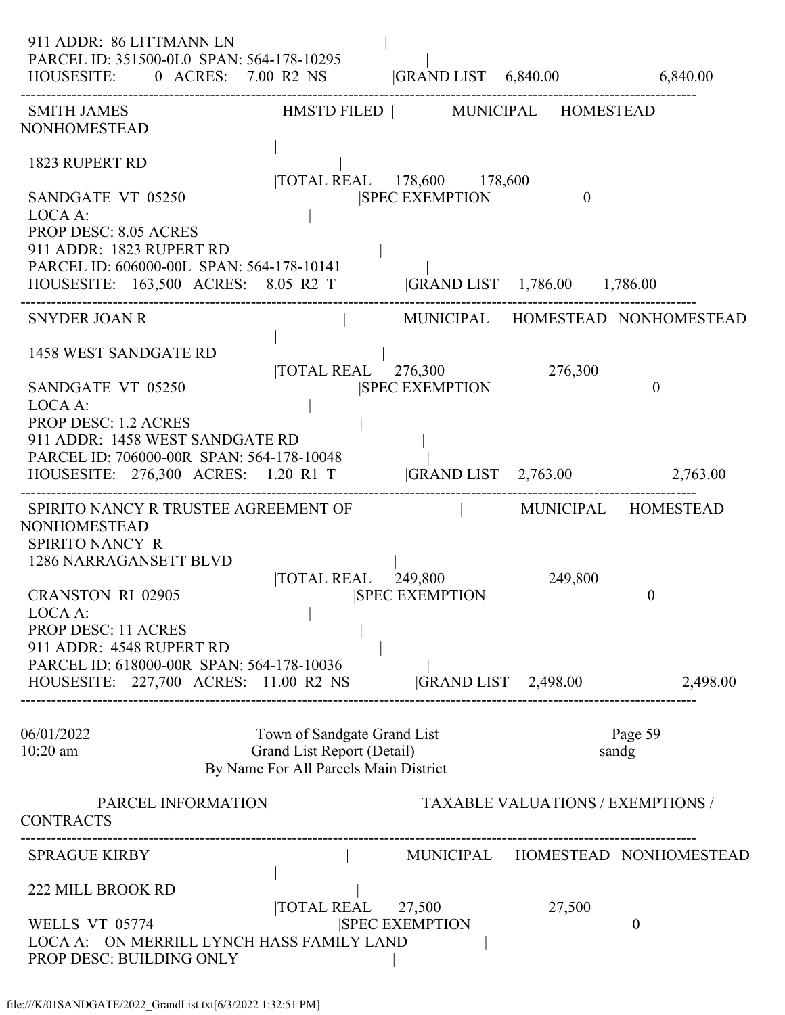| 911 ADDR: 86 LITTMANN LN<br>PARCEL ID: 351500-0L0 SPAN: 564-178-10295<br>HOUSESITE: 0 ACRES: 7.00 R2 NS  GRAND LIST 6,840.00 6,840.00                                                                                        |                                                                                                    |                                                     |                                          |                                  |
|------------------------------------------------------------------------------------------------------------------------------------------------------------------------------------------------------------------------------|----------------------------------------------------------------------------------------------------|-----------------------------------------------------|------------------------------------------|----------------------------------|
| <b>SMITH JAMES</b><br>NONHOMESTEAD                                                                                                                                                                                           | HMSTD FILED   MUNICIPAL HOMESTEAD                                                                  |                                                     |                                          |                                  |
| 1823 RUPERT RD<br>SANDGATE VT 05250<br>LOCA A:<br><b>PROP DESC: 8.05 ACRES</b><br>911 ADDR: 1823 RUPERT RD<br>PARCEL ID: 606000-00L SPAN: 564-178-10141<br>HOUSESITE: 163,500 ACRES: 8.05 R2 T  GRAND LIST 1,786.00 1,786.00 |                                                                                                    | TOTAL REAL 178,600 178,600<br><b>SPEC EXEMPTION</b> | $\theta$                                 |                                  |
|                                                                                                                                                                                                                              |                                                                                                    |                                                     |                                          |                                  |
| <b>SNYDER JOAN R</b><br>1458 WEST SANDGATE RD                                                                                                                                                                                | and the property of the                                                                            | $\overline{10}$ TAL REAL $\overline{276,300}$       | 276,300                                  | MUNICIPAL HOMESTEAD NONHOMESTEAD |
| SANDGATE VT 05250<br>LOCA A:<br><b>PROP DESC: 1.2 ACRES</b><br>911 ADDR: 1458 WEST SANDGATE RD<br>PARCEL ID: 706000-00R SPAN: 564-178-10048<br>HOUSESITE: 276,300 ACRES: 1.20 R1 T  GRAND LIST 2,763.00 2,763.00             |                                                                                                    | <b>SPEC EXEMPTION</b>                               |                                          | $\theta$                         |
| SPIRITO NANCY R TRUSTEE AGREEMENT OF<br><b>NONHOMESTEAD</b><br>SPIRITO NANCY R                                                                                                                                               |                                                                                                    | MUNICIPAL HOMESTEAD                                 |                                          |                                  |
| 1286 NARRAGANSETT BLVD<br><b>CRANSTON RI 02905</b><br>LOCA A:<br>PROP DESC: 11 ACRES                                                                                                                                         |                                                                                                    | TOTAL REAL 249,800<br><b>ISPEC EXEMPTION</b>        | 249,800                                  | $\overline{0}$                   |
| 911 ADDR: 4548 RUPERT RD<br>PARCEL ID: 618000-00R SPAN: 564-178-10036<br>HOUSESITE: 227,700 ACRES: 11.00 R2 NS                                                                                                               |                                                                                                    | $ GRAND LIST$ 2,498.00                              |                                          | 2,498.00                         |
| 06/01/2022<br>$10:20$ am                                                                                                                                                                                                     | Town of Sandgate Grand List<br>Grand List Report (Detail)<br>By Name For All Parcels Main District |                                                     |                                          | Page 59<br>sandg                 |
| PARCEL INFORMATION<br><b>CONTRACTS</b>                                                                                                                                                                                       |                                                                                                    |                                                     | <b>TAXABLE VALUATIONS / EXEMPTIONS /</b> |                                  |
| <b>SPRAGUE KIRBY</b>                                                                                                                                                                                                         |                                                                                                    |                                                     |                                          | MUNICIPAL HOMESTEAD NONHOMESTEAD |
| <b>222 MILL BROOK RD</b><br>WELLS VT 05774<br>LOCA A: ON MERRILL LYNCH HASS FAMILY LAND<br>PROP DESC: BUILDING ONLY                                                                                                          | TOTAL REAL 27,500                                                                                  | <b>SPEC EXEMPTION</b>                               | 27,500                                   | $\theta$                         |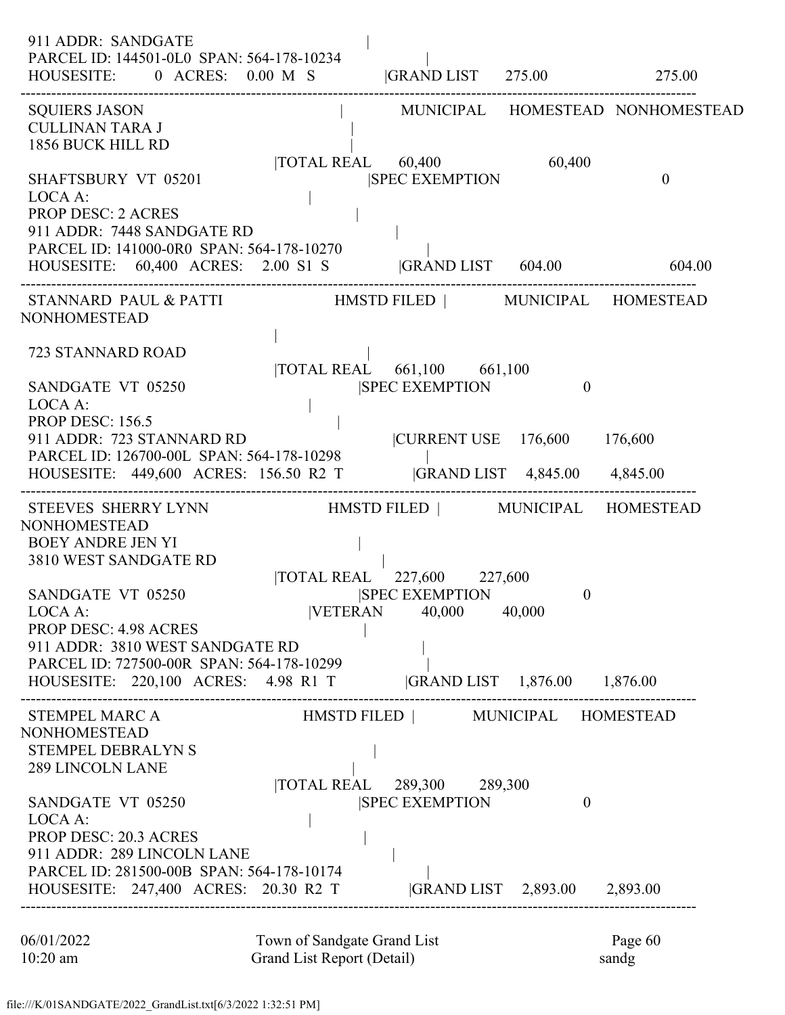| 911 ADDR: SANDGATE<br>PARCEL ID: 144501-0L0 SPAN: 564-178-10234<br>HOUSESITE: $0 \text{ ACRES: } 0.00 \text{ M} \text{ S}$  GRAND LIST 275.00 275.00                                                       |                                                                              |                                           |                                  |
|------------------------------------------------------------------------------------------------------------------------------------------------------------------------------------------------------------|------------------------------------------------------------------------------|-------------------------------------------|----------------------------------|
| <b>SQUIERS JASON</b><br><b>CULLINAN TARA J</b><br>1856 BUCK HILL RD                                                                                                                                        |                                                                              |                                           | MUNICIPAL HOMESTEAD NONHOMESTEAD |
| <b>SHAFTSBURY VT 05201</b><br>LOCA A:<br><b>PROP DESC: 2 ACRES</b>                                                                                                                                         | TOTAL REAL 60,400<br><b>ISPEC EXEMPTION</b>                                  | 60,400                                    | $\theta$                         |
| 911 ADDR: 7448 SANDGATE RD<br>PARCEL ID: 141000-0R0 SPAN: 564-178-10270<br>HOUSESITE: 60,400 ACRES: 2.00 S1 S  GRAND LIST 604.00 604.00                                                                    |                                                                              |                                           |                                  |
| STANNARD PAUL & PATTI HMSTD FILED   MUNICIPAL HOMESTEAD<br>NONHOMESTEAD                                                                                                                                    |                                                                              |                                           |                                  |
| 723 STANNARD ROAD<br>SANDGATE VT 05250<br>LOCA A:                                                                                                                                                          | TOTAL REAL 661,100 661,100<br><b>SPEC EXEMPTION</b>                          | $\theta$                                  |                                  |
| <b>PROP DESC: 156.5</b><br>911 ADDR: 723 STANNARD RD<br>PARCEL ID: 126700-00L SPAN: 564-178-10298<br>HOUSESITE: 449,600 ACRES: 156.50 R2 T  GRAND LIST 4,845.00 4,845.00                                   | CURRENT USE 176,600 176,600                                                  |                                           |                                  |
| STEEVES SHERRY LYNN HMSTD FILED   MUNICIPAL HOMESTEAD<br>NONHOMESTEAD<br><b>BOEY ANDRE JEN YI</b><br>3810 WEST SANDGATE RD                                                                                 |                                                                              |                                           |                                  |
| SANDGATE VT 05250<br>LOCA A:<br>PROP DESC: 4.98 ACRES<br>911 ADDR: 3810 WEST SANDGATE RD<br>PARCEL ID: 727500-00R SPAN: 564-178-10299<br>HOUSESITE: 220,100 ACRES: 4.98 R1 T  GRAND LIST 1,876.00 1,876.00 | TOTAL REAL 227,600 227,600<br><b>SPEC EXEMPTION</b><br>VETERAN 40,000 40,000 | $\boldsymbol{0}$                          |                                  |
| STEMPEL MARC A<br>NONHOMESTEAD<br><b>STEMPEL DEBRALYN S</b><br><b>289 LINCOLN LANE</b>                                                                                                                     | HMSTD FILED   MUNICIPAL HOMESTEAD<br> TOTAL REAL 289,300 289,300             |                                           |                                  |
| SANDGATE VT 05250<br>LOCA A:<br><b>PROP DESC: 20.3 ACRES</b><br>911 ADDR: 289 LINCOLN LANE<br>PARCEL ID: 281500-00B SPAN: 564-178-10174<br>HOUSESITE: 247,400 ACRES: 20.30 R2 T                            | <b>SPEC EXEMPTION</b>                                                        | $\theta$<br> GRAND LIST 2,893.00 2,893.00 |                                  |
|                                                                                                                                                                                                            |                                                                              |                                           |                                  |

| 06/01/2022 | Town of Sandgate Grand List | Page 60 |
|------------|-----------------------------|---------|
| $10:20$ am | Grand List Report (Detail)  | sandg   |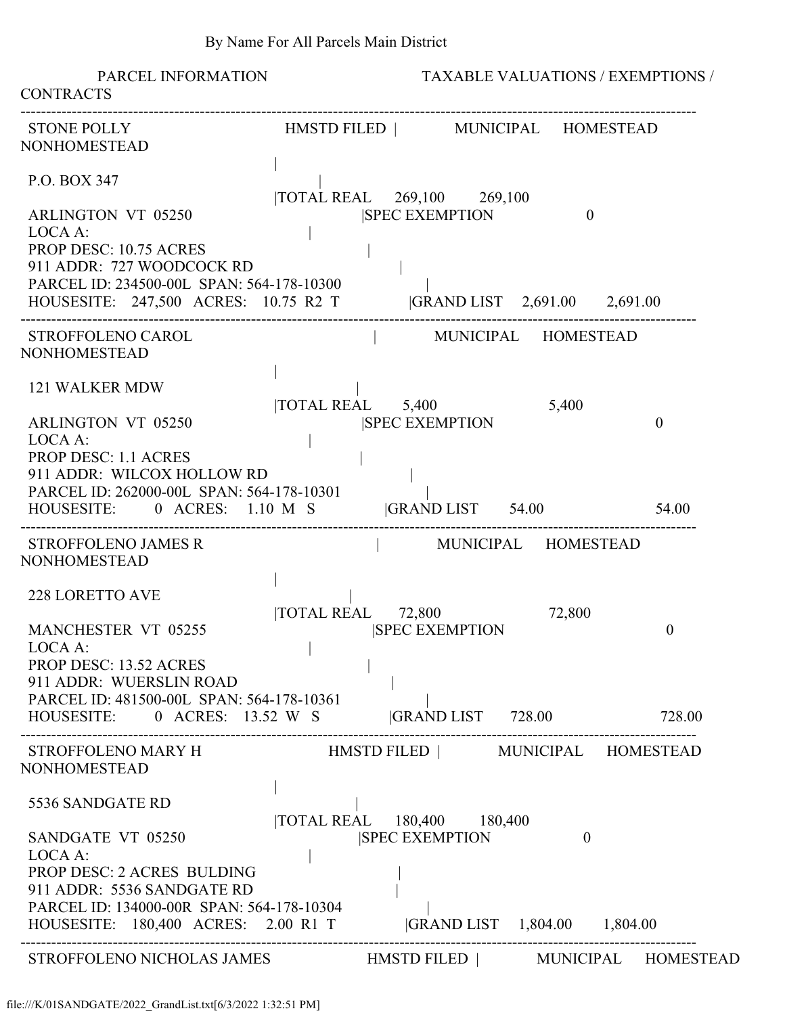| PARCEL INFORMATION<br><b>CONTRACTS</b>                                                                                                                                   |                                                                                                                                       | <b>TAXABLE VALUATIONS / EXEMPTIONS /</b> |  |  |  |
|--------------------------------------------------------------------------------------------------------------------------------------------------------------------------|---------------------------------------------------------------------------------------------------------------------------------------|------------------------------------------|--|--|--|
| <b>STONE POLLY</b><br><b>NONHOMESTEAD</b>                                                                                                                                | HMSTD FILED   MUNICIPAL HOMESTEAD                                                                                                     |                                          |  |  |  |
| P.O. BOX 347                                                                                                                                                             | TOTAL REAL 269,100 269,100                                                                                                            |                                          |  |  |  |
| <b>ARLINGTON VT 05250</b><br>LOCA A:<br>PROP DESC: 10.75 ACRES<br>911 ADDR: 727 WOODCOCK RD<br>PARCEL ID: 234500-00L SPAN: 564-178-10300                                 | <b>SPEC EXEMPTION</b><br>$\theta$<br>HOUSESITE: 247,500 ACRES: 10.75 R2 T GRAND LIST 2,691.00 2,691.00                                |                                          |  |  |  |
| STROFFOLENO CAROL<br><b>NONHOMESTEAD</b>                                                                                                                                 | MUNICIPAL HOMESTEAD                                                                                                                   |                                          |  |  |  |
| <b>121 WALKER MDW</b><br>ARLINGTON VT 05250<br>LOCA A:<br><b>PROP DESC: 1.1 ACRES</b><br>911 ADDR: WILCOX HOLLOW RD<br>PARCEL ID: 262000-00L SPAN: 564-178-10301         | 5,400<br>$\overline{1}$ TOTAL REAL $\overline{5,400}$<br><b>SPEC EXEMPTION</b><br>HOUSESITE: 0 ACRES: 1.10 M S GRAND LIST 54.00 54.00 | $\theta$                                 |  |  |  |
| <b>STROFFOLENO JAMES R</b><br><b>NONHOMESTEAD</b>                                                                                                                        | MUNICIPAL HOMESTEAD                                                                                                                   |                                          |  |  |  |
| <b>228 LORETTO AVE</b><br><b>MANCHESTER VT 05255</b><br>LOCA A:<br><b>PROP DESC: 13.52 ACRES</b><br>911 ADDR: WUERSLIN ROAD<br>PARCEL ID: 481500-00L SPAN: 564-178-10361 | TOTAL REAL 72,800<br>72,800<br><b>SPEC EXEMPTION</b><br>HOUSESITE: 0 ACRES: 13.52 W S  GRAND LIST 728.00 728.00                       | 0                                        |  |  |  |
| STROFFOLENO MARY H<br><b>NONHOMESTEAD</b>                                                                                                                                | HMSTD FILED   MUNICIPAL HOMESTEAD                                                                                                     |                                          |  |  |  |
| 5536 SANDGATE RD<br>SANDGATE VT 05250<br>LOCA A:<br>PROP DESC: 2 ACRES BULDING<br>911 ADDR: 5536 SANDGATE RD<br>PARCEL ID: 134000-00R SPAN: 564-178-10304                | TOTAL REAL 180,400 180,400<br><b>SPEC EXEMPTION</b><br>$\theta$<br>HOUSESITE: 180,400 ACRES: 2.00 R1 T  GRAND LIST 1,804.00 1,804.00  |                                          |  |  |  |
|                                                                                                                                                                          | STROFFOLENO NICHOLAS JAMES HMSTD FILED   MUNICIPAL HOMESTEAD                                                                          |                                          |  |  |  |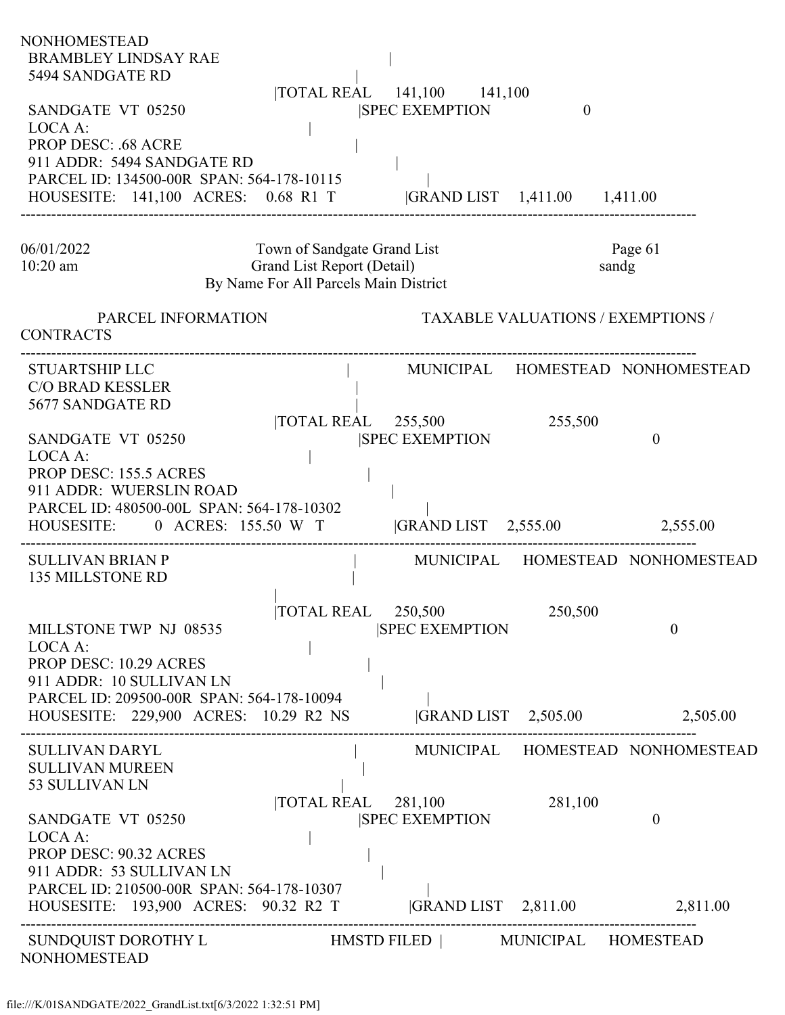| 5494 SANDGATE RD<br> TOTAL REAL 141,100 141,100                                                                                                                               |  |
|-------------------------------------------------------------------------------------------------------------------------------------------------------------------------------|--|
| SANDGATE VT 05250<br><b>SPEC EXEMPTION</b><br>$\mathbf{0}$<br>LOCA A:                                                                                                         |  |
| <b>PROP DESC: .68 ACRE</b><br>911 ADDR: 5494 SANDGATE RD<br>PARCEL ID: 134500-00R SPAN: 564-178-10115<br>HOUSESITE: 141,100 ACRES: 0.68 R1 T  GRAND LIST 1,411.00 1,411.00    |  |
|                                                                                                                                                                               |  |
| Town of Sandgate Grand List<br>Page 61<br>06/01/2022<br>Grand List Report (Detail)<br>$10:20$ am<br>sandg<br>By Name For All Parcels Main District                            |  |
| <b>TAXABLE VALUATIONS / EXEMPTIONS /</b><br>PARCEL INFORMATION<br><b>CONTRACTS</b>                                                                                            |  |
| MUNICIPAL HOMESTEAD NONHOMESTEAD<br><b>STUARTSHIP LLC</b><br><b>C/O BRAD KESSLER</b><br>5677 SANDGATE RD                                                                      |  |
| $\overline{\text{TOTAL REAL}}$ 255,500<br>255,500<br><b>ISPEC EXEMPTION</b><br>SANDGATE VT 05250<br>$\theta$<br>LOCA A:                                                       |  |
| <b>PROP DESC: 155.5 ACRES</b><br>911 ADDR: WUERSLIN ROAD<br>PARCEL ID: 480500-00L SPAN: 564-178-10302<br>$ GRAND LIST$ 2,555.00<br>HOUSESITE: 0 ACRES: 155.50 W T<br>2,555.00 |  |
| MUNICIPAL HOMESTEAD NONHOMESTEAD<br><b>SULLIVAN BRIAN P</b><br><b>135 MILLSTONE RD</b>                                                                                        |  |
| TOTAL REAL 250,500<br>250,500<br><b>SPEC EXEMPTION</b><br>MILLSTONE TWP NJ 08535<br>$\theta$<br>LOCA A:                                                                       |  |
| PROP DESC: 10.29 ACRES<br>911 ADDR: 10 SULLIVAN LN<br>PARCEL ID: 209500-00R SPAN: 564-178-10094                                                                               |  |
| HOUSESITE: 229,900 ACRES: 10.29 R2 NS<br>$ GRAND LIST \t2,505.00$<br>2,505.00                                                                                                 |  |
| MUNICIPAL HOMESTEAD NONHOMESTEAD<br><b>SULLIVAN DARYL</b><br><b>SULLIVAN MUREEN</b><br>53 SULLIVAN LN                                                                         |  |
| $\overline{10}$ TOTAL REAL 281,100<br>281,100<br><b>SPEC EXEMPTION</b><br>SANDGATE VT 05250<br>$\mathbf{0}$<br>LOCA A:                                                        |  |
| PROP DESC: 90.32 ACRES<br>911 ADDR: 53 SULLIVAN LN<br>PARCEL ID: 210500-00R SPAN: 564-178-10307                                                                               |  |
| $ GRAND LIST \t2,811.00$<br>HOUSESITE: 193,900 ACRES: 90.32 R2 T<br>2,811.00                                                                                                  |  |
| SUNDQUIST DOROTHY L<br>HMSTD FILED   MUNICIPAL HOMESTEAD<br><b>NONHOMESTEAD</b>                                                                                               |  |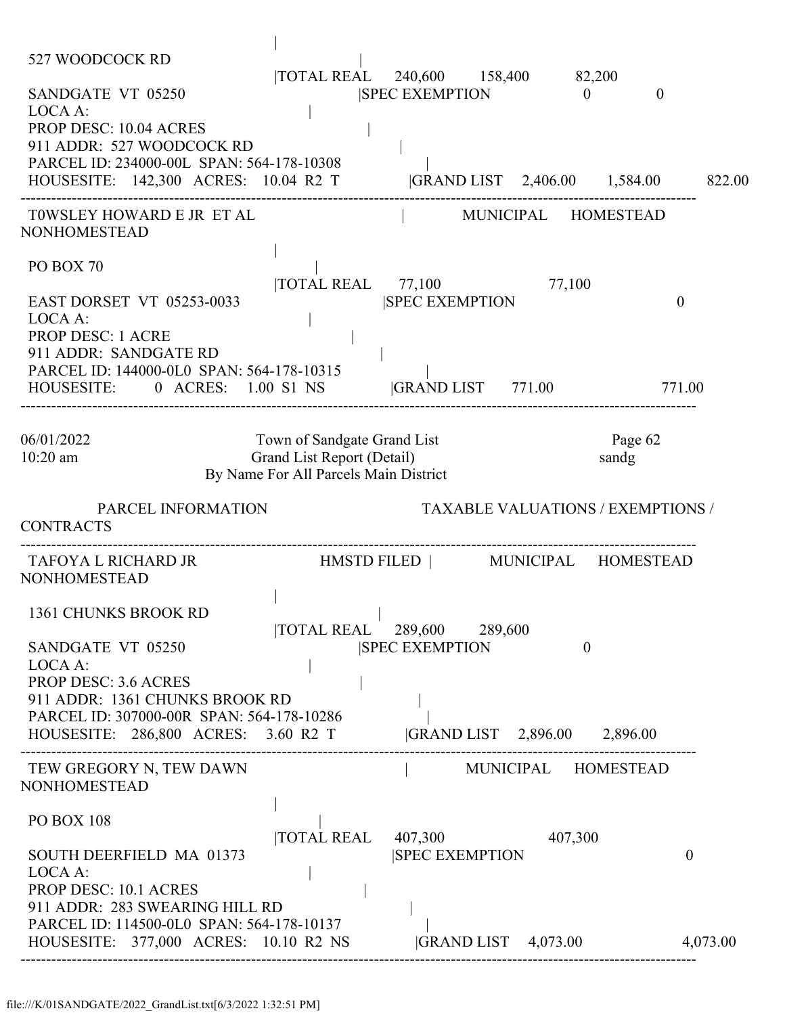| 527 WOODCOCK RD<br>SANDGATE VT 05250<br>LOCA A:<br>PROP DESC: 10.04 ACRES<br>911 ADDR: 527 WOODCOCK RD<br>PARCEL ID: 234000-00L SPAN: 564-178-10308<br>HOUSESITE: 142,300 ACRES: 10.04 R2 T  GRAND LIST 2,406.00 1,584.00 |                                                                                                    | TOTAL REAL 240,600 158,400 82,200<br>SPEC EXEMPTION 0 |                                           | $\theta$                                 | 822.00   |
|---------------------------------------------------------------------------------------------------------------------------------------------------------------------------------------------------------------------------|----------------------------------------------------------------------------------------------------|-------------------------------------------------------|-------------------------------------------|------------------------------------------|----------|
| TOWSLEY HOWARD E JR ET AL<br><b>NONHOMESTEAD</b>                                                                                                                                                                          |                                                                                                    | MUNICIPAL HOMESTEAD                                   |                                           |                                          |          |
| PO BOX 70<br><b>EAST DORSET VT 05253-0033</b><br>LOCA A:<br><b>PROP DESC: 1 ACRE</b><br>911 ADDR: SANDGATE RD<br>PARCEL ID: 144000-0L0 SPAN: 564-178-10315<br>HOUSESITE: 0 ACRES: 1.00 S1 NS  GRAND LIST 771.00           |                                                                                                    | TOTAL REAL 77,100 77,100<br><b>SPEC EXEMPTION</b>     |                                           | $\theta$<br>771.00                       |          |
| 06/01/2022<br>10:20 am                                                                                                                                                                                                    | Town of Sandgate Grand List<br>Grand List Report (Detail)<br>By Name For All Parcels Main District |                                                       |                                           | Page 62<br>sandg                         |          |
| PARCEL INFORMATION<br><b>CONTRACTS</b>                                                                                                                                                                                    |                                                                                                    |                                                       |                                           | <b>TAXABLE VALUATIONS / EXEMPTIONS /</b> |          |
| TAFOYA L RICHARD JR                              HMSTD FILED                MUNICIPAL     HOMESTEAD<br><b>NONHOMESTEAD</b>                                                                                                |                                                                                                    |                                                       |                                           |                                          |          |
| 1361 CHUNKS BROOK RD<br>SANDGATE VT 05250<br>LOCA A:<br><b>PROP DESC: 3.6 ACRES</b><br>911 ADDR: 1361 CHUNKS BROOK RD<br>PARCEL ID: 307000-00R SPAN: 564-178-10286<br>HOUSESITE: 286,800 ACRES: 3.60 R2 T                 |                                                                                                    | TOTAL REAL 289,600 289,600<br><b>SPEC EXEMPTION</b>   | $\theta$<br> GRAND LIST 2,896.00 2,896.00 |                                          |          |
| TEW GREGORY N, TEW DAWN<br><b>NONHOMESTEAD</b>                                                                                                                                                                            |                                                                                                    |                                                       | MUNICIPAL HOMESTEAD                       |                                          |          |
| <b>PO BOX 108</b><br>SOUTH DEERFIELD MA 01373<br>LOCA A:<br>PROP DESC: 10.1 ACRES<br>911 ADDR: 283 SWEARING HILL RD<br>PARCEL ID: 114500-0L0 SPAN: 564-178-10137                                                          | <b>TOTAL REAL</b>                                                                                  | 407,300<br><b>SPEC EXEMPTION</b>                      | 407,300                                   | $\overline{0}$                           |          |
| HOUSESITE: 377,000 ACRES: 10.10 R2 NS                                                                                                                                                                                     |                                                                                                    |                                                       | GRAND LIST 4,073.00                       |                                          | 4,073.00 |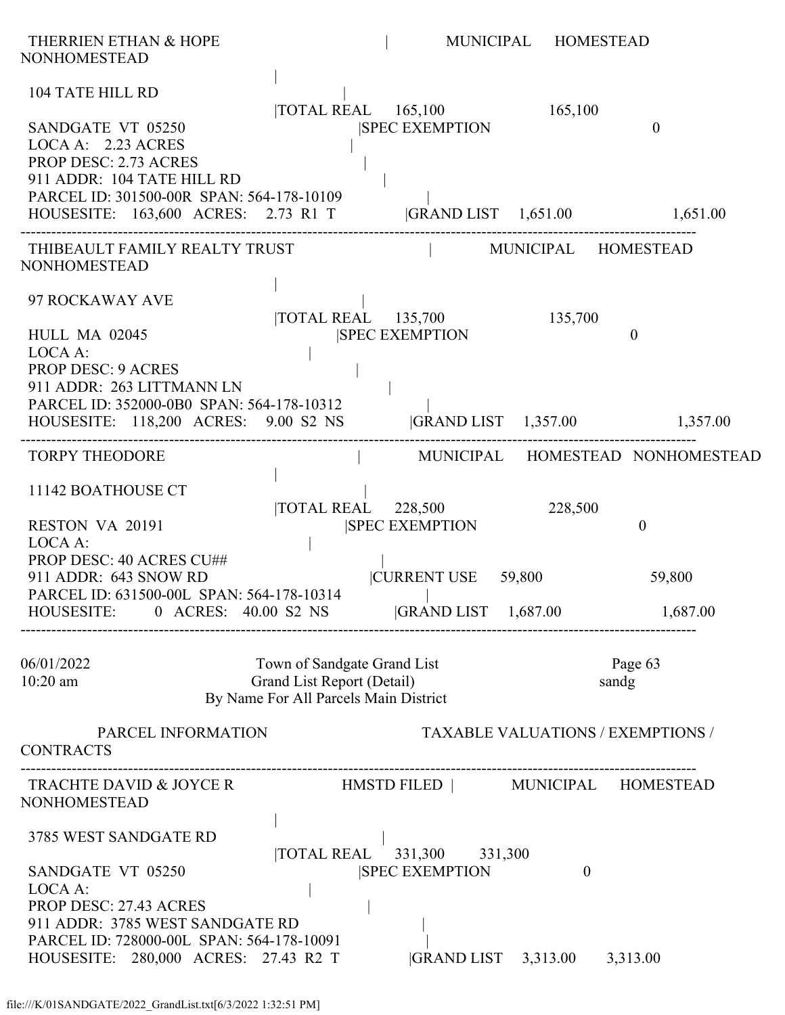| THERRIEN ETHAN & HOPE<br><b>NONHOMESTEAD</b>                                                                                                                                                                   |                                                                                                    |                                                     | MUNICIPAL HOMESTEAD                             |                                  |
|----------------------------------------------------------------------------------------------------------------------------------------------------------------------------------------------------------------|----------------------------------------------------------------------------------------------------|-----------------------------------------------------|-------------------------------------------------|----------------------------------|
| <b>104 TATE HILL RD</b><br>SANDGATE VT 05250<br>LOCA A: 2.23 ACRES<br>PROP DESC: 2.73 ACRES<br>911 ADDR: 104 TATE HILL RD                                                                                      |                                                                                                    | TOTAL REAL 165,100<br><b>SPEC EXEMPTION</b>         | 165,100                                         | $\mathbf{0}$                     |
| PARCEL ID: 301500-00R SPAN: 564-178-10109<br>HOUSESITE: 163,600 ACRES: 2.73 R1 T  GRAND LIST 1,651.00 1,651.00                                                                                                 |                                                                                                    |                                                     |                                                 |                                  |
| THIBEAULT FAMILY REALTY TRUST<br><b>NONHOMESTEAD</b>                                                                                                                                                           |                                                                                                    | MUNICIPAL HOMESTEAD                                 |                                                 |                                  |
| 97 ROCKAWAY AVE<br><b>HULL MA 02045</b><br>LOCA A:<br><b>PROP DESC: 9 ACRES</b><br>911 ADDR: 263 LITTMANN LN                                                                                                   |                                                                                                    | TOTAL REAL 135,700 135,700<br><b>SPEC EXEMPTION</b> |                                                 | $\mathbf{0}$                     |
| PARCEL ID: 352000-0B0 SPAN: 564-178-10312<br>HOUSESITE: 118,200 ACRES: 9.00 S2 NS  GRAND LIST 1,357.00 1,357.00                                                                                                |                                                                                                    |                                                     |                                                 |                                  |
| <b>TORPY THEODORE</b>                                                                                                                                                                                          |                                                                                                    |                                                     |                                                 | MUNICIPAL HOMESTEAD NONHOMESTEAD |
| 11142 BOATHOUSE CT<br>RESTON VA 20191<br>LOCA A:                                                                                                                                                               |                                                                                                    | TOTAL REAL 228,500<br><b>SPEC EXEMPTION</b>         | 228,500                                         | $\theta$                         |
| PROP DESC: 40 ACRES CU##<br>911 ADDR: 643 SNOW RD<br>PARCEL ID: 631500-00L SPAN: 564-178-10314                                                                                                                 |                                                                                                    | CURRENT USE 59,800                                  |                                                 | 59,800                           |
| HOUSESITE: 0 ACRES: 40.00 S2 NS GRAND LIST 1,687.00 1,687.00                                                                                                                                                   |                                                                                                    |                                                     |                                                 |                                  |
| 06/01/2022<br>$10:20$ am                                                                                                                                                                                       | Town of Sandgate Grand List<br>Grand List Report (Detail)<br>By Name For All Parcels Main District |                                                     | sandg                                           | Page 63                          |
| PARCEL INFORMATION<br><b>CONTRACTS</b>                                                                                                                                                                         |                                                                                                    |                                                     | <b>TAXABLE VALUATIONS / EXEMPTIONS /</b>        |                                  |
| TRACHTE DAVID & JOYCE R HMSTD FILED   MUNICIPAL HOMESTEAD<br><b>NONHOMESTEAD</b>                                                                                                                               |                                                                                                    |                                                     |                                                 |                                  |
| 3785 WEST SANDGATE RD<br>SANDGATE VT 05250<br>LOCA A:<br><b>PROP DESC: 27.43 ACRES</b><br>911 ADDR: 3785 WEST SANDGATE RD<br>PARCEL ID: 728000-00L SPAN: 564-178-10091<br>HOUSESITE: 280,000 ACRES: 27.43 R2 T |                                                                                                    | TOTAL REAL 331,300 331,300<br><b>SPEC EXEMPTION</b> | $\overline{0}$<br> GRAND LIST 3,313.00 3,313.00 |                                  |
|                                                                                                                                                                                                                |                                                                                                    |                                                     |                                                 |                                  |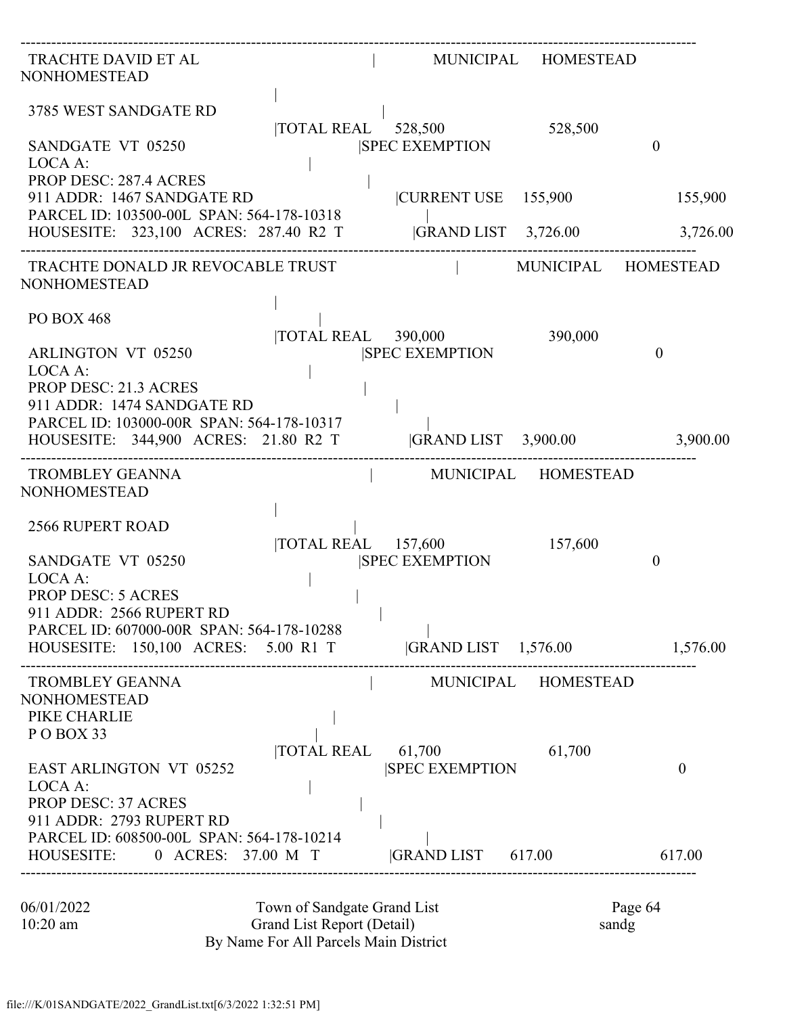| TRACHTE DAVID ET AL<br><b>NONHOMESTEAD</b>                                                                                                                    |                                                                                                    |                                                                        | MUNICIPAL HOMESTEAD      |                     |
|---------------------------------------------------------------------------------------------------------------------------------------------------------------|----------------------------------------------------------------------------------------------------|------------------------------------------------------------------------|--------------------------|---------------------|
| 3785 WEST SANDGATE RD<br>SANDGATE VT 05250<br>LOCA A:                                                                                                         |                                                                                                    | $\overline{10}$ TAL REAL $\overline{528,500}$<br><b>SPEC EXEMPTION</b> | 528,500                  | $\overline{0}$      |
| <b>PROP DESC: 287.4 ACRES</b><br>911 ADDR: 1467 SANDGATE RD<br>PARCEL ID: 103500-00L SPAN: 564-178-10318<br>HOUSESITE: 323,100 ACRES: 287.40 R2 T             |                                                                                                    | CURRENT USE 155,900                                                    | $ GRAND LIST \t3,726.00$ | 155,900<br>3,726.00 |
| TRACHTE DONALD JR REVOCABLE TRUST<br><b>NONHOMESTEAD</b>                                                                                                      |                                                                                                    |                                                                        |                          | MUNICIPAL HOMESTEAD |
| <b>PO BOX 468</b><br><b>ARLINGTON VT 05250</b><br>LOCA A:<br><b>PROP DESC: 21.3 ACRES</b><br>911 ADDR: 1474 SANDGATE RD                                       |                                                                                                    | $\overline{10}$ TAL REAL 390,000<br><b>ISPEC EXEMPTION</b>             | 390,000                  | $\theta$            |
| PARCEL ID: 103000-00R SPAN: 564-178-10317<br>HOUSESITE: 344,900 ACRES: 21.80 R2 T                                                                             |                                                                                                    | GRAND LIST 3,900.00 3,900.00                                           |                          |                     |
| <b>TROMBLEY GEANNA</b><br><b>NONHOMESTEAD</b>                                                                                                                 |                                                                                                    |                                                                        | MUNICIPAL HOMESTEAD      |                     |
| <b>2566 RUPERT ROAD</b><br>SANDGATE VT 05250<br>LOCA A:<br><b>PROP DESC: 5 ACRES</b><br>911 ADDR: 2566 RUPERT RD<br>PARCEL ID: 607000-00R SPAN: 564-178-10288 |                                                                                                    | TOTAL REAL 157,600<br><b>SPEC EXEMPTION</b>                            | 157,600                  | $\theta$            |
| HOUSESITE: 150,100 ACRES: 5.00 R1 T  GRAND LIST 1,576.00                                                                                                      |                                                                                                    |                                                                        |                          | 1,576.00            |
| TROMBLEY GEANNA<br><b>NONHOMESTEAD</b><br>PIKE CHARLIE<br>POBOX 33                                                                                            |                                                                                                    | MUNICIPAL HOMESTEAD                                                    |                          |                     |
| <b>EAST ARLINGTON VT 05252</b><br>LOCA A:<br><b>PROP DESC: 37 ACRES</b><br>911 ADDR: 2793 RUPERT RD<br>PARCEL ID: 608500-00L SPAN: 564-178-10214              |                                                                                                    | $\overline{\text{TOTAL REAL}}$ 61,700<br><b>SPEC EXEMPTION</b>         | 61,700                   | $\overline{0}$      |
| HOUSESITE: 0 ACRES: 37.00 M T  GRAND LIST 617.00 617.00                                                                                                       |                                                                                                    |                                                                        |                          |                     |
| 06/01/2022<br>$10:20$ am                                                                                                                                      | Town of Sandgate Grand List<br>Grand List Report (Detail)<br>By Name For All Parcels Main District |                                                                        |                          | Page 64<br>sandg    |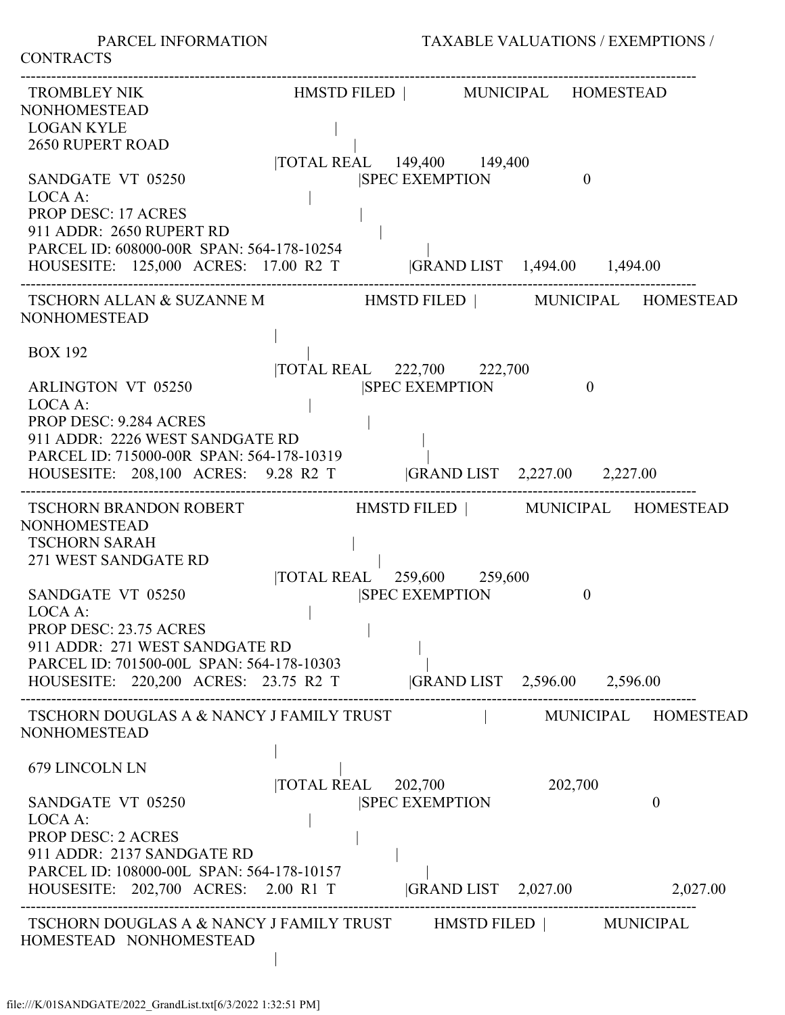**CONTRACTS** 

| TROMBLEY NIK                                                                                                                                                                           | HMSTD FILED   MUNICIPAL HOMESTEAD                   |                                         |                     |
|----------------------------------------------------------------------------------------------------------------------------------------------------------------------------------------|-----------------------------------------------------|-----------------------------------------|---------------------|
| <b>NONHOMESTEAD</b><br><b>LOGAN KYLE</b><br><b>2650 RUPERT ROAD</b>                                                                                                                    | TOTAL REAL 149,400 149,400                          |                                         |                     |
| SANDGATE VT 05250<br>LOCA A:                                                                                                                                                           | <b>SPEC EXEMPTION</b>                               | $\theta$                                |                     |
| <b>PROP DESC: 17 ACRES</b><br>911 ADDR: 2650 RUPERT RD<br>PARCEL ID: 608000-00R SPAN: 564-178-10254<br>HOUSESITE: 125,000 ACRES: 17.00 R2 T  GRAND LIST 1,494.00 1,494.00              |                                                     |                                         |                     |
| TSCHORN ALLAN & SUZANNE M                         HMSTD FILED               MUNICIPAL     HOMESTEAD<br><b>NONHOMESTEAD</b>                                                             |                                                     |                                         |                     |
| <b>BOX 192</b><br><b>ARLINGTON VT 05250</b>                                                                                                                                            | TOTAL REAL 222,700 222,700<br><b>SPEC EXEMPTION</b> | $\mathbf{0}$                            |                     |
| LOCA A:<br>PROP DESC: 9.284 ACRES<br>911 ADDR: 2226 WEST SANDGATE RD<br>PARCEL ID: 715000-00R SPAN: 564-178-10319<br>HOUSESITE: 208,100 ACRES: 9.28 R2 T  GRAND LIST 2,227.00 2,227.00 |                                                     |                                         |                     |
| TSCHORN BRANDON ROBERT HMSTD FILED   MUNICIPAL HOMESTEAD<br><b>NONHOMESTEAD</b><br><b>TSCHORN SARAH</b><br>271 WEST SANDGATE RD                                                        |                                                     |                                         |                     |
| SANDGATE VT 05250<br>LOCA A:<br><b>PROP DESC: 23.75 ACRES</b><br>911 ADDR: 271 WEST SANDGATE RD<br>PARCEL ID: 701500-00L SPAN: 564-178-10303                                           | TOTAL REAL 259,600 259,600                          | <b>SPEC EXEMPTION</b><br>$\overline{0}$ |                     |
| HOUSESITE: 220,200 ACRES: 23.75 R2 T  GRAND LIST 2,596.00 2,596.00                                                                                                                     |                                                     |                                         |                     |
| TSCHORN DOUGLAS A & NANCY J FAMILY TRUST<br><b>NONHOMESTEAD</b>                                                                                                                        |                                                     |                                         | MUNICIPAL HOMESTEAD |
| 679 LINCOLN LN                                                                                                                                                                         | $\overline{\text{TOTAL REAL}}$ 202,700              | 202,700                                 |                     |
| SANDGATE VT 05250<br>LOCA A:<br><b>PROP DESC: 2 ACRES</b><br>911 ADDR: 2137 SANDGATE RD<br>PARCEL ID: 108000-00L SPAN: 564-178-10157                                                   | <b>SPEC EXEMPTION</b>                               |                                         | $\theta$            |
| HOUSESITE: 202,700 ACRES: 2.00 R1 T                                                                                                                                                    |                                                     | GRAND LIST 2,027.00 2,027.00            |                     |
| TSCHORN DOUGLAS A & NANCY J FAMILY TRUST HMSTD FILED   MUNICIPAL<br>HOMESTEAD NONHOMESTEAD                                                                                             |                                                     |                                         |                     |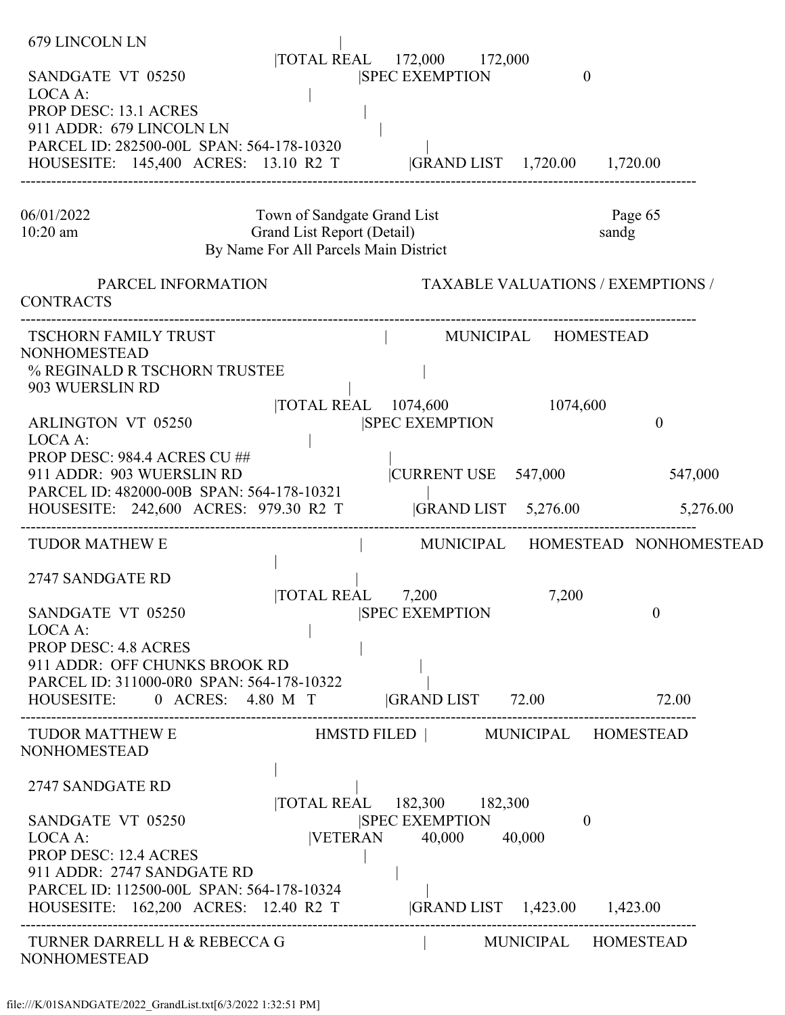| PARCEL ID: 282500-00L SPAN: 564-178-10320<br>HOUSESITE: 145,400 ACRES: 13.10 R2 T  GRAND LIST 1,720.00 1,720.00                                                                                                                                                                                                                                                     |  |
|---------------------------------------------------------------------------------------------------------------------------------------------------------------------------------------------------------------------------------------------------------------------------------------------------------------------------------------------------------------------|--|
| Page 65<br>Town of Sandgate Grand List<br>06/01/2022<br>Grand List Report (Detail)<br>$10:20$ am<br>sandg<br>By Name For All Parcels Main District                                                                                                                                                                                                                  |  |
| <b>TAXABLE VALUATIONS / EXEMPTIONS /</b><br>PARCEL INFORMATION<br><b>CONTRACTS</b>                                                                                                                                                                                                                                                                                  |  |
| TSCHORN FAMILY TRUST<br>  MUNICIPAL HOMESTEAD<br><b>NONHOMESTEAD</b><br>% REGINALD R TSCHORN TRUSTEE<br>903 WUERSLIN RD<br> TOTAL REAL 1074,600<br>1074,600<br><b>SPEC EXEMPTION</b><br><b>ARLINGTON VT 05250</b><br>$\theta$<br>LOCA A:                                                                                                                            |  |
| PROP DESC: 984.4 ACRES CU ##<br>911 ADDR: 903 WUERSLIN RD<br> CURRENT USE 547,000<br>547,000<br>PARCEL ID: 482000-00B SPAN: 564-178-10321<br> GRAND LIST 5,276.00 5,276.00<br>HOUSESITE: 242,600 ACRES: 979.30 R2 T                                                                                                                                                 |  |
| <b>TUDOR MATHEW E</b><br>MUNICIPAL HOMESTEAD NONHOMESTEAD<br>2747 SANDGATE RD<br><b>TOTAL REAL</b><br>7,200<br>7,200<br>$\overline{0}$<br>SANDGATE VT 05250<br><b>SPEC EXEMPTION</b><br>LOCA A:<br><b>PROP DESC: 4.8 ACRES</b><br>911 ADDR: OFF CHUNKS BROOK RD<br>PARCEL ID: 311000-0R0 SPAN: 564-178-10322<br>HOUSESITE: 0 ACRES: 4.80 M T GRAND LIST 72.00 72.00 |  |
| <b>NONHOMESTEAD</b><br>2747 SANDGATE RD<br> TOTAL REAL 182,300 182,300<br>SANDGATE VT 05250<br><b>SPEC EXEMPTION</b><br>$\theta$                                                                                                                                                                                                                                    |  |
| VETERAN 40,000 40,000<br>LOCA A:<br><b>PROP DESC: 12.4 ACRES</b><br>911 ADDR: 2747 SANDGATE RD<br>PARCEL ID: 112500-00L SPAN: 564-178-10324<br>HOUSESITE: 162,200 ACRES: 12.40 R2 T  GRAND LIST 1,423.00 1,423.00<br>  MUNICIPAL HOMESTEAD<br>TURNER DARRELL H & REBECCA G<br><b>NONHOMESTEAD</b>                                                                   |  |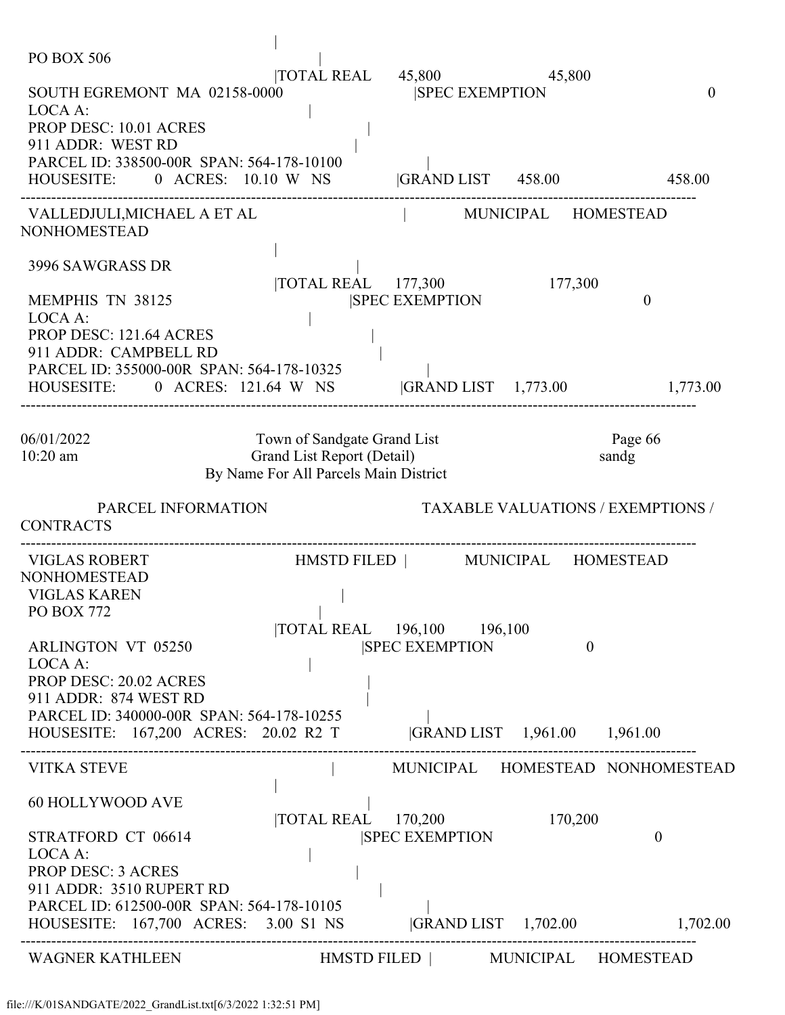| PO BOX 506                                                                                                      |                                                                     |                                                            |                                          |                                  |
|-----------------------------------------------------------------------------------------------------------------|---------------------------------------------------------------------|------------------------------------------------------------|------------------------------------------|----------------------------------|
| SOUTH EGREMONT MA 02158-0000<br>LOCA A:<br>PROP DESC: 10.01 ACRES                                               |                                                                     | $\overline{10}$ TAL REAL $45,800$<br><b>SPEC EXEMPTION</b> | 45,800                                   | $\mathbf{0}$                     |
| 911 ADDR: WEST RD                                                                                               |                                                                     |                                                            |                                          |                                  |
| PARCEL ID: 338500-00R SPAN: 564-178-10100<br>HOUSESITE: 0 ACRES: 10.10 W NS GRAND LIST 458.00                   |                                                                     |                                                            |                                          | 458.00                           |
| VALLEDJULI,MICHAEL A ET AL<br><b>NONHOMESTEAD</b>                                                               |                                                                     |                                                            | MUNICIPAL HOMESTEAD                      |                                  |
| 3996 SAWGRASS DR                                                                                                |                                                                     | $\overline{\text{TOTAL REAL}}$ 177,300                     | 177,300                                  |                                  |
| <b>MEMPHIS TN 38125</b><br>LOCA A:                                                                              |                                                                     | <b>SPEC EXEMPTION</b>                                      |                                          | $\mathbf{0}$                     |
| PROP DESC: 121.64 ACRES<br>911 ADDR: CAMPBELL RD                                                                |                                                                     |                                                            |                                          |                                  |
| PARCEL ID: 355000-00R SPAN: 564-178-10325<br>HOUSESITE: 0 ACRES: 121.64 W NS GRAND LIST 1,773.00 1,773.00       |                                                                     |                                                            |                                          |                                  |
| 06/01/2022                                                                                                      | Town of Sandgate Grand List                                         |                                                            |                                          | Page 66                          |
| 10:20 am                                                                                                        | Grand List Report (Detail)<br>By Name For All Parcels Main District |                                                            |                                          | sandg                            |
|                                                                                                                 |                                                                     |                                                            |                                          |                                  |
| PARCEL INFORMATION<br><b>CONTRACTS</b>                                                                          |                                                                     |                                                            | <b>TAXABLE VALUATIONS / EXEMPTIONS /</b> |                                  |
| <b>VIGLAS ROBERT</b><br><b>NONHOMESTEAD</b>                                                                     |                                                                     | HMSTD FILED   MUNICIPAL HOMESTEAD                          |                                          |                                  |
| <b>VIGLAS KAREN</b>                                                                                             |                                                                     |                                                            |                                          |                                  |
| <b>PO BOX 772</b>                                                                                               | and the state                                                       |                                                            |                                          |                                  |
|                                                                                                                 |                                                                     | TOTAL REAL 196,100 196,100                                 |                                          |                                  |
| <b>ARLINGTON VT 05250</b>                                                                                       |                                                                     | <b>SPEC EXEMPTION</b>                                      | $\theta$                                 |                                  |
| LOCA A:<br><b>PROP DESC: 20.02 ACRES</b>                                                                        |                                                                     |                                                            |                                          |                                  |
| 911 ADDR: 874 WEST RD                                                                                           |                                                                     |                                                            |                                          |                                  |
| PARCEL ID: 340000-00R SPAN: 564-178-10255                                                                       |                                                                     |                                                            |                                          |                                  |
| HOUSESITE: 167,200 ACRES: 20.02 R2 T                                                                            |                                                                     | GRAND LIST 1,961.00 1,961.00                               |                                          |                                  |
| <b>VITKA STEVE</b>                                                                                              |                                                                     |                                                            |                                          | MUNICIPAL HOMESTEAD NONHOMESTEAD |
| 60 HOLLYWOOD AVE                                                                                                | TOTAL REAL 170,200                                                  |                                                            | 170,200                                  |                                  |
| STRATFORD CT 06614<br>LOCA A:                                                                                   |                                                                     | <b>ISPEC EXEMPTION</b>                                     |                                          | $\theta$                         |
| <b>PROP DESC: 3 ACRES</b>                                                                                       |                                                                     |                                                            |                                          |                                  |
| 911 ADDR: 3510 RUPERT RD                                                                                        |                                                                     |                                                            |                                          |                                  |
| PARCEL ID: 612500-00R SPAN: 564-178-10105<br>HOUSESITE: 167,700 ACRES: 3.00 S1 NS  GRAND LIST 1,702.00 1,702.00 |                                                                     |                                                            |                                          |                                  |
| WAGNER KATHLEEN                                                                                                 |                                                                     | HMSTD FILED   MUNICIPAL HOMESTEAD                          |                                          |                                  |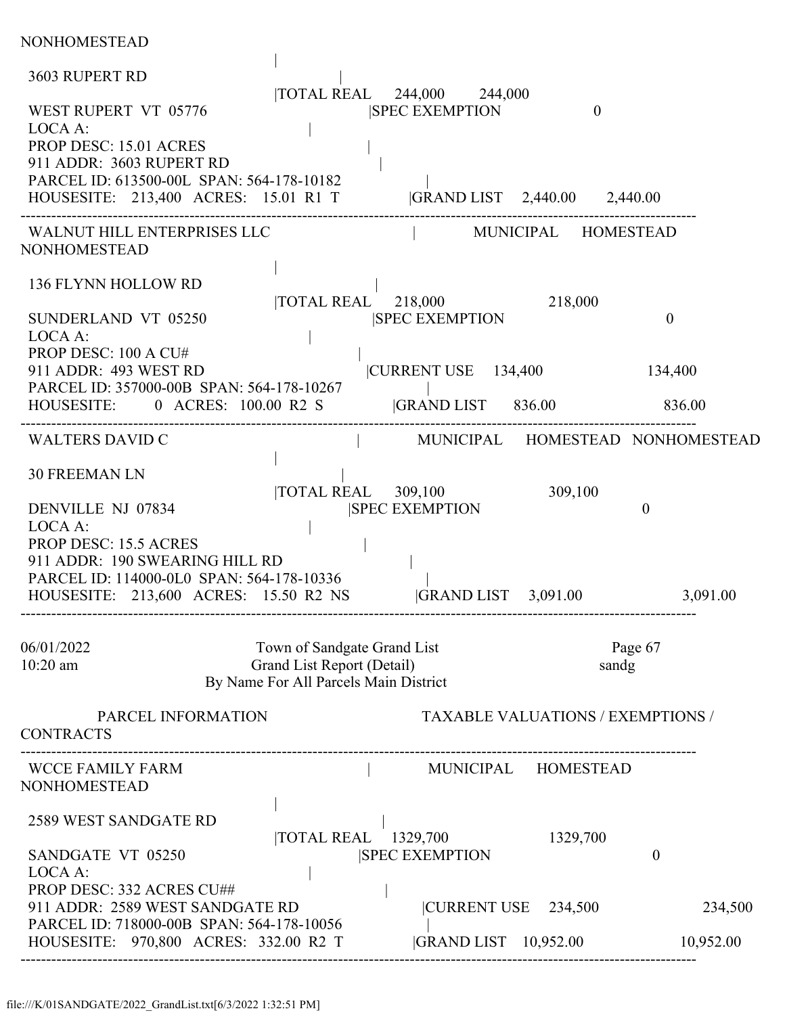| NONHOMESTEAD                                                                                                                                                                                             |                                                                                                    |                                                     |                                          |                                  |
|----------------------------------------------------------------------------------------------------------------------------------------------------------------------------------------------------------|----------------------------------------------------------------------------------------------------|-----------------------------------------------------|------------------------------------------|----------------------------------|
| 3603 RUPERT RD                                                                                                                                                                                           |                                                                                                    |                                                     |                                          |                                  |
| WEST RUPERT VT 05776<br>LOCA A:<br>PROP DESC: 15.01 ACRES<br>911 ADDR: 3603 RUPERT RD<br>PARCEL ID: 613500-00L SPAN: 564-178-10182<br>HOUSESITE: 213,400 ACRES: 15.01 R1 T  GRAND LIST 2,440.00 2,440.00 |                                                                                                    | TOTAL REAL 244,000 244,000<br><b>SPEC EXEMPTION</b> | $\mathbf{0}$                             |                                  |
| WALNUT HILL ENTERPRISES LLC                                                                                                                                                                              |                                                                                                    | MUNICIPAL HOMESTEAD                                 |                                          |                                  |
| <b>NONHOMESTEAD</b>                                                                                                                                                                                      |                                                                                                    |                                                     |                                          |                                  |
| 136 FLYNN HOLLOW RD<br>SUNDERLAND VT 05250<br>LOCA A:                                                                                                                                                    |                                                                                                    | TOTAL REAL 218,000<br><b>SPEC EXEMPTION</b>         | 218,000                                  | $\overline{0}$                   |
| PROP DESC: 100 A CU#<br>911 ADDR: 493 WEST RD<br>PARCEL ID: 357000-00B SPAN: 564-178-10267                                                                                                               |                                                                                                    | CURRENT USE 134,400                                 |                                          | 134,400                          |
| HOUSESITE: 0 ACRES: 100.00 R2 S                                                                                                                                                                          |                                                                                                    | <b>GRAND LIST</b> 836.00                            |                                          | 836.00                           |
| <b>WALTERS DAVID C</b>                                                                                                                                                                                   |                                                                                                    |                                                     |                                          | MUNICIPAL HOMESTEAD NONHOMESTEAD |
| <b>30 FREEMAN LN</b>                                                                                                                                                                                     |                                                                                                    |                                                     |                                          |                                  |
| DENVILLE NJ 07834<br>LOCA A:<br><b>PROP DESC: 15.5 ACRES</b><br>911 ADDR: 190 SWEARING HILL RD                                                                                                           | $\overline{10}$ TOTAL REAL 309,100                                                                 | <b>ISPEC EXEMPTION</b>                              | 309,100                                  | $\theta$                         |
| PARCEL ID: 114000-0L0 SPAN: 564-178-10336<br>HOUSESITE: 213,600 ACRES: 15.50 R2 NS                                                                                                                       |                                                                                                    | GRAND LIST 3,091.00                                 |                                          | 3,091.00                         |
| 06/01/2022<br>$10:20$ am                                                                                                                                                                                 | Town of Sandgate Grand List<br>Grand List Report (Detail)<br>By Name For All Parcels Main District |                                                     | sandg                                    | Page 67                          |
| PARCEL INFORMATION<br><b>CONTRACTS</b>                                                                                                                                                                   |                                                                                                    |                                                     | <b>TAXABLE VALUATIONS / EXEMPTIONS /</b> |                                  |
| <b>WCCE FAMILY FARM</b><br><b>NONHOMESTEAD</b>                                                                                                                                                           |                                                                                                    | MUNICIPAL HOMESTEAD                                 |                                          |                                  |
| 2589 WEST SANDGATE RD<br>SANDGATE VT 05250<br>LOCA A:                                                                                                                                                    | TOTAL REAL 1329,700                                                                                | <b>SPEC EXEMPTION</b>                               | 1329,700                                 | $\theta$                         |
| PROP DESC: 332 ACRES CU##<br>911 ADDR: 2589 WEST SANDGATE RD                                                                                                                                             |                                                                                                    | CURRENT USE 234,500                                 |                                          | 234,500                          |
| PARCEL ID: 718000-00B SPAN: 564-178-10056<br>HOUSESITE: 970,800 ACRES: 332.00 R2 T                                                                                                                       |                                                                                                    | GRAND LIST 10,952.00                                |                                          | 10,952.00                        |
|                                                                                                                                                                                                          |                                                                                                    |                                                     |                                          |                                  |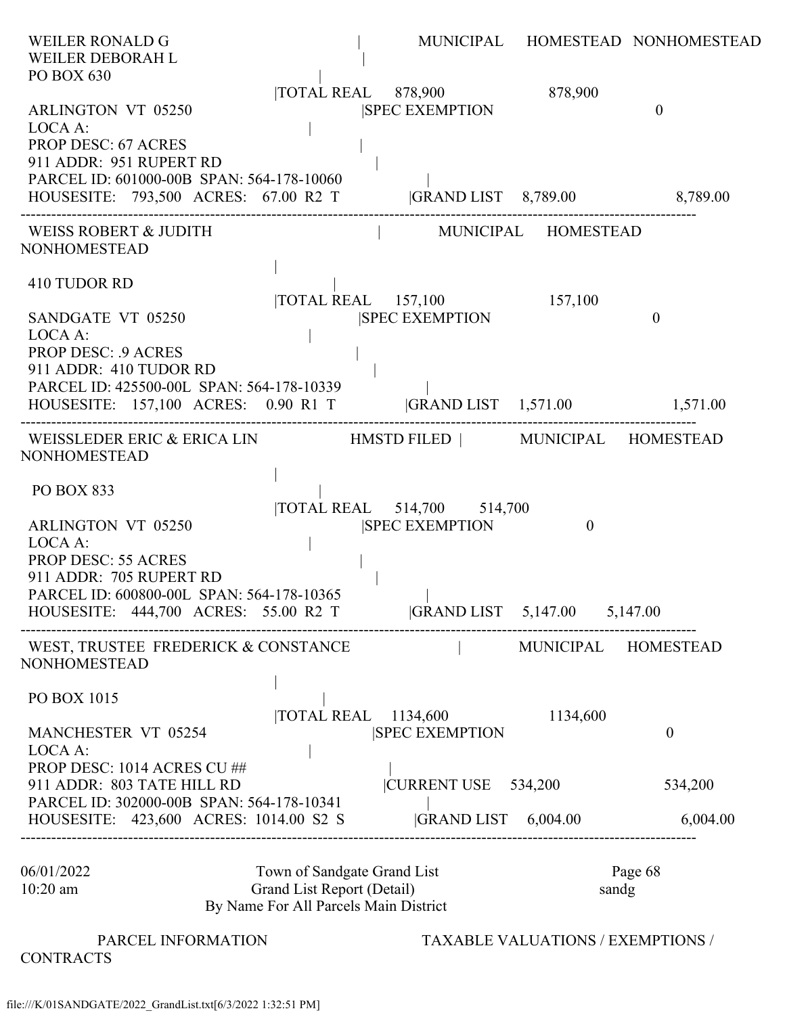| <b>WEILER RONALD G</b><br>WEILER DEBORAH L<br>PO BOX 630                                                                                   |                                                                                                    |                                                      |                     | MUNICIPAL HOMESTEAD NONHOMESTEAD |
|--------------------------------------------------------------------------------------------------------------------------------------------|----------------------------------------------------------------------------------------------------|------------------------------------------------------|---------------------|----------------------------------|
| ARLINGTON VT 05250<br>LOCA A:<br><b>PROP DESC: 67 ACRES</b><br>911 ADDR: 951 RUPERT RD                                                     |                                                                                                    | TOTAL REAL 878,900 878,900<br><b>SPEC EXEMPTION</b>  |                     | $\overline{0}$                   |
| PARCEL ID: 601000-00B SPAN: 564-178-10060<br>HOUSESITE: 793,500 ACRES: 67.00 R2 T  GRAND LIST 8,789.00 8,789.00                            |                                                                                                    |                                                      |                     |                                  |
| WEISS ROBERT & JUDITH<br><b>NONHOMESTEAD</b>                                                                                               |                                                                                                    | MUNICIPAL HOMESTEAD                                  |                     |                                  |
| 410 TUDOR RD<br>SANDGATE VT 05250<br>LOCA A:<br><b>PROP DESC: .9 ACRES</b>                                                                 |                                                                                                    | TOTAL REAL 157,100 157,100<br><b>ISPEC EXEMPTION</b> |                     | $\mathbf{0}$                     |
| 911 ADDR: 410 TUDOR RD<br>PARCEL ID: 425500-00L SPAN: 564-178-10339<br>HOUSESITE: 157,100 ACRES: 0.90 R1 T  GRAND LIST 1,571.00 1,571.00   |                                                                                                    |                                                      |                     |                                  |
| WEISSLEDER ERIC & ERICA LIN HMSTD FILED   MUNICIPAL HOMESTEAD<br><b>NONHOMESTEAD</b>                                                       |                                                                                                    |                                                      |                     |                                  |
| <b>PO BOX 833</b>                                                                                                                          |                                                                                                    |                                                      |                     |                                  |
| <b>ARLINGTON VT 05250</b><br>LOCA A:<br><b>PROP DESC: 55 ACRES</b><br>911 ADDR: 705 RUPERT RD<br>PARCEL ID: 600800-00L SPAN: 564-178-10365 |                                                                                                    | TOTAL REAL 514,700 514,700<br><b>SPEC EXEMPTION</b>  | $\mathbf{0}$        |                                  |
| HOUSESITE: 444,700 ACRES: 55.00 R2 T  GRAND LIST 5,147.00 5,147.00                                                                         |                                                                                                    |                                                      |                     |                                  |
| WEST, TRUSTEE FREDERICK & CONSTANCE<br><b>NONHOMESTEAD</b>                                                                                 |                                                                                                    |                                                      | MUNICIPAL HOMESTEAD |                                  |
| PO BOX 1015<br><b>MANCHESTER VT 05254</b><br>LOCA A:                                                                                       |                                                                                                    | <b>TOTAL REAL</b> 1134,600<br><b>SPEC EXEMPTION</b>  | 1134,600            | $\boldsymbol{0}$                 |
| PROP DESC: 1014 ACRES CU##<br>911 ADDR: 803 TATE HILL RD<br>PARCEL ID: 302000-00B SPAN: 564-178-10341                                      |                                                                                                    | CURRENT USE 534,200                                  |                     | 534,200                          |
| HOUSESITE: 423,600 ACRES: 1014.00 S2 S                                                                                                     |                                                                                                    | GRAND LIST 6,004.00                                  |                     | 6,004.00                         |
| 06/01/2022<br>10:20 am                                                                                                                     | Town of Sandgate Grand List<br>Grand List Report (Detail)<br>By Name For All Parcels Main District |                                                      | sandg               | Page 68                          |

**CONTRACTS** 

PARCEL INFORMATION TAXABLE VALUATIONS / EXEMPTIONS /

file:///K/01SANDGATE/2022\_GrandList.txt[6/3/2022 1:32:51 PM]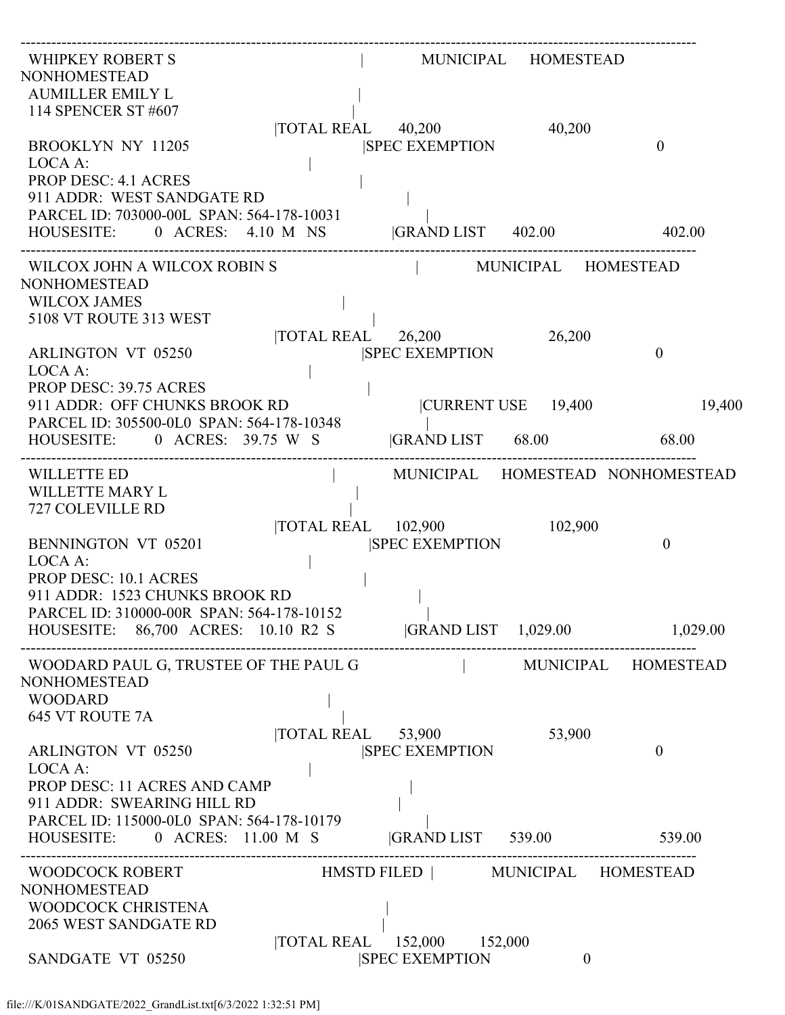| <b>WHIPKEY ROBERT S</b><br>NONHOMESTEAD<br><b>AUMILLER EMILY L</b><br>114 SPENCER ST #607                                                                                                   |                                                                | MUNICIPAL HOMESTEAD |                                  |
|---------------------------------------------------------------------------------------------------------------------------------------------------------------------------------------------|----------------------------------------------------------------|---------------------|----------------------------------|
| <b>BROOKLYN NY 11205</b><br>LOCA A:<br><b>PROP DESC: 4.1 ACRES</b>                                                                                                                          | $\overline{\text{TOTAL REAL}}$ 40,200<br><b>SPEC EXEMPTION</b> | 40,200              | $\theta$                         |
| 911 ADDR: WEST SANDGATE RD<br>PARCEL ID: 703000-00L SPAN: 564-178-10031<br>HOUSESITE: 0 ACRES: 4.10 M NS GRAND LIST 402.00 402.00                                                           |                                                                |                     |                                  |
| WILCOX JOHN A WILCOX ROBIN S<br>NONHOMESTEAD<br><b>WILCOX JAMES</b>                                                                                                                         | MUNICIPAL HOMESTEAD                                            |                     |                                  |
| 5108 VT ROUTE 313 WEST<br><b>ARLINGTON VT 05250</b><br>LOCA A:                                                                                                                              | $\overline{\text{TOTAL REAL}}$ 26,200<br><b>SPEC EXEMPTION</b> | 26,200              | $\boldsymbol{0}$                 |
| PROP DESC: 39.75 ACRES<br>911 ADDR: OFF CHUNKS BROOK RD<br>PARCEL ID: 305500-0L0 SPAN: 564-178-10348                                                                                        |                                                                | CURRENT USE 19,400  | 19,400                           |
| HOUSESITE: 0 ACRES: 39.75 W S<br>WILLETTE ED<br>WILLETTE MARY L                                                                                                                             | GRAND LIST 68.00 68.00                                         |                     | MUNICIPAL HOMESTEAD NONHOMESTEAD |
| 727 COLEVILLE RD<br><b>BENNINGTON VT 05201</b>                                                                                                                                              | TOTAL REAL 102,900<br><b>SPEC EXEMPTION</b>                    | 102,900             | $\theta$                         |
| LOCA A:<br><b>PROP DESC: 10.1 ACRES</b><br>911 ADDR: 1523 CHUNKS BROOK RD<br>PARCEL ID: 310000-00R SPAN: 564-178-10152<br>HOUSESITE: 86,700 ACRES: 10.10 R2 S  GRAND LIST 1,029.00 1,029.00 |                                                                |                     |                                  |
| WOODARD PAUL G, TRUSTEE OF THE PAUL G<br>NONHOMESTEAD<br><b>WOODARD</b>                                                                                                                     |                                                                | MUNICIPAL HOMESTEAD |                                  |
| <b>645 VT ROUTE 7A</b><br><b>ARLINGTON VT 05250</b><br>LOCA A:                                                                                                                              | TOTAL REAL 53,900<br><b>SPEC EXEMPTION</b>                     | 53,900              | $\boldsymbol{0}$                 |
| PROP DESC: 11 ACRES AND CAMP<br>911 ADDR: SWEARING HILL RD<br>PARCEL ID: 115000-0L0 SPAN: 564-178-10179                                                                                     |                                                                |                     |                                  |
| HOUSESITE: 0 ACRES: 11.00 M S  GRAND LIST 539.00 539.00                                                                                                                                     |                                                                |                     |                                  |
| <b>WOODCOCK ROBERT</b><br>NONHOMESTEAD<br>WOODCOCK CHRISTENA                                                                                                                                | HMSTD FILED   MUNICIPAL HOMESTEAD                              |                     |                                  |
| 2065 WEST SANDGATE RD                                                                                                                                                                       | TOTAL REAL 152,000 152,000                                     |                     |                                  |
| SANDGATE VT 05250                                                                                                                                                                           | <b>SPEC EXEMPTION</b>                                          | $\overline{0}$      |                                  |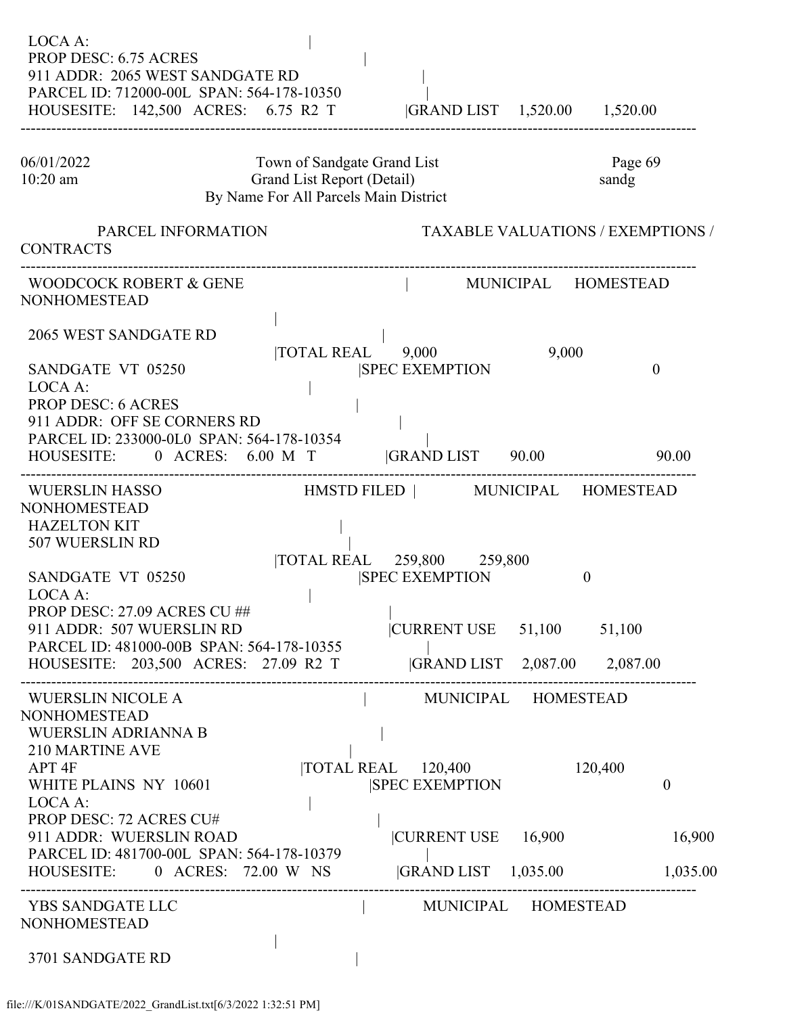| LOCA A:<br>PROP DESC: 6.75 ACRES<br>911 ADDR: 2065 WEST SANDGATE RD<br>PARCEL ID: 712000-00L SPAN: 564-178-10350<br>HOUSESITE: 142,500 ACRES: 6.75 R2 T  GRAND LIST 1,520.00 1,520.00                                                                                                   |                                                                                                    |                                                                                                                                                                 |          |                                           |
|-----------------------------------------------------------------------------------------------------------------------------------------------------------------------------------------------------------------------------------------------------------------------------------------|----------------------------------------------------------------------------------------------------|-----------------------------------------------------------------------------------------------------------------------------------------------------------------|----------|-------------------------------------------|
| 06/01/2022<br>$10:20$ am                                                                                                                                                                                                                                                                | Town of Sandgate Grand List<br>Grand List Report (Detail)<br>By Name For All Parcels Main District |                                                                                                                                                                 |          | Page 69<br>sandg                          |
| PARCEL INFORMATION<br><b>CONTRACTS</b>                                                                                                                                                                                                                                                  |                                                                                                    |                                                                                                                                                                 |          | <b>TAXABLE VALUATIONS / EXEMPTIONS /</b>  |
| WOODCOCK ROBERT & GENE<br><b>NONHOMESTEAD</b>                                                                                                                                                                                                                                           |                                                                                                    | MUNICIPAL HOMESTEAD                                                                                                                                             |          |                                           |
| 2065 WEST SANDGATE RD<br>SANDGATE VT 05250<br>LOCA A:<br><b>PROP DESC: 6 ACRES</b><br>911 ADDR: OFF SE CORNERS RD<br>PARCEL ID: 233000-0L0 SPAN: 564-178-10354                                                                                                                          | $\overline{10TAL}$ REAL $9,000$                                                                    | <b>SPEC EXEMPTION</b>                                                                                                                                           | 9,000    | $\boldsymbol{0}$                          |
| HOUSESITE: 0 ACRES: 6.00 M T  GRAND LIST 90.00                                                                                                                                                                                                                                          |                                                                                                    |                                                                                                                                                                 |          | 90.00                                     |
| <b>WUERSLIN HASSO</b><br><b>NONHOMESTEAD</b><br><b>HAZELTON KIT</b><br>507 WUERSLIN RD<br>SANDGATE VT 05250<br>LOCA A:<br>PROP DESC: 27.09 ACRES CU ##<br>911 ADDR: 507 WUERSLIN RD<br>PARCEL ID: 481000-00B SPAN: 564-178-10355<br>HOUSESITE: 203,500 ACRES: 27.09 R2 T                |                                                                                                    | HMSTD FILED   MUNICIPAL HOMESTEAD<br> TOTAL REAL 259,800 259,800<br><b>SPEC EXEMPTION</b><br>$\sim$ 1.00<br>CURRENT USE 51,100<br> GRAND LIST 2,087.00 2,087.00 | $\theta$ | 51,100                                    |
| WUERSLIN NICOLE A<br><b>NONHOMESTEAD</b><br><b>WUERSLIN ADRIANNA B</b><br>210 MARTINE AVE<br>APT <sub>4F</sub><br>WHITE PLAINS NY 10601<br>LOCA A:<br>PROP DESC: 72 ACRES CU#<br>911 ADDR: WUERSLIN ROAD<br>PARCEL ID: 481700-00L SPAN: 564-178-10379<br>HOUSESITE: 0 ACRES: 72.00 W NS |                                                                                                    | MUNICIPAL HOMESTEAD<br>TOTAL REAL 120,400<br><b>SPEC EXEMPTION</b><br> CURRENT USE 16,900<br>$ GRAND LIST \t1,035.00$                                           |          | 120,400<br>$\theta$<br>16,900<br>1,035.00 |
| YBS SANDGATE LLC<br><b>NONHOMESTEAD</b>                                                                                                                                                                                                                                                 |                                                                                                    | MUNICIPAL HOMESTEAD                                                                                                                                             |          |                                           |
| 3701 SANDGATE RD                                                                                                                                                                                                                                                                        |                                                                                                    |                                                                                                                                                                 |          |                                           |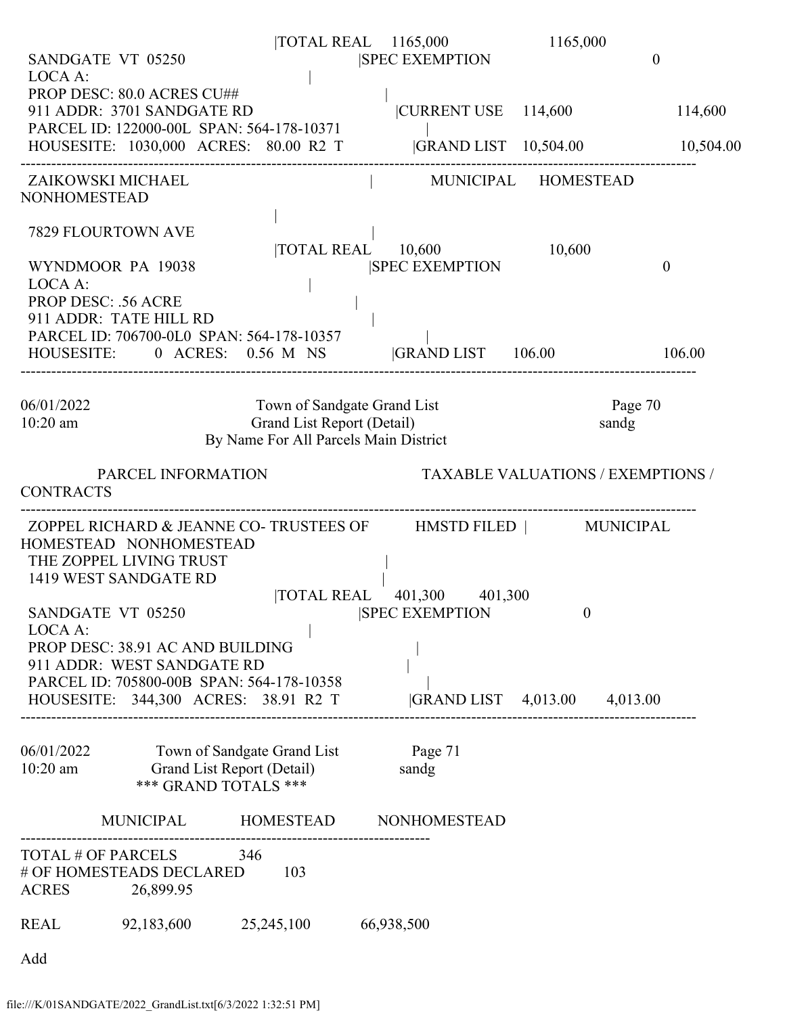| LOCA A:                | SANDGATE VT 05250                                                                                                                                                                                      | TOTAL REAL 1165,000                                                                                | <b>SPEC EXEMPTION</b>                               | 1165,000                                 | $\mathbf{0}$         |
|------------------------|--------------------------------------------------------------------------------------------------------------------------------------------------------------------------------------------------------|----------------------------------------------------------------------------------------------------|-----------------------------------------------------|------------------------------------------|----------------------|
|                        | PROP DESC: 80.0 ACRES CU##<br>911 ADDR: 3701 SANDGATE RD<br>PARCEL ID: 122000-00L SPAN: 564-178-10371<br>HOUSESITE: 1030,000 ACRES: 80.00 R2 T  GRAND LIST 10,504.00                                   |                                                                                                    | $ {\rm CURRENT \ USE} - 114,600$                    |                                          | 114,600<br>10,504.00 |
| NONHOMESTEAD           | ZAIKOWSKI MICHAEL                                                                                                                                                                                      |                                                                                                    | MUNICIPAL HOMESTEAD                                 |                                          |                      |
| LOCA A:                | <b>7829 FLOURTOWN AVE</b><br>WYNDMOOR PA 19038                                                                                                                                                         |                                                                                                    | TOTAL REAL 10,600<br><b>SPEC EXEMPTION</b>          | 10,600                                   | $\theta$             |
|                        | <b>PROP DESC: .56 ACRE</b><br>911 ADDR: TATE HILL RD<br>PARCEL ID: 706700-0L0 SPAN: 564-178-10357<br>HOUSESITE: 0 ACRES: 0.56 M NS  GRAND LIST 106.00                                                  |                                                                                                    |                                                     |                                          | 106.00               |
| 06/01/2022<br>10:20 am |                                                                                                                                                                                                        | Town of Sandgate Grand List<br>Grand List Report (Detail)<br>By Name For All Parcels Main District |                                                     | sandg                                    | Page 70              |
| <b>CONTRACTS</b>       | PARCEL INFORMATION                                                                                                                                                                                     |                                                                                                    |                                                     | <b>TAXABLE VALUATIONS / EXEMPTIONS /</b> |                      |
|                        | ZOPPEL RICHARD & JEANNE CO-TRUSTEES OF HMSTD FILED   MUNICIPAL<br>HOMESTEAD NONHOMESTEAD<br>THE ZOPPEL LIVING TRUST<br>1419 WEST SANDGATE RD                                                           |                                                                                                    |                                                     |                                          |                      |
| LOCA A:                | SANDGATE VT 05250<br>PROP DESC: 38.91 AC AND BUILDING<br>911 ADDR: WEST SANDGATE RD<br>PARCEL ID: 705800-00B SPAN: 564-178-10358<br>HOUSESITE: 344,300 ACRES: 38.91 R2 T  GRAND LIST 4,013.00 4,013.00 |                                                                                                    | TOTAL REAL 401,300 401,300<br><b>SPEC EXEMPTION</b> | $\theta$                                 |                      |
|                        | 06/01/2022 Town of Sandgate Grand List Page 71<br>10:20 am Grand List Report (Detail)<br>*** GRAND TOTALS ***                                                                                          |                                                                                                    | sandg                                               |                                          |                      |
|                        | MUNICIPAL HOMESTEAD NONHOMESTEAD                                                                                                                                                                       |                                                                                                    |                                                     |                                          |                      |
|                        | TOTAL # OF PARCELS 346<br># OF HOMESTEADS DECLARED 103<br>ACRES 26,899.95                                                                                                                              |                                                                                                    |                                                     |                                          |                      |
|                        | REAL 92,183,600 25,245,100 66,938,500                                                                                                                                                                  |                                                                                                    |                                                     |                                          |                      |
| Add                    |                                                                                                                                                                                                        |                                                                                                    |                                                     |                                          |                      |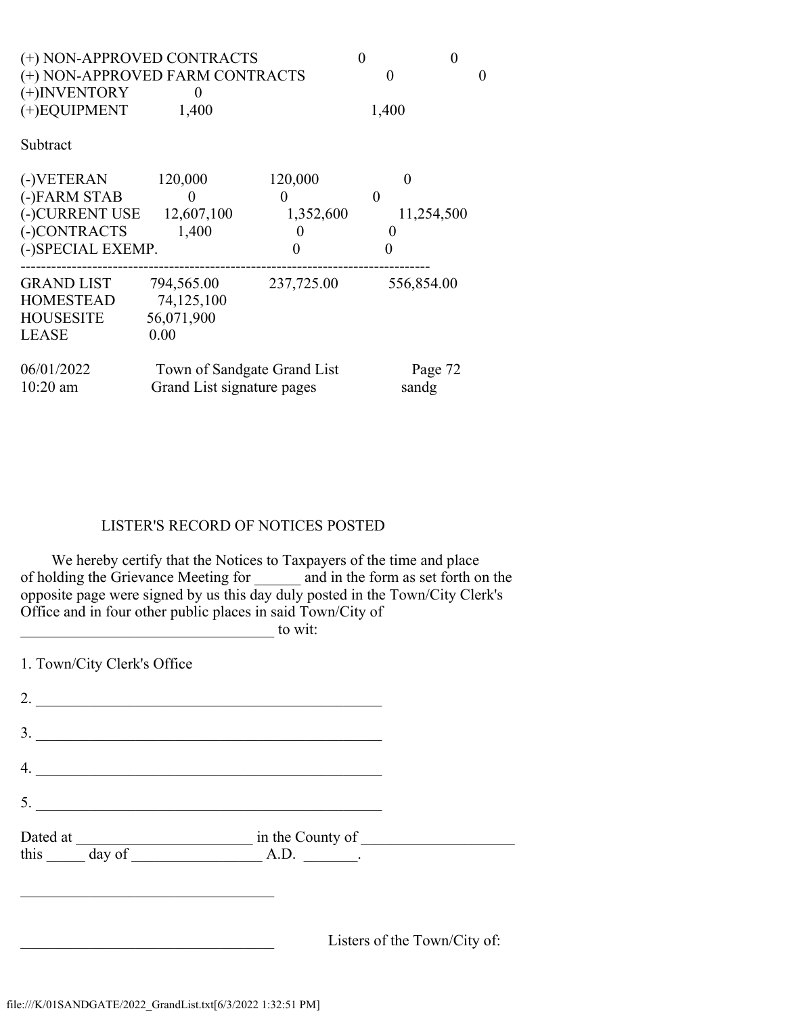| (+) NON-APPROVED CONTRACTS<br>(+) NON-APPROVED FARM CONTRACTS<br>$(+)$ INVENTORY<br>$(+)$ EQUIPMENT<br>Subtract | 1,400                                                     |                                       | 0<br>0<br>$\mathbf{\Omega}$<br>1,400 |  |
|-----------------------------------------------------------------------------------------------------------------|-----------------------------------------------------------|---------------------------------------|--------------------------------------|--|
| (-)VETERAN<br>(-)FARM STAB<br>(-)CURRENT USE 12,607,100<br>(-)CONTRACTS<br>(-)SPECIAL EXEMP.                    | 120,000<br>$\theta$<br>1,400                              | 120,000<br>$\theta$<br>1,352,600<br>0 | $\theta$<br>$\theta$<br>11,254,500   |  |
| <b>GRAND LIST</b><br><b>HOMESTEAD</b><br><b>HOUSESITE</b><br><b>LEASE</b>                                       | 794,565.00<br>74,125,100<br>56,071,900<br>0.00            | 237,725.00                            | 556,854.00                           |  |
| 06/01/2022<br>$10:20$ am                                                                                        | Town of Sandgate Grand List<br>Grand List signature pages |                                       | Page 72<br>sandg                     |  |

### LISTER'S RECORD OF NOTICES POSTED

 We hereby certify that the Notices to Taxpayers of the time and place of holding the Grievance Meeting for \_\_\_\_\_\_ and in the form as set forth on the opposite page were signed by us this day duly posted in the Town/City Clerk's Office and in four other public places in said Town/City of  $\alpha$  wit:

1. Town/City Clerk's Office 2. \_\_\_\_\_\_\_\_\_\_\_\_\_\_\_\_\_\_\_\_\_\_\_\_\_\_\_\_\_\_\_\_\_\_\_\_\_\_\_\_\_\_\_\_\_ 3. \_\_\_\_\_\_\_\_\_\_\_\_\_\_\_\_\_\_\_\_\_\_\_\_\_\_\_\_\_\_\_\_\_\_\_\_\_\_\_\_\_\_\_\_\_ 4. \_\_\_\_\_\_\_\_\_\_\_\_\_\_\_\_\_\_\_\_\_\_\_\_\_\_\_\_\_\_\_\_\_\_\_\_\_\_\_\_\_\_\_\_\_ 5. \_\_\_\_\_\_\_\_\_\_\_\_\_\_\_\_\_\_\_\_\_\_\_\_\_\_\_\_\_\_\_\_\_\_\_\_\_\_\_\_\_\_\_\_\_ Dated at \_\_\_\_\_\_\_\_\_\_\_\_\_\_\_\_\_\_\_\_\_\_\_ in the County of \_\_\_\_\_\_\_\_\_\_\_\_\_\_\_\_\_\_\_\_ this  $\_\_\_\_\_\_\_\$  day of  $\_\_\_\_\_\_\_\_\_\.\_$  $\mathcal{L}$  , which is a set of the set of the set of the set of the set of the set of the set of the set of the set of the set of the set of the set of the set of the set of the set of the set of the set of the set of the s Listers of the Town/City of: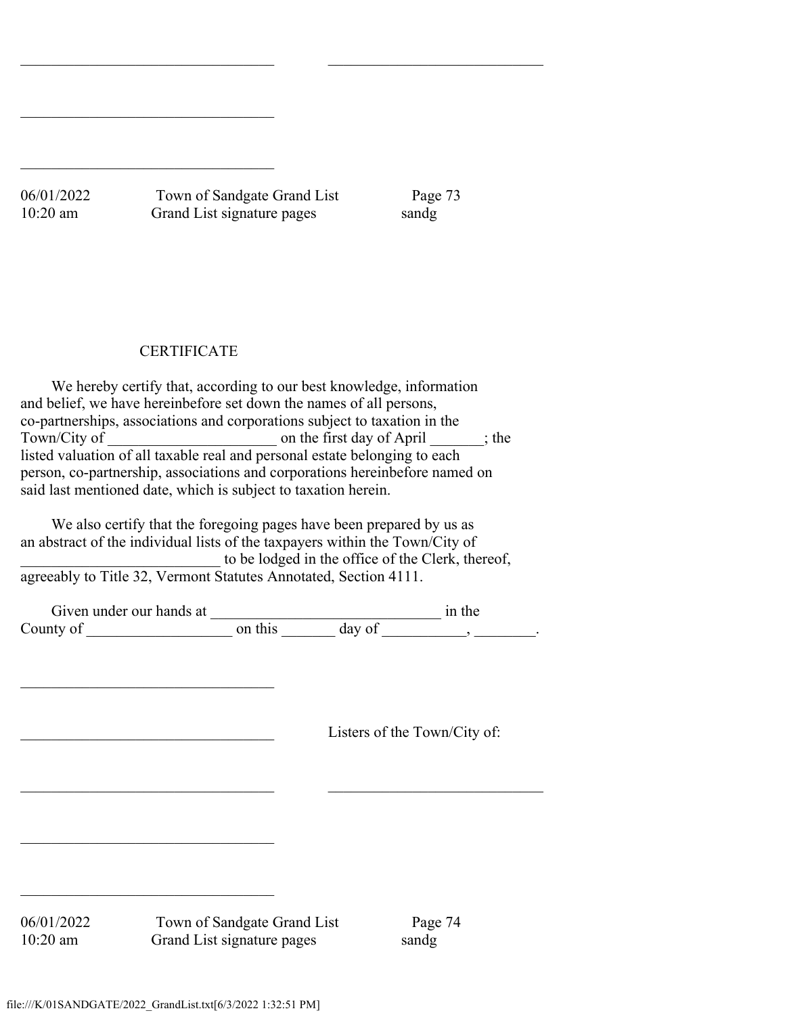06/01/2022 Town of Sandgate Grand List Page 73 10:20 am Grand List signature pages sandg

 $\_$  , and the set of the set of the set of the set of the set of the set of the set of the set of the set of the set of the set of the set of the set of the set of the set of the set of the set of the set of the set of th

## **CERTIFICATE**

 $\overline{\phantom{a}}$  , which is a set of the set of the set of the set of the set of the set of the set of the set of the set of the set of the set of the set of the set of the set of the set of the set of the set of the set of th

 $\mathcal{L}$  , which is a set of the set of the set of the set of the set of the set of the set of the set of the set of the set of the set of the set of the set of the set of the set of the set of the set of the set of the s

 We hereby certify that, according to our best knowledge, information and belief, we have hereinbefore set down the names of all persons, co-partnerships, associations and corporations subject to taxation in the Town/City of conthe first day of April  $\cdots$ ; the listed valuation of all taxable real and personal estate belonging to each person, co-partnership, associations and corporations hereinbefore named on said last mentioned date, which is subject to taxation herein.

 We also certify that the foregoing pages have been prepared by us as an abstract of the individual lists of the taxpayers within the Town/City of to be lodged in the office of the Clerk, thereof, agreeably to Title 32, Vermont Statutes Annotated, Section 4111.

| Given under our hands at |         |        | in the |
|--------------------------|---------|--------|--------|
| County of                | on this | day of |        |

 $\_$  , and the set of the set of the set of the set of the set of the set of the set of the set of the set of the set of the set of the set of the set of the set of the set of the set of the set of the set of the set of th

Listers of the Town/City of:

06/01/2022 Town of Sandgate Grand List Page 74 10:20 am Grand List signature pages sandg

 $\mathcal{L}$  , which is a set of the set of the set of the set of the set of the set of the set of the set of the set of the set of the set of the set of the set of the set of the set of the set of the set of the set of the s

 $\overline{\phantom{a}}$  , which is a set of the set of the set of the set of the set of the set of the set of the set of the set of the set of the set of the set of the set of the set of the set of the set of the set of the set of th

 $\mathcal{L}$  , which is a set of the set of the set of the set of the set of the set of the set of the set of the set of the set of the set of the set of the set of the set of the set of the set of the set of the set of the s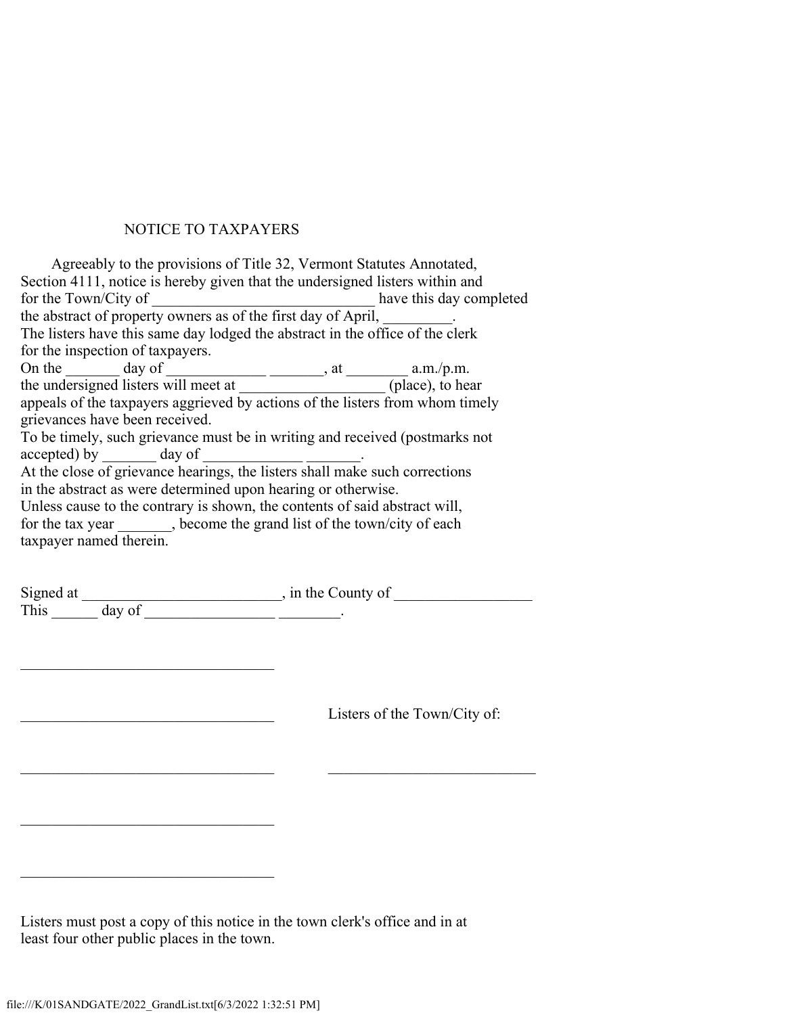### NOTICE TO TAXPAYERS

 Agreeably to the provisions of Title 32, Vermont Statutes Annotated, Section 4111, notice is hereby given that the undersigned listers within and for the Town/City of \_\_\_\_\_\_\_\_\_\_\_\_\_\_\_\_\_\_\_\_\_\_\_\_\_\_\_\_\_ have this day completed the abstract of property owners as of the first day of April, \_\_\_\_\_\_\_\_. The listers have this same day lodged the abstract in the office of the clerk for the inspection of taxpayers. On the  $\_\_\_\_\_\_\$  day of  $\_\_\_\_\_\_\_\_\_\_\_\$ , at  $\_\_\_\_\_\.\_\_\.\$ .m. the undersigned listers will meet at \_\_\_\_\_\_\_\_\_\_\_\_\_\_\_\_\_\_\_\_\_\_(place), to hear appeals of the taxpayers aggrieved by actions of the listers from whom timely grievances have been received. To be timely, such grievance must be in writing and received (postmarks not accepted) by \_\_\_\_\_\_\_\_\_\_ day of \_ At the close of grievance hearings, the listers shall make such corrections in the abstract as were determined upon hearing or otherwise. Unless cause to the contrary is shown, the contents of said abstract will, for the tax year \_\_\_\_\_\_, become the grand list of the town/city of each taxpayer named therein.

| Signed at |        | in the County of |  |
|-----------|--------|------------------|--|
| This      | day of |                  |  |

Listers of the Town/City of:

Listers must post a copy of this notice in the town clerk's office and in at least four other public places in the town.

 $\_$  , and the contribution of the contribution of  $\overline{C}$  , and  $\overline{C}$  , and  $\overline{C}$  , and  $\overline{C}$  , and  $\overline{C}$ 

 $\mathcal{L}$  , which is a set of the set of the set of the set of the set of the set of the set of the set of the set of the set of the set of the set of the set of the set of the set of the set of the set of the set of the s

 $\mathcal{L}$  , which is a set of the set of the set of the set of the set of the set of the set of the set of the set of the set of the set of the set of the set of the set of the set of the set of the set of the set of the s

 $\mathcal{L}$  , which is a set of the set of the set of the set of the set of the set of the set of the set of the set of the set of the set of the set of the set of the set of the set of the set of the set of the set of the s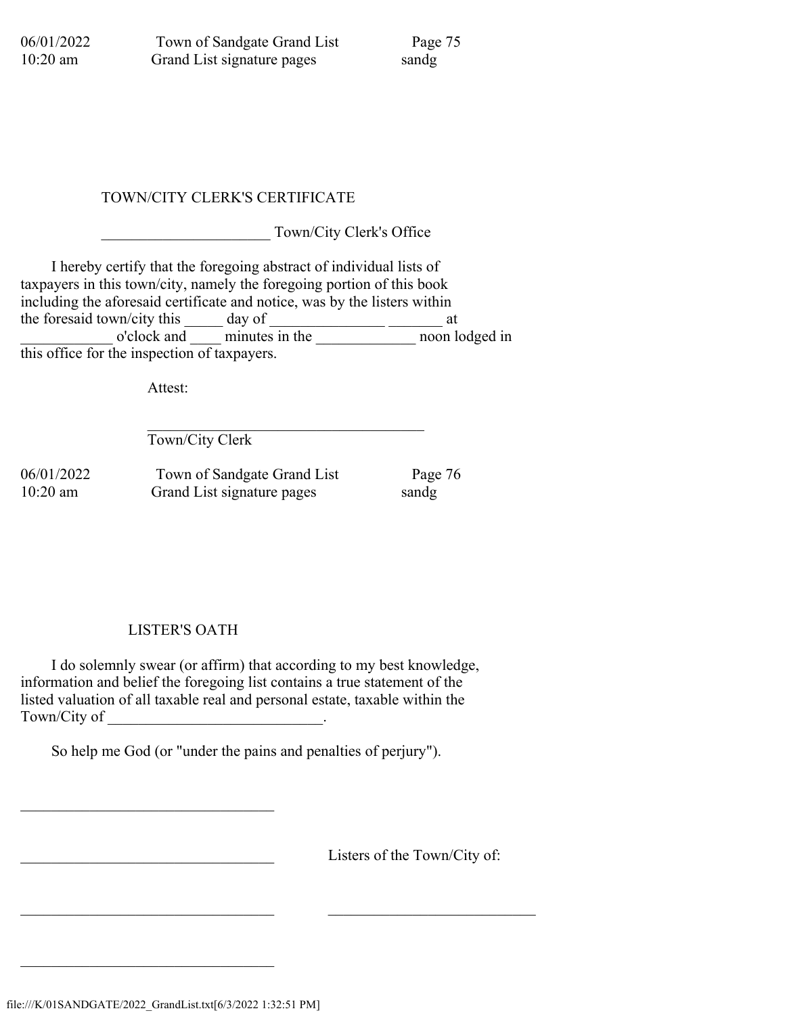06/01/2022 Town of Sandgate Grand List Page 75 10:20 am Grand List signature pages sandg

# TOWN/CITY CLERK'S CERTIFICATE

Town/City Clerk's Office

 I hereby certify that the foregoing abstract of individual lists of taxpayers in this town/city, namely the foregoing portion of this book including the aforesaid certificate and notice, was by the listers within the foresaid town/city this  $\frac{1}{\sqrt{2\pi}}$  day of  $\frac{1}{\sqrt{2\pi}}$  at \_\_\_\_\_\_\_\_\_\_\_\_ o'clock and \_\_\_\_ minutes in the \_\_\_\_\_\_\_\_\_\_\_\_\_ noon lodged in this office for the inspection of taxpayers.

Attest:

 $\mathcal{L}_\text{max}$  and  $\mathcal{L}_\text{max}$  and  $\mathcal{L}_\text{max}$  and  $\mathcal{L}_\text{max}$  and  $\mathcal{L}_\text{max}$ Town/City Clerk

06/01/2022 Town of Sandgate Grand List Page 76 10:20 am Grand List signature pages sandg

LISTER'S OATH

 I do solemnly swear (or affirm) that according to my best knowledge, information and belief the foregoing list contains a true statement of the listed valuation of all taxable real and personal estate, taxable within the Town/City of \_\_\_\_\_\_\_\_\_\_\_\_\_\_\_\_\_\_\_\_\_\_\_\_\_\_\_\_.

So help me God (or "under the pains and penalties of perjury").

 $\_$  , and the contribution of the contribution of  $\overline{C}$  , and  $\overline{C}$  , and  $\overline{C}$  , and  $\overline{C}$  , and  $\overline{C}$ 

Listers of the Town/City of:

 $\mathcal{L}$  , which is a set of the set of the set of the set of the set of the set of the set of the set of the set of the set of the set of the set of the set of the set of the set of the set of the set of the set of the s

 $\mathcal{L}$  , which is a set of the set of the set of the set of the set of the set of the set of the set of the set of the set of the set of the set of the set of the set of the set of the set of the set of the set of the s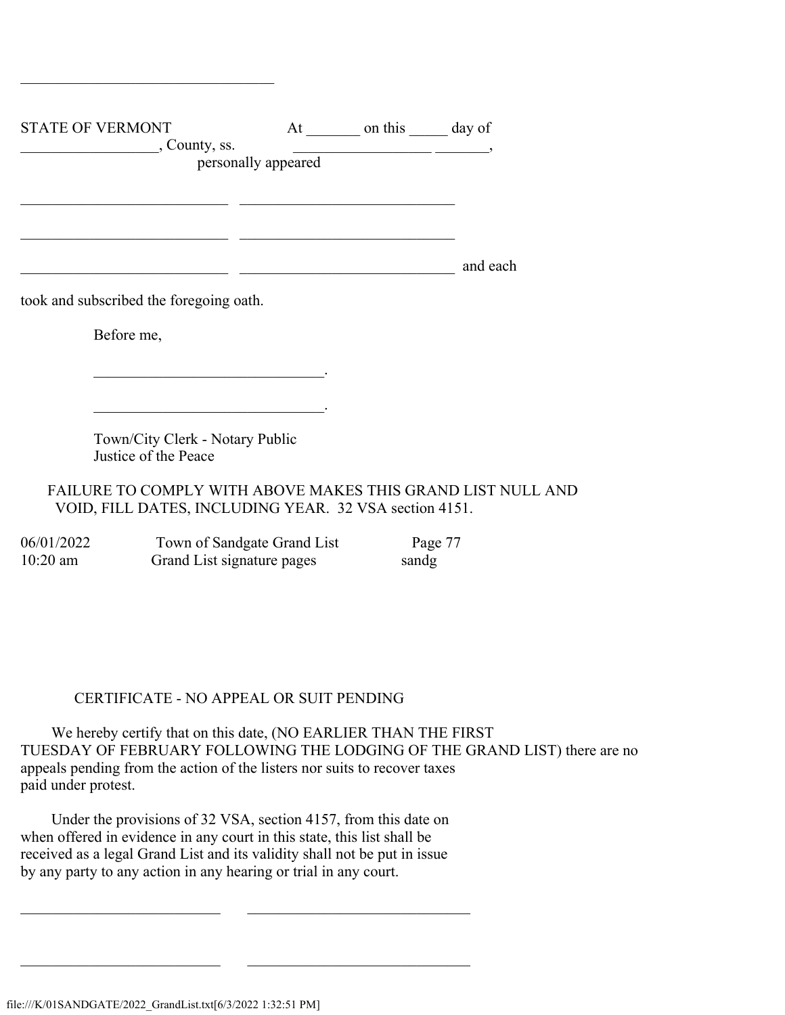| <b>STATE OF VERMONT</b>                                                                                               |                     | At on this day of |          |
|-----------------------------------------------------------------------------------------------------------------------|---------------------|-------------------|----------|
| , County, ss.                                                                                                         |                     |                   |          |
|                                                                                                                       | personally appeared |                   |          |
|                                                                                                                       |                     |                   |          |
|                                                                                                                       |                     |                   |          |
|                                                                                                                       |                     |                   |          |
|                                                                                                                       |                     |                   |          |
|                                                                                                                       |                     |                   |          |
|                                                                                                                       |                     |                   | and each |
| took and subscribed the foregoing oath.                                                                               |                     |                   |          |
| Before me,                                                                                                            |                     |                   |          |
|                                                                                                                       |                     |                   |          |
|                                                                                                                       |                     |                   |          |
|                                                                                                                       |                     |                   |          |
| <u> 1980 - Jan James James James James James James James James James James James James James James James James Ja</u> |                     |                   |          |
| Town/City Clerk - Notary Public                                                                                       |                     |                   |          |
| Justice of the Peace                                                                                                  |                     |                   |          |
|                                                                                                                       |                     |                   |          |
| FAILURE TO COMPLY WITH ABOVE MAKES THIS GRAND LIST NULL AND                                                           |                     |                   |          |
| VOID, FILL DATES, INCLUDING YEAR. 32 VSA section 4151.                                                                |                     |                   |          |

 $\mathcal{L}$  , which is a set of the set of the set of the set of the set of the set of the set of the set of the set of the set of the set of the set of the set of the set of the set of the set of the set of the set of the s

| 06/01/2022 | Town of Sandgate Grand List | Page 77 |
|------------|-----------------------------|---------|
| $10:20$ am | Grand List signature pages  | sandg   |

#### CERTIFICATE - NO APPEAL OR SUIT PENDING

 We hereby certify that on this date, (NO EARLIER THAN THE FIRST TUESDAY OF FEBRUARY FOLLOWING THE LODGING OF THE GRAND LIST) there are no appeals pending from the action of the listers nor suits to recover taxes paid under protest.

 Under the provisions of 32 VSA, section 4157, from this date on when offered in evidence in any court in this state, this list shall be received as a legal Grand List and its validity shall not be put in issue by any party to any action in any hearing or trial in any court.

 $\_$  , and the set of the set of the set of the set of the set of the set of the set of the set of the set of the set of the set of the set of the set of the set of the set of the set of the set of the set of the set of th

 $\_$  , and the set of the set of the set of the set of the set of the set of the set of the set of the set of the set of the set of the set of the set of the set of the set of the set of the set of the set of the set of th